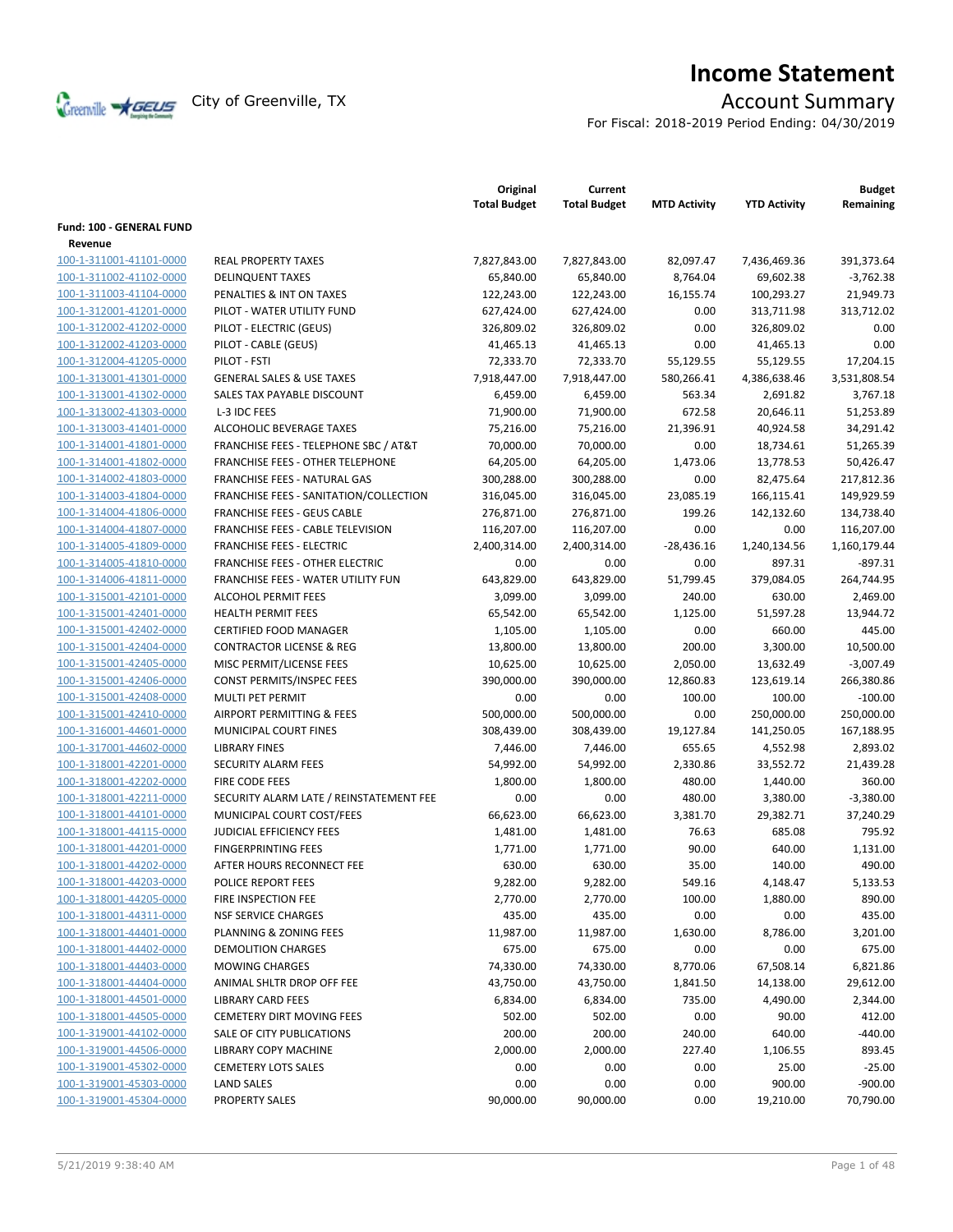

# **Income Statement**

For Fiscal: 2018-2019 Period Ending: 04/30/2019

|                                    |                                         | Original<br><b>Total Budget</b> | Current<br><b>Total Budget</b> | <b>MTD Activity</b> | <b>YTD Activity</b> | <b>Budget</b><br>Remaining |
|------------------------------------|-----------------------------------------|---------------------------------|--------------------------------|---------------------|---------------------|----------------------------|
| <b>Fund: 100 - GENERAL FUND</b>    |                                         |                                 |                                |                     |                     |                            |
| Revenue<br>100-1-311001-41101-0000 |                                         |                                 |                                |                     |                     |                            |
|                                    | <b>REAL PROPERTY TAXES</b>              | 7,827,843.00                    | 7,827,843.00                   | 82,097.47           | 7,436,469.36        | 391,373.64<br>$-3,762.38$  |
| 100-1-311002-41102-0000            | <b>DELINQUENT TAXES</b>                 | 65,840.00                       | 65,840.00                      | 8,764.04            | 69,602.38           |                            |
| 100-1-311003-41104-0000            | PENALTIES & INT ON TAXES                | 122,243.00                      | 122,243.00                     | 16,155.74           | 100,293.27          | 21,949.73                  |
| 100-1-312001-41201-0000            | PILOT - WATER UTILITY FUND              | 627,424.00                      | 627,424.00                     | 0.00                | 313,711.98          | 313,712.02                 |
| 100-1-312002-41202-0000            | PILOT - ELECTRIC (GEUS)                 | 326,809.02                      | 326,809.02                     | 0.00                | 326,809.02          | 0.00                       |
| 100-1-312002-41203-0000            | PILOT - CABLE (GEUS)                    | 41,465.13                       | 41,465.13                      | 0.00                | 41,465.13           | 0.00                       |
| 100-1-312004-41205-0000            | PILOT - FSTI                            | 72,333.70                       | 72,333.70                      | 55,129.55           | 55,129.55           | 17,204.15                  |
| 100-1-313001-41301-0000            | <b>GENERAL SALES &amp; USE TAXES</b>    | 7,918,447.00                    | 7,918,447.00                   | 580,266.41          | 4,386,638.46        | 3,531,808.54               |
| 100-1-313001-41302-0000            | SALES TAX PAYABLE DISCOUNT              | 6,459.00                        | 6,459.00                       | 563.34              | 2,691.82            | 3,767.18                   |
| 100-1-313002-41303-0000            | L-3 IDC FEES                            | 71,900.00                       | 71,900.00                      | 672.58              | 20,646.11           | 51,253.89                  |
| 100-1-313003-41401-0000            | ALCOHOLIC BEVERAGE TAXES                | 75,216.00                       | 75,216.00                      | 21,396.91           | 40,924.58           | 34,291.42                  |
| 100-1-314001-41801-0000            | FRANCHISE FEES - TELEPHONE SBC / AT&T   | 70,000.00                       | 70,000.00                      | 0.00                | 18,734.61           | 51,265.39                  |
| 100-1-314001-41802-0000            | <b>FRANCHISE FEES - OTHER TELEPHONE</b> | 64,205.00                       | 64,205.00                      | 1,473.06            | 13,778.53           | 50,426.47                  |
| 100-1-314002-41803-0000            | <b>FRANCHISE FEES - NATURAL GAS</b>     | 300,288.00                      | 300,288.00                     | 0.00                | 82,475.64           | 217,812.36                 |
| 100-1-314003-41804-0000            | FRANCHISE FEES - SANITATION/COLLECTION  | 316,045.00                      | 316,045.00                     | 23,085.19           | 166,115.41          | 149,929.59                 |
| 100-1-314004-41806-0000            | <b>FRANCHISE FEES - GEUS CABLE</b>      | 276,871.00                      | 276,871.00                     | 199.26              | 142,132.60          | 134,738.40                 |
| 100-1-314004-41807-0000            | FRANCHISE FEES - CABLE TELEVISION       | 116,207.00                      | 116,207.00                     | 0.00                | 0.00                | 116,207.00                 |
| 100-1-314005-41809-0000            | <b>FRANCHISE FEES - ELECTRIC</b>        | 2,400,314.00                    | 2,400,314.00                   | $-28,436.16$        | 1,240,134.56        | 1,160,179.44               |
| 100-1-314005-41810-0000            | <b>FRANCHISE FEES - OTHER ELECTRIC</b>  | 0.00                            | 0.00                           | 0.00                | 897.31              | $-897.31$                  |
| 100-1-314006-41811-0000            | FRANCHISE FEES - WATER UTILITY FUN      | 643,829.00                      | 643,829.00                     | 51,799.45           | 379,084.05          | 264,744.95                 |
| 100-1-315001-42101-0000            | <b>ALCOHOL PERMIT FEES</b>              | 3,099.00                        | 3,099.00                       | 240.00              | 630.00              | 2,469.00                   |
| 100-1-315001-42401-0000            | <b>HEALTH PERMIT FEES</b>               | 65,542.00                       | 65,542.00                      | 1,125.00            | 51,597.28           | 13,944.72                  |
| 100-1-315001-42402-0000            | <b>CERTIFIED FOOD MANAGER</b>           | 1,105.00                        | 1,105.00                       | 0.00                | 660.00              | 445.00                     |
| 100-1-315001-42404-0000            | <b>CONTRACTOR LICENSE &amp; REG</b>     | 13,800.00                       | 13,800.00                      | 200.00              | 3,300.00            | 10,500.00                  |
| 100-1-315001-42405-0000            | MISC PERMIT/LICENSE FEES                | 10,625.00                       | 10,625.00                      | 2,050.00            | 13,632.49           | $-3,007.49$                |
| 100-1-315001-42406-0000            | <b>CONST PERMITS/INSPEC FEES</b>        | 390,000.00                      | 390,000.00                     | 12,860.83           | 123,619.14          | 266,380.86                 |
| 100-1-315001-42408-0000            | MULTI PET PERMIT                        | 0.00                            | 0.00                           | 100.00              | 100.00              | $-100.00$                  |
| 100-1-315001-42410-0000            | <b>AIRPORT PERMITTING &amp; FEES</b>    | 500,000.00                      | 500,000.00                     | 0.00                | 250,000.00          | 250,000.00                 |
| 100-1-316001-44601-0000            | MUNICIPAL COURT FINES                   | 308,439.00                      | 308,439.00                     | 19,127.84           | 141,250.05          | 167,188.95                 |
| 100-1-317001-44602-0000            | <b>LIBRARY FINES</b>                    | 7,446.00                        | 7,446.00                       | 655.65              | 4,552.98            | 2,893.02                   |
| 100-1-318001-42201-0000            | SECURITY ALARM FEES                     | 54,992.00                       | 54,992.00                      | 2,330.86            | 33,552.72           | 21,439.28                  |
| 100-1-318001-42202-0000            | FIRE CODE FEES                          | 1,800.00                        | 1,800.00                       | 480.00              | 1,440.00            | 360.00                     |
| 100-1-318001-42211-0000            | SECURITY ALARM LATE / REINSTATEMENT FEE | 0.00                            | 0.00                           | 480.00              | 3,380.00            | $-3,380.00$                |
| 100-1-318001-44101-0000            | MUNICIPAL COURT COST/FEES               | 66,623.00                       | 66,623.00                      | 3,381.70            | 29,382.71           | 37,240.29                  |
| 100-1-318001-44115-0000            | JUDICIAL EFFICIENCY FEES                | 1,481.00                        | 1,481.00                       | 76.63               | 685.08              | 795.92                     |
| 100-1-318001-44201-0000            | <b>FINGERPRINTING FEES</b>              | 1,771.00                        | 1,771.00                       | 90.00               | 640.00              | 1,131.00                   |
| 100-1-318001-44202-0000            | AFTER HOURS RECONNECT FEE               | 630.00                          | 630.00                         | 35.00               | 140.00              | 490.00                     |
| 100-1-318001-44203-0000            | POLICE REPORT FEES                      | 9,282.00                        | 9,282.00                       | 549.16              | 4,148.47            | 5,133.53                   |
| 100-1-318001-44205-0000            | FIRE INSPECTION FEE                     | 2,770.00                        | 2,770.00                       | 100.00              | 1,880.00            | 890.00                     |
| 100-1-318001-44311-0000            | <b>NSF SERVICE CHARGES</b>              | 435.00                          | 435.00                         | 0.00                | 0.00                | 435.00                     |
| 100-1-318001-44401-0000            | PLANNING & ZONING FEES                  | 11,987.00                       | 11,987.00                      | 1,630.00            | 8,786.00            | 3,201.00                   |
| 100-1-318001-44402-0000            | <b>DEMOLITION CHARGES</b>               | 675.00                          | 675.00                         | 0.00                | 0.00                | 675.00                     |
| 100-1-318001-44403-0000            | <b>MOWING CHARGES</b>                   | 74,330.00                       | 74,330.00                      | 8,770.06            | 67,508.14           | 6,821.86                   |
| 100-1-318001-44404-0000            | ANIMAL SHLTR DROP OFF FEE               | 43,750.00                       | 43,750.00                      | 1,841.50            | 14,138.00           | 29,612.00                  |
| 100-1-318001-44501-0000            | <b>LIBRARY CARD FEES</b>                | 6,834.00                        | 6,834.00                       | 735.00              | 4,490.00            | 2,344.00                   |
| 100-1-318001-44505-0000            | <b>CEMETERY DIRT MOVING FEES</b>        | 502.00                          | 502.00                         | 0.00                | 90.00               | 412.00                     |
| 100-1-319001-44102-0000            | SALE OF CITY PUBLICATIONS               | 200.00                          | 200.00                         | 240.00              | 640.00              | $-440.00$                  |
| 100-1-319001-44506-0000            | LIBRARY COPY MACHINE                    | 2,000.00                        | 2,000.00                       | 227.40              | 1,106.55            | 893.45                     |
| 100-1-319001-45302-0000            | <b>CEMETERY LOTS SALES</b>              | 0.00                            | 0.00                           | 0.00                | 25.00               | $-25.00$                   |
| 100-1-319001-45303-0000            | <b>LAND SALES</b>                       | 0.00                            | 0.00                           | 0.00                | 900.00              | $-900.00$                  |
| 100-1-319001-45304-0000            | <b>PROPERTY SALES</b>                   | 90,000.00                       | 90,000.00                      | 0.00                | 19,210.00           | 70,790.00                  |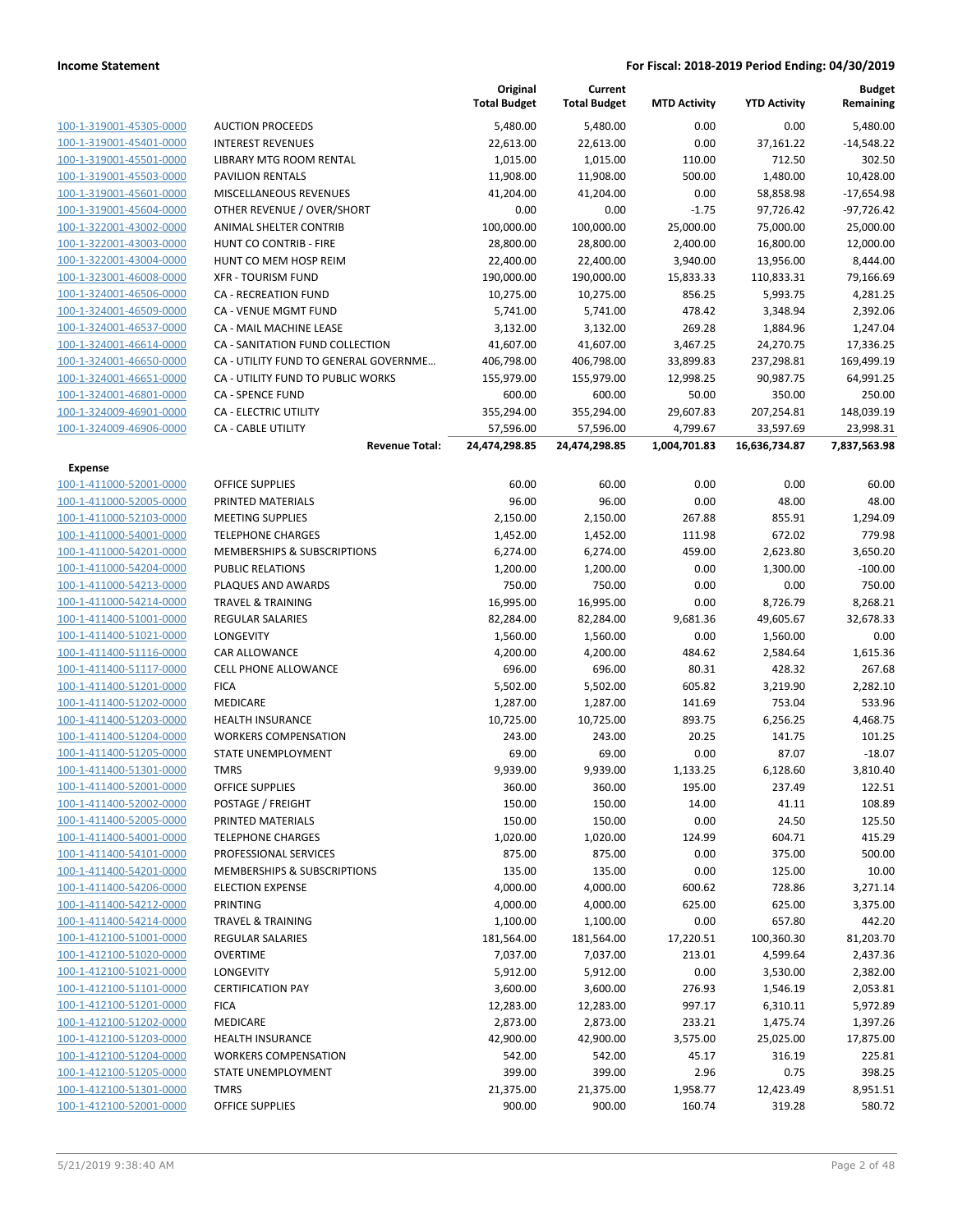|                         |                                       | Original<br><b>Total Budget</b> | Current<br><b>Total Budget</b> | <b>MTD Activity</b> | <b>YTD Activity</b> | <b>Budget</b><br>Remaining |
|-------------------------|---------------------------------------|---------------------------------|--------------------------------|---------------------|---------------------|----------------------------|
| 100-1-319001-45305-0000 | <b>AUCTION PROCEEDS</b>               | 5,480.00                        | 5,480.00                       | 0.00                | 0.00                | 5,480.00                   |
| 100-1-319001-45401-0000 | <b>INTEREST REVENUES</b>              | 22,613.00                       | 22,613.00                      | 0.00                | 37,161.22           | $-14,548.22$               |
| 100-1-319001-45501-0000 | LIBRARY MTG ROOM RENTAL               | 1,015.00                        | 1,015.00                       | 110.00              | 712.50              | 302.50                     |
| 100-1-319001-45503-0000 | <b>PAVILION RENTALS</b>               | 11,908.00                       | 11,908.00                      | 500.00              | 1,480.00            | 10,428.00                  |
| 100-1-319001-45601-0000 | MISCELLANEOUS REVENUES                | 41,204.00                       | 41,204.00                      | 0.00                | 58,858.98           | $-17,654.98$               |
| 100-1-319001-45604-0000 | OTHER REVENUE / OVER/SHORT            | 0.00                            | 0.00                           | $-1.75$             | 97,726.42           | $-97,726.42$               |
| 100-1-322001-43002-0000 | ANIMAL SHELTER CONTRIB                | 100,000.00                      | 100,000.00                     | 25,000.00           | 75,000.00           | 25,000.00                  |
| 100-1-322001-43003-0000 | <b>HUNT CO CONTRIB - FIRE</b>         | 28,800.00                       | 28,800.00                      | 2,400.00            | 16,800.00           | 12,000.00                  |
| 100-1-322001-43004-0000 | HUNT CO MEM HOSP REIM                 | 22,400.00                       | 22,400.00                      | 3,940.00            | 13,956.00           | 8,444.00                   |
| 100-1-323001-46008-0000 | <b>XFR - TOURISM FUND</b>             | 190,000.00                      | 190,000.00                     | 15,833.33           | 110,833.31          | 79,166.69                  |
| 100-1-324001-46506-0000 | CA - RECREATION FUND                  | 10,275.00                       | 10,275.00                      | 856.25              | 5,993.75            | 4,281.25                   |
| 100-1-324001-46509-0000 | CA - VENUE MGMT FUND                  | 5,741.00                        | 5,741.00                       | 478.42              | 3,348.94            | 2,392.06                   |
| 100-1-324001-46537-0000 | CA - MAIL MACHINE LEASE               | 3,132.00                        | 3,132.00                       | 269.28              | 1,884.96            | 1,247.04                   |
| 100-1-324001-46614-0000 | CA - SANITATION FUND COLLECTION       | 41,607.00                       | 41,607.00                      | 3,467.25            | 24,270.75           | 17,336.25                  |
| 100-1-324001-46650-0000 | CA - UTILITY FUND TO GENERAL GOVERNME | 406,798.00                      | 406,798.00                     | 33,899.83           | 237,298.81          | 169,499.19                 |
| 100-1-324001-46651-0000 | CA - UTILITY FUND TO PUBLIC WORKS     | 155,979.00                      | 155,979.00                     | 12,998.25           | 90,987.75           | 64,991.25                  |
| 100-1-324001-46801-0000 | <b>CA - SPENCE FUND</b>               | 600.00                          | 600.00                         | 50.00               | 350.00              | 250.00                     |
| 100-1-324009-46901-0000 | CA - ELECTRIC UTILITY                 | 355,294.00                      | 355,294.00                     | 29,607.83           | 207,254.81          | 148,039.19                 |
| 100-1-324009-46906-0000 | <b>CA - CABLE UTILITY</b>             | 57,596.00                       | 57,596.00                      | 4,799.67            | 33,597.69           | 23,998.31                  |
|                         | <b>Revenue Total:</b>                 | 24,474,298.85                   | 24,474,298.85                  | 1,004,701.83        | 16,636,734.87       | 7,837,563.98               |
| <b>Expense</b>          |                                       |                                 |                                |                     |                     |                            |
| 100-1-411000-52001-0000 | <b>OFFICE SUPPLIES</b>                | 60.00                           | 60.00                          | 0.00                | 0.00                | 60.00                      |
| 100-1-411000-52005-0000 | PRINTED MATERIALS                     | 96.00                           | 96.00                          | 0.00                | 48.00               | 48.00                      |
| 100-1-411000-52103-0000 | <b>MEETING SUPPLIES</b>               | 2,150.00                        | 2,150.00                       | 267.88              | 855.91              | 1,294.09                   |
| 100-1-411000-54001-0000 | <b>TELEPHONE CHARGES</b>              | 1,452.00                        | 1,452.00                       | 111.98              | 672.02              | 779.98                     |
| 100-1-411000-54201-0000 | MEMBERSHIPS & SUBSCRIPTIONS           | 6,274.00                        | 6,274.00                       | 459.00              | 2,623.80            | 3,650.20                   |
| 100-1-411000-54204-0000 | <b>PUBLIC RELATIONS</b>               | 1,200.00                        | 1,200.00                       | 0.00                | 1,300.00            | $-100.00$                  |
| 100-1-411000-54213-0000 | PLAQUES AND AWARDS                    | 750.00                          | 750.00                         | 0.00                | 0.00                | 750.00                     |
| 100-1-411000-54214-0000 | <b>TRAVEL &amp; TRAINING</b>          | 16,995.00                       | 16,995.00                      | 0.00                | 8,726.79            | 8,268.21                   |
| 100-1-411400-51001-0000 | <b>REGULAR SALARIES</b>               | 82,284.00                       | 82,284.00                      | 9,681.36            | 49,605.67           | 32,678.33                  |
| 100-1-411400-51021-0000 | LONGEVITY                             | 1,560.00                        | 1,560.00                       | 0.00                | 1,560.00            | 0.00                       |
| 100-1-411400-51116-0000 | CAR ALLOWANCE                         | 4,200.00                        | 4,200.00                       | 484.62              | 2,584.64            | 1,615.36                   |
| 100-1-411400-51117-0000 | <b>CELL PHONE ALLOWANCE</b>           | 696.00                          | 696.00                         | 80.31               | 428.32              | 267.68                     |
| 100-1-411400-51201-0000 | <b>FICA</b>                           | 5,502.00                        | 5,502.00                       | 605.82              | 3,219.90            | 2,282.10                   |
| 100-1-411400-51202-0000 | MEDICARE                              | 1,287.00                        | 1,287.00                       | 141.69              | 753.04              | 533.96                     |
| 100-1-411400-51203-0000 | <b>HEALTH INSURANCE</b>               | 10,725.00                       | 10,725.00                      | 893.75              | 6,256.25            | 4,468.75                   |
| 100-1-411400-51204-0000 | <b>WORKERS COMPENSATION</b>           | 243.00                          | 243.00                         | 20.25               | 141.75              | 101.25                     |
| 100-1-411400-51205-0000 | STATE UNEMPLOYMENT                    | 69.00                           | 69.00                          | 0.00                | 87.07               | $-18.07$                   |
| 100-1-411400-51301-0000 | <b>TMRS</b>                           | 9,939.00                        | 9,939.00                       | 1,133.25            | 6,128.60            | 3,810.40                   |
| 100-1-411400-52001-0000 | <b>OFFICE SUPPLIES</b>                | 360.00                          | 360.00                         | 195.00              | 237.49              | 122.51                     |
| 100-1-411400-52002-0000 | POSTAGE / FREIGHT                     | 150.00                          | 150.00                         | 14.00               | 41.11               | 108.89                     |
| 100-1-411400-52005-0000 | PRINTED MATERIALS                     | 150.00                          | 150.00                         | 0.00                | 24.50               | 125.50                     |
| 100-1-411400-54001-0000 | <b>TELEPHONE CHARGES</b>              | 1,020.00                        | 1,020.00                       | 124.99              | 604.71              | 415.29                     |
| 100-1-411400-54101-0000 | PROFESSIONAL SERVICES                 | 875.00                          | 875.00                         | 0.00                | 375.00              | 500.00                     |
| 100-1-411400-54201-0000 | MEMBERSHIPS & SUBSCRIPTIONS           | 135.00                          | 135.00                         | 0.00                | 125.00              | 10.00                      |
| 100-1-411400-54206-0000 | <b>ELECTION EXPENSE</b>               | 4,000.00                        | 4,000.00                       | 600.62              | 728.86              | 3,271.14                   |
| 100-1-411400-54212-0000 | PRINTING                              | 4,000.00                        | 4,000.00                       | 625.00              | 625.00              | 3,375.00                   |
| 100-1-411400-54214-0000 | <b>TRAVEL &amp; TRAINING</b>          | 1,100.00                        | 1,100.00                       | 0.00                | 657.80              | 442.20                     |
| 100-1-412100-51001-0000 | REGULAR SALARIES                      | 181,564.00                      | 181,564.00                     | 17,220.51           | 100,360.30          | 81,203.70                  |
| 100-1-412100-51020-0000 | <b>OVERTIME</b>                       | 7,037.00                        | 7,037.00                       | 213.01              | 4,599.64            | 2,437.36                   |
| 100-1-412100-51021-0000 | <b>LONGEVITY</b>                      | 5,912.00                        | 5,912.00                       | 0.00                | 3,530.00            | 2,382.00                   |
| 100-1-412100-51101-0000 | <b>CERTIFICATION PAY</b>              | 3,600.00                        | 3,600.00                       | 276.93              | 1,546.19            | 2,053.81                   |
| 100-1-412100-51201-0000 | <b>FICA</b>                           | 12,283.00                       | 12,283.00                      | 997.17              | 6,310.11            | 5,972.89                   |
| 100-1-412100-51202-0000 | MEDICARE                              | 2,873.00                        | 2,873.00                       | 233.21              | 1,475.74            | 1,397.26                   |
| 100-1-412100-51203-0000 | HEALTH INSURANCE                      | 42,900.00                       | 42,900.00                      | 3,575.00            | 25,025.00           | 17,875.00                  |
| 100-1-412100-51204-0000 | <b>WORKERS COMPENSATION</b>           | 542.00                          | 542.00                         | 45.17               | 316.19              | 225.81                     |
| 100-1-412100-51205-0000 | STATE UNEMPLOYMENT                    | 399.00                          | 399.00                         | 2.96                | 0.75                | 398.25                     |
| 100-1-412100-51301-0000 | <b>TMRS</b>                           | 21,375.00                       | 21,375.00                      | 1,958.77            | 12,423.49           | 8,951.51                   |
| 100-1-412100-52001-0000 | <b>OFFICE SUPPLIES</b>                | 900.00                          | 900.00                         | 160.74              | 319.28              | 580.72                     |
|                         |                                       |                                 |                                |                     |                     |                            |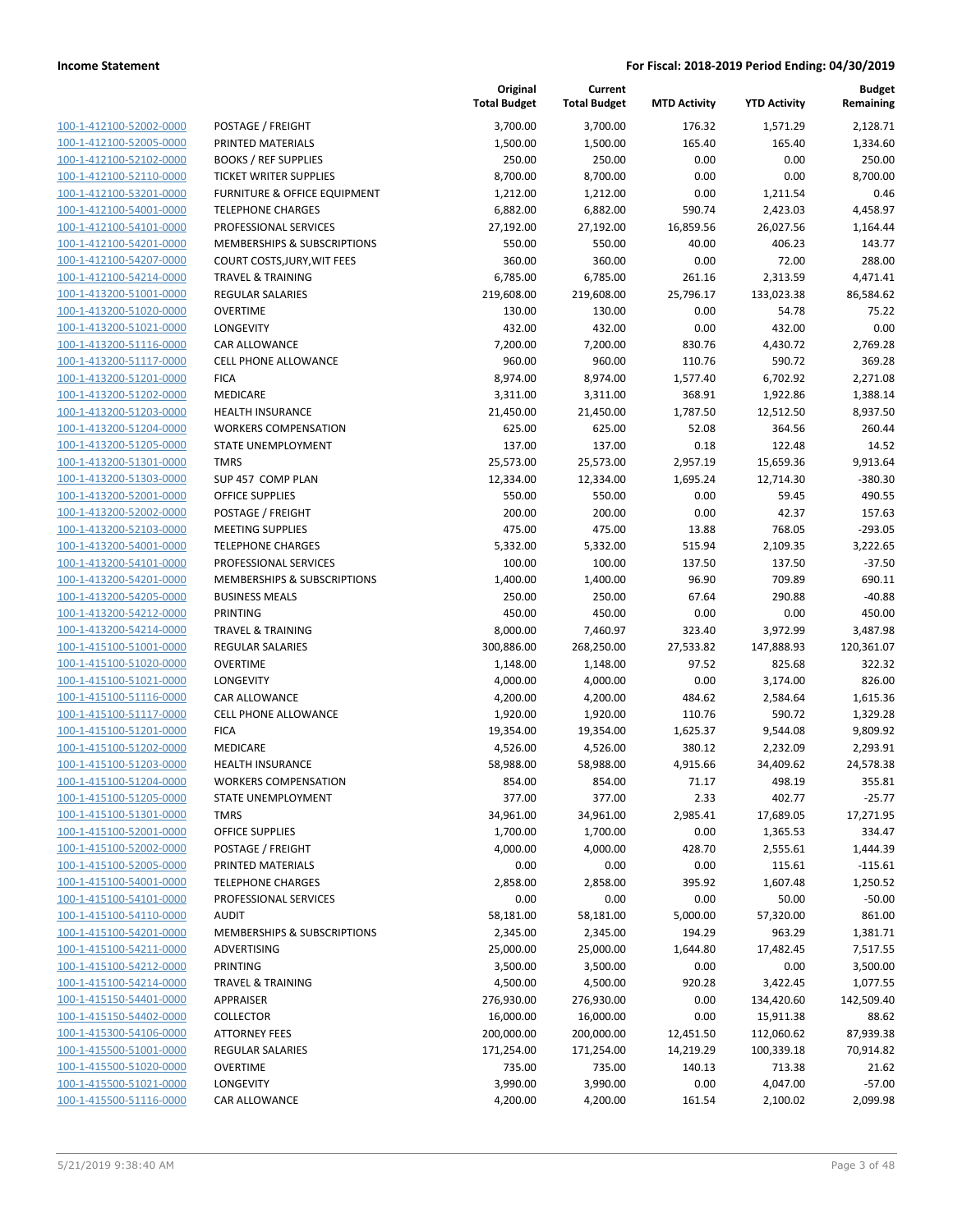|                         |                               | Original<br><b>Total Budget</b> | Current<br><b>Total Budget</b> | <b>MTD Activity</b> | <b>YTD Activity</b> | <b>Budget</b><br>Remaining |
|-------------------------|-------------------------------|---------------------------------|--------------------------------|---------------------|---------------------|----------------------------|
| 100-1-412100-52002-0000 | POSTAGE / FREIGHT             | 3,700.00                        | 3,700.00                       | 176.32              | 1,571.29            | 2,128.71                   |
| 100-1-412100-52005-0000 | PRINTED MATERIALS             | 1,500.00                        | 1,500.00                       | 165.40              | 165.40              | 1,334.60                   |
| 100-1-412100-52102-0000 | <b>BOOKS / REF SUPPLIES</b>   | 250.00                          | 250.00                         | 0.00                | 0.00                | 250.00                     |
| 100-1-412100-52110-0000 | <b>TICKET WRITER SUPPLIES</b> | 8,700.00                        | 8,700.00                       | 0.00                | 0.00                | 8,700.00                   |
| 100-1-412100-53201-0000 | FURNITURE & OFFICE EQUIPMENT  | 1,212.00                        | 1,212.00                       | 0.00                | 1,211.54            | 0.46                       |
| 100-1-412100-54001-0000 | <b>TELEPHONE CHARGES</b>      | 6,882.00                        | 6,882.00                       | 590.74              | 2,423.03            | 4,458.97                   |
| 100-1-412100-54101-0000 | PROFESSIONAL SERVICES         | 27,192.00                       | 27,192.00                      | 16,859.56           | 26,027.56           | 1,164.44                   |
| 100-1-412100-54201-0000 | MEMBERSHIPS & SUBSCRIPTIONS   | 550.00                          | 550.00                         | 40.00               | 406.23              | 143.77                     |
| 100-1-412100-54207-0000 | COURT COSTS, JURY, WIT FEES   | 360.00                          | 360.00                         | 0.00                | 72.00               | 288.00                     |
| 100-1-412100-54214-0000 | <b>TRAVEL &amp; TRAINING</b>  | 6,785.00                        | 6,785.00                       | 261.16              | 2,313.59            | 4,471.41                   |
| 100-1-413200-51001-0000 | REGULAR SALARIES              | 219,608.00                      | 219,608.00                     | 25,796.17           | 133,023.38          | 86,584.62                  |
| 100-1-413200-51020-0000 | <b>OVERTIME</b>               | 130.00                          | 130.00                         | 0.00                | 54.78               | 75.22                      |
| 100-1-413200-51021-0000 | LONGEVITY                     | 432.00                          | 432.00                         | 0.00                | 432.00              | 0.00                       |
| 100-1-413200-51116-0000 | CAR ALLOWANCE                 | 7,200.00                        | 7,200.00                       | 830.76              | 4,430.72            | 2,769.28                   |
| 100-1-413200-51117-0000 | CELL PHONE ALLOWANCE          | 960.00                          | 960.00                         | 110.76              | 590.72              | 369.28                     |
| 100-1-413200-51201-0000 | <b>FICA</b>                   | 8,974.00                        | 8,974.00                       | 1,577.40            | 6,702.92            | 2,271.08                   |
| 100-1-413200-51202-0000 | <b>MEDICARE</b>               | 3,311.00                        | 3,311.00                       | 368.91              | 1,922.86            | 1,388.14                   |
| 100-1-413200-51203-0000 | <b>HEALTH INSURANCE</b>       | 21,450.00                       | 21,450.00                      | 1,787.50            | 12,512.50           | 8,937.50                   |
| 100-1-413200-51204-0000 | <b>WORKERS COMPENSATION</b>   | 625.00                          | 625.00                         | 52.08               | 364.56              | 260.44                     |
| 100-1-413200-51205-0000 | STATE UNEMPLOYMENT            | 137.00                          | 137.00                         | 0.18                | 122.48              | 14.52                      |
| 100-1-413200-51301-0000 | <b>TMRS</b>                   | 25,573.00                       | 25,573.00                      | 2,957.19            | 15,659.36           | 9,913.64                   |
| 100-1-413200-51303-0000 | SUP 457 COMP PLAN             | 12,334.00                       | 12,334.00                      | 1,695.24            | 12,714.30           | $-380.30$                  |
| 100-1-413200-52001-0000 | <b>OFFICE SUPPLIES</b>        | 550.00                          | 550.00                         | 0.00                | 59.45               | 490.55                     |
| 100-1-413200-52002-0000 | POSTAGE / FREIGHT             | 200.00                          | 200.00                         | 0.00                | 42.37               | 157.63                     |
| 100-1-413200-52103-0000 | <b>MEETING SUPPLIES</b>       | 475.00                          | 475.00                         | 13.88               | 768.05              | $-293.05$                  |
| 100-1-413200-54001-0000 | <b>TELEPHONE CHARGES</b>      | 5,332.00                        | 5,332.00                       | 515.94              | 2,109.35            | 3,222.65                   |
| 100-1-413200-54101-0000 | PROFESSIONAL SERVICES         | 100.00                          | 100.00                         | 137.50              | 137.50              | $-37.50$                   |
| 100-1-413200-54201-0000 | MEMBERSHIPS & SUBSCRIPTIONS   | 1,400.00                        | 1,400.00                       | 96.90               | 709.89              | 690.11                     |
| 100-1-413200-54205-0000 | <b>BUSINESS MEALS</b>         | 250.00                          | 250.00                         | 67.64               | 290.88              | $-40.88$                   |
| 100-1-413200-54212-0000 | <b>PRINTING</b>               | 450.00                          | 450.00                         | 0.00                | 0.00                | 450.00                     |
| 100-1-413200-54214-0000 | <b>TRAVEL &amp; TRAINING</b>  | 8,000.00                        | 7,460.97                       | 323.40              | 3,972.99            | 3,487.98                   |
| 100-1-415100-51001-0000 | <b>REGULAR SALARIES</b>       | 300,886.00                      | 268,250.00                     | 27,533.82           | 147,888.93          | 120,361.07                 |
| 100-1-415100-51020-0000 | <b>OVERTIME</b>               | 1,148.00                        | 1,148.00                       | 97.52               | 825.68              | 322.32                     |
| 100-1-415100-51021-0000 | LONGEVITY                     | 4,000.00                        | 4,000.00                       | 0.00                | 3,174.00            | 826.00                     |
| 100-1-415100-51116-0000 | <b>CAR ALLOWANCE</b>          | 4,200.00                        | 4,200.00                       | 484.62              | 2,584.64            | 1,615.36                   |
| 100-1-415100-51117-0000 | <b>CELL PHONE ALLOWANCE</b>   | 1,920.00                        | 1,920.00                       | 110.76              | 590.72              | 1,329.28                   |
| 100-1-415100-51201-0000 | <b>FICA</b>                   | 19,354.00                       | 19,354.00                      | 1,625.37            | 9,544.08            | 9,809.92                   |
| 100-1-415100-51202-0000 | MEDICARE                      | 4,526.00                        | 4,526.00                       | 380.12              | 2,232.09            | 2,293.91                   |
| 100-1-415100-51203-0000 | <b>HEALTH INSURANCE</b>       | 58,988.00                       | 58,988.00                      | 4,915.66            | 34,409.62           | 24,578.38                  |
| 100-1-415100-51204-0000 | <b>WORKERS COMPENSATION</b>   | 854.00                          | 854.00                         | 71.17               | 498.19              | 355.81                     |
| 100-1-415100-51205-0000 | <b>STATE UNEMPLOYMENT</b>     | 377.00                          | 377.00                         | 2.33                | 402.77              | $-25.77$                   |
| 100-1-415100-51301-0000 | <b>TMRS</b>                   | 34,961.00                       | 34,961.00                      | 2,985.41            | 17,689.05           | 17,271.95                  |
| 100-1-415100-52001-0000 | <b>OFFICE SUPPLIES</b>        | 1,700.00                        | 1,700.00                       | 0.00                | 1,365.53            | 334.47                     |
| 100-1-415100-52002-0000 | POSTAGE / FREIGHT             | 4,000.00                        | 4,000.00                       | 428.70              | 2,555.61            | 1,444.39                   |
| 100-1-415100-52005-0000 | PRINTED MATERIALS             | 0.00                            | 0.00                           | 0.00                | 115.61              | $-115.61$                  |
| 100-1-415100-54001-0000 | <b>TELEPHONE CHARGES</b>      | 2,858.00                        | 2,858.00                       | 395.92              | 1,607.48            | 1,250.52                   |
| 100-1-415100-54101-0000 | PROFESSIONAL SERVICES         | 0.00                            | 0.00                           | 0.00                | 50.00               | $-50.00$                   |
| 100-1-415100-54110-0000 | <b>AUDIT</b>                  | 58,181.00                       | 58,181.00                      | 5,000.00            | 57,320.00           | 861.00                     |
| 100-1-415100-54201-0000 | MEMBERSHIPS & SUBSCRIPTIONS   | 2,345.00                        | 2,345.00                       | 194.29              | 963.29              | 1,381.71                   |
| 100-1-415100-54211-0000 | ADVERTISING                   | 25,000.00                       | 25,000.00                      | 1,644.80            | 17,482.45           | 7,517.55                   |
| 100-1-415100-54212-0000 | <b>PRINTING</b>               | 3,500.00                        | 3,500.00                       | 0.00                | 0.00                | 3,500.00                   |
| 100-1-415100-54214-0000 | <b>TRAVEL &amp; TRAINING</b>  | 4,500.00                        | 4,500.00                       | 920.28              | 3,422.45            | 1,077.55                   |
| 100-1-415150-54401-0000 | APPRAISER                     | 276,930.00                      | 276,930.00                     | 0.00                | 134,420.60          | 142,509.40                 |
| 100-1-415150-54402-0000 | <b>COLLECTOR</b>              | 16,000.00                       | 16,000.00                      | 0.00                | 15,911.38           | 88.62                      |
| 100-1-415300-54106-0000 | <b>ATTORNEY FEES</b>          | 200,000.00                      | 200,000.00                     | 12,451.50           | 112,060.62          | 87,939.38                  |
| 100-1-415500-51001-0000 | REGULAR SALARIES              | 171,254.00                      | 171,254.00                     | 14,219.29           | 100,339.18          | 70,914.82                  |
| 100-1-415500-51020-0000 | <b>OVERTIME</b>               | 735.00                          | 735.00                         | 140.13              | 713.38              | 21.62                      |
| 100-1-415500-51021-0000 | LONGEVITY                     | 3,990.00                        | 3,990.00                       | 0.00                | 4,047.00            | $-57.00$                   |
| 100-1-415500-51116-0000 | CAR ALLOWANCE                 | 4,200.00                        | 4,200.00                       | 161.54              | 2,100.02            | 2,099.98                   |
|                         |                               |                                 |                                |                     |                     |                            |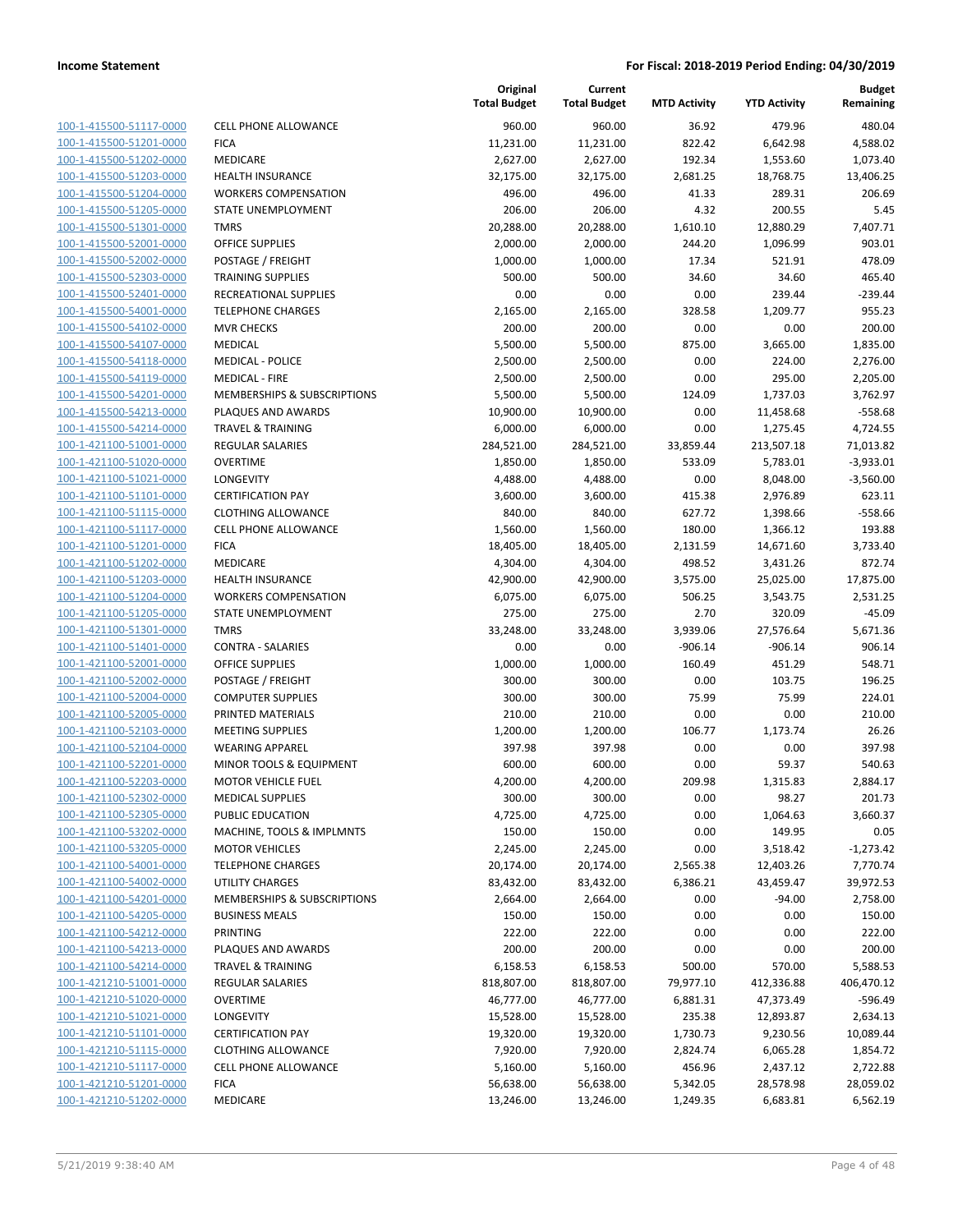| 100-1-415500-51117-0000                            |
|----------------------------------------------------|
| 100-1-415500-51201-0000                            |
| 100-1-415500-51202-0000                            |
| 100-1-415500-51203-0000                            |
| 100-1-415500-51204-0000                            |
| 100-1-415500-51205-0000                            |
| 100-1-415500-51301-0000                            |
| 100-1-415500-52001-0000                            |
| 100-1-415500-52002-0000                            |
| 100-1-415500-52303-0000                            |
| 100-1-415500-52401-0000                            |
| 100-1-415500-54001-0000<br>100-1-415500-54102-0000 |
|                                                    |
| 100-1-415500-54107-0000                            |
| <u>100-1-415500-54118-0000</u>                     |
| 100-1-415500-54119-0000<br>100-1-415500-54201-0000 |
| 100-1-415500-54213-0000                            |
| 100-1-415500-54214-0000                            |
| <u>100-1-421100-51001-0000</u>                     |
| 100-1-421100-51020-0000                            |
| 100-1-421100-51021-0000                            |
| 100-1-421100-51101-0000                            |
| 100-1-421100-51115-0000                            |
| <u>100-1-421100-51117-0000</u>                     |
| 100-1-421100-51201-0000                            |
| 100-1-421100-51202-0000                            |
| 100-1-421100-51203-0000                            |
| 100-1-421100-51204-0000                            |
| 100-1-421100-51205-0000                            |
| 100-1-421100-51301-0000                            |
| 100-1-421100-51401-0000                            |
| 100-1-421100-52001-0000                            |
| 100-1-421100-52002-0000                            |
| 100-1-421100-52004-0000                            |
| 100-1-421100-52005-0000                            |
| 100-1-421100-52103-0000                            |
| 100-1-421100-52104-0000                            |
| 100-1-421100-52201-0000                            |
| 100-1-421100-52203-0000                            |
| 100-1-421100-52302-0000                            |
| <u>100-1-421100-52305-0000</u>                     |
| 100-1-421100-53202-0000                            |
| 100-1-421100-53205-0000                            |
| 100-1-421100-54001-0000                            |
| <u>100-1-421100-54002-0000</u>                     |
| 100-1-421100-54201-0000                            |
| 100-1-421100-54205-0000                            |
| <u>100-1-421100-54212-0000</u>                     |
| <u>100-1-421100-54213-0000</u>                     |
| 100-1-421100-54214-0000                            |
| 100-1-421210-51001-0000                            |
| 100-1-421210-51020-0000                            |
| <u>100-1-421210-51021-0000</u>                     |
| 100-1-421210-51101-0000                            |
| <u>100-1-421210-51115-0000</u>                     |
| <u>100-1-421210-51117-0000</u>                     |
| 100-1-421210-51201-0000                            |
| <u>100-1-421210-51202-0000</u>                     |
|                                                    |

| CELL PHONE ALLOWANCE                   |
|----------------------------------------|
| FICA                                   |
| MEDICARE                               |
| HEALTH INSURANCE                       |
| WORKERS COMPENSATION                   |
| STATE UNEMPLOYMENT                     |
| <b>TMRS</b>                            |
| OFFICE SUPPLIES                        |
| POSTAGE / FREIGHT<br>TRAINING SUPPLIES |
| RECREATIONAL SUPPLIES                  |
| TELEPHONE CHARGES                      |
| MVR CHECKS                             |
| MEDICAL                                |
| MEDICAL - POLICE                       |
| MEDICAL - FIRE                         |
| MEMBERSHIPS & SUBSCRIPTIONS            |
| PLAQUES AND AWARDS                     |
| TRAVEL & TRAINING                      |
| REGULAR SALARIES                       |
| OVERTIME                               |
| LONGEVITY                              |
| <b>CERTIFICATION PAY</b>               |
| CLOTHING ALLOWANCE                     |
| CELL PHONE ALLOWANCE                   |
| FICA                                   |
| MEDICARE                               |
| HEALTH INSURANCE                       |
| <b>WORKERS COMPENSATION</b>            |
| STATE UNEMPLOYMENT                     |
| TMRS                                   |
| CONTRA - SALARIES                      |
| OFFICE SUPPLIES                        |
| POSTAGE / FREIGHT                      |
| COMPUTER SUPPLIES<br>PRINTED MATERIALS |
| MEETING SUPPLIES                       |
| WEARING APPAREL                        |
| MINOR TOOLS & EQUIPMENT                |
| MOTOR VEHICLE FUEL                     |
| MEDICAL SUPPLIES                       |
| PUBLIC EDUCATION                       |
| MACHINE, TOOLS & IMPLMNTS              |
| <b>MOTOR VEHICLES</b>                  |
| TELEPHONE CHARGES                      |
| UTILITY CHARGES                        |
| MEMBERSHIPS & SUBSCRIPTIONS            |
| BUSINESS MEALS                         |
| PRINTING                               |
| PLAQUES AND AWARDS                     |
| <b>TRAVEL &amp; TRAINING</b>           |
| REGULAR SALARIES                       |
| OVERTIME                               |
| LONGEVITY                              |
| <b>CERTIFICATION PAY</b>               |
| <b>CLOTHING ALLOWANCE</b>              |
| CELL PHONE ALLOWANCE                   |
| <b>FICA</b>                            |

|                                                    |                                             | Original<br><b>Total Budget</b> | Current<br><b>Total Budget</b> | <b>MTD Activity</b> | <b>YTD Activity</b> | <b>Budget</b><br>Remaining |
|----------------------------------------------------|---------------------------------------------|---------------------------------|--------------------------------|---------------------|---------------------|----------------------------|
| 100-1-415500-51117-0000                            | <b>CELL PHONE ALLOWANCE</b>                 | 960.00                          | 960.00                         | 36.92               | 479.96              | 480.04                     |
| 100-1-415500-51201-0000                            | <b>FICA</b>                                 | 11,231.00                       | 11,231.00                      | 822.42              | 6,642.98            | 4,588.02                   |
| 100-1-415500-51202-0000                            | MEDICARE                                    | 2,627.00                        | 2,627.00                       | 192.34              | 1,553.60            | 1,073.40                   |
| 100-1-415500-51203-0000                            | <b>HEALTH INSURANCE</b>                     | 32,175.00                       | 32,175.00                      | 2,681.25            | 18,768.75           | 13,406.25                  |
| 100-1-415500-51204-0000                            | <b>WORKERS COMPENSATION</b>                 | 496.00                          | 496.00                         | 41.33               | 289.31              | 206.69                     |
| 100-1-415500-51205-0000                            | STATE UNEMPLOYMENT                          | 206.00                          | 206.00                         | 4.32                | 200.55              | 5.45                       |
| 100-1-415500-51301-0000                            | <b>TMRS</b>                                 | 20,288.00                       | 20,288.00                      | 1,610.10            | 12,880.29           | 7,407.71                   |
| 100-1-415500-52001-0000                            | <b>OFFICE SUPPLIES</b>                      | 2,000.00                        | 2,000.00                       | 244.20              | 1,096.99            | 903.01                     |
| 100-1-415500-52002-0000                            | POSTAGE / FREIGHT                           | 1,000.00                        | 1,000.00                       | 17.34               | 521.91              | 478.09                     |
| 100-1-415500-52303-0000                            | <b>TRAINING SUPPLIES</b>                    | 500.00                          | 500.00                         | 34.60               | 34.60               | 465.40                     |
| 100-1-415500-52401-0000                            | RECREATIONAL SUPPLIES                       | 0.00                            | 0.00                           | 0.00                | 239.44              | $-239.44$                  |
| 100-1-415500-54001-0000                            | <b>TELEPHONE CHARGES</b>                    | 2,165.00                        | 2,165.00                       | 328.58              | 1,209.77            | 955.23                     |
| 100-1-415500-54102-0000                            | <b>MVR CHECKS</b>                           | 200.00                          | 200.00                         | 0.00                | 0.00                | 200.00                     |
| 100-1-415500-54107-0000                            | <b>MEDICAL</b>                              | 5,500.00                        | 5,500.00                       | 875.00              | 3,665.00            | 1,835.00                   |
| 100-1-415500-54118-0000                            | <b>MEDICAL - POLICE</b>                     | 2,500.00                        | 2,500.00                       | 0.00                | 224.00              | 2,276.00                   |
| 100-1-415500-54119-0000                            | <b>MEDICAL - FIRE</b>                       | 2,500.00                        | 2,500.00                       | 0.00                | 295.00              | 2,205.00                   |
| 100-1-415500-54201-0000                            | MEMBERSHIPS & SUBSCRIPTIONS                 | 5,500.00                        | 5,500.00                       | 124.09              | 1,737.03            | 3,762.97                   |
| 100-1-415500-54213-0000                            | PLAQUES AND AWARDS                          | 10,900.00                       | 10,900.00                      | 0.00                | 11,458.68           | $-558.68$                  |
| 100-1-415500-54214-0000                            | <b>TRAVEL &amp; TRAINING</b>                | 6,000.00                        | 6,000.00                       | 0.00                | 1,275.45            | 4,724.55                   |
| 100-1-421100-51001-0000                            | <b>REGULAR SALARIES</b>                     | 284,521.00                      | 284,521.00                     | 33,859.44           | 213,507.18          | 71,013.82                  |
| 100-1-421100-51020-0000                            | <b>OVERTIME</b>                             | 1,850.00                        | 1,850.00                       | 533.09              | 5,783.01            | $-3,933.01$                |
| 100-1-421100-51021-0000                            | LONGEVITY                                   | 4,488.00                        | 4,488.00                       | 0.00                | 8,048.00            | $-3,560.00$                |
| 100-1-421100-51101-0000                            | <b>CERTIFICATION PAY</b>                    | 3,600.00                        | 3,600.00                       | 415.38              | 2,976.89            | 623.11                     |
| 100-1-421100-51115-0000                            | <b>CLOTHING ALLOWANCE</b>                   | 840.00                          | 840.00                         | 627.72              | 1,398.66            | $-558.66$                  |
| 100-1-421100-51117-0000                            | <b>CELL PHONE ALLOWANCE</b>                 | 1,560.00                        | 1,560.00                       | 180.00              | 1,366.12            | 193.88                     |
| 100-1-421100-51201-0000                            | <b>FICA</b>                                 | 18,405.00                       | 18,405.00                      | 2,131.59            | 14,671.60           | 3,733.40                   |
| 100-1-421100-51202-0000                            | MEDICARE                                    | 4,304.00                        | 4,304.00                       | 498.52              | 3,431.26            | 872.74                     |
| 100-1-421100-51203-0000                            | <b>HEALTH INSURANCE</b>                     | 42,900.00                       | 42,900.00                      | 3,575.00            | 25,025.00           | 17,875.00                  |
| 100-1-421100-51204-0000                            | <b>WORKERS COMPENSATION</b>                 | 6,075.00                        | 6,075.00                       | 506.25              | 3,543.75            | 2,531.25<br>$-45.09$       |
| 100-1-421100-51205-0000                            | STATE UNEMPLOYMENT                          | 275.00                          | 275.00                         | 2.70                | 320.09              |                            |
| 100-1-421100-51301-0000                            | <b>TMRS</b>                                 | 33,248.00                       | 33,248.00                      | 3,939.06            | 27,576.64           | 5,671.36                   |
| 100-1-421100-51401-0000<br>100-1-421100-52001-0000 | <b>CONTRA - SALARIES</b>                    | 0.00                            | 0.00                           | $-906.14$<br>160.49 | $-906.14$<br>451.29 | 906.14<br>548.71           |
| 100-1-421100-52002-0000                            | <b>OFFICE SUPPLIES</b><br>POSTAGE / FREIGHT | 1,000.00<br>300.00              | 1,000.00<br>300.00             | 0.00                | 103.75              | 196.25                     |
| 100-1-421100-52004-0000                            | <b>COMPUTER SUPPLIES</b>                    | 300.00                          | 300.00                         | 75.99               | 75.99               | 224.01                     |
| 100-1-421100-52005-0000                            | PRINTED MATERIALS                           | 210.00                          | 210.00                         | 0.00                | 0.00                | 210.00                     |
| 100-1-421100-52103-0000                            | <b>MEETING SUPPLIES</b>                     | 1,200.00                        | 1,200.00                       | 106.77              | 1,173.74            | 26.26                      |
| 100-1-421100-52104-0000                            | <b>WEARING APPAREL</b>                      | 397.98                          | 397.98                         | 0.00                | 0.00                | 397.98                     |
| 100-1-421100-52201-0000                            | MINOR TOOLS & EQUIPMENT                     | 600.00                          | 600.00                         | 0.00                | 59.37               | 540.63                     |
| 100-1-421100-52203-0000                            | <b>MOTOR VEHICLE FUEL</b>                   | 4,200.00                        | 4,200.00                       | 209.98              | 1,315.83            | 2,884.17                   |
| 100-1-421100-52302-0000                            | <b>MEDICAL SUPPLIES</b>                     | 300.00                          | 300.00                         | 0.00                | 98.27               | 201.73                     |
| 100-1-421100-52305-0000                            | PUBLIC EDUCATION                            | 4,725.00                        | 4,725.00                       | 0.00                | 1,064.63            | 3,660.37                   |
| 100-1-421100-53202-0000                            | MACHINE, TOOLS & IMPLMNTS                   | 150.00                          | 150.00                         | 0.00                | 149.95              | 0.05                       |
| 100-1-421100-53205-0000                            | <b>MOTOR VEHICLES</b>                       | 2,245.00                        | 2,245.00                       | 0.00                | 3,518.42            | $-1,273.42$                |
| 100-1-421100-54001-0000                            | <b>TELEPHONE CHARGES</b>                    | 20,174.00                       | 20,174.00                      | 2,565.38            | 12,403.26           | 7,770.74                   |
| 100-1-421100-54002-0000                            | UTILITY CHARGES                             | 83,432.00                       | 83,432.00                      | 6,386.21            | 43,459.47           | 39,972.53                  |
| 100-1-421100-54201-0000                            | MEMBERSHIPS & SUBSCRIPTIONS                 | 2,664.00                        | 2,664.00                       | 0.00                | $-94.00$            | 2,758.00                   |
| 100-1-421100-54205-0000                            | <b>BUSINESS MEALS</b>                       | 150.00                          | 150.00                         | 0.00                | 0.00                | 150.00                     |
| 100-1-421100-54212-0000                            | <b>PRINTING</b>                             | 222.00                          | 222.00                         | 0.00                | 0.00                | 222.00                     |
| 100-1-421100-54213-0000                            | PLAQUES AND AWARDS                          | 200.00                          | 200.00                         | 0.00                | 0.00                | 200.00                     |
| 100-1-421100-54214-0000                            | <b>TRAVEL &amp; TRAINING</b>                | 6,158.53                        | 6,158.53                       | 500.00              | 570.00              | 5,588.53                   |
| 100-1-421210-51001-0000                            | <b>REGULAR SALARIES</b>                     | 818,807.00                      | 818,807.00                     | 79,977.10           | 412,336.88          | 406,470.12                 |
| 100-1-421210-51020-0000                            | <b>OVERTIME</b>                             | 46,777.00                       | 46,777.00                      | 6,881.31            | 47,373.49           | $-596.49$                  |
| 100-1-421210-51021-0000                            | LONGEVITY                                   | 15,528.00                       | 15,528.00                      | 235.38              | 12,893.87           | 2,634.13                   |
| 100-1-421210-51101-0000                            | <b>CERTIFICATION PAY</b>                    | 19,320.00                       | 19,320.00                      | 1,730.73            | 9,230.56            | 10,089.44                  |
| 100-1-421210-51115-0000                            | <b>CLOTHING ALLOWANCE</b>                   | 7,920.00                        | 7,920.00                       | 2,824.74            | 6,065.28            | 1,854.72                   |
| 100-1-421210-51117-0000                            | CELL PHONE ALLOWANCE                        | 5,160.00                        | 5,160.00                       | 456.96              | 2,437.12            | 2,722.88                   |
| 100-1-421210-51201-0000                            | <b>FICA</b>                                 | 56,638.00                       | 56,638.00                      | 5,342.05            | 28,578.98           | 28,059.02                  |
| 100-1-421210-51202-0000                            | MEDICARE                                    | 13,246.00                       | 13,246.00                      | 1,249.35            | 6,683.81            | 6,562.19                   |
|                                                    |                                             |                                 |                                |                     |                     |                            |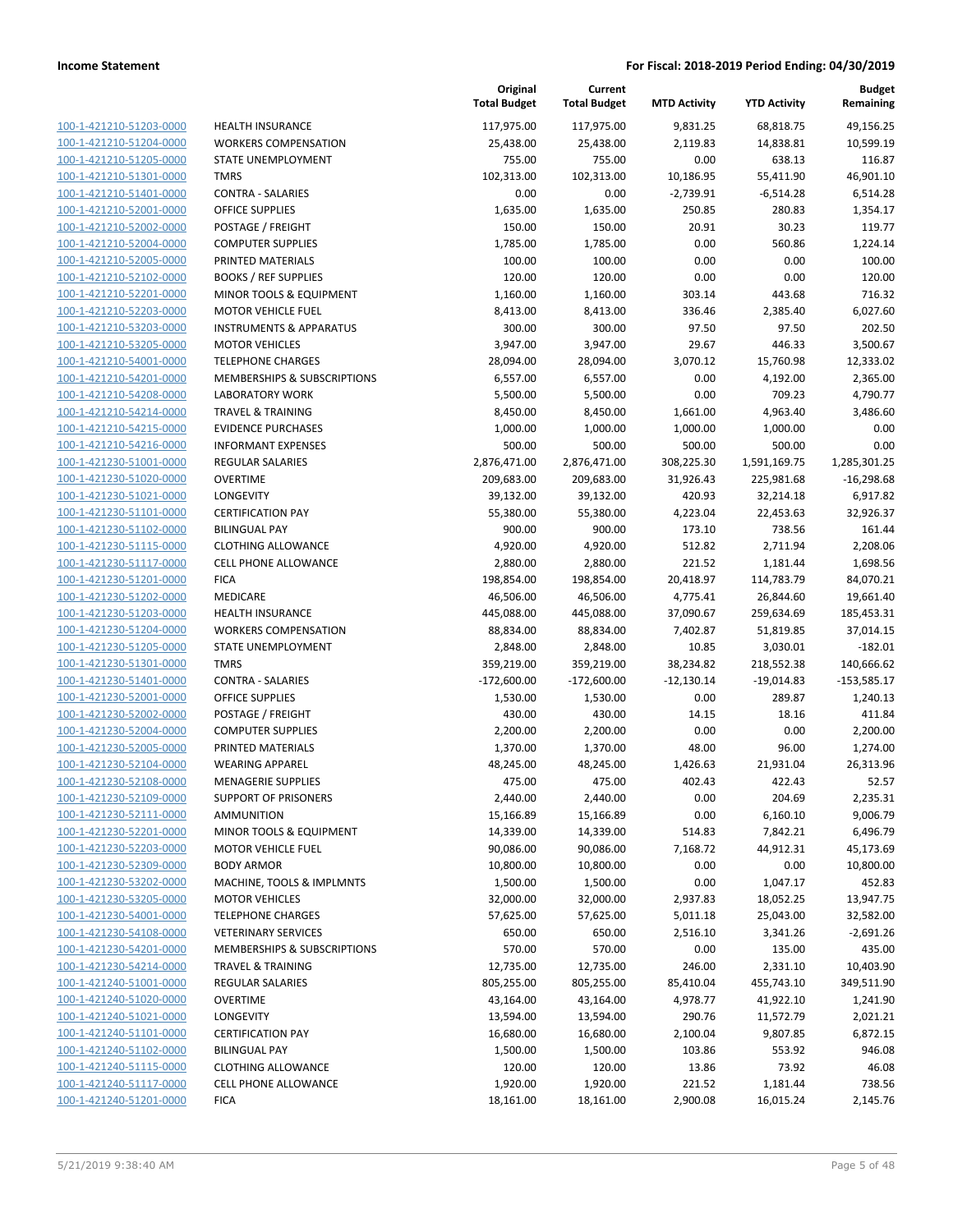| 100-1-421210-51203-0000        |
|--------------------------------|
| 100-1-421210-51204-0000        |
| 100-1-421210-51205-0000        |
| <u>100-1-421210-51301-0000</u> |
| 100-1-421210-51401-0000        |
| 100-1-421210-52001-0000        |
| 100-1-421210-52002-0000        |
| 100-1-421210-52004-0000        |
| <u>100-1-421210-52005-0000</u> |
| 100-1-421210-52102-0000        |
| 100-1-421210-52201-0000        |
| 100-1-421210-52203-0000        |
|                                |
| 100-1-421210-53203-0000        |
| <u>100-1-421210-53205-0000</u> |
| 100-1-421210-54001-0000        |
| 100-1-421210-54201-0000        |
| 100-1-421210-54208-0000        |
| 100-1-421210-54214-0000        |
| 100-1-421210-54215-0000        |
| <u>100-1-421210-54216-0000</u> |
| 100-1-421230-51001-0000        |
| 100-1-421230-51020-0000        |
| 100-1-421230-51021-0000        |
| <u>100-1-421230-51101-0000</u> |
| <u>100-1-421230-51102-0000</u> |
| 100-1-421230-51115-0000        |
| 100-1-421230-51117-0000        |
| 100-1-421230-51201-0000        |
| <u>100-1-421230-51202-0000</u> |
| 100-1-421230-51203-0000        |
| 100-1-421230-51204-0000        |
| 100-1-421230-51205-0000        |
| 100-1-421230-51301-0000        |
| <u>100-1-421230-51401-0000</u> |
|                                |
| 100-1-421230-52001-0000        |
| 100-1-421230-52002-0000        |
| 100-1-421230-52004-0000        |
| 100-1-421230-52005-0000        |
| <u>100-1-421230-52104-0000</u> |
| 100-1-421230-52108-0000        |
| 100-1-421230-52109-0000        |
| 100-1-421230-52111-0000        |
| 100-1-421230-52201-0000        |
| 100-1-421230-52203-0000        |
| <u>100-1-421230-52309-0000</u> |
| 100-1-421230-53202-0000        |
| 100-1-421230-53205-0000        |
| 100-1-421230-54001-0000        |
| 100-1-421230-54108-0000        |
| <u>100-1-421230-54201-0000</u> |
| 100-1-421230-54214-0000        |
| 100-1-421240-51001-0000        |
| 100-1-421240-51020-0000        |
| 100-1-421240-51021-0000        |
| <u>100-1-421240-51101-0000</u> |
| <u>100-1-421240-51102-0000</u> |
| 100-1-421240-51115-0000        |
| 100-1-421240-51117-0000        |
| 100-1-421240-51201-0000        |
|                                |
|                                |

|                                                    |                                                      | Original<br><b>Total Budget</b> | Current<br><b>Total Budget</b> | <b>MTD Activity</b>  | <b>YTD Activity</b>    | <b>Budget</b><br>Remaining |
|----------------------------------------------------|------------------------------------------------------|---------------------------------|--------------------------------|----------------------|------------------------|----------------------------|
| 100-1-421210-51203-0000                            | <b>HEALTH INSURANCE</b>                              | 117,975.00                      | 117,975.00                     | 9,831.25             | 68,818.75              | 49,156.25                  |
| 100-1-421210-51204-0000                            | <b>WORKERS COMPENSATION</b>                          | 25,438.00                       | 25,438.00                      | 2,119.83             | 14,838.81              | 10,599.19                  |
| 100-1-421210-51205-0000                            | STATE UNEMPLOYMENT                                   | 755.00                          | 755.00                         | 0.00                 | 638.13                 | 116.87                     |
| 100-1-421210-51301-0000                            | <b>TMRS</b>                                          | 102,313.00                      | 102,313.00                     | 10,186.95            | 55,411.90              | 46,901.10                  |
| 100-1-421210-51401-0000                            | <b>CONTRA - SALARIES</b>                             | 0.00                            | 0.00                           | $-2,739.91$          | $-6,514.28$            | 6,514.28                   |
| 100-1-421210-52001-0000                            | OFFICE SUPPLIES                                      | 1,635.00                        | 1,635.00                       | 250.85               | 280.83                 | 1,354.17                   |
| 100-1-421210-52002-0000                            | POSTAGE / FREIGHT                                    | 150.00                          | 150.00                         | 20.91                | 30.23                  | 119.77                     |
| 100-1-421210-52004-0000                            | <b>COMPUTER SUPPLIES</b>                             | 1,785.00                        | 1,785.00                       | 0.00                 | 560.86                 | 1,224.14                   |
| 100-1-421210-52005-0000                            | PRINTED MATERIALS                                    | 100.00                          | 100.00                         | 0.00                 | 0.00                   | 100.00                     |
| 100-1-421210-52102-0000                            | <b>BOOKS / REF SUPPLIES</b>                          | 120.00                          | 120.00                         | 0.00                 | 0.00                   | 120.00                     |
| 100-1-421210-52201-0000                            | MINOR TOOLS & EQUIPMENT                              | 1,160.00                        | 1,160.00                       | 303.14               | 443.68                 | 716.32                     |
| 100-1-421210-52203-0000                            | <b>MOTOR VEHICLE FUEL</b>                            | 8,413.00                        | 8,413.00                       | 336.46               | 2,385.40               | 6,027.60                   |
| 100-1-421210-53203-0000                            | <b>INSTRUMENTS &amp; APPARATUS</b>                   | 300.00                          | 300.00                         | 97.50                | 97.50                  | 202.50                     |
| 100-1-421210-53205-0000                            | <b>MOTOR VEHICLES</b>                                | 3,947.00                        | 3,947.00                       | 29.67                | 446.33                 | 3,500.67                   |
| 100-1-421210-54001-0000                            | <b>TELEPHONE CHARGES</b>                             | 28,094.00                       | 28,094.00                      | 3,070.12             | 15,760.98              | 12,333.02                  |
| 100-1-421210-54201-0000                            | MEMBERSHIPS & SUBSCRIPTIONS                          | 6,557.00                        | 6,557.00                       | 0.00                 | 4,192.00               | 2,365.00                   |
| 100-1-421210-54208-0000                            | <b>LABORATORY WORK</b>                               | 5,500.00                        | 5,500.00                       | 0.00                 | 709.23                 | 4,790.77                   |
| 100-1-421210-54214-0000                            | <b>TRAVEL &amp; TRAINING</b>                         | 8,450.00                        | 8,450.00                       | 1,661.00             | 4,963.40               | 3,486.60                   |
| 100-1-421210-54215-0000                            | <b>EVIDENCE PURCHASES</b>                            | 1,000.00                        | 1,000.00                       | 1,000.00             | 1,000.00               | 0.00                       |
| 100-1-421210-54216-0000                            | <b>INFORMANT EXPENSES</b>                            | 500.00                          | 500.00                         | 500.00               | 500.00                 | 0.00                       |
| 100-1-421230-51001-0000                            | <b>REGULAR SALARIES</b>                              | 2,876,471.00                    | 2,876,471.00                   | 308,225.30           | 1,591,169.75           | 1,285,301.25               |
| 100-1-421230-51020-0000                            | <b>OVERTIME</b>                                      | 209,683.00                      | 209,683.00                     | 31,926.43            | 225,981.68             | $-16,298.68$               |
| 100-1-421230-51021-0000                            | <b>LONGEVITY</b>                                     | 39,132.00                       | 39,132.00                      | 420.93               | 32,214.18              | 6,917.82                   |
| 100-1-421230-51101-0000                            | <b>CERTIFICATION PAY</b>                             | 55,380.00                       | 55,380.00                      | 4,223.04             | 22,453.63              | 32,926.37                  |
| 100-1-421230-51102-0000                            | <b>BILINGUAL PAY</b>                                 | 900.00                          | 900.00                         | 173.10               | 738.56                 | 161.44                     |
| 100-1-421230-51115-0000                            | <b>CLOTHING ALLOWANCE</b>                            | 4,920.00                        | 4,920.00                       | 512.82               | 2,711.94               | 2,208.06                   |
| 100-1-421230-51117-0000                            | CELL PHONE ALLOWANCE                                 | 2,880.00                        | 2,880.00                       | 221.52               | 1,181.44               | 1,698.56                   |
| 100-1-421230-51201-0000                            | <b>FICA</b>                                          | 198,854.00                      | 198,854.00                     | 20,418.97            | 114,783.79             | 84,070.21                  |
| 100-1-421230-51202-0000                            | MEDICARE                                             | 46,506.00                       | 46,506.00                      | 4,775.41             | 26,844.60              | 19,661.40                  |
| 100-1-421230-51203-0000                            | <b>HEALTH INSURANCE</b>                              | 445,088.00                      | 445,088.00                     | 37,090.67            | 259,634.69             | 185,453.31                 |
| 100-1-421230-51204-0000                            | <b>WORKERS COMPENSATION</b>                          | 88,834.00                       | 88,834.00                      | 7,402.87             | 51,819.85              | 37,014.15                  |
| 100-1-421230-51205-0000                            | STATE UNEMPLOYMENT                                   | 2,848.00                        | 2,848.00                       | 10.85                | 3,030.01               | $-182.01$                  |
| 100-1-421230-51301-0000                            | <b>TMRS</b>                                          | 359,219.00                      | 359,219.00                     | 38,234.82            | 218,552.38             | 140,666.62                 |
| 100-1-421230-51401-0000                            | <b>CONTRA - SALARIES</b>                             | $-172,600.00$                   | $-172,600.00$                  | $-12,130.14$         | $-19,014.83$           | $-153,585.17$              |
| 100-1-421230-52001-0000                            | <b>OFFICE SUPPLIES</b>                               | 1,530.00                        | 1,530.00                       | 0.00                 | 289.87                 | 1,240.13                   |
| 100-1-421230-52002-0000                            | POSTAGE / FREIGHT                                    | 430.00                          | 430.00                         | 14.15                | 18.16                  | 411.84                     |
| 100-1-421230-52004-0000                            | <b>COMPUTER SUPPLIES</b>                             | 2,200.00                        | 2,200.00                       | 0.00                 | 0.00                   | 2,200.00                   |
| 100-1-421230-52005-0000                            | PRINTED MATERIALS                                    | 1,370.00                        | 1,370.00                       | 48.00                | 96.00                  | 1,274.00                   |
| 100-1-421230-52104-0000                            | <b>WEARING APPAREL</b>                               | 48,245.00                       | 48,245.00                      | 1,426.63             | 21,931.04              | 26,313.96                  |
| 100-1-421230-52108-0000                            | <b>MENAGERIE SUPPLIES</b>                            | 475.00                          | 475.00                         | 402.43               | 422.43                 | 52.57                      |
| 100-1-421230-52109-0000                            | SUPPORT OF PRISONERS                                 | 2,440.00                        | 2,440.00                       | 0.00                 | 204.69                 | 2,235.31                   |
| 100-1-421230-52111-0000                            | AMMUNITION                                           | 15,166.89                       | 15,166.89                      | 0.00                 | 6,160.10               | 9,006.79                   |
| 100-1-421230-52201-0000<br>100-1-421230-52203-0000 | MINOR TOOLS & EQUIPMENT<br><b>MOTOR VEHICLE FUEL</b> | 14,339.00                       | 14,339.00<br>90,086.00         | 514.83               | 7,842.21               | 6,496.79<br>45,173.69      |
| 100-1-421230-52309-0000                            | <b>BODY ARMOR</b>                                    | 90,086.00<br>10,800.00          | 10,800.00                      | 7,168.72<br>0.00     | 44,912.31<br>0.00      | 10,800.00                  |
| 100-1-421230-53202-0000                            | MACHINE, TOOLS & IMPLMNTS                            | 1,500.00                        | 1,500.00                       | 0.00                 | 1,047.17               | 452.83                     |
| 100-1-421230-53205-0000                            | <b>MOTOR VEHICLES</b>                                | 32,000.00                       |                                |                      |                        | 13,947.75                  |
| 100-1-421230-54001-0000                            | <b>TELEPHONE CHARGES</b>                             | 57,625.00                       | 32,000.00<br>57,625.00         | 2,937.83             | 18,052.25<br>25,043.00 | 32,582.00                  |
| 100-1-421230-54108-0000                            | <b>VETERINARY SERVICES</b>                           | 650.00                          | 650.00                         | 5,011.18<br>2,516.10 | 3,341.26               | $-2,691.26$                |
| 100-1-421230-54201-0000                            | MEMBERSHIPS & SUBSCRIPTIONS                          | 570.00                          | 570.00                         | 0.00                 | 135.00                 | 435.00                     |
| 100-1-421230-54214-0000                            | TRAVEL & TRAINING                                    | 12,735.00                       | 12,735.00                      | 246.00               | 2,331.10               | 10,403.90                  |
| 100-1-421240-51001-0000                            | <b>REGULAR SALARIES</b>                              | 805,255.00                      | 805,255.00                     | 85,410.04            | 455,743.10             | 349,511.90                 |
| 100-1-421240-51020-0000                            | <b>OVERTIME</b>                                      | 43,164.00                       | 43,164.00                      | 4,978.77             | 41,922.10              | 1,241.90                   |
| 100-1-421240-51021-0000                            | LONGEVITY                                            | 13,594.00                       | 13,594.00                      | 290.76               | 11,572.79              | 2,021.21                   |
| 100-1-421240-51101-0000                            | <b>CERTIFICATION PAY</b>                             | 16,680.00                       | 16,680.00                      | 2,100.04             | 9,807.85               | 6,872.15                   |
| 100-1-421240-51102-0000                            | <b>BILINGUAL PAY</b>                                 | 1,500.00                        | 1,500.00                       | 103.86               | 553.92                 | 946.08                     |
| 100-1-421240-51115-0000                            | <b>CLOTHING ALLOWANCE</b>                            | 120.00                          | 120.00                         | 13.86                | 73.92                  | 46.08                      |
| 100-1-421240-51117-0000                            | <b>CELL PHONE ALLOWANCE</b>                          | 1,920.00                        | 1,920.00                       | 221.52               | 1,181.44               | 738.56                     |
| 100-1-421240-51201-0000                            | <b>FICA</b>                                          | 18,161.00                       | 18,161.00                      | 2,900.08             | 16,015.24              | 2,145.76                   |
|                                                    |                                                      |                                 |                                |                      |                        |                            |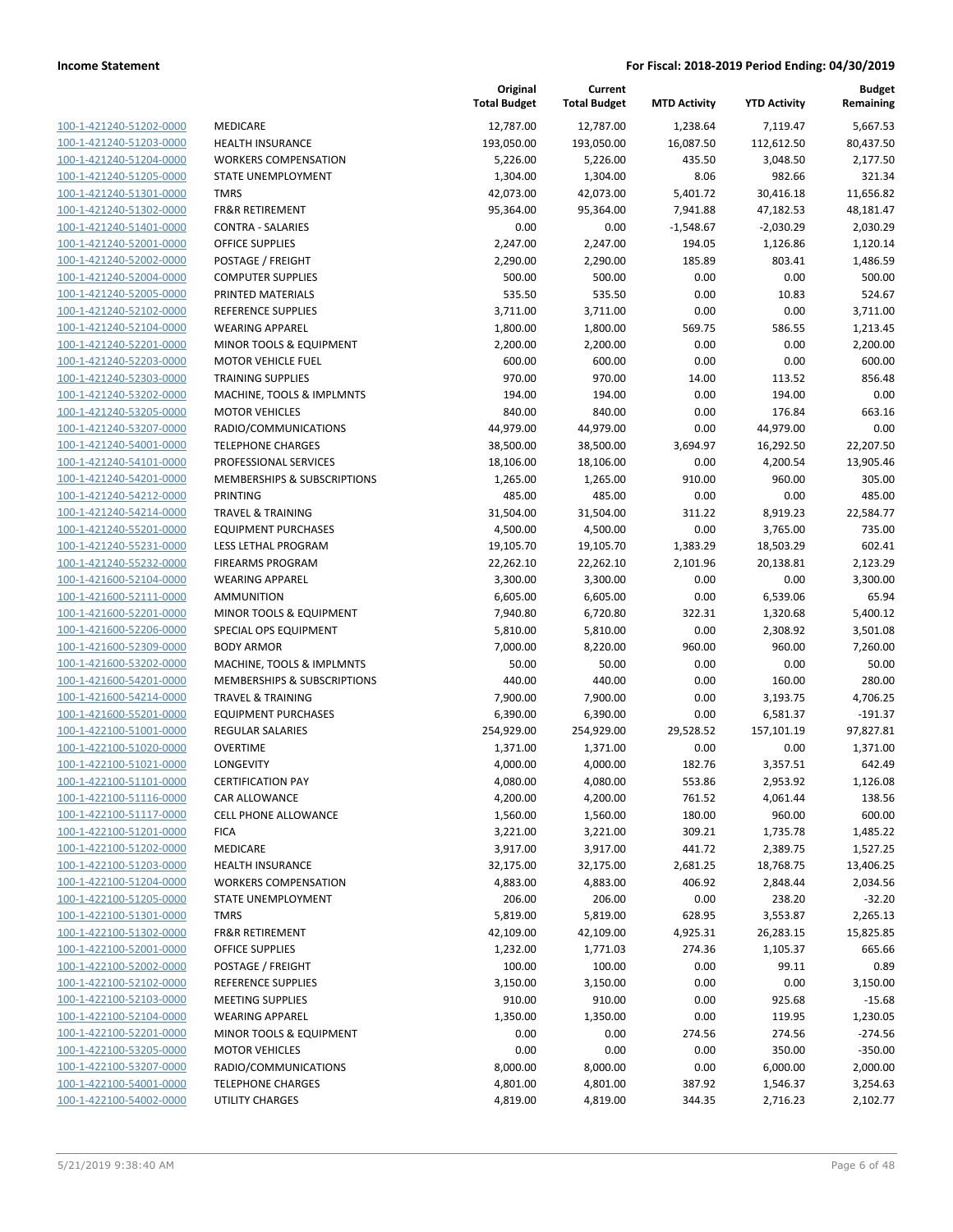|                         |                              | Original<br><b>Total Budget</b> | Current<br><b>Total Budget</b> | <b>MTD Activity</b> | <b>YTD Activity</b> | <b>Budget</b><br>Remaining |
|-------------------------|------------------------------|---------------------------------|--------------------------------|---------------------|---------------------|----------------------------|
| 100-1-421240-51202-0000 | MEDICARE                     | 12,787.00                       | 12,787.00                      | 1,238.64            | 7,119.47            | 5,667.53                   |
| 100-1-421240-51203-0000 | <b>HEALTH INSURANCE</b>      | 193,050.00                      | 193,050.00                     | 16,087.50           | 112,612.50          | 80,437.50                  |
| 100-1-421240-51204-0000 | <b>WORKERS COMPENSATION</b>  | 5,226.00                        | 5,226.00                       | 435.50              | 3,048.50            | 2,177.50                   |
| 100-1-421240-51205-0000 | STATE UNEMPLOYMENT           | 1,304.00                        | 1,304.00                       | 8.06                | 982.66              | 321.34                     |
| 100-1-421240-51301-0000 | <b>TMRS</b>                  | 42,073.00                       | 42,073.00                      | 5,401.72            | 30,416.18           | 11,656.82                  |
| 100-1-421240-51302-0000 | <b>FR&amp;R RETIREMENT</b>   | 95,364.00                       | 95,364.00                      | 7,941.88            | 47,182.53           | 48,181.47                  |
| 100-1-421240-51401-0000 | <b>CONTRA - SALARIES</b>     | 0.00                            | 0.00                           | $-1,548.67$         | $-2,030.29$         | 2,030.29                   |
| 100-1-421240-52001-0000 | <b>OFFICE SUPPLIES</b>       | 2,247.00                        | 2,247.00                       | 194.05              | 1,126.86            | 1,120.14                   |
| 100-1-421240-52002-0000 | POSTAGE / FREIGHT            | 2,290.00                        | 2,290.00                       | 185.89              | 803.41              | 1,486.59                   |
| 100-1-421240-52004-0000 | <b>COMPUTER SUPPLIES</b>     | 500.00                          | 500.00                         | 0.00                | 0.00                | 500.00                     |
| 100-1-421240-52005-0000 | PRINTED MATERIALS            | 535.50                          | 535.50                         | 0.00                | 10.83               | 524.67                     |
| 100-1-421240-52102-0000 | <b>REFERENCE SUPPLIES</b>    | 3,711.00                        | 3,711.00                       | 0.00                | 0.00                | 3,711.00                   |
| 100-1-421240-52104-0000 | <b>WEARING APPAREL</b>       | 1,800.00                        | 1,800.00                       | 569.75              | 586.55              | 1,213.45                   |
| 100-1-421240-52201-0000 | MINOR TOOLS & EQUIPMENT      | 2,200.00                        | 2,200.00                       | 0.00                | 0.00                | 2,200.00                   |
| 100-1-421240-52203-0000 | <b>MOTOR VEHICLE FUEL</b>    | 600.00                          | 600.00                         | 0.00                | 0.00                | 600.00                     |
| 100-1-421240-52303-0000 | <b>TRAINING SUPPLIES</b>     | 970.00                          | 970.00                         | 14.00               | 113.52              | 856.48                     |
| 100-1-421240-53202-0000 | MACHINE, TOOLS & IMPLMNTS    | 194.00                          | 194.00                         | 0.00                | 194.00              | 0.00                       |
| 100-1-421240-53205-0000 | <b>MOTOR VEHICLES</b>        | 840.00                          | 840.00                         | 0.00                | 176.84              | 663.16                     |
| 100-1-421240-53207-0000 | RADIO/COMMUNICATIONS         | 44,979.00                       | 44,979.00                      | 0.00                | 44,979.00           | 0.00                       |
| 100-1-421240-54001-0000 | <b>TELEPHONE CHARGES</b>     | 38,500.00                       | 38,500.00                      | 3,694.97            | 16,292.50           | 22,207.50                  |
| 100-1-421240-54101-0000 | PROFESSIONAL SERVICES        | 18,106.00                       | 18,106.00                      | 0.00                | 4,200.54            | 13,905.46                  |
| 100-1-421240-54201-0000 | MEMBERSHIPS & SUBSCRIPTIONS  | 1,265.00                        | 1,265.00                       | 910.00              | 960.00              | 305.00                     |
| 100-1-421240-54212-0000 | <b>PRINTING</b>              | 485.00                          | 485.00                         | 0.00                | 0.00                | 485.00                     |
| 100-1-421240-54214-0000 | <b>TRAVEL &amp; TRAINING</b> | 31,504.00                       | 31,504.00                      | 311.22              | 8,919.23            | 22,584.77                  |
| 100-1-421240-55201-0000 | <b>EQUIPMENT PURCHASES</b>   | 4,500.00                        | 4,500.00                       | 0.00                | 3,765.00            | 735.00                     |
| 100-1-421240-55231-0000 | LESS LETHAL PROGRAM          | 19,105.70                       | 19,105.70                      | 1,383.29            | 18,503.29           | 602.41                     |
| 100-1-421240-55232-0000 | <b>FIREARMS PROGRAM</b>      | 22,262.10                       | 22,262.10                      | 2,101.96            | 20,138.81           | 2,123.29                   |
| 100-1-421600-52104-0000 | <b>WEARING APPAREL</b>       | 3,300.00                        | 3,300.00                       | 0.00                | 0.00                | 3,300.00                   |
| 100-1-421600-52111-0000 | <b>AMMUNITION</b>            | 6,605.00                        | 6,605.00                       | 0.00                | 6,539.06            | 65.94                      |
| 100-1-421600-52201-0000 | MINOR TOOLS & EQUIPMENT      | 7,940.80                        | 6,720.80                       | 322.31              | 1,320.68            | 5,400.12                   |
| 100-1-421600-52206-0000 | SPECIAL OPS EQUIPMENT        | 5,810.00                        | 5,810.00                       | 0.00                | 2,308.92            | 3,501.08                   |
| 100-1-421600-52309-0000 | <b>BODY ARMOR</b>            | 7,000.00                        | 8,220.00                       | 960.00              | 960.00              | 7,260.00                   |
| 100-1-421600-53202-0000 | MACHINE, TOOLS & IMPLMNTS    | 50.00                           | 50.00                          | 0.00                | 0.00                | 50.00                      |
| 100-1-421600-54201-0000 | MEMBERSHIPS & SUBSCRIPTIONS  | 440.00                          | 440.00                         | 0.00                | 160.00              | 280.00                     |
| 100-1-421600-54214-0000 | <b>TRAVEL &amp; TRAINING</b> | 7,900.00                        | 7,900.00                       | 0.00                | 3,193.75            | 4,706.25                   |
| 100-1-421600-55201-0000 | <b>EQUIPMENT PURCHASES</b>   | 6,390.00                        | 6,390.00                       | 0.00                | 6,581.37            | $-191.37$                  |
| 100-1-422100-51001-0000 | REGULAR SALARIES             | 254,929.00                      | 254,929.00                     | 29,528.52           | 157,101.19          | 97,827.81                  |
| 100-1-422100-51020-0000 | <b>OVERTIME</b>              | 1,371.00                        | 1,371.00                       | 0.00                | 0.00                | 1,371.00                   |
| 100-1-422100-51021-0000 | LONGEVITY                    | 4,000.00                        | 4,000.00                       | 182.76              | 3,357.51            | 642.49                     |
| 100-1-422100-51101-0000 | <b>CERTIFICATION PAY</b>     | 4,080.00                        | 4,080.00                       | 553.86              | 2,953.92            | 1,126.08                   |
| 100-1-422100-51116-0000 | CAR ALLOWANCE                | 4,200.00                        | 4,200.00                       | 761.52              | 4,061.44            | 138.56                     |
| 100-1-422100-51117-0000 | <b>CELL PHONE ALLOWANCE</b>  | 1,560.00                        | 1,560.00                       | 180.00              | 960.00              | 600.00                     |
| 100-1-422100-51201-0000 | <b>FICA</b>                  | 3,221.00                        | 3,221.00                       | 309.21              | 1,735.78            | 1,485.22                   |
| 100-1-422100-51202-0000 | MEDICARE                     | 3,917.00                        | 3,917.00                       | 441.72              | 2,389.75            | 1,527.25                   |
| 100-1-422100-51203-0000 | <b>HEALTH INSURANCE</b>      | 32,175.00                       | 32,175.00                      | 2,681.25            | 18,768.75           | 13,406.25                  |
| 100-1-422100-51204-0000 | <b>WORKERS COMPENSATION</b>  | 4,883.00                        | 4,883.00                       | 406.92              | 2,848.44            | 2,034.56                   |
| 100-1-422100-51205-0000 | STATE UNEMPLOYMENT           | 206.00                          | 206.00                         | 0.00                | 238.20              | $-32.20$                   |
| 100-1-422100-51301-0000 | <b>TMRS</b>                  | 5,819.00                        | 5,819.00                       | 628.95              | 3,553.87            | 2,265.13                   |
| 100-1-422100-51302-0000 | <b>FR&amp;R RETIREMENT</b>   | 42,109.00                       | 42,109.00                      | 4,925.31            | 26,283.15           | 15,825.85                  |
| 100-1-422100-52001-0000 | <b>OFFICE SUPPLIES</b>       | 1,232.00                        | 1,771.03                       | 274.36              | 1,105.37            | 665.66                     |
| 100-1-422100-52002-0000 | POSTAGE / FREIGHT            |                                 |                                | 0.00                |                     | 0.89                       |
| 100-1-422100-52102-0000 | REFERENCE SUPPLIES           | 100.00<br>3,150.00              | 100.00<br>3,150.00             | 0.00                | 99.11<br>0.00       | 3,150.00                   |
|                         |                              |                                 |                                |                     |                     |                            |
| 100-1-422100-52103-0000 | <b>MEETING SUPPLIES</b>      | 910.00                          | 910.00                         | 0.00                | 925.68              | $-15.68$                   |
| 100-1-422100-52104-0000 | <b>WEARING APPAREL</b>       | 1,350.00                        | 1,350.00                       | 0.00                | 119.95              | 1,230.05                   |
| 100-1-422100-52201-0000 | MINOR TOOLS & EQUIPMENT      | 0.00                            | 0.00                           | 274.56              | 274.56              | $-274.56$                  |
| 100-1-422100-53205-0000 | <b>MOTOR VEHICLES</b>        | 0.00                            | 0.00                           | 0.00                | 350.00              | $-350.00$                  |
| 100-1-422100-53207-0000 | RADIO/COMMUNICATIONS         | 8,000.00                        | 8,000.00                       | 0.00                | 6,000.00            | 2,000.00                   |
| 100-1-422100-54001-0000 | <b>TELEPHONE CHARGES</b>     | 4,801.00                        | 4,801.00                       | 387.92              | 1,546.37            | 3,254.63                   |
| 100-1-422100-54002-0000 | UTILITY CHARGES              | 4,819.00                        | 4,819.00                       | 344.35              | 2,716.23            | 2,102.77                   |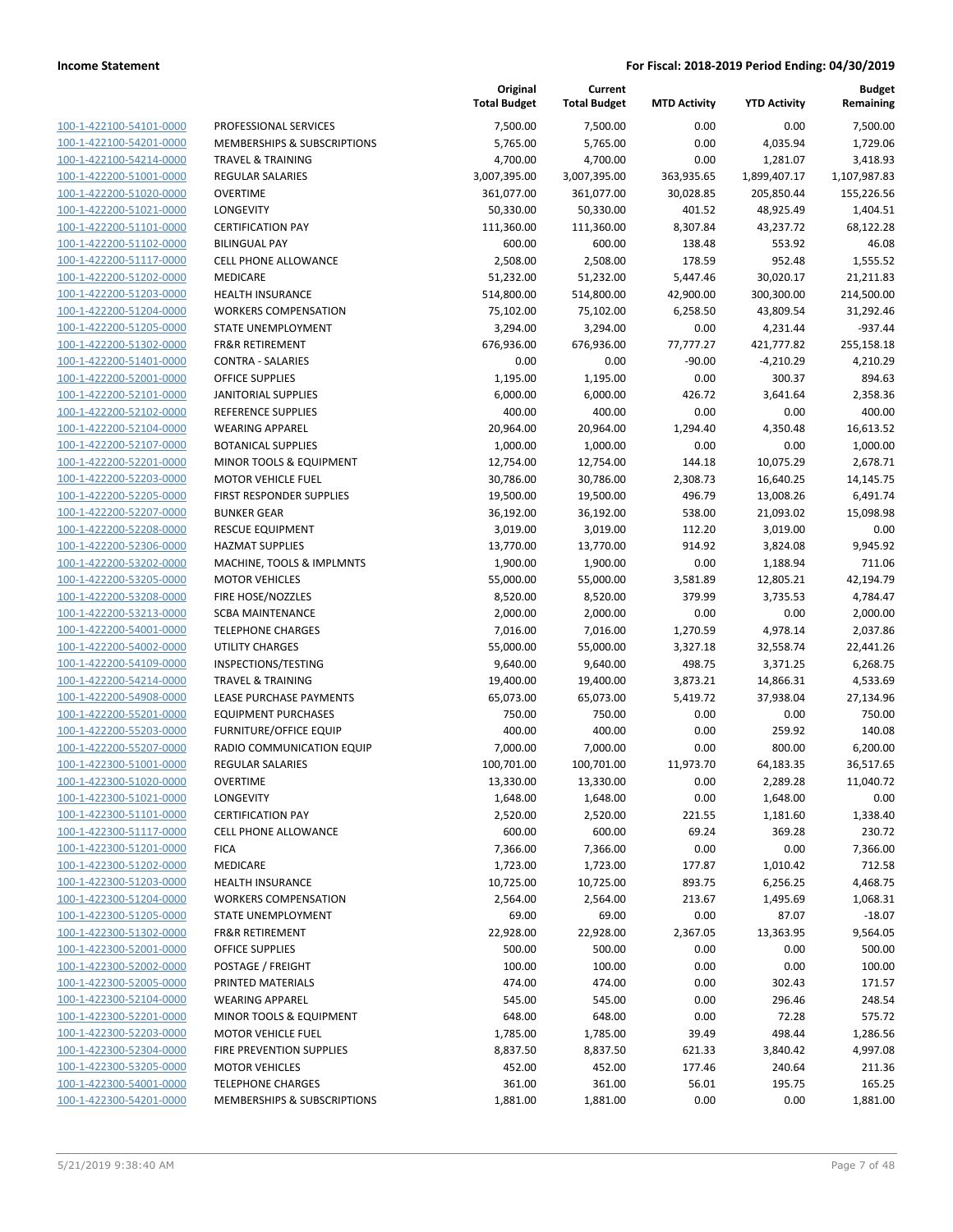|                         |                                    | Original<br><b>Total Budget</b> | Current<br><b>Total Budget</b> | <b>MTD Activity</b> | <b>YTD Activity</b> | <b>Budget</b><br>Remaining |
|-------------------------|------------------------------------|---------------------------------|--------------------------------|---------------------|---------------------|----------------------------|
| 100-1-422100-54101-0000 | PROFESSIONAL SERVICES              | 7,500.00                        | 7,500.00                       | 0.00                | 0.00                | 7,500.00                   |
| 100-1-422100-54201-0000 | MEMBERSHIPS & SUBSCRIPTIONS        | 5,765.00                        | 5,765.00                       | 0.00                | 4,035.94            | 1,729.06                   |
| 100-1-422100-54214-0000 | <b>TRAVEL &amp; TRAINING</b>       | 4,700.00                        | 4,700.00                       | 0.00                | 1,281.07            | 3,418.93                   |
| 100-1-422200-51001-0000 | <b>REGULAR SALARIES</b>            | 3,007,395.00                    | 3,007,395.00                   | 363,935.65          | 1,899,407.17        | 1,107,987.83               |
| 100-1-422200-51020-0000 | <b>OVERTIME</b>                    | 361,077.00                      | 361,077.00                     | 30,028.85           | 205,850.44          | 155,226.56                 |
| 100-1-422200-51021-0000 | LONGEVITY                          | 50,330.00                       | 50,330.00                      | 401.52              | 48,925.49           | 1,404.51                   |
| 100-1-422200-51101-0000 | <b>CERTIFICATION PAY</b>           | 111,360.00                      | 111,360.00                     | 8,307.84            | 43,237.72           | 68,122.28                  |
| 100-1-422200-51102-0000 | <b>BILINGUAL PAY</b>               | 600.00                          | 600.00                         | 138.48              | 553.92              | 46.08                      |
| 100-1-422200-51117-0000 | <b>CELL PHONE ALLOWANCE</b>        | 2,508.00                        | 2,508.00                       | 178.59              | 952.48              | 1,555.52                   |
| 100-1-422200-51202-0000 | MEDICARE                           | 51,232.00                       | 51,232.00                      | 5,447.46            | 30,020.17           | 21,211.83                  |
| 100-1-422200-51203-0000 | <b>HEALTH INSURANCE</b>            | 514,800.00                      | 514,800.00                     | 42,900.00           | 300,300.00          | 214,500.00                 |
| 100-1-422200-51204-0000 | <b>WORKERS COMPENSATION</b>        | 75,102.00                       | 75,102.00                      | 6,258.50            | 43,809.54           | 31,292.46                  |
| 100-1-422200-51205-0000 | STATE UNEMPLOYMENT                 | 3,294.00                        | 3,294.00                       | 0.00                | 4,231.44            | $-937.44$                  |
| 100-1-422200-51302-0000 | <b>FR&amp;R RETIREMENT</b>         | 676,936.00                      | 676,936.00                     | 77,777.27           | 421,777.82          | 255,158.18                 |
| 100-1-422200-51401-0000 | <b>CONTRA - SALARIES</b>           | 0.00                            | 0.00                           | $-90.00$            | $-4,210.29$         | 4,210.29                   |
| 100-1-422200-52001-0000 | <b>OFFICE SUPPLIES</b>             | 1,195.00                        | 1,195.00                       | 0.00                | 300.37              | 894.63                     |
| 100-1-422200-52101-0000 | <b>JANITORIAL SUPPLIES</b>         | 6,000.00                        | 6,000.00                       | 426.72              | 3,641.64            | 2,358.36                   |
| 100-1-422200-52102-0000 | <b>REFERENCE SUPPLIES</b>          | 400.00                          | 400.00                         | 0.00                | 0.00                | 400.00                     |
| 100-1-422200-52104-0000 | <b>WEARING APPAREL</b>             | 20,964.00                       | 20,964.00                      | 1,294.40            | 4,350.48            | 16,613.52                  |
| 100-1-422200-52107-0000 | <b>BOTANICAL SUPPLIES</b>          | 1,000.00                        | 1,000.00                       | 0.00                | 0.00                | 1,000.00                   |
| 100-1-422200-52201-0000 | <b>MINOR TOOLS &amp; EQUIPMENT</b> | 12,754.00                       | 12,754.00                      | 144.18              | 10,075.29           | 2,678.71                   |
| 100-1-422200-52203-0000 | <b>MOTOR VEHICLE FUEL</b>          | 30,786.00                       | 30,786.00                      | 2,308.73            | 16,640.25           | 14,145.75                  |
| 100-1-422200-52205-0000 | FIRST RESPONDER SUPPLIES           | 19,500.00                       | 19,500.00                      | 496.79              | 13,008.26           | 6,491.74                   |
| 100-1-422200-52207-0000 | <b>BUNKER GEAR</b>                 | 36,192.00                       | 36,192.00                      | 538.00              | 21,093.02           | 15,098.98                  |
| 100-1-422200-52208-0000 | <b>RESCUE EQUIPMENT</b>            | 3,019.00                        | 3,019.00                       | 112.20              | 3,019.00            | 0.00                       |
| 100-1-422200-52306-0000 | <b>HAZMAT SUPPLIES</b>             | 13,770.00                       | 13,770.00                      | 914.92              | 3,824.08            | 9,945.92                   |
| 100-1-422200-53202-0000 | MACHINE, TOOLS & IMPLMNTS          | 1,900.00                        | 1,900.00                       | 0.00                | 1,188.94            | 711.06                     |
| 100-1-422200-53205-0000 | <b>MOTOR VEHICLES</b>              | 55,000.00                       | 55,000.00                      | 3,581.89            | 12,805.21           | 42,194.79                  |
| 100-1-422200-53208-0000 | FIRE HOSE/NOZZLES                  | 8,520.00                        | 8,520.00                       | 379.99              | 3,735.53            | 4,784.47                   |
| 100-1-422200-53213-0000 | <b>SCBA MAINTENANCE</b>            | 2,000.00                        | 2,000.00                       | 0.00                | 0.00                | 2,000.00                   |
| 100-1-422200-54001-0000 | <b>TELEPHONE CHARGES</b>           | 7,016.00                        | 7,016.00                       | 1,270.59            | 4,978.14            | 2,037.86                   |
| 100-1-422200-54002-0000 | <b>UTILITY CHARGES</b>             | 55,000.00                       | 55,000.00                      | 3,327.18            | 32,558.74           | 22,441.26                  |
| 100-1-422200-54109-0000 | INSPECTIONS/TESTING                | 9,640.00                        | 9,640.00                       | 498.75              | 3,371.25            | 6,268.75                   |
| 100-1-422200-54214-0000 | <b>TRAVEL &amp; TRAINING</b>       | 19,400.00                       | 19,400.00                      | 3,873.21            | 14,866.31           | 4,533.69                   |
| 100-1-422200-54908-0000 | LEASE PURCHASE PAYMENTS            | 65,073.00                       | 65,073.00                      | 5,419.72            | 37,938.04           | 27,134.96                  |
| 100-1-422200-55201-0000 | <b>EQUIPMENT PURCHASES</b>         | 750.00                          | 750.00                         | 0.00                | 0.00                | 750.00                     |
| 100-1-422200-55203-0000 | <b>FURNITURE/OFFICE EQUIP</b>      | 400.00                          | 400.00                         | 0.00                | 259.92              | 140.08                     |
| 100-1-422200-55207-0000 | RADIO COMMUNICATION EQUIP          | 7,000.00                        | 7,000.00                       | 0.00                | 800.00              | 6,200.00                   |
| 100-1-422300-51001-0000 | REGULAR SALARIES                   | 100,701.00                      | 100,701.00                     | 11,973.70           | 64,183.35           | 36,517.65                  |
| 100-1-422300-51020-0000 | <b>OVERTIME</b>                    | 13,330.00                       | 13,330.00                      | 0.00                | 2,289.28            | 11,040.72                  |
| 100-1-422300-51021-0000 | LONGEVITY                          | 1,648.00                        | 1,648.00                       | 0.00                | 1,648.00            | 0.00                       |
| 100-1-422300-51101-0000 | <b>CERTIFICATION PAY</b>           | 2,520.00                        | 2,520.00                       | 221.55              | 1,181.60            | 1,338.40                   |
| 100-1-422300-51117-0000 | <b>CELL PHONE ALLOWANCE</b>        | 600.00                          | 600.00                         | 69.24               | 369.28              | 230.72                     |
| 100-1-422300-51201-0000 | <b>FICA</b>                        | 7,366.00                        | 7,366.00                       | 0.00                | 0.00                | 7,366.00                   |
| 100-1-422300-51202-0000 | <b>MEDICARE</b>                    | 1,723.00                        | 1,723.00                       | 177.87              | 1,010.42            | 712.58                     |
| 100-1-422300-51203-0000 | <b>HEALTH INSURANCE</b>            | 10,725.00                       | 10,725.00                      | 893.75              | 6,256.25            | 4,468.75                   |
| 100-1-422300-51204-0000 | <b>WORKERS COMPENSATION</b>        | 2,564.00                        | 2,564.00                       | 213.67              | 1,495.69            | 1,068.31                   |
| 100-1-422300-51205-0000 | STATE UNEMPLOYMENT                 | 69.00                           | 69.00                          | 0.00                | 87.07               | $-18.07$                   |
| 100-1-422300-51302-0000 | <b>FR&amp;R RETIREMENT</b>         | 22,928.00                       | 22,928.00                      | 2,367.05            | 13,363.95           | 9,564.05                   |
| 100-1-422300-52001-0000 | <b>OFFICE SUPPLIES</b>             | 500.00                          | 500.00                         | 0.00                | 0.00                | 500.00                     |
| 100-1-422300-52002-0000 | POSTAGE / FREIGHT                  | 100.00                          | 100.00                         | 0.00                | 0.00                | 100.00                     |
| 100-1-422300-52005-0000 | PRINTED MATERIALS                  | 474.00                          | 474.00                         | 0.00                | 302.43              | 171.57                     |
| 100-1-422300-52104-0000 | <b>WEARING APPAREL</b>             | 545.00                          | 545.00                         | 0.00                | 296.46              | 248.54                     |
| 100-1-422300-52201-0000 | MINOR TOOLS & EQUIPMENT            | 648.00                          | 648.00                         | 0.00                | 72.28               | 575.72                     |
| 100-1-422300-52203-0000 | <b>MOTOR VEHICLE FUEL</b>          | 1,785.00                        | 1,785.00                       | 39.49               | 498.44              | 1,286.56                   |
| 100-1-422300-52304-0000 | FIRE PREVENTION SUPPLIES           | 8,837.50                        | 8,837.50                       | 621.33              | 3,840.42            | 4,997.08                   |
| 100-1-422300-53205-0000 | <b>MOTOR VEHICLES</b>              | 452.00                          | 452.00                         | 177.46              | 240.64              | 211.36                     |
| 100-1-422300-54001-0000 | <b>TELEPHONE CHARGES</b>           | 361.00                          | 361.00                         | 56.01               | 195.75              | 165.25                     |
| 100-1-422300-54201-0000 | MEMBERSHIPS & SUBSCRIPTIONS        | 1,881.00                        | 1,881.00                       | 0.00                | 0.00                | 1,881.00                   |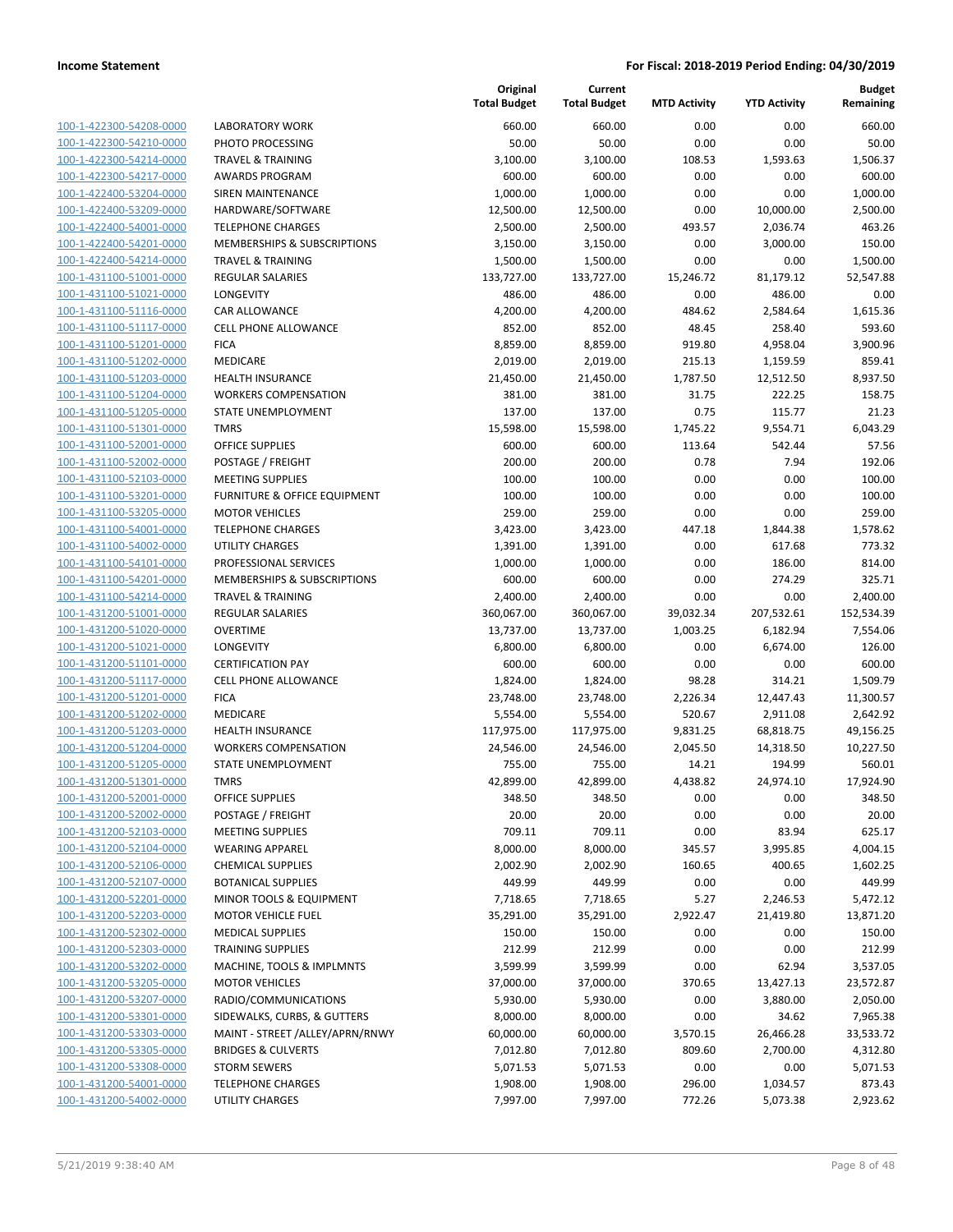| 100-1-422300-54208-0000                            |
|----------------------------------------------------|
| 100-1-422300-54210-0000                            |
| 100-1-422300-54214-0000                            |
| 100-1-422300-54217-0000                            |
| 100-1-422400-53204-0000                            |
| 100-1-422400-53209-0000                            |
| 100-1-422400-54001-0000                            |
| 100-1-422400-54201-0000                            |
| 100-1-422400-54214-0000                            |
| 100-1-431100-51001-0000                            |
| 100-1-431100-51021-0000                            |
| 100-1-431100-51116-0000                            |
| 100-1-431100-51117-0000                            |
| 100-1-431100-51201-0000                            |
| 100-1-431100-51202-0000                            |
| 100-1-431100-51203-0000                            |
| 100-1-431100-51204-0000                            |
| 100-1-431100-51205-0000                            |
|                                                    |
| 100-1-431100-51301-0000                            |
| 100-1-431100-52001-0000                            |
| 100-1-431100-52002-0000                            |
| 100-1-431100-52103-0000                            |
| 100-1-431100-53201-0000                            |
| 100-1-431100-53205-0000                            |
| 100-1-431100-54001-0000                            |
| 100-1-431100-54002-0000                            |
| 100-1-431100-54101-0000                            |
| 100-1-431100-54201-0000                            |
| 100-1-431100-54214-0000                            |
| 100-1-431200-51001-0000                            |
| 100-1-431200-51020-0000                            |
| 100-1-431200-51021-0000                            |
| 100-1-431200-51101-0000                            |
| 100-1-431200-51117-0000                            |
| 100-1-431200-51201-0000                            |
| 100-1-431200-51202-0000                            |
| 100-1-431200-51203-0000                            |
| 100-1-431200-51204-0000                            |
| 100-1-431200-51205-0000                            |
| 100-1-431200-51301-0000                            |
|                                                    |
| 100-1-431200-52001-0000                            |
|                                                    |
| <u>100-1-431200-52002-0000</u>                     |
| 100-1-431200-52103-0000                            |
| 100-1-431200-52104-0000                            |
| 100-1-431200-52106-0000                            |
| <u>100-1-431200-52107-0000</u>                     |
| <u>100-1-431200-52201-0000</u>                     |
| 100-1-431200-52203-0000                            |
| 100-1-431200-52302-0000                            |
| 100-1-431200-52303-0000                            |
| <u>100-1-431200-53202-0000</u>                     |
| <u>100-1-431200-53205-0000</u>                     |
| <u>100-1-431200-53207-0000</u>                     |
| 100-1-431200-53301-0000                            |
|                                                    |
| 100-1-431200-53303-0000                            |
| <u>100-1-431200-53305-0000</u>                     |
| <u>100-1-431200-53308-0000</u>                     |
| 100-1-431200-54001-0000<br>100-1-431200-54002-0000 |

|                                                    |                                                       | Original<br><b>Total Budget</b> | Current<br><b>Total Budget</b> | <b>MTD Activity</b> | <b>YTD Activity</b> | Budget<br>Remaining |
|----------------------------------------------------|-------------------------------------------------------|---------------------------------|--------------------------------|---------------------|---------------------|---------------------|
| 100-1-422300-54208-0000                            | <b>LABORATORY WORK</b>                                | 660.00                          | 660.00                         | 0.00                | 0.00                | 660.00              |
| 100-1-422300-54210-0000                            | PHOTO PROCESSING                                      | 50.00                           | 50.00                          | 0.00                | 0.00                | 50.00               |
| 100-1-422300-54214-0000                            | <b>TRAVEL &amp; TRAINING</b>                          | 3,100.00                        | 3,100.00                       | 108.53              | 1,593.63            | 1,506.37            |
| 100-1-422300-54217-0000                            | <b>AWARDS PROGRAM</b>                                 | 600.00                          | 600.00                         | 0.00                | 0.00                | 600.00              |
| 100-1-422400-53204-0000                            | SIREN MAINTENANCE                                     | 1,000.00                        | 1,000.00                       | 0.00                | 0.00                | 1,000.00            |
| 100-1-422400-53209-0000                            | HARDWARE/SOFTWARE                                     | 12,500.00                       | 12,500.00                      | 0.00                | 10,000.00           | 2,500.00            |
| 100-1-422400-54001-0000                            | <b>TELEPHONE CHARGES</b>                              | 2,500.00                        | 2,500.00                       | 493.57              | 2,036.74            | 463.26              |
| 100-1-422400-54201-0000                            | MEMBERSHIPS & SUBSCRIPTIONS                           | 3,150.00                        | 3,150.00                       | 0.00                | 3,000.00            | 150.00              |
| 100-1-422400-54214-0000                            | <b>TRAVEL &amp; TRAINING</b>                          | 1,500.00                        | 1,500.00                       | 0.00                | 0.00                | 1,500.00            |
| 100-1-431100-51001-0000                            | <b>REGULAR SALARIES</b>                               | 133,727.00                      | 133,727.00                     | 15,246.72           | 81,179.12           | 52,547.88           |
| 100-1-431100-51021-0000                            | <b>LONGEVITY</b>                                      | 486.00                          | 486.00                         | 0.00                | 486.00              | 0.00                |
| 100-1-431100-51116-0000                            | CAR ALLOWANCE                                         | 4,200.00                        | 4,200.00                       | 484.62              | 2,584.64            | 1,615.36            |
| 100-1-431100-51117-0000                            | CELL PHONE ALLOWANCE                                  | 852.00                          | 852.00                         | 48.45               | 258.40              | 593.60              |
| 100-1-431100-51201-0000                            | <b>FICA</b>                                           | 8,859.00                        | 8,859.00                       | 919.80              | 4,958.04            | 3,900.96            |
| 100-1-431100-51202-0000                            | MEDICARE                                              | 2,019.00                        | 2,019.00                       | 215.13              | 1,159.59            | 859.41              |
| 100-1-431100-51203-0000                            | <b>HEALTH INSURANCE</b>                               | 21,450.00                       | 21,450.00                      | 1,787.50            | 12,512.50           | 8,937.50            |
| 100-1-431100-51204-0000                            | <b>WORKERS COMPENSATION</b>                           | 381.00                          | 381.00                         | 31.75               | 222.25              | 158.75              |
| 100-1-431100-51205-0000                            | STATE UNEMPLOYMENT                                    | 137.00                          | 137.00                         | 0.75                | 115.77              | 21.23               |
| 100-1-431100-51301-0000                            | <b>TMRS</b>                                           | 15,598.00                       | 15,598.00                      | 1,745.22            | 9,554.71            | 6,043.29<br>57.56   |
| 100-1-431100-52001-0000                            | <b>OFFICE SUPPLIES</b>                                | 600.00                          | 600.00<br>200.00               | 113.64<br>0.78      | 542.44<br>7.94      | 192.06              |
| 100-1-431100-52002-0000                            | POSTAGE / FREIGHT                                     | 200.00                          |                                | 0.00                | 0.00                | 100.00              |
| 100-1-431100-52103-0000                            | <b>MEETING SUPPLIES</b>                               | 100.00                          | 100.00                         | 0.00                | 0.00                |                     |
| 100-1-431100-53201-0000<br>100-1-431100-53205-0000 | FURNITURE & OFFICE EQUIPMENT<br><b>MOTOR VEHICLES</b> | 100.00<br>259.00                | 100.00<br>259.00               | 0.00                | 0.00                | 100.00              |
| 100-1-431100-54001-0000                            | <b>TELEPHONE CHARGES</b>                              | 3,423.00                        | 3,423.00                       | 447.18              | 1,844.38            | 259.00<br>1,578.62  |
| 100-1-431100-54002-0000                            | <b>UTILITY CHARGES</b>                                | 1,391.00                        | 1,391.00                       | 0.00                | 617.68              | 773.32              |
| 100-1-431100-54101-0000                            | PROFESSIONAL SERVICES                                 | 1,000.00                        | 1,000.00                       | 0.00                | 186.00              | 814.00              |
| 100-1-431100-54201-0000                            | MEMBERSHIPS & SUBSCRIPTIONS                           | 600.00                          | 600.00                         | 0.00                | 274.29              | 325.71              |
| 100-1-431100-54214-0000                            | <b>TRAVEL &amp; TRAINING</b>                          | 2,400.00                        | 2,400.00                       | 0.00                | 0.00                | 2,400.00            |
| 100-1-431200-51001-0000                            | REGULAR SALARIES                                      | 360,067.00                      | 360,067.00                     | 39,032.34           | 207,532.61          | 152,534.39          |
| 100-1-431200-51020-0000                            | <b>OVERTIME</b>                                       | 13,737.00                       | 13,737.00                      | 1,003.25            | 6,182.94            | 7,554.06            |
| 100-1-431200-51021-0000                            | LONGEVITY                                             | 6,800.00                        | 6,800.00                       | 0.00                | 6,674.00            | 126.00              |
| 100-1-431200-51101-0000                            | <b>CERTIFICATION PAY</b>                              | 600.00                          | 600.00                         | 0.00                | 0.00                | 600.00              |
| 100-1-431200-51117-0000                            | <b>CELL PHONE ALLOWANCE</b>                           | 1,824.00                        | 1,824.00                       | 98.28               | 314.21              | 1,509.79            |
| 100-1-431200-51201-0000                            | <b>FICA</b>                                           | 23,748.00                       | 23,748.00                      | 2,226.34            | 12,447.43           | 11,300.57           |
| 100-1-431200-51202-0000                            | MEDICARE                                              | 5,554.00                        | 5,554.00                       | 520.67              | 2,911.08            | 2,642.92            |
| 100-1-431200-51203-0000                            | <b>HEALTH INSURANCE</b>                               | 117,975.00                      | 117,975.00                     | 9,831.25            | 68,818.75           | 49,156.25           |
| 100-1-431200-51204-0000                            | <b>WORKERS COMPENSATION</b>                           | 24,546.00                       | 24,546.00                      | 2,045.50            | 14,318.50           | 10,227.50           |
| 100-1-431200-51205-0000                            | <b>STATE UNEMPLOYMENT</b>                             | 755.00                          | 755.00                         | 14.21               | 194.99              | 560.01              |
| 100-1-431200-51301-0000                            | <b>TMRS</b>                                           | 42,899.00                       | 42,899.00                      | 4,438.82            | 24,974.10           | 17,924.90           |
| 100-1-431200-52001-0000                            | <b>OFFICE SUPPLIES</b>                                | 348.50                          | 348.50                         | 0.00                | 0.00                | 348.50              |
| 100-1-431200-52002-0000                            | POSTAGE / FREIGHT                                     | 20.00                           | 20.00                          | 0.00                | 0.00                | 20.00               |
| 100-1-431200-52103-0000                            | <b>MEETING SUPPLIES</b>                               | 709.11                          | 709.11                         | 0.00                | 83.94               | 625.17              |
| 100-1-431200-52104-0000                            | <b>WEARING APPAREL</b>                                | 8,000.00                        | 8,000.00                       | 345.57              | 3,995.85            | 4,004.15            |
| 100-1-431200-52106-0000                            | <b>CHEMICAL SUPPLIES</b>                              | 2,002.90                        | 2,002.90                       | 160.65              | 400.65              | 1,602.25            |
| 100-1-431200-52107-0000                            | <b>BOTANICAL SUPPLIES</b>                             | 449.99                          | 449.99                         | 0.00                | 0.00                | 449.99              |
| 100-1-431200-52201-0000                            | MINOR TOOLS & EQUIPMENT                               | 7,718.65                        | 7,718.65                       | 5.27                | 2,246.53            | 5,472.12            |
| 100-1-431200-52203-0000                            | <b>MOTOR VEHICLE FUEL</b>                             | 35,291.00                       | 35,291.00                      | 2,922.47            | 21,419.80           | 13,871.20           |
| 100-1-431200-52302-0000                            | <b>MEDICAL SUPPLIES</b>                               | 150.00                          | 150.00                         | 0.00                | 0.00                | 150.00              |
| 100-1-431200-52303-0000                            | <b>TRAINING SUPPLIES</b>                              | 212.99                          | 212.99                         | 0.00                | 0.00                | 212.99              |
| 100-1-431200-53202-0000                            | MACHINE, TOOLS & IMPLMNTS                             | 3,599.99                        | 3,599.99                       | 0.00                | 62.94               | 3,537.05            |
| 100-1-431200-53205-0000                            | <b>MOTOR VEHICLES</b>                                 | 37,000.00                       | 37,000.00                      | 370.65              | 13,427.13           | 23,572.87           |
| 100-1-431200-53207-0000                            | RADIO/COMMUNICATIONS                                  | 5,930.00                        | 5,930.00                       | 0.00                | 3,880.00            | 2,050.00            |
| 100-1-431200-53301-0000                            | SIDEWALKS, CURBS, & GUTTERS                           | 8,000.00                        | 8,000.00                       | 0.00                | 34.62               | 7,965.38            |
| 100-1-431200-53303-0000                            | MAINT - STREET / ALLEY/APRN/RNWY                      | 60,000.00                       | 60,000.00                      | 3,570.15            | 26,466.28           | 33,533.72           |
| 100-1-431200-53305-0000                            | <b>BRIDGES &amp; CULVERTS</b>                         | 7,012.80                        | 7,012.80                       | 809.60              | 2,700.00            | 4,312.80            |
| 100-1-431200-53308-0000                            | <b>STORM SEWERS</b>                                   | 5,071.53                        | 5,071.53                       | 0.00                | 0.00                | 5,071.53            |
| 100-1-431200-54001-0000                            | <b>TELEPHONE CHARGES</b>                              | 1,908.00                        | 1,908.00                       | 296.00              | 1,034.57            | 873.43              |
| 100-1-431200-54002-0000                            | UTILITY CHARGES                                       | 7,997.00                        | 7,997.00                       | 772.26              | 5,073.38            | 2,923.62            |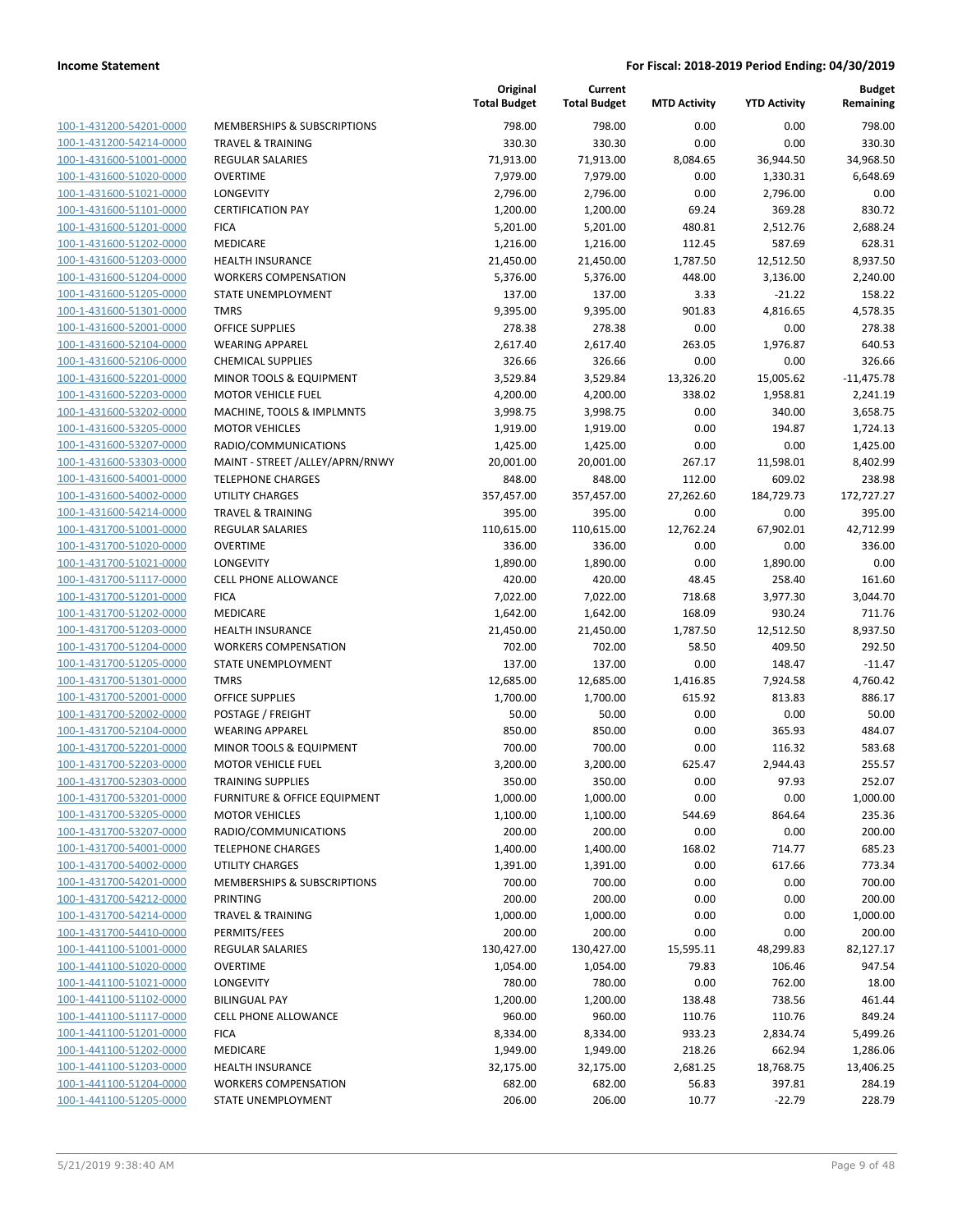| 100-1-431200-54201-0000                            |
|----------------------------------------------------|
| 100-1-431200-54214-0000                            |
| 100-1-431600-51001-0000                            |
| 100-1-431600-51020-0000                            |
| <u>100-1-431600-51021-0000</u>                     |
| 100-1-431600-51101-0000                            |
| 100-1-431600-51201-0000                            |
| 100-1-431600-51202-0000                            |
| 100-1-431600-51203-0000                            |
| 100-1-431600-51204-0000                            |
| 100-1-431600-51205-0000                            |
|                                                    |
| 100-1-431600-51301-0000                            |
| 100-1-431600-52001-0000                            |
| 100-1-431600-52104-0000                            |
| 100-1-431600-52106-0000                            |
| 100-1-431600-52201-0000                            |
| 100-1-431600-52203-0000                            |
| 100-1-431600-53202-0000                            |
| 100-1-431600-53205-0000                            |
| 100-1-431600-53207-0000                            |
| 100-1-431600-53303-0000                            |
| 100-1-431600-54001-0000                            |
| 100-1-431600-54002-0000                            |
| 100-1-431600-54214-0000                            |
| 100-1-431700-51001-0000                            |
| 100-1-431700-51020-0000                            |
|                                                    |
| 100-1-431700-51021-0000                            |
| 100-1-431700-51117-0000                            |
| 100-1-431700-51201-0000                            |
| 100-1-431700-51202-0000                            |
| 100-1-431700-51203-0000                            |
| 100-1-431700-51204-0000                            |
| 100-1-431700-51205-0000                            |
| 100-1-431700-51301-0000                            |
| 100-1-431700-52001-0000                            |
| 100-1-431700-52002-0000                            |
| 100-1-431700-52104-0000                            |
| 100-1-431700-52201-0000                            |
| 100-1-431700-52203-0000                            |
| 100-1-431700-52303-0000                            |
| 100-1-431700-53201-0000                            |
| <u>100-1-431700-53205-0000</u>                     |
|                                                    |
| 100-1-431700-53207-0000                            |
| 100-1-431700-54001-0000                            |
| <u>100-1-431700-54002-0000</u>                     |
| <u>100-1-431700-54201-0000</u>                     |
| <u>100-1-431700-54212-0000</u>                     |
| 100-1-431700-54214-0000                            |
| 100-1-431700-54410-0000                            |
| 100-1-441100-51001-0000                            |
| <u>100-1-441100-51020-0000</u>                     |
| 100-1-441100-51021-0000                            |
| 100-1-441100-51102-0000                            |
| 100-1-441100-51117-0000                            |
| <u>100-1-441100-51201-0000</u>                     |
| <u>100-1-441100-51202-0000</u>                     |
| <u>100-1-441100-51203-0000</u>                     |
|                                                    |
|                                                    |
| 100-1-441100-51204-0000<br>100-1-441100-51205-0000 |

|                                                    |                                       | Original<br><b>Total Budget</b> | Current<br><b>Total Budget</b> | <b>MTD Activity</b> | <b>YTD Activity</b> | Budget<br>Remaining |
|----------------------------------------------------|---------------------------------------|---------------------------------|--------------------------------|---------------------|---------------------|---------------------|
| 100-1-431200-54201-0000                            | MEMBERSHIPS & SUBSCRIPTIONS           | 798.00                          | 798.00                         | 0.00                | 0.00                | 798.00              |
| 100-1-431200-54214-0000                            | TRAVEL & TRAINING                     | 330.30                          | 330.30                         | 0.00                | 0.00                | 330.30              |
| 100-1-431600-51001-0000                            | <b>REGULAR SALARIES</b>               | 71,913.00                       | 71,913.00                      | 8,084.65            | 36,944.50           | 34,968.50           |
| 100-1-431600-51020-0000                            | <b>OVERTIME</b>                       | 7,979.00                        | 7,979.00                       | 0.00                | 1,330.31            | 6,648.69            |
| 100-1-431600-51021-0000                            | LONGEVITY                             | 2,796.00                        | 2,796.00                       | 0.00                | 2,796.00            | 0.00                |
| 100-1-431600-51101-0000                            | <b>CERTIFICATION PAY</b>              | 1,200.00                        | 1,200.00                       | 69.24               | 369.28              | 830.72              |
| 100-1-431600-51201-0000                            | <b>FICA</b>                           | 5,201.00                        | 5,201.00                       | 480.81              | 2,512.76            | 2,688.24            |
| 100-1-431600-51202-0000                            | MEDICARE                              | 1,216.00                        | 1,216.00                       | 112.45              | 587.69              | 628.31              |
| 100-1-431600-51203-0000                            | <b>HEALTH INSURANCE</b>               | 21,450.00                       | 21,450.00                      | 1,787.50            | 12,512.50           | 8,937.50            |
| 100-1-431600-51204-0000                            | <b>WORKERS COMPENSATION</b>           | 5,376.00                        | 5,376.00                       | 448.00              | 3,136.00            | 2,240.00            |
| 100-1-431600-51205-0000                            | STATE UNEMPLOYMENT                    | 137.00                          | 137.00                         | 3.33                | $-21.22$            | 158.22              |
| 100-1-431600-51301-0000                            | <b>TMRS</b>                           | 9,395.00                        | 9,395.00                       | 901.83              | 4,816.65            | 4,578.35            |
| 100-1-431600-52001-0000                            | <b>OFFICE SUPPLIES</b>                | 278.38                          | 278.38                         | 0.00                | 0.00                | 278.38              |
| 100-1-431600-52104-0000                            | <b>WEARING APPAREL</b>                | 2,617.40                        | 2,617.40                       | 263.05              | 1,976.87            | 640.53              |
| 100-1-431600-52106-0000                            | <b>CHEMICAL SUPPLIES</b>              | 326.66                          | 326.66                         | 0.00                | 0.00                | 326.66              |
| 100-1-431600-52201-0000                            | MINOR TOOLS & EQUIPMENT               | 3,529.84                        | 3,529.84                       | 13,326.20           | 15,005.62           | $-11,475.78$        |
| 100-1-431600-52203-0000                            | <b>MOTOR VEHICLE FUEL</b>             | 4,200.00                        | 4,200.00                       | 338.02              | 1,958.81            | 2,241.19            |
| 100-1-431600-53202-0000                            | MACHINE, TOOLS & IMPLMNTS             | 3,998.75                        | 3,998.75                       | 0.00                | 340.00              | 3,658.75            |
| 100-1-431600-53205-0000                            | <b>MOTOR VEHICLES</b>                 | 1,919.00                        | 1,919.00                       | 0.00                | 194.87              | 1,724.13            |
| 100-1-431600-53207-0000                            | RADIO/COMMUNICATIONS                  | 1,425.00                        | 1,425.00                       | 0.00                | 0.00                | 1,425.00            |
| 100-1-431600-53303-0000                            | MAINT - STREET /ALLEY/APRN/RNWY       | 20,001.00                       | 20,001.00                      | 267.17              | 11,598.01           | 8,402.99            |
| 100-1-431600-54001-0000                            | <b>TELEPHONE CHARGES</b>              | 848.00                          | 848.00                         | 112.00              | 609.02              | 238.98              |
| 100-1-431600-54002-0000                            | <b>UTILITY CHARGES</b>                | 357,457.00                      | 357,457.00                     | 27,262.60           | 184,729.73          | 172,727.27          |
| 100-1-431600-54214-0000                            | <b>TRAVEL &amp; TRAINING</b>          | 395.00                          | 395.00                         | 0.00                | 0.00                | 395.00              |
| 100-1-431700-51001-0000                            | <b>REGULAR SALARIES</b>               | 110,615.00                      | 110,615.00                     | 12,762.24           | 67,902.01           | 42,712.99           |
| 100-1-431700-51020-0000                            | <b>OVERTIME</b>                       | 336.00                          | 336.00                         | 0.00                | 0.00                | 336.00              |
| 100-1-431700-51021-0000                            | LONGEVITY                             | 1,890.00                        | 1,890.00                       | 0.00                | 1,890.00            | 0.00                |
| 100-1-431700-51117-0000                            | <b>CELL PHONE ALLOWANCE</b>           | 420.00                          | 420.00                         | 48.45               | 258.40              | 161.60              |
| 100-1-431700-51201-0000                            | <b>FICA</b>                           | 7,022.00                        | 7,022.00                       | 718.68              | 3,977.30            | 3,044.70            |
| 100-1-431700-51202-0000                            | MEDICARE                              | 1,642.00                        | 1,642.00                       | 168.09              | 930.24              | 711.76              |
| 100-1-431700-51203-0000                            | <b>HEALTH INSURANCE</b>               | 21,450.00                       | 21,450.00                      | 1,787.50            | 12,512.50           | 8,937.50            |
| 100-1-431700-51204-0000                            | <b>WORKERS COMPENSATION</b>           | 702.00                          | 702.00                         | 58.50               | 409.50              | 292.50              |
| 100-1-431700-51205-0000<br>100-1-431700-51301-0000 | STATE UNEMPLOYMENT                    | 137.00                          | 137.00                         | 0.00                | 148.47              | $-11.47$            |
| 100-1-431700-52001-0000                            | <b>TMRS</b><br><b>OFFICE SUPPLIES</b> | 12,685.00                       | 12,685.00<br>1,700.00          | 1,416.85<br>615.92  | 7,924.58<br>813.83  | 4,760.42<br>886.17  |
| 100-1-431700-52002-0000                            | POSTAGE / FREIGHT                     | 1,700.00<br>50.00               | 50.00                          | 0.00                | 0.00                | 50.00               |
| 100-1-431700-52104-0000                            | <b>WEARING APPAREL</b>                | 850.00                          | 850.00                         | 0.00                | 365.93              | 484.07              |
| 100-1-431700-52201-0000                            | MINOR TOOLS & EQUIPMENT               | 700.00                          | 700.00                         | 0.00                | 116.32              | 583.68              |
| 100-1-431700-52203-0000                            | <b>MOTOR VEHICLE FUEL</b>             | 3,200.00                        | 3,200.00                       | 625.47              | 2,944.43            | 255.57              |
| 100-1-431700-52303-0000                            | TRAINING SUPPLIES                     | 350.00                          | 350.00                         | 0.00                | 97.93               | 252.07              |
| 100-1-431700-53201-0000                            | FURNITURE & OFFICE EQUIPMENT          | 1,000.00                        | 1,000.00                       | 0.00                | 0.00                | 1,000.00            |
| 100-1-431700-53205-0000                            | <b>MOTOR VEHICLES</b>                 | 1,100.00                        | 1,100.00                       | 544.69              | 864.64              | 235.36              |
| 100-1-431700-53207-0000                            | RADIO/COMMUNICATIONS                  | 200.00                          | 200.00                         | 0.00                | 0.00                | 200.00              |
| 100-1-431700-54001-0000                            | <b>TELEPHONE CHARGES</b>              | 1,400.00                        | 1,400.00                       | 168.02              | 714.77              | 685.23              |
| 100-1-431700-54002-0000                            | <b>UTILITY CHARGES</b>                | 1,391.00                        | 1,391.00                       | 0.00                | 617.66              | 773.34              |
| 100-1-431700-54201-0000                            | MEMBERSHIPS & SUBSCRIPTIONS           | 700.00                          | 700.00                         | 0.00                | 0.00                | 700.00              |
| 100-1-431700-54212-0000                            | PRINTING                              | 200.00                          | 200.00                         | 0.00                | 0.00                | 200.00              |
| 100-1-431700-54214-0000                            | <b>TRAVEL &amp; TRAINING</b>          | 1,000.00                        | 1,000.00                       | 0.00                | 0.00                | 1,000.00            |
| 100-1-431700-54410-0000                            | PERMITS/FEES                          | 200.00                          | 200.00                         | 0.00                | 0.00                | 200.00              |
| 100-1-441100-51001-0000                            | <b>REGULAR SALARIES</b>               | 130,427.00                      | 130,427.00                     | 15,595.11           | 48,299.83           | 82,127.17           |
| 100-1-441100-51020-0000                            | <b>OVERTIME</b>                       | 1,054.00                        | 1,054.00                       | 79.83               | 106.46              | 947.54              |
| 100-1-441100-51021-0000                            | LONGEVITY                             | 780.00                          | 780.00                         | 0.00                | 762.00              | 18.00               |
| 100-1-441100-51102-0000                            | <b>BILINGUAL PAY</b>                  | 1,200.00                        | 1,200.00                       | 138.48              | 738.56              | 461.44              |
| 100-1-441100-51117-0000                            | <b>CELL PHONE ALLOWANCE</b>           | 960.00                          | 960.00                         | 110.76              | 110.76              | 849.24              |
| 100-1-441100-51201-0000                            | <b>FICA</b>                           | 8,334.00                        | 8,334.00                       | 933.23              | 2,834.74            | 5,499.26            |
| 100-1-441100-51202-0000                            | MEDICARE                              | 1,949.00                        | 1,949.00                       | 218.26              | 662.94              | 1,286.06            |
| 100-1-441100-51203-0000                            | <b>HEALTH INSURANCE</b>               | 32,175.00                       | 32,175.00                      | 2,681.25            | 18,768.75           | 13,406.25           |
| 100-1-441100-51204-0000                            | <b>WORKERS COMPENSATION</b>           | 682.00                          | 682.00                         | 56.83               | 397.81              | 284.19              |
| 100-1-441100-51205-0000                            | STATE UNEMPLOYMENT                    | 206.00                          | 206.00                         | 10.77               | $-22.79$            | 228.79              |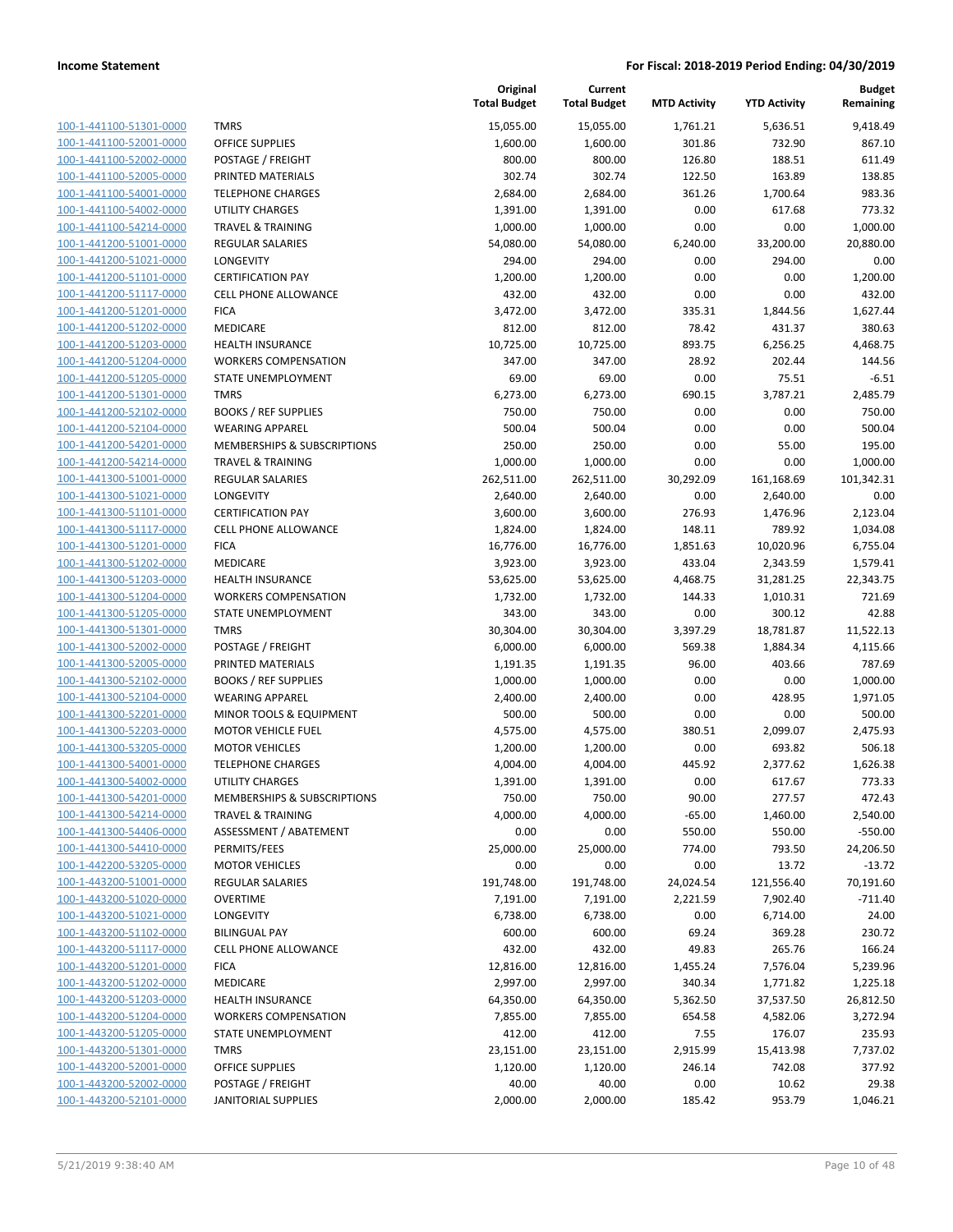| 100-1-441100-51301-0000         |
|---------------------------------|
| 100-1-441100-52001-0000         |
| 100-1-441100-52002-0000         |
| 100-1-441100-52005-0000         |
| 100-1-441100-54001-0000         |
| <u>100-1-441100-54002-0000</u>  |
| 100-1-441100-54214-0000         |
| 100-1-441200-51001-0000         |
| 100-1-441200-51021-0000         |
| 100-1-441200-51101-0000         |
| <u>100-1-441200-51117-0000</u>  |
| 100-1-441200-51201-0000         |
| 441200-51202-0000<br>$100 - 1$  |
| 100-1-441200-51203-0000         |
| 100-1-441200-51204-0000         |
| <u>100-1-441200-51205-0000</u>  |
| 100-1-441200-51301-0000         |
| 100-1-441200-52102-0000         |
|                                 |
| 100-1-441200-52104-0000         |
| 100-1-441200-54201-0000         |
| <u>100-1-441200-54214-0000</u>  |
| 100-1-441300-51001-0000         |
| -441300-51021-0000<br>$100 - 1$ |
| 100-1-441300-51101-0000         |
| 100-1-441300-51117-0000         |
| <u>100-1-441300-51201-0000</u>  |
| 100-1-441300-51202-0000         |
| 100-1-441300-51203-0000         |
| 100-1-441300-51204-0000         |
| 100-1-441300-51205-0000         |
| <u>100-1-441300-51301-0000</u>  |
| 100-1-441300-52002-0000         |
| 100-1-441300-52005-0000         |
| 100-1-441300-52102-0000         |
| 100-1-441300-52104-0000         |
| <u>100-1-441300-52201-0000</u>  |
| 100-1-441300-52203-0000         |
| 100-1-441300-53205-0000         |
| 100-1-441300-54001-0000         |
| 100-1-441300-54002-0000         |
| 100-1-441300-54201-0000         |
| <u>100-1-441300-54214-0000</u>  |
| 100-1-441300-54406-0000         |
| 100-1-441300-54410-0000         |
|                                 |
| <u>100-1-442200-53205-0000</u>  |
| <u>100-1-443200-51001-0000</u>  |
| <u>100-1-443200-51020-0000</u>  |
| 100-1-443200-51021-0000         |
| 100-1-443200-51102-0000         |
| 100-1-443200-51117-0000         |
| <u>100-1-443200-51201-0000</u>  |
| <u>100-1-443200-51202-0000</u>  |
| 100-1-443200-51203-0000         |
| 100-1-443200-51204-0000         |
| <u>100-1-443200-51205-0000</u>  |
| <u>100-1-443200-51301-0000</u>  |
| <u>100-1-443200-52001-0000</u>  |
| <u>100-1-443200-52002-0000</u>  |
| 100-1-443200-52101-0000         |
|                                 |

|                         |                              | Original<br><b>Total Budget</b> | Current<br><b>Total Budget</b> | <b>MTD Activity</b> | <b>YTD Activity</b> | <b>Budget</b><br>Remaining |
|-------------------------|------------------------------|---------------------------------|--------------------------------|---------------------|---------------------|----------------------------|
| 100-1-441100-51301-0000 | <b>TMRS</b>                  | 15,055.00                       | 15,055.00                      | 1,761.21            | 5,636.51            | 9,418.49                   |
| 100-1-441100-52001-0000 | <b>OFFICE SUPPLIES</b>       | 1,600.00                        | 1,600.00                       | 301.86              | 732.90              | 867.10                     |
| 100-1-441100-52002-0000 | POSTAGE / FREIGHT            | 800.00                          | 800.00                         | 126.80              | 188.51              | 611.49                     |
| 100-1-441100-52005-0000 | PRINTED MATERIALS            | 302.74                          | 302.74                         | 122.50              | 163.89              | 138.85                     |
| 100-1-441100-54001-0000 | <b>TELEPHONE CHARGES</b>     | 2,684.00                        | 2,684.00                       | 361.26              | 1,700.64            | 983.36                     |
| 100-1-441100-54002-0000 | <b>UTILITY CHARGES</b>       | 1,391.00                        | 1,391.00                       | 0.00                | 617.68              | 773.32                     |
| 100-1-441100-54214-0000 | <b>TRAVEL &amp; TRAINING</b> | 1,000.00                        | 1,000.00                       | 0.00                | 0.00                | 1,000.00                   |
| 100-1-441200-51001-0000 | <b>REGULAR SALARIES</b>      | 54,080.00                       | 54,080.00                      | 6,240.00            | 33,200.00           | 20,880.00                  |
| 100-1-441200-51021-0000 | LONGEVITY                    | 294.00                          | 294.00                         | 0.00                | 294.00              | 0.00                       |
| 100-1-441200-51101-0000 | <b>CERTIFICATION PAY</b>     | 1,200.00                        | 1,200.00                       | 0.00                | 0.00                | 1,200.00                   |
| 100-1-441200-51117-0000 | <b>CELL PHONE ALLOWANCE</b>  | 432.00                          | 432.00                         | 0.00                | 0.00                | 432.00                     |
| 100-1-441200-51201-0000 | <b>FICA</b>                  | 3,472.00                        | 3,472.00                       | 335.31              | 1,844.56            | 1,627.44                   |
| 100-1-441200-51202-0000 | <b>MEDICARE</b>              | 812.00                          | 812.00                         | 78.42               | 431.37              | 380.63                     |
| 100-1-441200-51203-0000 | <b>HEALTH INSURANCE</b>      | 10,725.00                       | 10,725.00                      | 893.75              | 6,256.25            | 4,468.75                   |
| 100-1-441200-51204-0000 | <b>WORKERS COMPENSATION</b>  | 347.00                          | 347.00                         | 28.92               | 202.44              | 144.56                     |
| 100-1-441200-51205-0000 | STATE UNEMPLOYMENT           | 69.00                           | 69.00                          | 0.00                | 75.51               | $-6.51$                    |
| 100-1-441200-51301-0000 | <b>TMRS</b>                  | 6,273.00                        | 6,273.00                       | 690.15              | 3,787.21            | 2,485.79                   |
| 100-1-441200-52102-0000 | <b>BOOKS / REF SUPPLIES</b>  | 750.00                          | 750.00                         | 0.00                | 0.00                | 750.00                     |
| 100-1-441200-52104-0000 | <b>WEARING APPAREL</b>       | 500.04                          | 500.04                         | 0.00                | 0.00                | 500.04                     |
| 100-1-441200-54201-0000 | MEMBERSHIPS & SUBSCRIPTIONS  | 250.00                          | 250.00                         | 0.00                | 55.00               | 195.00                     |
| 100-1-441200-54214-0000 | <b>TRAVEL &amp; TRAINING</b> | 1,000.00                        | 1,000.00                       | 0.00                | 0.00                | 1,000.00                   |
| 100-1-441300-51001-0000 | <b>REGULAR SALARIES</b>      | 262,511.00                      | 262,511.00                     | 30,292.09           | 161,168.69          | 101,342.31                 |
| 100-1-441300-51021-0000 | LONGEVITY                    | 2,640.00                        | 2,640.00                       | 0.00                | 2,640.00            | 0.00                       |
| 100-1-441300-51101-0000 | <b>CERTIFICATION PAY</b>     | 3,600.00                        | 3,600.00                       | 276.93              | 1,476.96            | 2,123.04                   |
| 100-1-441300-51117-0000 | <b>CELL PHONE ALLOWANCE</b>  | 1,824.00                        | 1,824.00                       | 148.11              | 789.92              | 1,034.08                   |
| 100-1-441300-51201-0000 | <b>FICA</b>                  | 16,776.00                       | 16,776.00                      | 1,851.63            | 10,020.96           | 6,755.04                   |
| 100-1-441300-51202-0000 | MEDICARE                     | 3,923.00                        | 3,923.00                       | 433.04              | 2,343.59            | 1,579.41                   |
| 100-1-441300-51203-0000 | <b>HEALTH INSURANCE</b>      | 53,625.00                       | 53,625.00                      | 4,468.75            | 31,281.25           | 22,343.75                  |
| 100-1-441300-51204-0000 | <b>WORKERS COMPENSATION</b>  | 1,732.00                        | 1,732.00                       | 144.33              | 1,010.31            | 721.69                     |
| 100-1-441300-51205-0000 | STATE UNEMPLOYMENT           | 343.00                          | 343.00                         | 0.00                | 300.12              | 42.88                      |
| 100-1-441300-51301-0000 | <b>TMRS</b>                  | 30,304.00                       | 30,304.00                      | 3,397.29            | 18,781.87           | 11,522.13                  |
| 100-1-441300-52002-0000 | POSTAGE / FREIGHT            | 6,000.00                        | 6,000.00                       | 569.38              | 1,884.34            | 4,115.66                   |
| 100-1-441300-52005-0000 | PRINTED MATERIALS            | 1,191.35                        | 1,191.35                       | 96.00               | 403.66              | 787.69                     |
| 100-1-441300-52102-0000 | <b>BOOKS / REF SUPPLIES</b>  | 1,000.00                        | 1,000.00                       | 0.00                | 0.00                | 1,000.00                   |
| 100-1-441300-52104-0000 | <b>WEARING APPAREL</b>       | 2,400.00                        | 2,400.00                       | 0.00                | 428.95              | 1,971.05                   |
| 100-1-441300-52201-0000 | MINOR TOOLS & EQUIPMENT      | 500.00                          | 500.00                         | 0.00                | 0.00                | 500.00                     |
| 100-1-441300-52203-0000 | <b>MOTOR VEHICLE FUEL</b>    | 4,575.00                        | 4,575.00                       | 380.51              | 2,099.07            | 2,475.93                   |
| 100-1-441300-53205-0000 | <b>MOTOR VEHICLES</b>        | 1,200.00                        | 1,200.00                       | 0.00                | 693.82              | 506.18                     |
| 100-1-441300-54001-0000 | <b>TELEPHONE CHARGES</b>     | 4,004.00                        | 4,004.00                       | 445.92              | 2,377.62            | 1,626.38                   |
| 100-1-441300-54002-0000 | UTILITY CHARGES              | 1,391.00                        | 1,391.00                       | 0.00                | 617.67              | 773.33                     |
| 100-1-441300-54201-0000 | MEMBERSHIPS & SUBSCRIPTIONS  | 750.00                          | 750.00                         | 90.00               | 277.57              | 472.43                     |
| 100-1-441300-54214-0000 | <b>TRAVEL &amp; TRAINING</b> | 4,000.00                        | 4,000.00                       | $-65.00$            | 1,460.00            | 2,540.00                   |
| 100-1-441300-54406-0000 | ASSESSMENT / ABATEMENT       | 0.00                            | 0.00                           | 550.00              | 550.00              | $-550.00$                  |
| 100-1-441300-54410-0000 | PERMITS/FEES                 | 25,000.00                       | 25,000.00                      | 774.00              | 793.50              | 24,206.50                  |
| 100-1-442200-53205-0000 | <b>MOTOR VEHICLES</b>        | 0.00                            | 0.00                           | 0.00                | 13.72               | $-13.72$                   |
| 100-1-443200-51001-0000 | REGULAR SALARIES             | 191,748.00                      | 191,748.00                     | 24,024.54           | 121,556.40          | 70,191.60                  |
| 100-1-443200-51020-0000 | <b>OVERTIME</b>              | 7,191.00                        | 7,191.00                       | 2,221.59            | 7,902.40            | $-711.40$                  |
| 100-1-443200-51021-0000 | <b>LONGEVITY</b>             | 6,738.00                        | 6,738.00                       | 0.00                | 6,714.00            | 24.00                      |
| 100-1-443200-51102-0000 | <b>BILINGUAL PAY</b>         | 600.00                          | 600.00                         | 69.24               | 369.28              | 230.72                     |
| 100-1-443200-51117-0000 | CELL PHONE ALLOWANCE         | 432.00                          | 432.00                         | 49.83               | 265.76              | 166.24                     |
| 100-1-443200-51201-0000 | <b>FICA</b>                  | 12,816.00                       | 12,816.00                      | 1,455.24            | 7,576.04            | 5,239.96                   |
| 100-1-443200-51202-0000 | MEDICARE                     | 2,997.00                        | 2,997.00                       | 340.34              | 1,771.82            | 1,225.18                   |
| 100-1-443200-51203-0000 | <b>HEALTH INSURANCE</b>      | 64,350.00                       | 64,350.00                      | 5,362.50            | 37,537.50           | 26,812.50                  |
| 100-1-443200-51204-0000 | <b>WORKERS COMPENSATION</b>  |                                 |                                |                     |                     |                            |
| 100-1-443200-51205-0000 | STATE UNEMPLOYMENT           | 7,855.00<br>412.00              | 7,855.00<br>412.00             | 654.58<br>7.55      | 4,582.06<br>176.07  | 3,272.94<br>235.93         |
|                         |                              |                                 |                                |                     |                     |                            |
| 100-1-443200-51301-0000 | <b>TMRS</b>                  | 23,151.00                       | 23,151.00                      | 2,915.99            | 15,413.98           | 7,737.02                   |
| 100-1-443200-52001-0000 | <b>OFFICE SUPPLIES</b>       | 1,120.00                        | 1,120.00                       | 246.14              | 742.08              | 377.92                     |
| 100-1-443200-52002-0000 | POSTAGE / FREIGHT            | 40.00                           | 40.00                          | 0.00                | 10.62               | 29.38                      |
| 100-1-443200-52101-0000 | <b>JANITORIAL SUPPLIES</b>   | 2,000.00                        | 2,000.00                       | 185.42              | 953.79              | 1,046.21                   |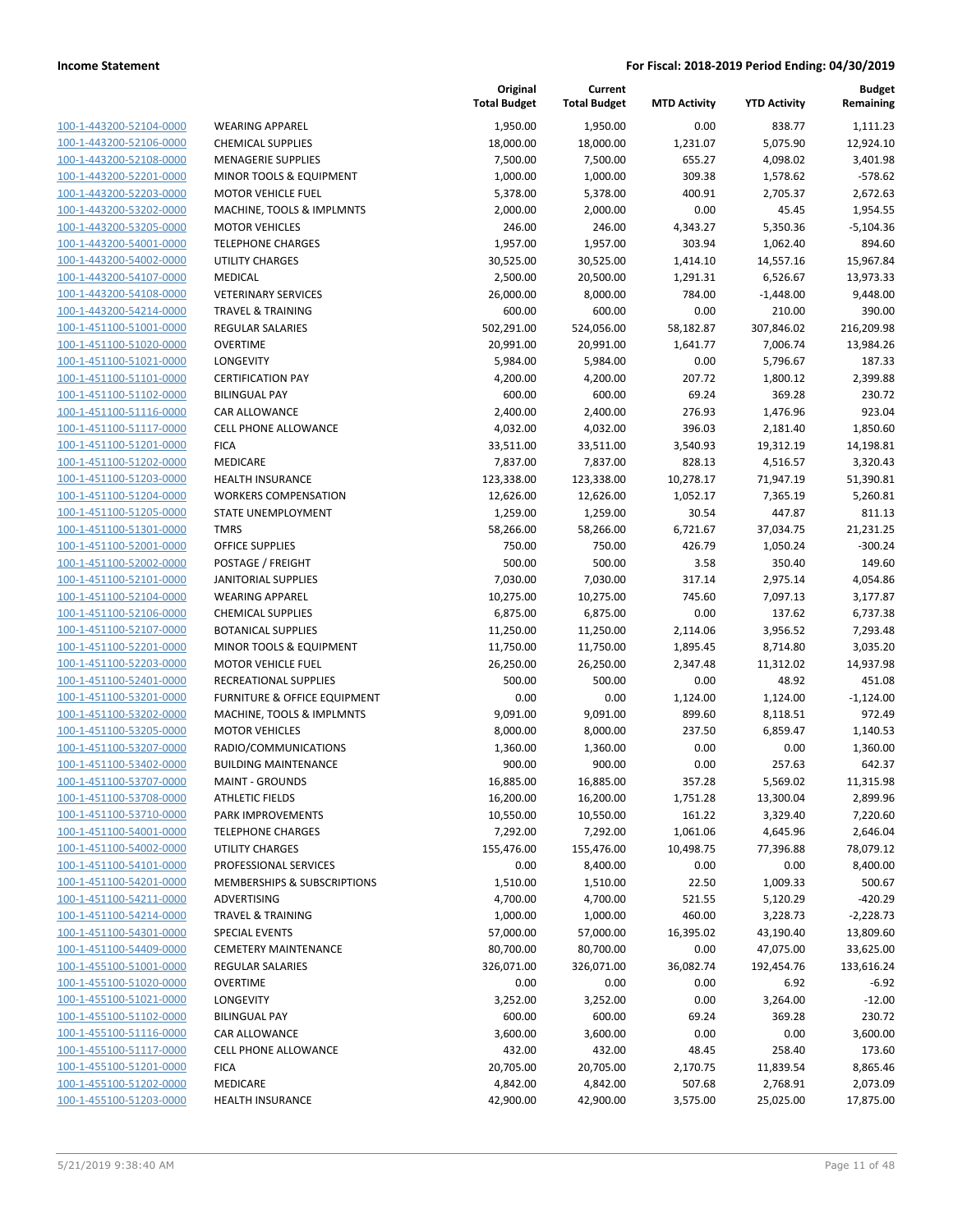| 100-1-443200-52104-0000         |
|---------------------------------|
| 100-1-443200-52106-0000         |
| 100-1-443200-52108-0000         |
| 100-1-443200-52201-0000         |
| 100-1-443200-52203-0000         |
| $100 - 1$<br>-443200-53202-0000 |
| 100-1-443200-53205-0000         |
| 100-1-443200-54001-0000         |
| 100-1-443200-54002-0000         |
| 100-1-443200-54107-0000         |
| $100 - 1$<br>-443200-54108-0000 |
| 100-1-443200-54214-0000         |
| 100-1-451100-51001-0000         |
| 100-1-451100-51020-0000         |
| 100-1-451100-51021-0000         |
| -451100-51101-0000<br>$100 - 1$ |
| 100-1-451100-51102-0000         |
|                                 |
| 100-1-451100-51116-0000         |
| 100-1-451100-51117-0000         |
| 100-1-451100-51201-0000         |
| -451100-51202-0000<br>$100 - 1$ |
| 100-1-451100-51203-0000         |
| 100-1-451100-51204-0000         |
| 100-1-451100-51205-0000         |
| 100-1-451100-51301-0000         |
| -451100-52001-0000<br>$100 - 1$ |
| 100-1-451100-52002-0000         |
| 100-1-451100-52101-0000         |
| 100-1-451100-52104-0000         |
| 100-1-451100-52106-0000         |
| 451100-52107-0000<br>$100 - 1$  |
| 100-1-451100-52201-0000         |
| 100-1-451100-52203-0000         |
| <u>100-1-451100-52401-0000</u>  |
| 100-1-451100-53201-0000         |
| -451100-53202-0000<br>$100 - 1$ |
| 100-1-451100-53205-0000         |
| 100-1-451100-53207-0000         |
| 100-1-451100-53402-0000         |
| 100-1-451100-53707-0000         |
| -451100-53708-0000<br>$100 - 1$ |
| <u>100-1-451100-53710-0000</u>  |
|                                 |
| <u>100-1-451100-54001-0000</u>  |
| 100-1-451100-54002-0000         |
| <u>100-1-451100-54101-0000</u>  |
| <u>100-1-451100-54201-0000</u>  |
| 100-1-451100-54211-0000         |
| 100-1-451100-54214-0000         |
| <u>100-1-451100-54301-0000</u>  |
| 100-1-451100-54409-0000         |
| 100-1-455100-51001-0000         |
| 100-1-455100-51020-0000         |
| <u>100-1-455100-51021-0000</u>  |
| 100-1-455100-51102-0000         |
| 100-1-455100-51116-0000         |
| 100-1-455100-51117-0000         |
| 100-1-455100-51201-0000         |
| 100-1-455100-51202-0000         |
| <u>100-1-455100-51203-0000</u>  |
|                                 |

| <b>WEARING APPAREL</b>                   |
|------------------------------------------|
| <b>CHEMICAL SUPPLIES</b>                 |
| <b>MENAGERIE SUPPLIES</b>                |
| <b>MINOR TOOLS &amp; EQUIPMENT</b>       |
| <b>MOTOR VEHICLE FUEL</b>                |
| MACHINE, TOOLS & IMPLMNTS                |
| <b>MOTOR VEHICLES</b>                    |
| <b>TELEPHONE CHARGES</b>                 |
| <b>UTILITY CHARGES</b>                   |
| <b>MEDICAL</b>                           |
| <b>VETERINARY SERVICES</b>               |
| <b>TRAVEL &amp; TRAINING</b>             |
| <b>REGULAR SALARIES</b>                  |
| <b>OVERTIME</b>                          |
| LONGEVITY                                |
| <b>CERTIFICATION PAY</b>                 |
| <b>BILINGUAL PAY</b>                     |
| <b>CAR ALLOWANCE</b>                     |
| <b>CELL PHONE ALLOWANCE</b>              |
| <b>FICA</b>                              |
| <b>MEDICARE</b>                          |
| <b>HEALTH INSURANCE</b>                  |
| <b>WORKERS COMPENSATION</b>              |
| <b>STATE UNEMPLOYMENT</b><br><b>TMRS</b> |
| OFFICE SUPPLIES                          |
| POSTAGE / FREIGHT                        |
| <b>JANITORIAL SUPPLIES</b>               |
| <b>WEARING APPAREL</b>                   |
| <b>CHEMICAL SUPPLIES</b>                 |
| <b>BOTANICAL SUPPLIES</b>                |
| MINOR TOOLS & EQUIPMENT                  |
| <b>MOTOR VEHICLE FUEL</b>                |
| <b>RECREATIONAL SUPPLIES</b>             |
| <b>FURNITURE &amp; OFFICE EQUIPMENT</b>  |
| MACHINE, TOOLS & IMPLMNTS                |
| <b>MOTOR VEHICLES</b>                    |
| RADIO/COMMUNICATIONS                     |
| <b>BUILDING MAINTENANCE</b>              |
| <b>MAINT - GROUNDS</b>                   |
| ATHLETIC FIELDS                          |
| PARK IMPROVEMENTS                        |
| <b>TELEPHONE CHARGES</b>                 |
| <b>UTILITY CHARGES</b>                   |
| PROFESSIONAL SERVICES                    |
| <b>MEMBERSHIPS &amp; SUBSCRIPTIONS</b>   |
| <b>ADVERTISING</b>                       |
| <b>TRAVEL &amp; TRAINING</b>             |
| <b>SPECIAL EVENTS</b>                    |
| <b>CEMETERY MAINTENANCE</b>              |
| <b>REGULAR SALARIES</b>                  |
| <b>OVERTIME</b>                          |
| <b>LONGEVITY</b>                         |
| <b>BILINGUAL PAY</b>                     |
| CAR ALLOWANCE                            |
| <b>CELL PHONE ALLOWANCE</b>              |
| <b>FICA</b>                              |
| <b>MEDICARE</b>                          |
| <b>HEALTH INSURANCE</b>                  |

|                         |                                        | Original<br><b>Total Budget</b> | Current<br><b>Total Budget</b> | <b>MTD Activity</b> | <b>YTD Activity</b> | <b>Budget</b><br>Remaining |
|-------------------------|----------------------------------------|---------------------------------|--------------------------------|---------------------|---------------------|----------------------------|
| 100-1-443200-52104-0000 | <b>WEARING APPAREL</b>                 | 1,950.00                        | 1,950.00                       | 0.00                | 838.77              | 1,111.23                   |
| 100-1-443200-52106-0000 | <b>CHEMICAL SUPPLIES</b>               | 18,000.00                       | 18,000.00                      | 1,231.07            | 5,075.90            | 12,924.10                  |
| 100-1-443200-52108-0000 | <b>MENAGERIE SUPPLIES</b>              | 7,500.00                        | 7,500.00                       | 655.27              | 4,098.02            | 3,401.98                   |
| 100-1-443200-52201-0000 | MINOR TOOLS & EQUIPMENT                | 1,000.00                        | 1,000.00                       | 309.38              | 1,578.62            | $-578.62$                  |
| 100-1-443200-52203-0000 | <b>MOTOR VEHICLE FUEL</b>              | 5,378.00                        | 5,378.00                       | 400.91              | 2,705.37            | 2,672.63                   |
| 100-1-443200-53202-0000 | MACHINE, TOOLS & IMPLMNTS              | 2,000.00                        | 2,000.00                       | 0.00                | 45.45               | 1,954.55                   |
| 100-1-443200-53205-0000 | <b>MOTOR VEHICLES</b>                  | 246.00                          | 246.00                         | 4,343.27            | 5,350.36            | $-5,104.36$                |
| 100-1-443200-54001-0000 | <b>TELEPHONE CHARGES</b>               | 1,957.00                        | 1,957.00                       | 303.94              | 1,062.40            | 894.60                     |
| 100-1-443200-54002-0000 | <b>UTILITY CHARGES</b>                 | 30,525.00                       | 30,525.00                      | 1,414.10            | 14,557.16           | 15,967.84                  |
| 100-1-443200-54107-0000 | MEDICAL                                | 2,500.00                        | 20,500.00                      | 1,291.31            | 6,526.67            | 13,973.33                  |
| 100-1-443200-54108-0000 | <b>VETERINARY SERVICES</b>             | 26,000.00                       | 8,000.00                       | 784.00              | $-1,448.00$         | 9,448.00                   |
| 100-1-443200-54214-0000 | <b>TRAVEL &amp; TRAINING</b>           | 600.00                          | 600.00                         | 0.00                | 210.00              | 390.00                     |
| 100-1-451100-51001-0000 | REGULAR SALARIES                       | 502,291.00                      | 524,056.00                     | 58,182.87           | 307,846.02          | 216,209.98                 |
| 100-1-451100-51020-0000 | <b>OVERTIME</b>                        | 20,991.00                       | 20,991.00                      | 1,641.77            | 7,006.74            | 13,984.26                  |
| 100-1-451100-51021-0000 | <b>LONGEVITY</b>                       | 5,984.00                        | 5,984.00                       | 0.00                | 5,796.67            | 187.33                     |
| 100-1-451100-51101-0000 | <b>CERTIFICATION PAY</b>               | 4,200.00                        | 4,200.00                       | 207.72              | 1,800.12            | 2,399.88                   |
| 100-1-451100-51102-0000 | <b>BILINGUAL PAY</b>                   | 600.00                          | 600.00                         | 69.24               | 369.28              | 230.72                     |
| 100-1-451100-51116-0000 | CAR ALLOWANCE                          | 2,400.00                        | 2,400.00                       | 276.93              | 1,476.96            | 923.04                     |
| 100-1-451100-51117-0000 | <b>CELL PHONE ALLOWANCE</b>            | 4,032.00                        | 4,032.00                       | 396.03              | 2,181.40            | 1,850.60                   |
| 100-1-451100-51201-0000 | <b>FICA</b>                            | 33,511.00                       | 33,511.00                      | 3,540.93            | 19,312.19           | 14,198.81                  |
| 100-1-451100-51202-0000 | MEDICARE                               | 7,837.00                        | 7,837.00                       | 828.13              | 4,516.57            | 3,320.43                   |
| 100-1-451100-51203-0000 | <b>HEALTH INSURANCE</b>                | 123,338.00                      | 123,338.00                     | 10,278.17           | 71,947.19           | 51,390.81                  |
| 100-1-451100-51204-0000 | <b>WORKERS COMPENSATION</b>            | 12,626.00                       | 12,626.00                      | 1,052.17            | 7,365.19            | 5,260.81                   |
| 100-1-451100-51205-0000 | STATE UNEMPLOYMENT                     | 1,259.00                        | 1,259.00                       | 30.54               | 447.87              | 811.13                     |
| 100-1-451100-51301-0000 | <b>TMRS</b>                            | 58,266.00                       | 58,266.00                      | 6,721.67            | 37,034.75           | 21,231.25                  |
| 100-1-451100-52001-0000 | <b>OFFICE SUPPLIES</b>                 | 750.00                          | 750.00                         | 426.79              | 1,050.24            | $-300.24$                  |
| 100-1-451100-52002-0000 | POSTAGE / FREIGHT                      | 500.00                          | 500.00                         | 3.58                | 350.40              | 149.60                     |
| 100-1-451100-52101-0000 | <b>JANITORIAL SUPPLIES</b>             | 7,030.00                        | 7,030.00                       | 317.14              | 2,975.14            | 4,054.86                   |
| 100-1-451100-52104-0000 | <b>WEARING APPAREL</b>                 | 10,275.00                       | 10,275.00                      | 745.60              | 7,097.13            | 3,177.87                   |
| 100-1-451100-52106-0000 | <b>CHEMICAL SUPPLIES</b>               | 6,875.00                        | 6,875.00                       | 0.00                | 137.62              | 6,737.38                   |
| 100-1-451100-52107-0000 | <b>BOTANICAL SUPPLIES</b>              | 11,250.00                       | 11,250.00                      | 2,114.06            | 3,956.52            | 7,293.48                   |
| 100-1-451100-52201-0000 | MINOR TOOLS & EQUIPMENT                | 11,750.00                       | 11,750.00                      | 1,895.45            | 8,714.80            | 3,035.20                   |
| 100-1-451100-52203-0000 | <b>MOTOR VEHICLE FUEL</b>              | 26,250.00                       | 26,250.00                      | 2,347.48            | 11,312.02           | 14,937.98                  |
| 100-1-451100-52401-0000 | RECREATIONAL SUPPLIES                  | 500.00                          | 500.00                         | 0.00                | 48.92               | 451.08                     |
| 100-1-451100-53201-0000 | FURNITURE & OFFICE EQUIPMENT           | 0.00                            | 0.00                           | 1,124.00            | 1,124.00            | $-1,124.00$                |
| 100-1-451100-53202-0000 | MACHINE, TOOLS & IMPLMNTS              | 9,091.00                        | 9,091.00                       | 899.60              | 8,118.51            | 972.49                     |
| 100-1-451100-53205-0000 | <b>MOTOR VEHICLES</b>                  | 8,000.00                        | 8,000.00                       | 237.50              | 6,859.47            | 1,140.53                   |
| 100-1-451100-53207-0000 | RADIO/COMMUNICATIONS                   | 1,360.00                        | 1,360.00                       | 0.00                | 0.00                | 1,360.00                   |
| 100-1-451100-53402-0000 | <b>BUILDING MAINTENANCE</b>            | 900.00                          | 900.00                         | 0.00                | 257.63              | 642.37                     |
| 100-1-451100-53707-0000 | <b>MAINT - GROUNDS</b>                 | 16,885.00                       | 16,885.00                      | 357.28              | 5,569.02            | 11,315.98                  |
| 100-1-451100-53708-0000 | <b>ATHLETIC FIELDS</b>                 | 16,200.00                       | 16,200.00                      | 1,751.28            | 13,300.04           | 2,899.96                   |
| 100-1-451100-53710-0000 | PARK IMPROVEMENTS                      | 10,550.00                       | 10,550.00                      | 161.22              | 3,329.40            | 7,220.60                   |
| 100-1-451100-54001-0000 | <b>TELEPHONE CHARGES</b>               | 7,292.00                        | 7,292.00                       | 1,061.06            | 4,645.96            | 2,646.04                   |
| 100-1-451100-54002-0000 | <b>UTILITY CHARGES</b>                 | 155,476.00                      | 155,476.00                     | 10,498.75           | 77,396.88           | 78,079.12                  |
| 100-1-451100-54101-0000 | PROFESSIONAL SERVICES                  | 0.00                            | 8,400.00                       | 0.00                | 0.00                | 8,400.00                   |
| 100-1-451100-54201-0000 | <b>MEMBERSHIPS &amp; SUBSCRIPTIONS</b> | 1,510.00                        | 1,510.00                       | 22.50               | 1,009.33            | 500.67                     |
| 100-1-451100-54211-0000 | <b>ADVERTISING</b>                     | 4,700.00                        | 4,700.00                       | 521.55              | 5,120.29            | $-420.29$                  |
| 100-1-451100-54214-0000 | <b>TRAVEL &amp; TRAINING</b>           | 1,000.00                        | 1,000.00                       | 460.00              | 3,228.73            | $-2,228.73$                |
| 100-1-451100-54301-0000 | <b>SPECIAL EVENTS</b>                  | 57,000.00                       | 57,000.00                      | 16,395.02           | 43,190.40           | 13,809.60                  |
| 100-1-451100-54409-0000 | <b>CEMETERY MAINTENANCE</b>            | 80,700.00                       | 80,700.00                      | 0.00                | 47,075.00           | 33,625.00                  |
| 100-1-455100-51001-0000 | REGULAR SALARIES                       | 326,071.00                      | 326,071.00                     | 36,082.74           | 192,454.76          | 133,616.24                 |
| 100-1-455100-51020-0000 | <b>OVERTIME</b>                        | 0.00                            | 0.00                           | 0.00                | 6.92                | $-6.92$                    |
| 100-1-455100-51021-0000 | LONGEVITY                              | 3,252.00                        | 3,252.00                       | 0.00                | 3,264.00            | $-12.00$                   |
| 100-1-455100-51102-0000 | <b>BILINGUAL PAY</b>                   | 600.00                          | 600.00                         | 69.24               | 369.28              | 230.72                     |
| 100-1-455100-51116-0000 | CAR ALLOWANCE                          | 3,600.00                        | 3,600.00                       | 0.00                | 0.00                | 3,600.00                   |
| 100-1-455100-51117-0000 | <b>CELL PHONE ALLOWANCE</b>            | 432.00                          | 432.00                         | 48.45               | 258.40              | 173.60                     |
| 100-1-455100-51201-0000 | <b>FICA</b>                            | 20,705.00                       | 20,705.00                      | 2,170.75            | 11,839.54           | 8,865.46                   |
| 100-1-455100-51202-0000 | MEDICARE                               | 4,842.00                        | 4,842.00                       | 507.68              | 2,768.91            | 2,073.09                   |
| 100-1-455100-51203-0000 | HEALTH INSURANCE                       | 42,900.00                       | 42,900.00                      | 3,575.00            | 25,025.00           | 17,875.00                  |
|                         |                                        |                                 |                                |                     |                     |                            |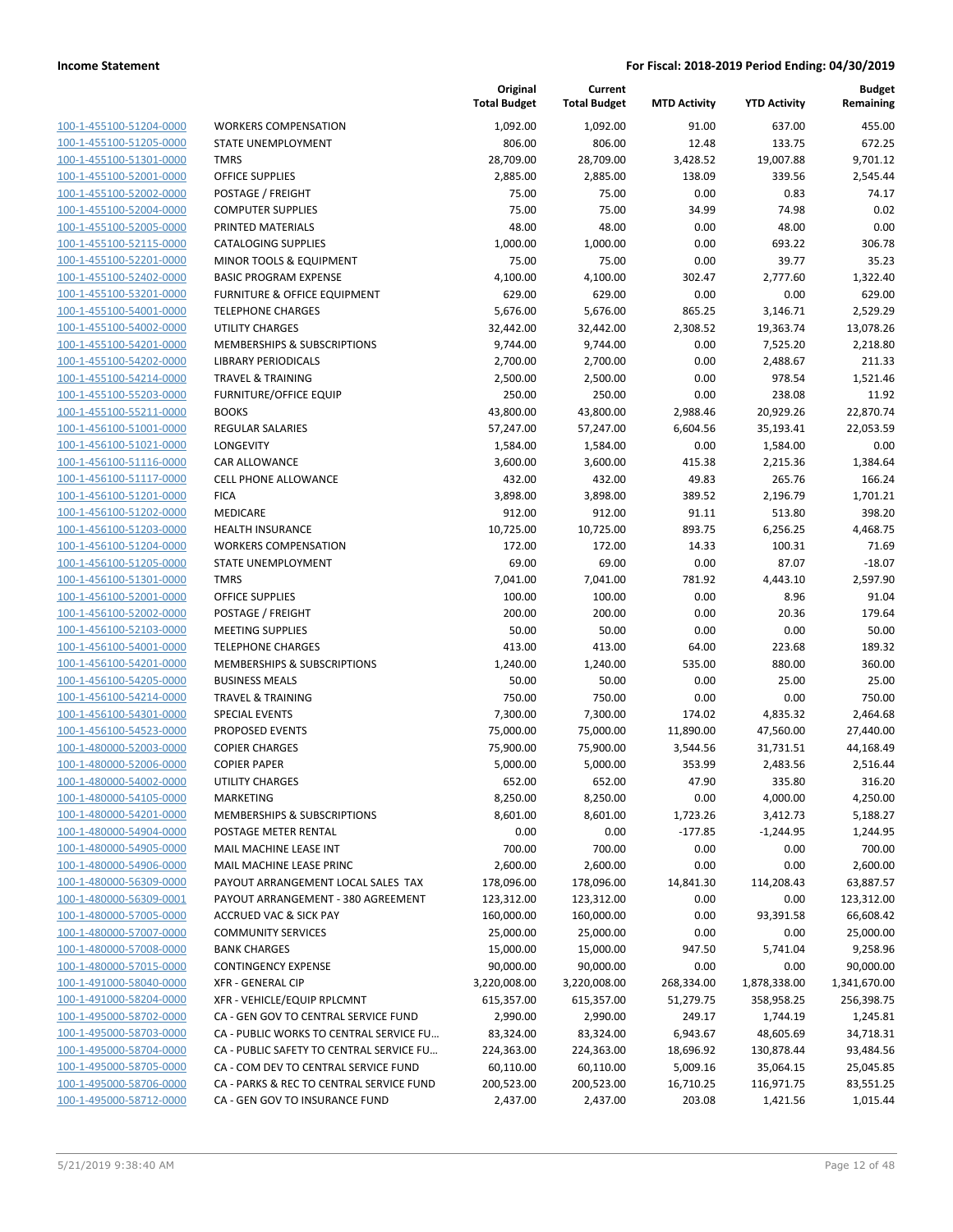| 100-1-455100-51204-0000                                   |
|-----------------------------------------------------------|
| 100-1-455100-51205-0000                                   |
| <u>100-1-455100-51301-0000</u>                            |
| <u>100-1-455100-52001-0000</u>                            |
| 100-1-455100-52002-0000                                   |
| 100-1-455100-52004-0000                                   |
| 100-1-455100-52005-0000                                   |
| <u>100-1-455100-52115-0000</u>                            |
| <u>100-1-455100-52201-0000</u>                            |
| 100-1-455100-52402-0000                                   |
| 100-1-455100-53201-0000                                   |
| 100-1-455100-54001-0000                                   |
| <u>100-1-455100-54002-0000</u>                            |
| <u>100-1-455100-54201-0000</u>                            |
| 100-1-455100-54202-0000                                   |
| 100-1-455100-54214-0000                                   |
| 100-1-455100-55203-0000                                   |
| <u>100-1-455100-55211-0000</u>                            |
| 100-1-456100-51001-0000                                   |
| 100-1-456100-51021-0000                                   |
| 100-1-456100-51116-0000                                   |
| 100-1-456100-51117-0000                                   |
| <u>100-1-456100-51201-0000</u>                            |
| 100-1-456100-51202-0000                                   |
| 100-1-456100-51203-0000                                   |
| 100-1-456100-51204-0000                                   |
| 100-1-456100-51205-0000                                   |
| <u>100-1-456100-51301-0000</u>                            |
| <u>100-1-456100-52001-0000</u>                            |
| 100-1-456100-52002-0000                                   |
| 100-1-456100-52103-0000                                   |
| <u>100-1-456100-54001-0000</u>                            |
| <u>100-1-456100-54201-0000</u>                            |
| <u>100-1-456100-54205-0000</u>                            |
| 100-1-456100-54214-0000                                   |
| 100-1-456100-54301-0000                                   |
| <u>100-1-456100-54523-0000</u>                            |
| <u>100-1-480000-52003-0000</u>                            |
| <u>100-1-480000-52006-0000</u>                            |
| 100-1-480000-54002-0000                                   |
| 100-1-480000-54105-0000                                   |
| 100-1-480000-54201-0000                                   |
| 100-1-480000-54904-0000                                   |
| 100-1-480000-54905-0000                                   |
| 100-1-480000-54906-0000                                   |
| 100-1-480000-56309-0000                                   |
|                                                           |
| 100-1-480000-56309-0001                                   |
| 100-1-480000-57005-0000                                   |
| 100-1-480000-57007-0000                                   |
| 100-1-480000-57008-0000                                   |
| 100-1-480000-57015-0000                                   |
| 100-1-491000-58040-0000                                   |
| <u>100-1-491000-58204-0000</u>                            |
| 100-1-495000-58702-0000                                   |
| 100-1-495000-58703-0000                                   |
| 100-1-495000-58704-0000                                   |
| 100-1-495000-58705-0000                                   |
| <u>100-1-495000-58706-0000</u><br>100-1-495000-58712-0000 |

|                         |                                          | Original<br><b>Total Budget</b> | Current<br><b>Total Budget</b> | <b>MTD Activity</b> | <b>YTD Activity</b> | <b>Budget</b><br>Remaining |
|-------------------------|------------------------------------------|---------------------------------|--------------------------------|---------------------|---------------------|----------------------------|
| 100-1-455100-51204-0000 | <b>WORKERS COMPENSATION</b>              | 1,092.00                        | 1,092.00                       | 91.00               | 637.00              | 455.00                     |
| 100-1-455100-51205-0000 | STATE UNEMPLOYMENT                       | 806.00                          | 806.00                         | 12.48               | 133.75              | 672.25                     |
| 100-1-455100-51301-0000 | <b>TMRS</b>                              | 28,709.00                       | 28,709.00                      | 3,428.52            | 19,007.88           | 9,701.12                   |
| 100-1-455100-52001-0000 | <b>OFFICE SUPPLIES</b>                   | 2,885.00                        | 2,885.00                       | 138.09              | 339.56              | 2,545.44                   |
| 100-1-455100-52002-0000 | POSTAGE / FREIGHT                        | 75.00                           | 75.00                          | 0.00                | 0.83                | 74.17                      |
| 100-1-455100-52004-0000 | <b>COMPUTER SUPPLIES</b>                 | 75.00                           | 75.00                          | 34.99               | 74.98               | 0.02                       |
| 100-1-455100-52005-0000 | PRINTED MATERIALS                        | 48.00                           | 48.00                          | 0.00                | 48.00               | 0.00                       |
| 100-1-455100-52115-0000 | <b>CATALOGING SUPPLIES</b>               | 1,000.00                        | 1,000.00                       | 0.00                | 693.22              | 306.78                     |
| 100-1-455100-52201-0000 | MINOR TOOLS & EQUIPMENT                  | 75.00                           | 75.00                          | 0.00                | 39.77               | 35.23                      |
| 100-1-455100-52402-0000 | <b>BASIC PROGRAM EXPENSE</b>             | 4,100.00                        | 4,100.00                       | 302.47              | 2,777.60            | 1,322.40                   |
| 100-1-455100-53201-0000 | <b>FURNITURE &amp; OFFICE EQUIPMENT</b>  | 629.00                          | 629.00                         | 0.00                | 0.00                | 629.00                     |
| 100-1-455100-54001-0000 | <b>TELEPHONE CHARGES</b>                 | 5,676.00                        | 5,676.00                       | 865.25              | 3,146.71            | 2,529.29                   |
| 100-1-455100-54002-0000 | <b>UTILITY CHARGES</b>                   | 32,442.00                       | 32,442.00                      | 2,308.52            | 19,363.74           | 13,078.26                  |
| 100-1-455100-54201-0000 | MEMBERSHIPS & SUBSCRIPTIONS              | 9,744.00                        | 9,744.00                       | 0.00                | 7,525.20            | 2,218.80                   |
| 100-1-455100-54202-0000 | LIBRARY PERIODICALS                      | 2,700.00                        | 2,700.00                       | 0.00                | 2,488.67            | 211.33                     |
| 100-1-455100-54214-0000 | <b>TRAVEL &amp; TRAINING</b>             | 2,500.00                        | 2,500.00                       | 0.00                | 978.54              | 1,521.46                   |
| 100-1-455100-55203-0000 | <b>FURNITURE/OFFICE EQUIP</b>            | 250.00                          | 250.00                         | 0.00                | 238.08              | 11.92                      |
| 100-1-455100-55211-0000 | <b>BOOKS</b>                             | 43,800.00                       | 43,800.00                      | 2,988.46            | 20,929.26           | 22,870.74                  |
| 100-1-456100-51001-0000 | REGULAR SALARIES                         | 57,247.00                       | 57,247.00                      | 6,604.56            | 35,193.41           | 22,053.59                  |
| 100-1-456100-51021-0000 | LONGEVITY                                | 1,584.00                        | 1,584.00                       | 0.00                | 1,584.00            | 0.00                       |
| 100-1-456100-51116-0000 | CAR ALLOWANCE                            | 3,600.00                        | 3,600.00                       | 415.38              | 2,215.36            | 1,384.64                   |
| 100-1-456100-51117-0000 | <b>CELL PHONE ALLOWANCE</b>              | 432.00                          | 432.00                         | 49.83               | 265.76              | 166.24                     |
| 100-1-456100-51201-0000 | <b>FICA</b>                              | 3,898.00                        | 3,898.00                       | 389.52              | 2,196.79            | 1,701.21                   |
| 100-1-456100-51202-0000 | MEDICARE                                 | 912.00                          | 912.00                         | 91.11               | 513.80              | 398.20                     |
| 100-1-456100-51203-0000 | <b>HEALTH INSURANCE</b>                  | 10,725.00                       | 10,725.00                      | 893.75              | 6,256.25            | 4,468.75                   |
| 100-1-456100-51204-0000 | <b>WORKERS COMPENSATION</b>              | 172.00                          | 172.00                         | 14.33               | 100.31              | 71.69                      |
| 100-1-456100-51205-0000 | STATE UNEMPLOYMENT                       | 69.00                           | 69.00                          | 0.00                | 87.07               | $-18.07$                   |
| 100-1-456100-51301-0000 | <b>TMRS</b>                              | 7,041.00                        | 7,041.00                       | 781.92              | 4,443.10            | 2,597.90                   |
| 100-1-456100-52001-0000 | <b>OFFICE SUPPLIES</b>                   | 100.00                          | 100.00                         | 0.00                | 8.96                | 91.04                      |
| 100-1-456100-52002-0000 | POSTAGE / FREIGHT                        | 200.00                          | 200.00                         | 0.00                | 20.36               | 179.64                     |
| 100-1-456100-52103-0000 | <b>MEETING SUPPLIES</b>                  | 50.00                           | 50.00                          | 0.00                | 0.00                | 50.00                      |
| 100-1-456100-54001-0000 | <b>TELEPHONE CHARGES</b>                 | 413.00                          | 413.00                         | 64.00               | 223.68              | 189.32                     |
| 100-1-456100-54201-0000 | MEMBERSHIPS & SUBSCRIPTIONS              | 1,240.00                        | 1,240.00                       | 535.00              | 880.00              | 360.00                     |
| 100-1-456100-54205-0000 | <b>BUSINESS MEALS</b>                    | 50.00                           | 50.00                          | 0.00                | 25.00               | 25.00                      |
| 100-1-456100-54214-0000 | <b>TRAVEL &amp; TRAINING</b>             | 750.00                          | 750.00                         | 0.00                | 0.00                | 750.00                     |
| 100-1-456100-54301-0000 | <b>SPECIAL EVENTS</b>                    | 7,300.00                        | 7,300.00                       | 174.02              | 4,835.32            | 2,464.68                   |
| 100-1-456100-54523-0000 | PROPOSED EVENTS                          | 75,000.00                       | 75,000.00                      | 11,890.00           | 47,560.00           | 27,440.00                  |
| 100-1-480000-52003-0000 | <b>COPIER CHARGES</b>                    | 75,900.00                       | 75,900.00                      | 3,544.56            | 31,731.51           | 44,168.49                  |
| 100-1-480000-52006-0000 | <b>COPIER PAPER</b>                      | 5,000.00                        | 5,000.00                       | 353.99              | 2,483.56            | 2,516.44                   |
| 100-1-480000-54002-0000 | <b>UTILITY CHARGES</b>                   | 652.00                          | 652.00                         | 47.90               | 335.80              | 316.20                     |
| 100-1-480000-54105-0000 | <b>MARKETING</b>                         | 8,250.00                        | 8,250.00                       | 0.00                | 4,000.00            | 4,250.00                   |
| 100-1-480000-54201-0000 | MEMBERSHIPS & SUBSCRIPTIONS              | 8,601.00                        | 8,601.00                       | 1,723.26            | 3,412.73            | 5,188.27                   |
| 100-1-480000-54904-0000 | POSTAGE METER RENTAL                     | 0.00                            | 0.00                           | $-177.85$           | $-1,244.95$         | 1,244.95                   |
| 100-1-480000-54905-0000 | <b>MAIL MACHINE LEASE INT</b>            | 700.00                          | 700.00                         | 0.00                | 0.00                | 700.00                     |
| 100-1-480000-54906-0000 | MAIL MACHINE LEASE PRINC                 | 2,600.00                        | 2,600.00                       | 0.00                | 0.00                | 2,600.00                   |
| 100-1-480000-56309-0000 | PAYOUT ARRANGEMENT LOCAL SALES TAX       | 178,096.00                      | 178,096.00                     | 14,841.30           | 114,208.43          | 63,887.57                  |
| 100-1-480000-56309-0001 | PAYOUT ARRANGEMENT - 380 AGREEMENT       | 123,312.00                      | 123,312.00                     | 0.00                | 0.00                | 123,312.00                 |
| 100-1-480000-57005-0000 | <b>ACCRUED VAC &amp; SICK PAY</b>        | 160,000.00                      | 160,000.00                     | 0.00                | 93,391.58           | 66,608.42                  |
| 100-1-480000-57007-0000 | <b>COMMUNITY SERVICES</b>                | 25,000.00                       | 25,000.00                      | 0.00                | 0.00                | 25,000.00                  |
| 100-1-480000-57008-0000 | <b>BANK CHARGES</b>                      | 15,000.00                       | 15,000.00                      | 947.50              | 5,741.04            | 9,258.96                   |
| 100-1-480000-57015-0000 | <b>CONTINGENCY EXPENSE</b>               | 90,000.00                       | 90,000.00                      | 0.00                | 0.00                | 90,000.00                  |
| 100-1-491000-58040-0000 | <b>XFR - GENERAL CIP</b>                 | 3,220,008.00                    | 3,220,008.00                   | 268,334.00          | 1,878,338.00        | 1,341,670.00               |
| 100-1-491000-58204-0000 | XFR - VEHICLE/EQUIP RPLCMNT              | 615,357.00                      | 615,357.00                     | 51,279.75           | 358,958.25          | 256,398.75                 |
| 100-1-495000-58702-0000 | CA - GEN GOV TO CENTRAL SERVICE FUND     | 2,990.00                        | 2,990.00                       | 249.17              | 1,744.19            | 1,245.81                   |
| 100-1-495000-58703-0000 | CA - PUBLIC WORKS TO CENTRAL SERVICE FU  | 83,324.00                       | 83,324.00                      | 6,943.67            | 48,605.69           | 34,718.31                  |
| 100-1-495000-58704-0000 | CA - PUBLIC SAFETY TO CENTRAL SERVICE FU | 224,363.00                      | 224,363.00                     | 18,696.92           | 130,878.44          | 93,484.56                  |
| 100-1-495000-58705-0000 | CA - COM DEV TO CENTRAL SERVICE FUND     | 60,110.00                       | 60,110.00                      | 5,009.16            | 35,064.15           | 25,045.85                  |
| 100-1-495000-58706-0000 | CA - PARKS & REC TO CENTRAL SERVICE FUND | 200,523.00                      | 200,523.00                     | 16,710.25           | 116,971.75          | 83,551.25                  |
| 100-1-495000-58712-0000 | CA - GEN GOV TO INSURANCE FUND           | 2,437.00                        | 2,437.00                       | 203.08              | 1,421.56            | 1,015.44                   |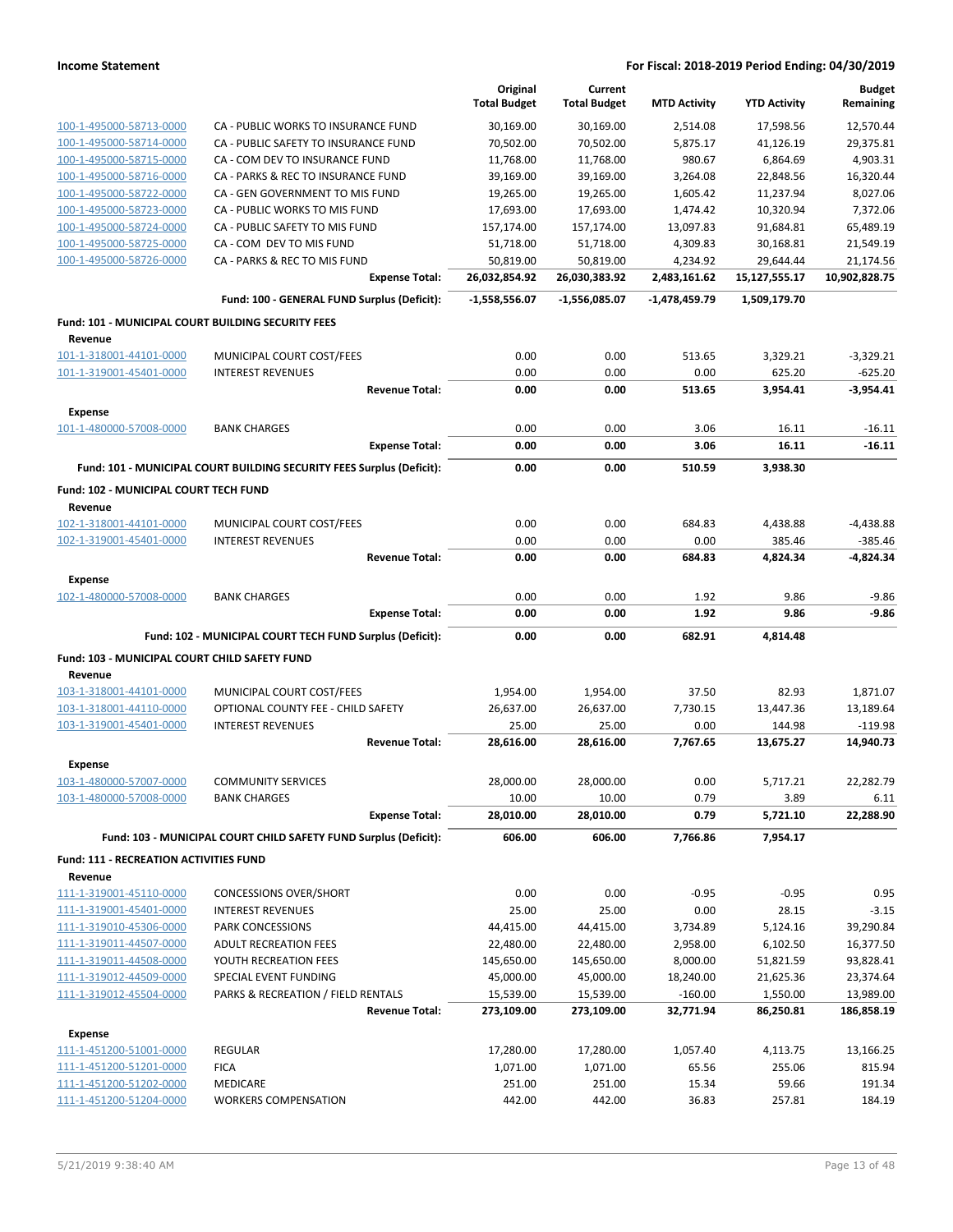|                                                    |                                                                       | Original            | Current             |                     |                     | <b>Budget</b>    |
|----------------------------------------------------|-----------------------------------------------------------------------|---------------------|---------------------|---------------------|---------------------|------------------|
|                                                    |                                                                       | <b>Total Budget</b> | <b>Total Budget</b> | <b>MTD Activity</b> | <b>YTD Activity</b> | Remaining        |
| 100-1-495000-58713-0000                            | CA - PUBLIC WORKS TO INSURANCE FUND                                   | 30,169.00           | 30,169.00           | 2.514.08            | 17,598.56           | 12,570.44        |
| 100-1-495000-58714-0000                            | CA - PUBLIC SAFETY TO INSURANCE FUND                                  | 70,502.00           | 70,502.00           | 5,875.17            | 41,126.19           | 29,375.81        |
| 100-1-495000-58715-0000                            | CA - COM DEV TO INSURANCE FUND                                        | 11,768.00           | 11,768.00           | 980.67              | 6,864.69            | 4,903.31         |
| 100-1-495000-58716-0000                            | CA - PARKS & REC TO INSURANCE FUND                                    | 39,169.00           | 39,169.00           | 3.264.08            | 22,848.56           | 16,320.44        |
| 100-1-495000-58722-0000                            | CA - GEN GOVERNMENT TO MIS FUND                                       | 19,265.00           | 19,265.00           | 1,605.42            | 11,237.94           | 8,027.06         |
| 100-1-495000-58723-0000                            | CA - PUBLIC WORKS TO MIS FUND                                         | 17,693.00           | 17,693.00           | 1,474.42            | 10,320.94           | 7,372.06         |
| 100-1-495000-58724-0000                            | CA - PUBLIC SAFETY TO MIS FUND                                        | 157,174.00          | 157,174.00          | 13,097.83           | 91,684.81           | 65,489.19        |
| 100-1-495000-58725-0000                            | CA - COM DEV TO MIS FUND                                              | 51,718.00           | 51,718.00           | 4,309.83            | 30,168.81           | 21,549.19        |
| 100-1-495000-58726-0000                            | CA - PARKS & REC TO MIS FUND                                          | 50,819.00           | 50,819.00           | 4,234.92            | 29,644.44           | 21,174.56        |
|                                                    | <b>Expense Total:</b>                                                 | 26,032,854.92       | 26,030,383.92       | 2,483,161.62        | 15,127,555.17       | 10,902,828.75    |
|                                                    | Fund: 100 - GENERAL FUND Surplus (Deficit):                           | $-1,558,556.07$     | $-1,556,085.07$     | -1,478,459.79       | 1,509,179.70        |                  |
| Fund: 101 - MUNICIPAL COURT BUILDING SECURITY FEES |                                                                       |                     |                     |                     |                     |                  |
| Revenue                                            |                                                                       |                     |                     |                     |                     |                  |
| 101-1-318001-44101-0000                            | MUNICIPAL COURT COST/FEES                                             | 0.00                | 0.00                | 513.65              | 3,329.21            | $-3,329.21$      |
| 101-1-319001-45401-0000                            | <b>INTEREST REVENUES</b>                                              | 0.00                | 0.00                | 0.00                | 625.20              | $-625.20$        |
|                                                    | <b>Revenue Total:</b>                                                 | 0.00                | 0.00                | 513.65              | 3,954.41            | $-3,954.41$      |
| <b>Expense</b>                                     |                                                                       |                     |                     |                     |                     |                  |
| 101-1-480000-57008-0000                            | <b>BANK CHARGES</b>                                                   | 0.00                | 0.00                | 3.06                | 16.11               | $-16.11$         |
|                                                    | <b>Expense Total:</b>                                                 | 0.00                | 0.00                | 3.06                | 16.11               | $-16.11$         |
|                                                    | Fund: 101 - MUNICIPAL COURT BUILDING SECURITY FEES Surplus (Deficit): | 0.00                | 0.00                | 510.59              | 3,938.30            |                  |
| Fund: 102 - MUNICIPAL COURT TECH FUND              |                                                                       |                     |                     |                     |                     |                  |
| Revenue                                            |                                                                       |                     |                     |                     |                     |                  |
| 102-1-318001-44101-0000                            | MUNICIPAL COURT COST/FEES                                             | 0.00                | 0.00                | 684.83              | 4,438.88            | $-4,438.88$      |
| 102-1-319001-45401-0000                            | <b>INTEREST REVENUES</b>                                              | 0.00                | 0.00                | 0.00                | 385.46              | $-385.46$        |
|                                                    | <b>Revenue Total:</b>                                                 | 0.00                | 0.00                | 684.83              | 4,824.34            | $-4,824.34$      |
| <b>Expense</b>                                     |                                                                       |                     |                     |                     |                     |                  |
| 102-1-480000-57008-0000                            | <b>BANK CHARGES</b>                                                   | 0.00                | 0.00                | 1.92                | 9.86                | $-9.86$          |
|                                                    | <b>Expense Total:</b>                                                 | 0.00                | 0.00                | 1.92                | 9.86                | -9.86            |
|                                                    |                                                                       |                     |                     |                     |                     |                  |
|                                                    |                                                                       |                     |                     |                     |                     |                  |
|                                                    | Fund: 102 - MUNICIPAL COURT TECH FUND Surplus (Deficit):              | 0.00                | 0.00                | 682.91              | 4,814.48            |                  |
| Fund: 103 - MUNICIPAL COURT CHILD SAFETY FUND      |                                                                       |                     |                     |                     |                     |                  |
| Revenue                                            |                                                                       |                     |                     |                     |                     |                  |
| 103-1-318001-44101-0000                            | MUNICIPAL COURT COST/FEES                                             | 1,954.00            | 1,954.00            | 37.50               | 82.93               | 1,871.07         |
| 103-1-318001-44110-0000                            | OPTIONAL COUNTY FEE - CHILD SAFETY                                    | 26,637.00           | 26,637.00           | 7,730.15            | 13,447.36           | 13,189.64        |
| 103-1-319001-45401-0000                            | <b>INTEREST REVENUES</b>                                              | 25.00               | 25.00               | 0.00                | 144.98              | $-119.98$        |
|                                                    | <b>Revenue Total:</b>                                                 | 28,616.00           | 28,616.00           | 7,767.65            | 13,675.27           | 14,940.73        |
| <b>Expense</b>                                     |                                                                       |                     |                     |                     |                     |                  |
| 103-1-480000-57007-0000                            | <b>COMMUNITY SERVICES</b>                                             | 28,000.00           | 28,000.00           | 0.00                | 5,717.21            | 22,282.79        |
| 103-1-480000-57008-0000                            | <b>BANK CHARGES</b>                                                   | 10.00               | 10.00               | 0.79                | 3.89                | 6.11             |
|                                                    | <b>Expense Total:</b>                                                 | 28,010.00           | 28,010.00           | 0.79                | 5,721.10            | 22,288.90        |
|                                                    | Fund: 103 - MUNICIPAL COURT CHILD SAFETY FUND Surplus (Deficit):      | 606.00              | 606.00              | 7,766.86            | 7,954.17            |                  |
| <b>Fund: 111 - RECREATION ACTIVITIES FUND</b>      |                                                                       |                     |                     |                     |                     |                  |
| Revenue                                            |                                                                       |                     |                     |                     |                     |                  |
| 111-1-319001-45110-0000                            | <b>CONCESSIONS OVER/SHORT</b>                                         | 0.00                | 0.00                | $-0.95$             | $-0.95$             | 0.95             |
| 111-1-319001-45401-0000                            | <b>INTEREST REVENUES</b>                                              | 25.00               | 25.00               | 0.00                | 28.15               | $-3.15$          |
| 111-1-319010-45306-0000                            | PARK CONCESSIONS                                                      | 44,415.00           | 44,415.00           | 3,734.89            | 5,124.16            | 39,290.84        |
| 111-1-319011-44507-0000                            | <b>ADULT RECREATION FEES</b>                                          | 22,480.00           | 22,480.00           | 2,958.00            | 6,102.50            | 16,377.50        |
| 111-1-319011-44508-0000                            | YOUTH RECREATION FEES                                                 | 145,650.00          | 145,650.00          | 8,000.00            | 51,821.59           | 93,828.41        |
| 111-1-319012-44509-0000                            | SPECIAL EVENT FUNDING                                                 | 45,000.00           | 45,000.00           | 18,240.00           | 21,625.36           | 23,374.64        |
| 111-1-319012-45504-0000                            | PARKS & RECREATION / FIELD RENTALS                                    | 15,539.00           | 15,539.00           | $-160.00$           | 1,550.00            | 13,989.00        |
|                                                    | <b>Revenue Total:</b>                                                 | 273,109.00          | 273,109.00          | 32,771.94           | 86,250.81           | 186,858.19       |
| <b>Expense</b>                                     |                                                                       |                     |                     |                     |                     |                  |
| 111-1-451200-51001-0000                            | <b>REGULAR</b>                                                        | 17,280.00           | 17,280.00           | 1,057.40            | 4,113.75            | 13,166.25        |
| 111-1-451200-51201-0000                            | <b>FICA</b>                                                           | 1,071.00            | 1,071.00            | 65.56               | 255.06              | 815.94           |
| 111-1-451200-51202-0000<br>111-1-451200-51204-0000 | <b>MEDICARE</b><br><b>WORKERS COMPENSATION</b>                        | 251.00<br>442.00    | 251.00<br>442.00    | 15.34<br>36.83      | 59.66<br>257.81     | 191.34<br>184.19 |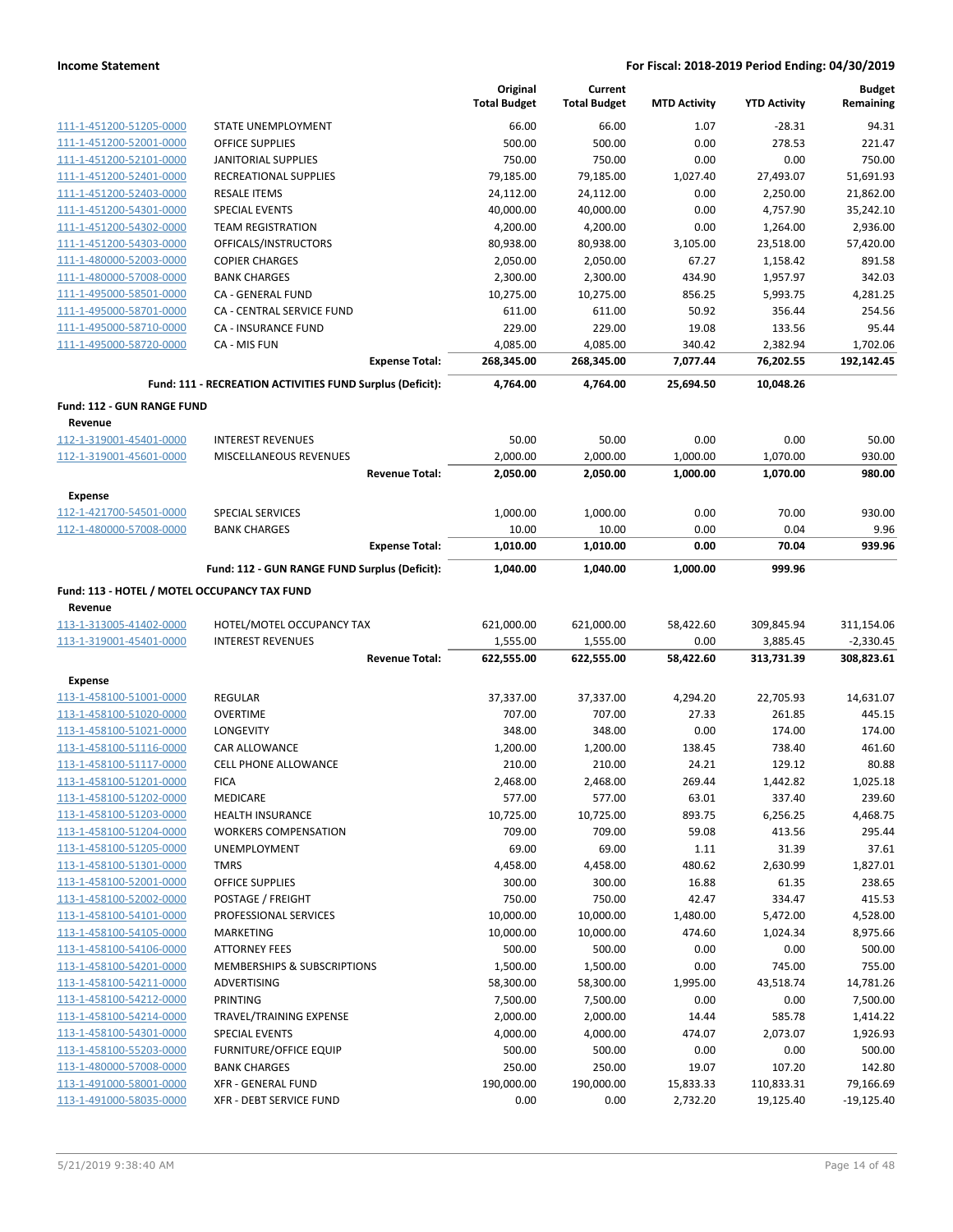|                                                    |                                                           |                       | Original<br><b>Total Budget</b> | Current<br><b>Total Budget</b> | <b>MTD Activity</b> | <b>YTD Activity</b> | <b>Budget</b><br>Remaining |
|----------------------------------------------------|-----------------------------------------------------------|-----------------------|---------------------------------|--------------------------------|---------------------|---------------------|----------------------------|
| 111-1-451200-51205-0000                            | STATE UNEMPLOYMENT                                        |                       | 66.00                           | 66.00                          | 1.07                | $-28.31$            | 94.31                      |
| 111-1-451200-52001-0000                            | <b>OFFICE SUPPLIES</b>                                    |                       | 500.00                          | 500.00                         | 0.00                | 278.53              | 221.47                     |
| 111-1-451200-52101-0000                            | <b>JANITORIAL SUPPLIES</b>                                |                       | 750.00                          | 750.00                         | 0.00                | 0.00                | 750.00                     |
| 111-1-451200-52401-0000                            | RECREATIONAL SUPPLIES                                     |                       | 79,185.00                       | 79,185.00                      | 1,027.40            | 27,493.07           | 51,691.93                  |
| 111-1-451200-52403-0000                            | <b>RESALE ITEMS</b>                                       |                       | 24,112.00                       | 24,112.00                      | 0.00                | 2,250.00            | 21,862.00                  |
| 111-1-451200-54301-0000                            | <b>SPECIAL EVENTS</b>                                     |                       | 40,000.00                       | 40,000.00                      | 0.00                | 4,757.90            | 35,242.10                  |
| 111-1-451200-54302-0000                            | <b>TEAM REGISTRATION</b>                                  |                       | 4,200.00                        | 4,200.00                       | 0.00                | 1,264.00            | 2,936.00                   |
| 111-1-451200-54303-0000                            | OFFICALS/INSTRUCTORS                                      |                       | 80,938.00                       | 80,938.00                      | 3,105.00            | 23,518.00           | 57,420.00                  |
| 111-1-480000-52003-0000                            | <b>COPIER CHARGES</b>                                     |                       | 2,050.00                        | 2,050.00                       | 67.27               | 1,158.42            | 891.58                     |
| 111-1-480000-57008-0000                            | <b>BANK CHARGES</b>                                       |                       | 2,300.00                        | 2,300.00                       | 434.90              | 1,957.97            | 342.03                     |
| 111-1-495000-58501-0000                            | CA - GENERAL FUND                                         |                       | 10,275.00                       | 10,275.00                      | 856.25              | 5,993.75            | 4,281.25                   |
| 111-1-495000-58701-0000                            | CA - CENTRAL SERVICE FUND                                 |                       | 611.00                          | 611.00                         | 50.92               | 356.44              | 254.56                     |
| 111-1-495000-58710-0000                            | <b>CA - INSURANCE FUND</b>                                |                       | 229.00                          | 229.00                         | 19.08               | 133.56              | 95.44                      |
| 111-1-495000-58720-0000                            | CA - MIS FUN                                              |                       | 4,085.00                        | 4,085.00                       | 340.42              | 2,382.94            | 1,702.06                   |
|                                                    |                                                           | <b>Expense Total:</b> | 268,345.00                      | 268,345.00                     | 7,077.44            | 76,202.55           | 192,142.45                 |
|                                                    | Fund: 111 - RECREATION ACTIVITIES FUND Surplus (Deficit): |                       | 4,764.00                        | 4,764.00                       | 25,694.50           | 10,048.26           |                            |
| Fund: 112 - GUN RANGE FUND                         |                                                           |                       |                                 |                                |                     |                     |                            |
| Revenue<br>112-1-319001-45401-0000                 | <b>INTEREST REVENUES</b>                                  |                       | 50.00                           | 50.00                          | 0.00                | 0.00                | 50.00                      |
| 112-1-319001-45601-0000                            | MISCELLANEOUS REVENUES                                    |                       | 2,000.00                        | 2,000.00                       | 1,000.00            | 1,070.00            | 930.00                     |
|                                                    |                                                           | <b>Revenue Total:</b> | 2,050.00                        | 2,050.00                       | 1,000.00            | 1,070.00            | 980.00                     |
| <b>Expense</b>                                     |                                                           |                       |                                 |                                |                     |                     |                            |
| 112-1-421700-54501-0000                            | <b>SPECIAL SERVICES</b>                                   |                       | 1,000.00                        | 1,000.00                       | 0.00                | 70.00               | 930.00                     |
| 112-1-480000-57008-0000                            | <b>BANK CHARGES</b>                                       |                       | 10.00                           | 10.00                          | 0.00                | 0.04                | 9.96                       |
|                                                    |                                                           | <b>Expense Total:</b> | 1,010.00                        | 1,010.00                       | 0.00                | 70.04               | 939.96                     |
|                                                    | Fund: 112 - GUN RANGE FUND Surplus (Deficit):             |                       | 1,040.00                        | 1,040.00                       | 1,000.00            | 999.96              |                            |
| Fund: 113 - HOTEL / MOTEL OCCUPANCY TAX FUND       |                                                           |                       |                                 |                                |                     |                     |                            |
| Revenue                                            |                                                           |                       |                                 |                                |                     |                     |                            |
| 113-1-313005-41402-0000                            | HOTEL/MOTEL OCCUPANCY TAX                                 |                       | 621,000.00                      | 621,000.00                     | 58,422.60           | 309,845.94          | 311,154.06                 |
| 113-1-319001-45401-0000                            | <b>INTEREST REVENUES</b>                                  |                       | 1,555.00                        | 1,555.00                       | 0.00                | 3,885.45            | $-2,330.45$                |
|                                                    |                                                           | <b>Revenue Total:</b> | 622,555.00                      | 622,555.00                     | 58,422.60           | 313,731.39          | 308,823.61                 |
| <b>Expense</b>                                     |                                                           |                       |                                 |                                |                     |                     |                            |
| 113-1-458100-51001-0000                            | <b>REGULAR</b>                                            |                       | 37,337.00                       | 37,337.00                      | 4,294.20            | 22,705.93           | 14,631.07                  |
| 113-1-458100-51020-0000                            | <b>OVERTIME</b>                                           |                       | 707.00                          | 707.00                         | 27.33               | 261.85              | 445.15                     |
| 113-1-458100-51021-0000                            | LONGEVITY                                                 |                       | 348.00                          | 348.00                         | 0.00                | 174.00              | 174.00                     |
| 113-1-458100-51116-0000                            | <b>CAR ALLOWANCE</b>                                      |                       | 1,200.00                        | 1,200.00                       | 138.45              | 738.40              | 461.60                     |
| 113-1-458100-51117-0000                            | <b>CELL PHONE ALLOWANCE</b>                               |                       | 210.00                          | 210.00                         | 24.21               | 129.12              | 80.88                      |
| 113-1-458100-51201-0000                            | <b>FICA</b>                                               |                       | 2,468.00                        | 2,468.00                       | 269.44              | 1,442.82            | 1,025.18                   |
| 113-1-458100-51202-0000                            | MEDICARE                                                  |                       | 577.00                          | 577.00                         | 63.01               | 337.40              | 239.60                     |
| 113-1-458100-51203-0000                            | <b>HEALTH INSURANCE</b>                                   |                       | 10,725.00                       | 10,725.00                      | 893.75              | 6,256.25            | 4,468.75                   |
| 113-1-458100-51204-0000                            | <b>WORKERS COMPENSATION</b>                               |                       | 709.00                          | 709.00                         | 59.08               | 413.56              | 295.44                     |
| 113-1-458100-51205-0000                            | <b>UNEMPLOYMENT</b><br><b>TMRS</b>                        |                       | 69.00<br>4,458.00               | 69.00                          | 1.11<br>480.62      | 31.39               | 37.61<br>1,827.01          |
| 113-1-458100-51301-0000<br>113-1-458100-52001-0000 | <b>OFFICE SUPPLIES</b>                                    |                       | 300.00                          | 4,458.00<br>300.00             | 16.88               | 2,630.99<br>61.35   | 238.65                     |
| 113-1-458100-52002-0000                            | POSTAGE / FREIGHT                                         |                       | 750.00                          | 750.00                         | 42.47               | 334.47              | 415.53                     |
| 113-1-458100-54101-0000                            | PROFESSIONAL SERVICES                                     |                       | 10,000.00                       | 10,000.00                      | 1,480.00            | 5,472.00            | 4,528.00                   |
| 113-1-458100-54105-0000                            | MARKETING                                                 |                       | 10,000.00                       | 10,000.00                      | 474.60              | 1,024.34            | 8,975.66                   |
| 113-1-458100-54106-0000                            | <b>ATTORNEY FEES</b>                                      |                       | 500.00                          | 500.00                         | 0.00                | 0.00                | 500.00                     |
| 113-1-458100-54201-0000                            | MEMBERSHIPS & SUBSCRIPTIONS                               |                       | 1,500.00                        | 1,500.00                       | 0.00                | 745.00              | 755.00                     |
| 113-1-458100-54211-0000                            | ADVERTISING                                               |                       | 58,300.00                       | 58,300.00                      | 1,995.00            | 43,518.74           | 14,781.26                  |
| 113-1-458100-54212-0000                            | PRINTING                                                  |                       | 7,500.00                        | 7,500.00                       | 0.00                | 0.00                | 7,500.00                   |
| 113-1-458100-54214-0000                            | TRAVEL/TRAINING EXPENSE                                   |                       | 2,000.00                        | 2,000.00                       | 14.44               | 585.78              | 1,414.22                   |
| 113-1-458100-54301-0000                            | SPECIAL EVENTS                                            |                       | 4,000.00                        | 4,000.00                       | 474.07              | 2,073.07            | 1,926.93                   |
| 113-1-458100-55203-0000                            | <b>FURNITURE/OFFICE EQUIP</b>                             |                       | 500.00                          | 500.00                         | 0.00                | 0.00                | 500.00                     |
| 113-1-480000-57008-0000                            | <b>BANK CHARGES</b>                                       |                       | 250.00                          | 250.00                         | 19.07               | 107.20              | 142.80                     |
| 113-1-491000-58001-0000                            | XFR - GENERAL FUND                                        |                       | 190,000.00                      | 190,000.00                     | 15,833.33           | 110,833.31          | 79,166.69                  |
| 113-1-491000-58035-0000                            | <b>XFR - DEBT SERVICE FUND</b>                            |                       | 0.00                            | 0.00                           | 2,732.20            | 19,125.40           | $-19,125.40$               |
|                                                    |                                                           |                       |                                 |                                |                     |                     |                            |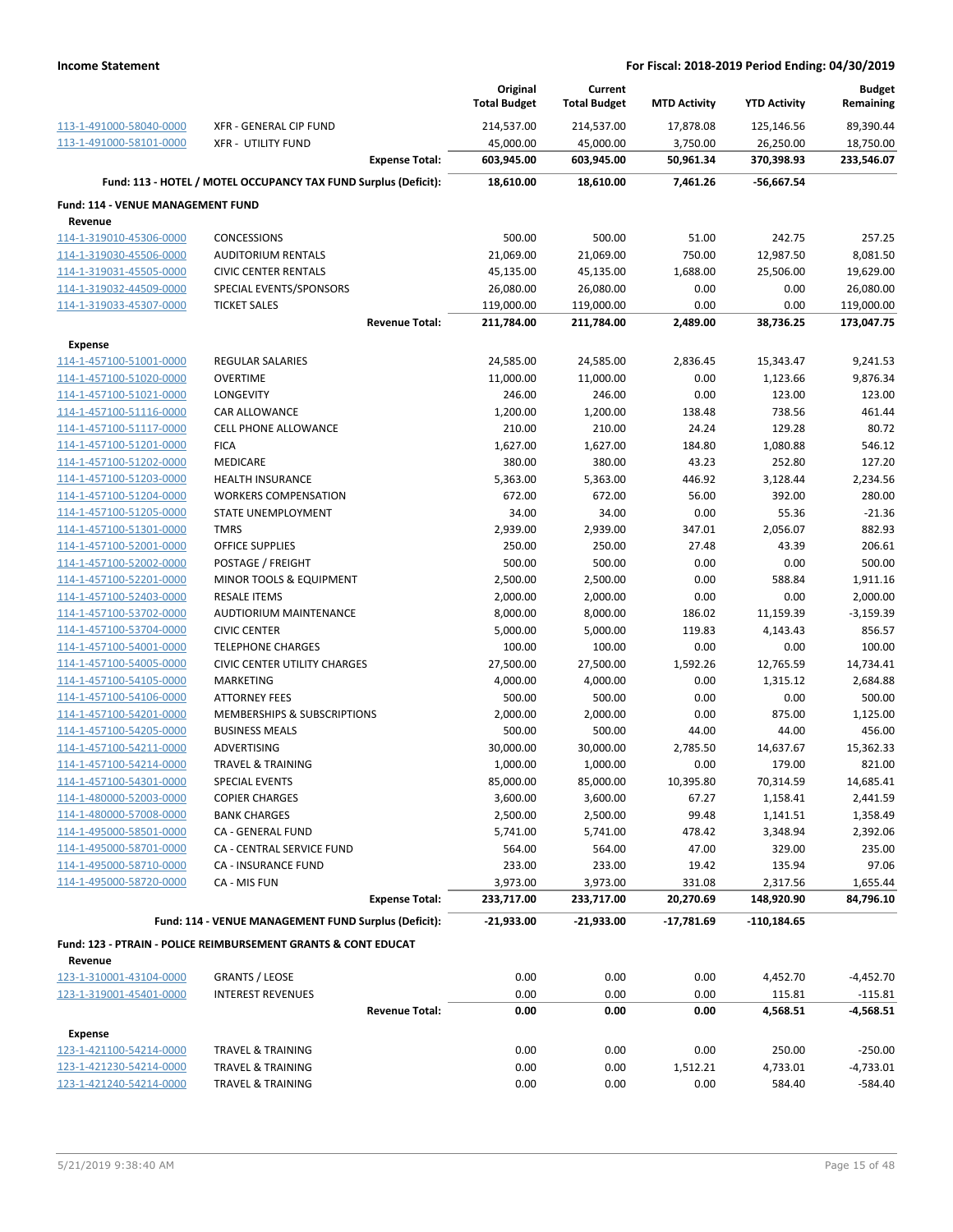|                                                    |                                                                           | Original<br><b>Total Budget</b> | Current<br><b>Total Budget</b> | <b>MTD Activity</b> | <b>YTD Activity</b> | <b>Budget</b><br>Remaining |
|----------------------------------------------------|---------------------------------------------------------------------------|---------------------------------|--------------------------------|---------------------|---------------------|----------------------------|
| 113-1-491000-58040-0000                            | <b>XFR - GENERAL CIP FUND</b>                                             | 214,537.00                      | 214,537.00                     | 17,878.08           | 125,146.56          | 89,390.44                  |
| 113-1-491000-58101-0000                            | <b>XFR - UTILITY FUND</b>                                                 | 45,000.00                       | 45,000.00                      | 3,750.00            | 26,250.00           | 18,750.00                  |
|                                                    | <b>Expense Total:</b>                                                     | 603,945.00                      | 603,945.00                     | 50,961.34           | 370,398.93          | 233,546.07                 |
|                                                    | Fund: 113 - HOTEL / MOTEL OCCUPANCY TAX FUND Surplus (Deficit):           | 18,610.00                       | 18,610.00                      | 7,461.26            | -56,667.54          |                            |
| Fund: 114 - VENUE MANAGEMENT FUND                  |                                                                           |                                 |                                |                     |                     |                            |
| Revenue                                            |                                                                           |                                 |                                |                     |                     |                            |
| 114-1-319010-45306-0000                            | <b>CONCESSIONS</b>                                                        | 500.00                          | 500.00                         | 51.00               | 242.75              | 257.25                     |
| 114-1-319030-45506-0000                            | <b>AUDITORIUM RENTALS</b>                                                 | 21,069.00                       | 21,069.00                      | 750.00              | 12,987.50           | 8,081.50                   |
| 114-1-319031-45505-0000                            | <b>CIVIC CENTER RENTALS</b>                                               | 45,135.00                       | 45,135.00                      | 1,688.00            | 25,506.00           | 19,629.00                  |
| 114-1-319032-44509-0000<br>114-1-319033-45307-0000 | SPECIAL EVENTS/SPONSORS<br><b>TICKET SALES</b>                            | 26,080.00<br>119,000.00         | 26,080.00<br>119,000.00        | 0.00<br>0.00        | 0.00<br>0.00        | 26,080.00<br>119,000.00    |
|                                                    | <b>Revenue Total:</b>                                                     | 211,784.00                      | 211,784.00                     | 2,489.00            | 38,736.25           | 173,047.75                 |
|                                                    |                                                                           |                                 |                                |                     |                     |                            |
| <b>Expense</b><br>114-1-457100-51001-0000          | <b>REGULAR SALARIES</b>                                                   | 24,585.00                       | 24,585.00                      | 2,836.45            | 15,343.47           | 9,241.53                   |
| 114-1-457100-51020-0000                            | <b>OVERTIME</b>                                                           | 11,000.00                       | 11,000.00                      | 0.00                | 1,123.66            | 9,876.34                   |
| 114-1-457100-51021-0000                            | LONGEVITY                                                                 | 246.00                          | 246.00                         | 0.00                | 123.00              | 123.00                     |
| 114-1-457100-51116-0000                            | <b>CAR ALLOWANCE</b>                                                      | 1,200.00                        | 1,200.00                       | 138.48              | 738.56              | 461.44                     |
| 114-1-457100-51117-0000                            | <b>CELL PHONE ALLOWANCE</b>                                               | 210.00                          | 210.00                         | 24.24               | 129.28              | 80.72                      |
| 114-1-457100-51201-0000                            | <b>FICA</b>                                                               | 1,627.00                        | 1,627.00                       | 184.80              | 1,080.88            | 546.12                     |
| 114-1-457100-51202-0000                            | <b>MEDICARE</b>                                                           | 380.00                          | 380.00                         | 43.23               | 252.80              | 127.20                     |
| 114-1-457100-51203-0000                            | <b>HEALTH INSURANCE</b>                                                   | 5,363.00                        | 5,363.00                       | 446.92              | 3,128.44            | 2,234.56                   |
| 114-1-457100-51204-0000                            | <b>WORKERS COMPENSATION</b>                                               | 672.00                          | 672.00                         | 56.00               | 392.00              | 280.00                     |
| 114-1-457100-51205-0000                            | STATE UNEMPLOYMENT                                                        | 34.00                           | 34.00                          | 0.00                | 55.36               | $-21.36$                   |
| 114-1-457100-51301-0000                            | <b>TMRS</b>                                                               | 2,939.00                        | 2,939.00                       | 347.01              | 2,056.07            | 882.93                     |
| 114-1-457100-52001-0000                            | <b>OFFICE SUPPLIES</b>                                                    | 250.00                          | 250.00                         | 27.48               | 43.39               | 206.61                     |
| 114-1-457100-52002-0000                            | POSTAGE / FREIGHT                                                         | 500.00                          | 500.00                         | 0.00                | 0.00                | 500.00                     |
| 114-1-457100-52201-0000                            | MINOR TOOLS & EQUIPMENT                                                   | 2,500.00                        | 2,500.00                       | 0.00                | 588.84              | 1,911.16                   |
| 114-1-457100-52403-0000                            | <b>RESALE ITEMS</b>                                                       | 2,000.00                        | 2,000.00                       | 0.00                | 0.00                | 2,000.00                   |
| 114-1-457100-53702-0000                            | AUDTIORIUM MAINTENANCE                                                    | 8,000.00                        | 8,000.00                       | 186.02              | 11,159.39           | $-3,159.39$                |
| 114-1-457100-53704-0000                            | <b>CIVIC CENTER</b>                                                       | 5,000.00                        | 5,000.00                       | 119.83              | 4,143.43            | 856.57                     |
| 114-1-457100-54001-0000                            | <b>TELEPHONE CHARGES</b>                                                  | 100.00                          | 100.00                         | 0.00                | 0.00                | 100.00                     |
| 114-1-457100-54005-0000                            | <b>CIVIC CENTER UTILITY CHARGES</b>                                       | 27,500.00                       | 27,500.00                      | 1,592.26            | 12,765.59           | 14,734.41                  |
| 114-1-457100-54105-0000                            | MARKETING                                                                 | 4,000.00                        | 4,000.00                       | 0.00                | 1,315.12            | 2,684.88                   |
| 114-1-457100-54106-0000                            | <b>ATTORNEY FEES</b>                                                      | 500.00                          | 500.00                         | 0.00                | 0.00                | 500.00                     |
| 114-1-457100-54201-0000                            | MEMBERSHIPS & SUBSCRIPTIONS                                               | 2,000.00                        | 2,000.00                       | 0.00                | 875.00              | 1,125.00                   |
| 114-1-457100-54205-0000                            | <b>BUSINESS MEALS</b>                                                     | 500.00                          | 500.00                         | 44.00               | 44.00               | 456.00                     |
| 114-1-457100-54211-0000                            | ADVERTISING                                                               | 30,000.00                       | 30,000.00                      | 2,785.50            | 14,637.67           | 15,362.33                  |
| 114-1-457100-54214-0000                            | <b>TRAVEL &amp; TRAINING</b>                                              | 1,000.00                        | 1,000.00                       | 0.00                | 179.00              | 821.00                     |
| 114-1-457100-54301-0000                            | SPECIAL EVENTS                                                            | 85,000.00                       | 85,000.00                      | 10,395.80           | 70,314.59           | 14,685.41                  |
| 114-1-480000-52003-0000                            | <b>COPIER CHARGES</b>                                                     | 3,600.00                        | 3,600.00                       | 67.27               | 1,158.41            | 2,441.59                   |
| 114-1-480000-57008-0000                            | <b>BANK CHARGES</b>                                                       | 2,500.00                        | 2,500.00                       | 99.48               | 1,141.51            | 1,358.49                   |
| 114-1-495000-58501-0000                            | CA - GENERAL FUND                                                         | 5,741.00                        | 5,741.00                       | 478.42              | 3,348.94            | 2,392.06                   |
| 114-1-495000-58701-0000                            | CA - CENTRAL SERVICE FUND                                                 | 564.00                          | 564.00                         | 47.00               | 329.00              | 235.00                     |
| 114-1-495000-58710-0000                            | CA - INSURANCE FUND                                                       | 233.00                          | 233.00                         | 19.42               | 135.94              | 97.06                      |
| 114-1-495000-58720-0000                            | CA - MIS FUN<br><b>Expense Total:</b>                                     | 3,973.00<br>233,717.00          | 3,973.00<br>233,717.00         | 331.08<br>20,270.69 | 2,317.56            | 1,655.44                   |
|                                                    |                                                                           |                                 |                                |                     | 148,920.90          | 84,796.10                  |
|                                                    | Fund: 114 - VENUE MANAGEMENT FUND Surplus (Deficit):                      | $-21,933.00$                    | $-21,933.00$                   | $-17,781.69$        | $-110,184.65$       |                            |
| Revenue                                            | <b>Fund: 123 - PTRAIN - POLICE REIMBURSEMENT GRANTS &amp; CONT EDUCAT</b> |                                 |                                |                     |                     |                            |
| 123-1-310001-43104-0000                            | <b>GRANTS / LEOSE</b>                                                     | 0.00                            | 0.00                           | 0.00                | 4,452.70            | $-4,452.70$                |
| 123-1-319001-45401-0000                            | <b>INTEREST REVENUES</b>                                                  | 0.00                            | 0.00                           | 0.00                | 115.81              | $-115.81$                  |
|                                                    | <b>Revenue Total:</b>                                                     | 0.00                            | 0.00                           | 0.00                | 4,568.51            | -4,568.51                  |
|                                                    |                                                                           |                                 |                                |                     |                     |                            |
| Expense                                            |                                                                           |                                 |                                |                     |                     |                            |
| 123-1-421100-54214-0000                            | <b>TRAVEL &amp; TRAINING</b>                                              | 0.00                            | 0.00                           | 0.00                | 250.00              | $-250.00$                  |
| 123-1-421230-54214-0000<br>123-1-421240-54214-0000 | <b>TRAVEL &amp; TRAINING</b>                                              | 0.00<br>0.00                    | 0.00                           | 1,512.21<br>0.00    | 4,733.01            | $-4,733.01$                |
|                                                    | <b>TRAVEL &amp; TRAINING</b>                                              |                                 | 0.00                           |                     | 584.40              | $-584.40$                  |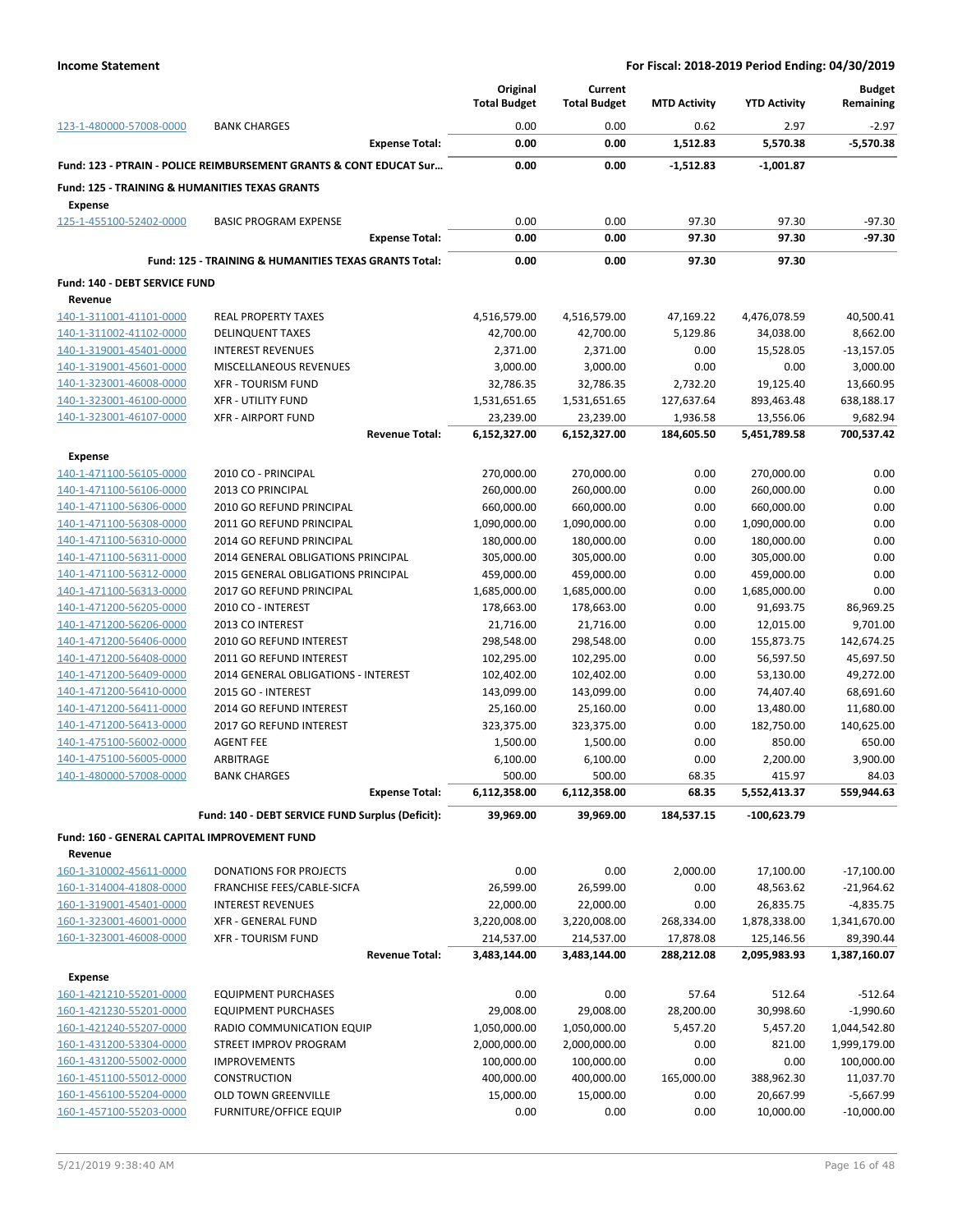|                                                                             |                                                                    | Original<br><b>Total Budget</b> | Current<br><b>Total Budget</b> | <b>MTD Activity</b> | <b>YTD Activity</b>       | <b>Budget</b><br>Remaining |
|-----------------------------------------------------------------------------|--------------------------------------------------------------------|---------------------------------|--------------------------------|---------------------|---------------------------|----------------------------|
| 123-1-480000-57008-0000                                                     | <b>BANK CHARGES</b>                                                | 0.00                            | 0.00                           | 0.62                | 2.97                      | $-2.97$                    |
|                                                                             | <b>Expense Total:</b>                                              | 0.00                            | 0.00                           | 1,512.83            | 5,570.38                  | $-5,570.38$                |
|                                                                             | Fund: 123 - PTRAIN - POLICE REIMBURSEMENT GRANTS & CONT EDUCAT Sur | 0.00                            | 0.00                           | $-1,512.83$         | $-1,001.87$               |                            |
| <b>Fund: 125 - TRAINING &amp; HUMANITIES TEXAS GRANTS</b><br><b>Expense</b> |                                                                    |                                 |                                |                     |                           |                            |
| 125-1-455100-52402-0000                                                     | <b>BASIC PROGRAM EXPENSE</b>                                       | 0.00                            | 0.00                           | 97.30               | 97.30                     | $-97.30$                   |
|                                                                             | <b>Expense Total:</b>                                              | 0.00                            | 0.00                           | 97.30               | 97.30                     | $-97.30$                   |
|                                                                             | <b>Fund: 125 - TRAINING &amp; HUMANITIES TEXAS GRANTS Total:</b>   | 0.00                            | 0.00                           | 97.30               | 97.30                     |                            |
| Fund: 140 - DEBT SERVICE FUND                                               |                                                                    |                                 |                                |                     |                           |                            |
| Revenue                                                                     |                                                                    |                                 |                                |                     |                           |                            |
| 140-1-311001-41101-0000                                                     | <b>REAL PROPERTY TAXES</b>                                         | 4,516,579.00                    | 4,516,579.00                   | 47,169.22           | 4,476,078.59              | 40,500.41                  |
| 140-1-311002-41102-0000                                                     | <b>DELINQUENT TAXES</b>                                            | 42,700.00                       | 42,700.00                      | 5,129.86            | 34,038.00                 | 8,662.00                   |
| 140-1-319001-45401-0000                                                     | <b>INTEREST REVENUES</b>                                           | 2,371.00                        | 2,371.00                       | 0.00                | 15,528.05                 | $-13,157.05$               |
| 140-1-319001-45601-0000                                                     | MISCELLANEOUS REVENUES                                             | 3,000.00                        | 3,000.00                       | 0.00                | 0.00                      | 3,000.00                   |
| 140-1-323001-46008-0000                                                     | <b>XFR - TOURISM FUND</b>                                          | 32,786.35                       | 32,786.35                      | 2,732.20            | 19,125.40                 | 13,660.95                  |
| 140-1-323001-46100-0000                                                     | <b>XFR - UTILITY FUND</b>                                          | 1,531,651.65                    | 1,531,651.65                   | 127,637.64          | 893,463.48                | 638,188.17                 |
| 140-1-323001-46107-0000                                                     | <b>XFR - AIRPORT FUND</b>                                          | 23,239.00                       | 23,239.00                      | 1,936.58            | 13,556.06                 | 9,682.94                   |
|                                                                             | <b>Revenue Total:</b>                                              | 6,152,327.00                    | 6,152,327.00                   | 184,605.50          | 5,451,789.58              | 700,537.42                 |
| <b>Expense</b>                                                              |                                                                    |                                 |                                |                     |                           |                            |
| 140-1-471100-56105-0000                                                     | 2010 CO - PRINCIPAL                                                | 270,000.00                      | 270,000.00                     | 0.00                | 270,000.00                | 0.00                       |
| 140-1-471100-56106-0000                                                     | 2013 CO PRINCIPAL                                                  | 260,000.00                      | 260,000.00                     | 0.00                | 260,000.00                | 0.00                       |
| 140-1-471100-56306-0000                                                     | 2010 GO REFUND PRINCIPAL                                           | 660,000.00                      | 660,000.00                     | 0.00                | 660,000.00                | 0.00                       |
| 140-1-471100-56308-0000                                                     | 2011 GO REFUND PRINCIPAL                                           | 1,090,000.00                    | 1,090,000.00                   | 0.00                | 1,090,000.00              | 0.00                       |
| 140-1-471100-56310-0000                                                     | 2014 GO REFUND PRINCIPAL                                           | 180,000.00                      | 180,000.00                     | 0.00                | 180,000.00                | 0.00                       |
| 140-1-471100-56311-0000                                                     | 2014 GENERAL OBLIGATIONS PRINCIPAL                                 | 305,000.00                      | 305,000.00                     | 0.00                | 305,000.00                | 0.00                       |
| 140-1-471100-56312-0000                                                     | 2015 GENERAL OBLIGATIONS PRINCIPAL                                 | 459,000.00                      | 459,000.00                     | 0.00                | 459,000.00                | 0.00<br>0.00               |
| 140-1-471100-56313-0000<br>140-1-471200-56205-0000                          | 2017 GO REFUND PRINCIPAL<br>2010 CO - INTEREST                     | 1,685,000.00<br>178,663.00      | 1,685,000.00<br>178,663.00     | 0.00<br>0.00        | 1,685,000.00<br>91,693.75 | 86,969.25                  |
| 140-1-471200-56206-0000                                                     | 2013 CO INTEREST                                                   | 21,716.00                       | 21,716.00                      | 0.00                | 12,015.00                 | 9,701.00                   |
| 140-1-471200-56406-0000                                                     | 2010 GO REFUND INTEREST                                            | 298,548.00                      | 298,548.00                     | 0.00                | 155,873.75                | 142,674.25                 |
| 140-1-471200-56408-0000                                                     | 2011 GO REFUND INTEREST                                            | 102,295.00                      | 102,295.00                     | 0.00                | 56,597.50                 | 45,697.50                  |
| 140-1-471200-56409-0000                                                     | 2014 GENERAL OBLIGATIONS - INTEREST                                | 102,402.00                      | 102,402.00                     | 0.00                | 53,130.00                 | 49,272.00                  |
| 140-1-471200-56410-0000                                                     | 2015 GO - INTEREST                                                 | 143,099.00                      | 143,099.00                     | 0.00                | 74,407.40                 | 68,691.60                  |
| 140-1-471200-56411-0000                                                     | 2014 GO REFUND INTEREST                                            | 25,160.00                       | 25,160.00                      | 0.00                | 13,480.00                 | 11,680.00                  |
| 140-1-471200-56413-0000                                                     | 2017 GO REFUND INTEREST                                            | 323,375.00                      | 323,375.00                     | 0.00                | 182,750.00                | 140,625.00                 |
| 140-1-475100-56002-0000                                                     | <b>AGENT FEE</b>                                                   | 1,500.00                        | 1,500.00                       | 0.00                | 850.00                    | 650.00                     |
| 140-1-475100-56005-0000                                                     | ARBITRAGE                                                          | 6,100.00                        | 6,100.00                       | 0.00                | 2,200.00                  | 3,900.00                   |
| 140-1-480000-57008-0000                                                     | <b>BANK CHARGES</b>                                                | 500.00                          | 500.00                         | 68.35               | 415.97                    | 84.03                      |
|                                                                             | <b>Expense Total:</b>                                              | 6,112,358.00                    | 6,112,358.00                   | 68.35               | 5,552,413.37              | 559,944.63                 |
|                                                                             | Fund: 140 - DEBT SERVICE FUND Surplus (Deficit):                   | 39,969.00                       | 39,969.00                      | 184,537.15          | -100,623.79               |                            |
| Fund: 160 - GENERAL CAPITAL IMPROVEMENT FUND                                |                                                                    |                                 |                                |                     |                           |                            |
| Revenue                                                                     |                                                                    |                                 |                                |                     |                           |                            |
| 160-1-310002-45611-0000                                                     | DONATIONS FOR PROJECTS                                             | 0.00                            | 0.00                           | 2,000.00            | 17,100.00                 | $-17,100.00$               |
| 160-1-314004-41808-0000                                                     | FRANCHISE FEES/CABLE-SICFA                                         | 26,599.00                       | 26,599.00                      | 0.00                | 48,563.62                 | $-21,964.62$               |
| 160-1-319001-45401-0000                                                     | <b>INTEREST REVENUES</b>                                           | 22,000.00                       | 22,000.00                      | 0.00                | 26,835.75                 | $-4,835.75$                |
| 160-1-323001-46001-0000                                                     | <b>XFR - GENERAL FUND</b>                                          | 3,220,008.00                    | 3,220,008.00                   | 268,334.00          | 1,878,338.00              | 1,341,670.00               |
| 160-1-323001-46008-0000                                                     | <b>XFR - TOURISM FUND</b>                                          | 214,537.00                      | 214,537.00                     | 17,878.08           | 125,146.56                | 89,390.44                  |
|                                                                             | <b>Revenue Total:</b>                                              | 3,483,144.00                    | 3,483,144.00                   | 288,212.08          | 2,095,983.93              | 1,387,160.07               |
| <b>Expense</b>                                                              |                                                                    |                                 |                                |                     |                           |                            |
| 160-1-421210-55201-0000                                                     | <b>EQUIPMENT PURCHASES</b>                                         | 0.00                            | 0.00                           | 57.64               | 512.64                    | $-512.64$                  |
| 160-1-421230-55201-0000                                                     | <b>EQUIPMENT PURCHASES</b>                                         | 29,008.00                       | 29,008.00                      | 28,200.00           | 30,998.60                 | $-1,990.60$                |
| 160-1-421240-55207-0000                                                     | RADIO COMMUNICATION EQUIP                                          | 1,050,000.00                    | 1,050,000.00                   | 5,457.20            | 5,457.20                  | 1,044,542.80               |
| 160-1-431200-53304-0000                                                     | STREET IMPROV PROGRAM                                              | 2,000,000.00                    | 2,000,000.00                   | 0.00                | 821.00                    | 1,999,179.00               |
| 160-1-431200-55002-0000                                                     | <b>IMPROVEMENTS</b>                                                | 100,000.00                      | 100,000.00                     | 0.00                | 0.00                      | 100,000.00                 |
| 160-1-451100-55012-0000                                                     | <b>CONSTRUCTION</b>                                                | 400,000.00                      | 400,000.00                     | 165,000.00          | 388,962.30                | 11,037.70                  |
| 160-1-456100-55204-0000                                                     | OLD TOWN GREENVILLE                                                | 15,000.00                       | 15,000.00                      | 0.00                | 20,667.99                 | $-5,667.99$                |
| 160-1-457100-55203-0000                                                     | <b>FURNITURE/OFFICE EQUIP</b>                                      | 0.00                            | 0.00                           | 0.00                | 10,000.00                 | $-10,000.00$               |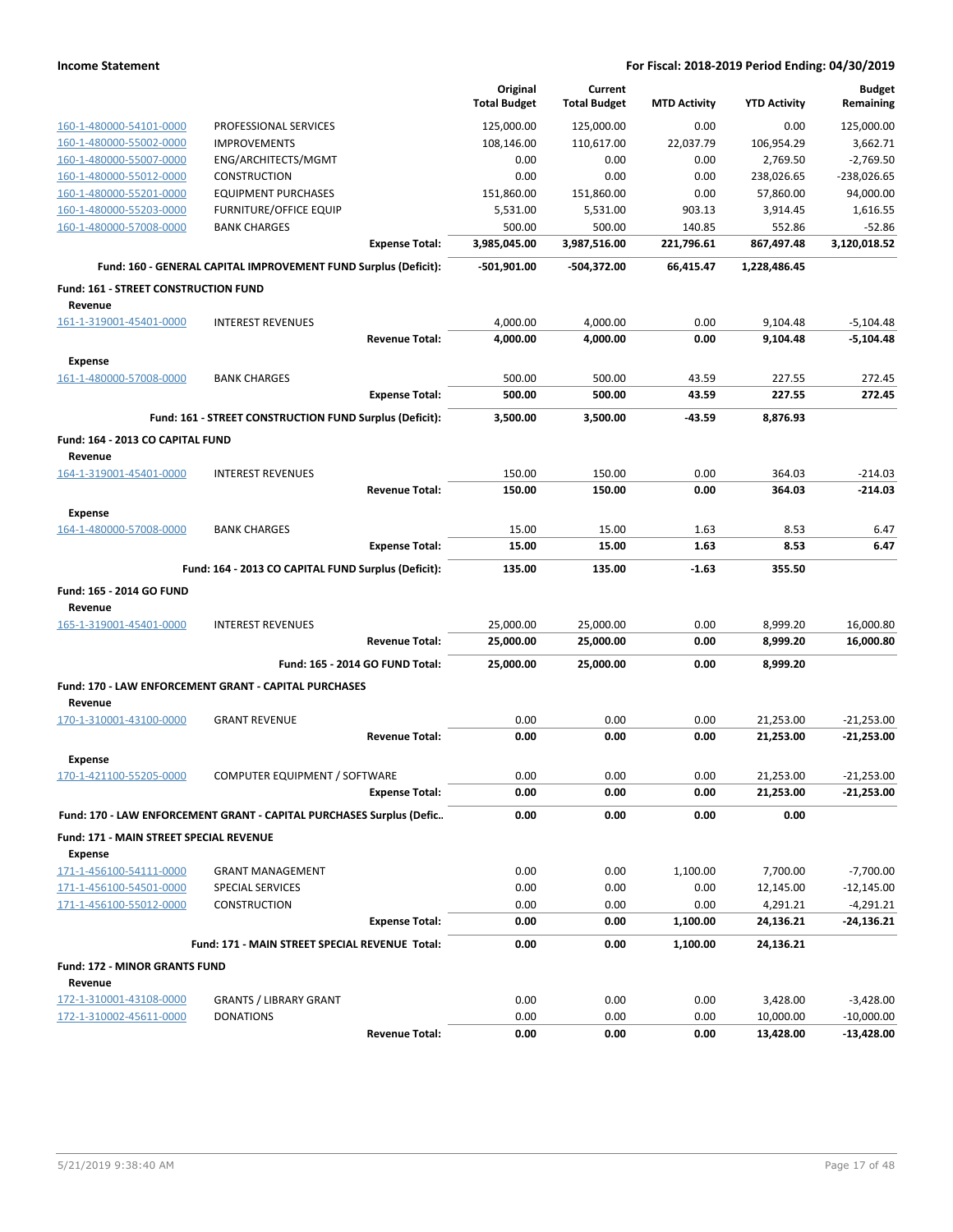|                                                    |                                                                      | Original<br><b>Total Budget</b> | Current<br><b>Total Budget</b> |                     | <b>YTD Activity</b>   | <b>Budget</b><br>Remaining  |
|----------------------------------------------------|----------------------------------------------------------------------|---------------------------------|--------------------------------|---------------------|-----------------------|-----------------------------|
|                                                    |                                                                      |                                 |                                | <b>MTD Activity</b> |                       |                             |
| 160-1-480000-54101-0000                            | PROFESSIONAL SERVICES                                                | 125,000.00                      | 125,000.00                     | 0.00                | 0.00                  | 125,000.00                  |
| 160-1-480000-55002-0000                            | <b>IMPROVEMENTS</b>                                                  | 108,146.00                      | 110,617.00                     | 22,037.79           | 106,954.29            | 3,662.71                    |
| 160-1-480000-55007-0000                            | ENG/ARCHITECTS/MGMT                                                  | 0.00                            | 0.00                           | 0.00                | 2,769.50              | $-2,769.50$                 |
| 160-1-480000-55012-0000                            | <b>CONSTRUCTION</b>                                                  | 0.00                            | 0.00                           | 0.00                | 238,026.65            | $-238,026.65$               |
| 160-1-480000-55201-0000                            | <b>EQUIPMENT PURCHASES</b>                                           | 151,860.00                      | 151,860.00                     | 0.00                | 57,860.00             | 94,000.00                   |
| 160-1-480000-55203-0000                            | <b>FURNITURE/OFFICE EQUIP</b>                                        | 5,531.00                        | 5,531.00                       | 903.13              | 3,914.45              | 1,616.55                    |
| 160-1-480000-57008-0000                            | <b>BANK CHARGES</b>                                                  | 500.00                          | 500.00                         | 140.85              | 552.86                | $-52.86$                    |
|                                                    | <b>Expense Total:</b>                                                | 3,985,045.00                    | 3,987,516.00                   | 221,796.61          | 867,497.48            | 3,120,018.52                |
|                                                    | Fund: 160 - GENERAL CAPITAL IMPROVEMENT FUND Surplus (Deficit):      | $-501,901.00$                   | -504,372.00                    | 66,415.47           | 1,228,486.45          |                             |
| Fund: 161 - STREET CONSTRUCTION FUND               |                                                                      |                                 |                                |                     |                       |                             |
| Revenue                                            |                                                                      |                                 |                                |                     |                       |                             |
| 161-1-319001-45401-0000                            | <b>INTEREST REVENUES</b>                                             | 4,000.00                        | 4,000.00                       | 0.00                | 9,104.48              | $-5,104.48$                 |
|                                                    | <b>Revenue Total:</b>                                                | 4,000.00                        | 4,000.00                       | 0.00                | 9,104.48              | $-5,104.48$                 |
| <b>Expense</b>                                     |                                                                      |                                 |                                |                     |                       |                             |
| 161-1-480000-57008-0000                            | <b>BANK CHARGES</b>                                                  | 500.00                          | 500.00                         | 43.59               | 227.55                | 272.45                      |
|                                                    | <b>Expense Total:</b>                                                | 500.00                          | 500.00                         | 43.59               | 227.55                | 272.45                      |
|                                                    | Fund: 161 - STREET CONSTRUCTION FUND Surplus (Deficit):              | 3,500.00                        | 3,500.00                       | $-43.59$            | 8,876.93              |                             |
| Fund: 164 - 2013 CO CAPITAL FUND<br>Revenue        |                                                                      |                                 |                                |                     |                       |                             |
| 164-1-319001-45401-0000                            | <b>INTEREST REVENUES</b>                                             | 150.00                          | 150.00                         | 0.00                | 364.03                | $-214.03$                   |
|                                                    | <b>Revenue Total:</b>                                                | 150.00                          | 150.00                         | 0.00                | 364.03                | $-214.03$                   |
|                                                    |                                                                      |                                 |                                |                     |                       |                             |
| <b>Expense</b><br>164-1-480000-57008-0000          | <b>BANK CHARGES</b>                                                  | 15.00                           | 15.00                          | 1.63                | 8.53                  | 6.47                        |
|                                                    | <b>Expense Total:</b>                                                | 15.00                           | 15.00                          | 1.63                | 8.53                  | 6.47                        |
|                                                    |                                                                      |                                 |                                |                     |                       |                             |
|                                                    | Fund: 164 - 2013 CO CAPITAL FUND Surplus (Deficit):                  | 135.00                          | 135.00                         | $-1.63$             | 355.50                |                             |
| Fund: 165 - 2014 GO FUND<br>Revenue                |                                                                      |                                 |                                |                     |                       |                             |
| 165-1-319001-45401-0000                            | <b>INTEREST REVENUES</b>                                             | 25,000.00                       | 25,000.00                      | 0.00                | 8,999.20              | 16,000.80                   |
|                                                    | <b>Revenue Total:</b>                                                | 25,000.00                       | 25,000.00                      | 0.00                | 8,999.20              | 16,000.80                   |
|                                                    | Fund: 165 - 2014 GO FUND Total:                                      | 25,000.00                       | 25,000.00                      | 0.00                | 8,999.20              |                             |
|                                                    | Fund: 170 - LAW ENFORCEMENT GRANT - CAPITAL PURCHASES                |                                 |                                |                     |                       |                             |
| Revenue                                            |                                                                      |                                 |                                |                     |                       |                             |
| 170-1-310001-43100-0000                            | <b>GRANT REVENUE</b>                                                 | 0.00                            | 0.00                           | 0.00                | 21,253.00             | $-21,253.00$                |
|                                                    | <b>Revenue Total:</b>                                                | 0.00                            | 0.00                           | 0.00                | 21,253.00             | $-21,253.00$                |
| Expense                                            |                                                                      |                                 |                                |                     |                       |                             |
| 170-1-421100-55205-0000                            | COMPUTER EQUIPMENT / SOFTWARE                                        | 0.00                            | 0.00                           | 0.00                | 21,253.00             | $-21,253.00$                |
|                                                    | <b>Expense Total:</b>                                                | 0.00                            | 0.00                           | 0.00                | 21,253.00             | $-21,253.00$                |
|                                                    | Fund: 170 - LAW ENFORCEMENT GRANT - CAPITAL PURCHASES Surplus (Defic | 0.00                            | 0.00                           | 0.00                | 0.00                  |                             |
| Fund: 171 - MAIN STREET SPECIAL REVENUE            |                                                                      |                                 |                                |                     |                       |                             |
| Expense                                            |                                                                      |                                 |                                |                     |                       |                             |
| 171-1-456100-54111-0000                            | <b>GRANT MANAGEMENT</b>                                              | 0.00                            | 0.00                           | 1,100.00            | 7,700.00              | $-7,700.00$                 |
| 171-1-456100-54501-0000<br>171-1-456100-55012-0000 | SPECIAL SERVICES                                                     | 0.00                            | 0.00                           | 0.00                | 12,145.00             | $-12,145.00$                |
|                                                    | <b>CONSTRUCTION</b><br><b>Expense Total:</b>                         | 0.00<br>0.00                    | 0.00<br>0.00                   | 0.00<br>1,100.00    | 4,291.21<br>24,136.21 | $-4,291.21$<br>$-24,136.21$ |
|                                                    |                                                                      |                                 |                                |                     |                       |                             |
|                                                    | Fund: 171 - MAIN STREET SPECIAL REVENUE Total:                       | 0.00                            | 0.00                           | 1,100.00            | 24,136.21             |                             |
| <b>Fund: 172 - MINOR GRANTS FUND</b>               |                                                                      |                                 |                                |                     |                       |                             |
| Revenue                                            |                                                                      |                                 |                                | 0.00                |                       |                             |
| 172-1-310001-43108-0000<br>172-1-310002-45611-0000 | <b>GRANTS / LIBRARY GRANT</b><br><b>DONATIONS</b>                    | 0.00<br>0.00                    | 0.00<br>0.00                   | 0.00                | 3,428.00<br>10,000.00 | $-3,428.00$<br>$-10,000.00$ |
|                                                    | <b>Revenue Total:</b>                                                | 0.00                            | 0.00                           | 0.00                | 13,428.00             | $-13,428.00$                |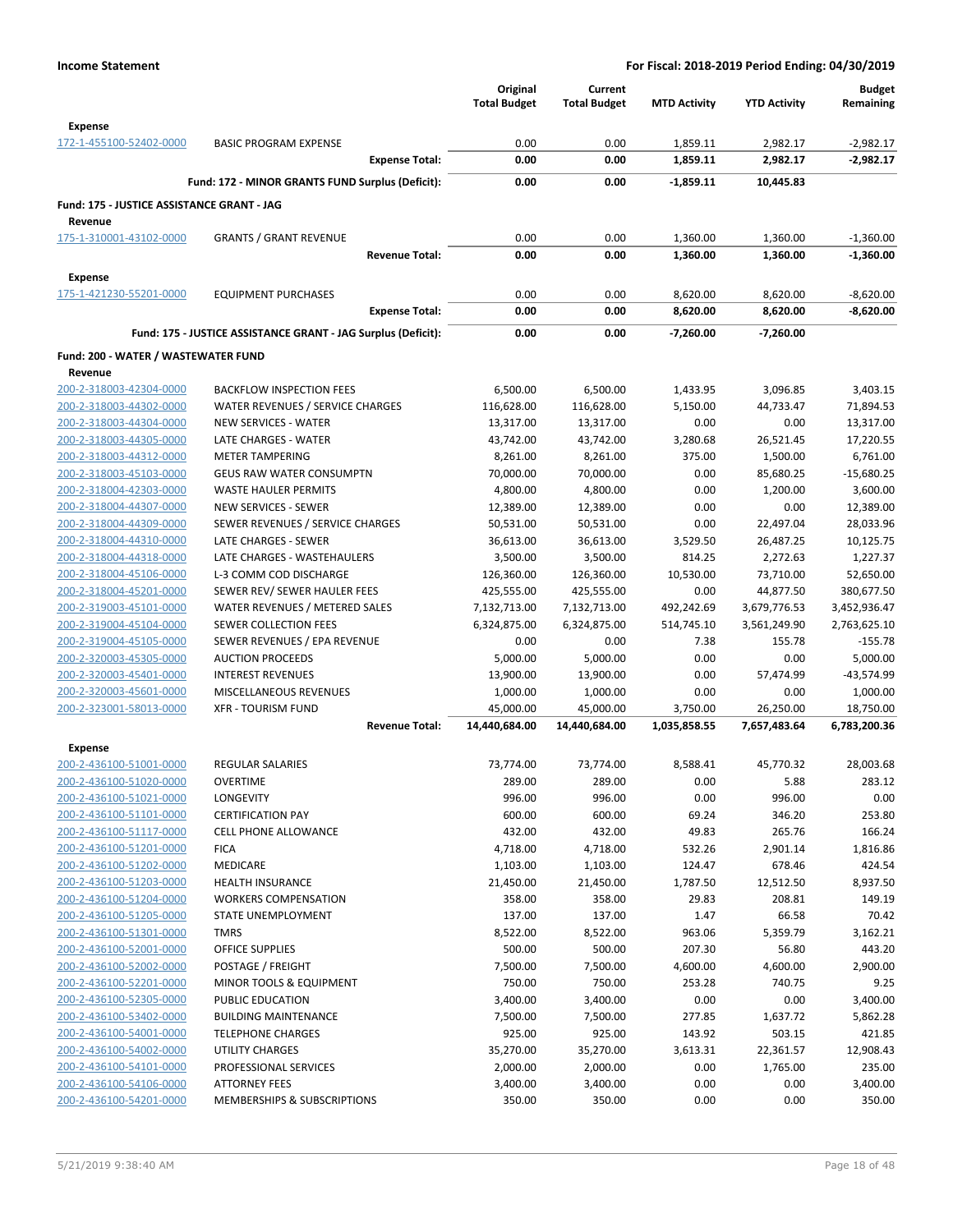|                                                       |                                                               | Original<br><b>Total Budget</b> | Current<br><b>Total Budget</b> | <b>MTD Activity</b> | <b>YTD Activity</b>   | <b>Budget</b><br>Remaining |
|-------------------------------------------------------|---------------------------------------------------------------|---------------------------------|--------------------------------|---------------------|-----------------------|----------------------------|
| <b>Expense</b>                                        |                                                               |                                 |                                |                     |                       |                            |
| 172-1-455100-52402-0000                               | <b>BASIC PROGRAM EXPENSE</b>                                  | 0.00                            | 0.00                           | 1,859.11            | 2,982.17              | $-2,982.17$                |
|                                                       | <b>Expense Total:</b>                                         | 0.00                            | 0.00                           | 1,859.11            | 2,982.17              | -2,982.17                  |
|                                                       | Fund: 172 - MINOR GRANTS FUND Surplus (Deficit):              | 0.00                            | 0.00                           | $-1,859.11$         | 10,445.83             |                            |
| Fund: 175 - JUSTICE ASSISTANCE GRANT - JAG<br>Revenue |                                                               |                                 |                                |                     |                       |                            |
| 175-1-310001-43102-0000                               | <b>GRANTS / GRANT REVENUE</b>                                 | 0.00                            | 0.00                           | 1,360.00            | 1,360.00              | $-1,360.00$                |
|                                                       | <b>Revenue Total:</b>                                         | 0.00                            | 0.00                           | 1,360.00            | 1,360.00              | $-1,360.00$                |
| <b>Expense</b>                                        |                                                               |                                 |                                |                     |                       |                            |
| 175-1-421230-55201-0000                               | <b>EQUIPMENT PURCHASES</b>                                    | 0.00                            | 0.00                           | 8,620.00            | 8,620.00              | $-8,620.00$                |
|                                                       | <b>Expense Total:</b>                                         | 0.00                            | 0.00                           | 8,620.00            | 8,620.00              | $-8,620.00$                |
|                                                       | Fund: 175 - JUSTICE ASSISTANCE GRANT - JAG Surplus (Deficit): | 0.00                            | 0.00                           | -7,260.00           | $-7,260.00$           |                            |
| Fund: 200 - WATER / WASTEWATER FUND                   |                                                               |                                 |                                |                     |                       |                            |
| Revenue                                               |                                                               |                                 |                                |                     |                       |                            |
| 200-2-318003-42304-0000                               | <b>BACKFLOW INSPECTION FEES</b>                               | 6,500.00                        | 6,500.00                       | 1,433.95            | 3,096.85              | 3,403.15                   |
| 200-2-318003-44302-0000                               | WATER REVENUES / SERVICE CHARGES                              | 116,628.00                      | 116,628.00                     | 5,150.00            | 44,733.47             | 71,894.53                  |
| 200-2-318003-44304-0000                               | <b>NEW SERVICES - WATER</b>                                   | 13,317.00                       | 13,317.00                      | 0.00                | 0.00                  | 13,317.00                  |
| 200-2-318003-44305-0000                               | <b>LATE CHARGES - WATER</b>                                   | 43,742.00                       | 43,742.00                      | 3,280.68            | 26,521.45             | 17,220.55                  |
| 200-2-318003-44312-0000                               | <b>METER TAMPERING</b>                                        | 8,261.00                        | 8,261.00                       | 375.00              | 1,500.00              | 6,761.00                   |
| 200-2-318003-45103-0000                               | <b>GEUS RAW WATER CONSUMPTN</b>                               | 70,000.00                       | 70,000.00                      | 0.00                | 85,680.25             | $-15,680.25$               |
| 200-2-318004-42303-0000                               | <b>WASTE HAULER PERMITS</b>                                   | 4,800.00                        | 4,800.00                       | 0.00                | 1,200.00              | 3,600.00                   |
| 200-2-318004-44307-0000                               | <b>NEW SERVICES - SEWER</b>                                   | 12,389.00                       | 12,389.00                      | 0.00                | 0.00                  | 12,389.00                  |
| 200-2-318004-44309-0000                               | SEWER REVENUES / SERVICE CHARGES                              | 50,531.00                       | 50,531.00                      | 0.00                | 22,497.04             | 28,033.96                  |
| 200-2-318004-44310-0000<br>200-2-318004-44318-0000    | LATE CHARGES - SEWER<br>LATE CHARGES - WASTEHAULERS           | 36,613.00<br>3,500.00           | 36,613.00<br>3,500.00          | 3,529.50<br>814.25  | 26,487.25<br>2,272.63 | 10,125.75<br>1,227.37      |
| 200-2-318004-45106-0000                               | L-3 COMM COD DISCHARGE                                        | 126,360.00                      | 126,360.00                     | 10,530.00           | 73,710.00             | 52,650.00                  |
| 200-2-318004-45201-0000                               | SEWER REV/ SEWER HAULER FEES                                  | 425,555.00                      | 425,555.00                     | 0.00                | 44,877.50             | 380,677.50                 |
| 200-2-319003-45101-0000                               | WATER REVENUES / METERED SALES                                | 7,132,713.00                    | 7,132,713.00                   | 492,242.69          | 3,679,776.53          | 3,452,936.47               |
| 200-2-319004-45104-0000                               | SEWER COLLECTION FEES                                         | 6,324,875.00                    | 6,324,875.00                   | 514,745.10          | 3,561,249.90          | 2,763,625.10               |
| 200-2-319004-45105-0000                               | SEWER REVENUES / EPA REVENUE                                  | 0.00                            | 0.00                           | 7.38                | 155.78                | $-155.78$                  |
| 200-2-320003-45305-0000                               | <b>AUCTION PROCEEDS</b>                                       | 5,000.00                        | 5,000.00                       | 0.00                | 0.00                  | 5,000.00                   |
| 200-2-320003-45401-0000                               | <b>INTEREST REVENUES</b>                                      | 13,900.00                       | 13,900.00                      | 0.00                | 57,474.99             | $-43,574.99$               |
| 200-2-320003-45601-0000                               | MISCELLANEOUS REVENUES                                        | 1,000.00                        | 1,000.00                       | 0.00                | 0.00                  | 1,000.00                   |
| 200-2-323001-58013-0000                               | <b>XFR - TOURISM FUND</b>                                     | 45,000.00                       | 45,000.00                      | 3,750.00            | 26,250.00             | 18,750.00                  |
|                                                       | <b>Revenue Total:</b>                                         | 14,440,684.00                   | 14,440,684.00                  | 1,035,858.55        | 7,657,483.64          | 6,783,200.36               |
| <b>Expense</b>                                        |                                                               |                                 |                                |                     |                       |                            |
| 200-2-436100-51001-0000                               | <b>REGULAR SALARIES</b>                                       | 73,774.00                       | 73,774.00                      | 8,588.41            | 45,770.32             | 28,003.68                  |
| 200-2-436100-51020-0000                               | <b>OVERTIME</b>                                               | 289.00                          | 289.00                         | 0.00                | 5.88                  | 283.12                     |
| 200-2-436100-51021-0000                               | LONGEVITY                                                     | 996.00                          | 996.00                         | 0.00                | 996.00                | 0.00                       |
| 200-2-436100-51101-0000                               | <b>CERTIFICATION PAY</b>                                      | 600.00                          | 600.00                         | 69.24               | 346.20                | 253.80                     |
| 200-2-436100-51117-0000<br>200-2-436100-51201-0000    | <b>CELL PHONE ALLOWANCE</b><br><b>FICA</b>                    | 432.00<br>4,718.00              | 432.00<br>4,718.00             | 49.83<br>532.26     | 265.76<br>2,901.14    | 166.24<br>1,816.86         |
| 200-2-436100-51202-0000                               | MEDICARE                                                      | 1,103.00                        | 1,103.00                       | 124.47              | 678.46                | 424.54                     |
| 200-2-436100-51203-0000                               | <b>HEALTH INSURANCE</b>                                       | 21,450.00                       | 21,450.00                      | 1,787.50            | 12,512.50             | 8,937.50                   |
| 200-2-436100-51204-0000                               | <b>WORKERS COMPENSATION</b>                                   | 358.00                          | 358.00                         | 29.83               | 208.81                | 149.19                     |
| 200-2-436100-51205-0000                               | STATE UNEMPLOYMENT                                            | 137.00                          | 137.00                         | 1.47                | 66.58                 | 70.42                      |
| 200-2-436100-51301-0000                               | <b>TMRS</b>                                                   | 8,522.00                        | 8,522.00                       | 963.06              | 5,359.79              | 3,162.21                   |
| 200-2-436100-52001-0000                               | <b>OFFICE SUPPLIES</b>                                        | 500.00                          | 500.00                         | 207.30              | 56.80                 | 443.20                     |
| 200-2-436100-52002-0000                               | POSTAGE / FREIGHT                                             | 7,500.00                        | 7,500.00                       | 4,600.00            | 4,600.00              | 2,900.00                   |
| 200-2-436100-52201-0000                               | MINOR TOOLS & EQUIPMENT                                       | 750.00                          | 750.00                         | 253.28              | 740.75                | 9.25                       |
| 200-2-436100-52305-0000                               | PUBLIC EDUCATION                                              | 3,400.00                        | 3,400.00                       | 0.00                | 0.00                  | 3,400.00                   |
| 200-2-436100-53402-0000                               | <b>BUILDING MAINTENANCE</b>                                   | 7,500.00                        | 7,500.00                       | 277.85              | 1,637.72              | 5,862.28                   |
| 200-2-436100-54001-0000                               | <b>TELEPHONE CHARGES</b>                                      | 925.00                          | 925.00                         | 143.92              | 503.15                | 421.85                     |
| 200-2-436100-54002-0000                               | <b>UTILITY CHARGES</b>                                        | 35,270.00                       | 35,270.00                      | 3,613.31            | 22,361.57             | 12,908.43                  |
| 200-2-436100-54101-0000<br>200-2-436100-54106-0000    | PROFESSIONAL SERVICES                                         | 2,000.00<br>3,400.00            | 2,000.00<br>3,400.00           | 0.00<br>0.00        | 1,765.00              | 235.00                     |
| 200-2-436100-54201-0000                               | ATTORNEY FEES<br>MEMBERSHIPS & SUBSCRIPTIONS                  | 350.00                          | 350.00                         | 0.00                | 0.00<br>0.00          | 3,400.00<br>350.00         |
|                                                       |                                                               |                                 |                                |                     |                       |                            |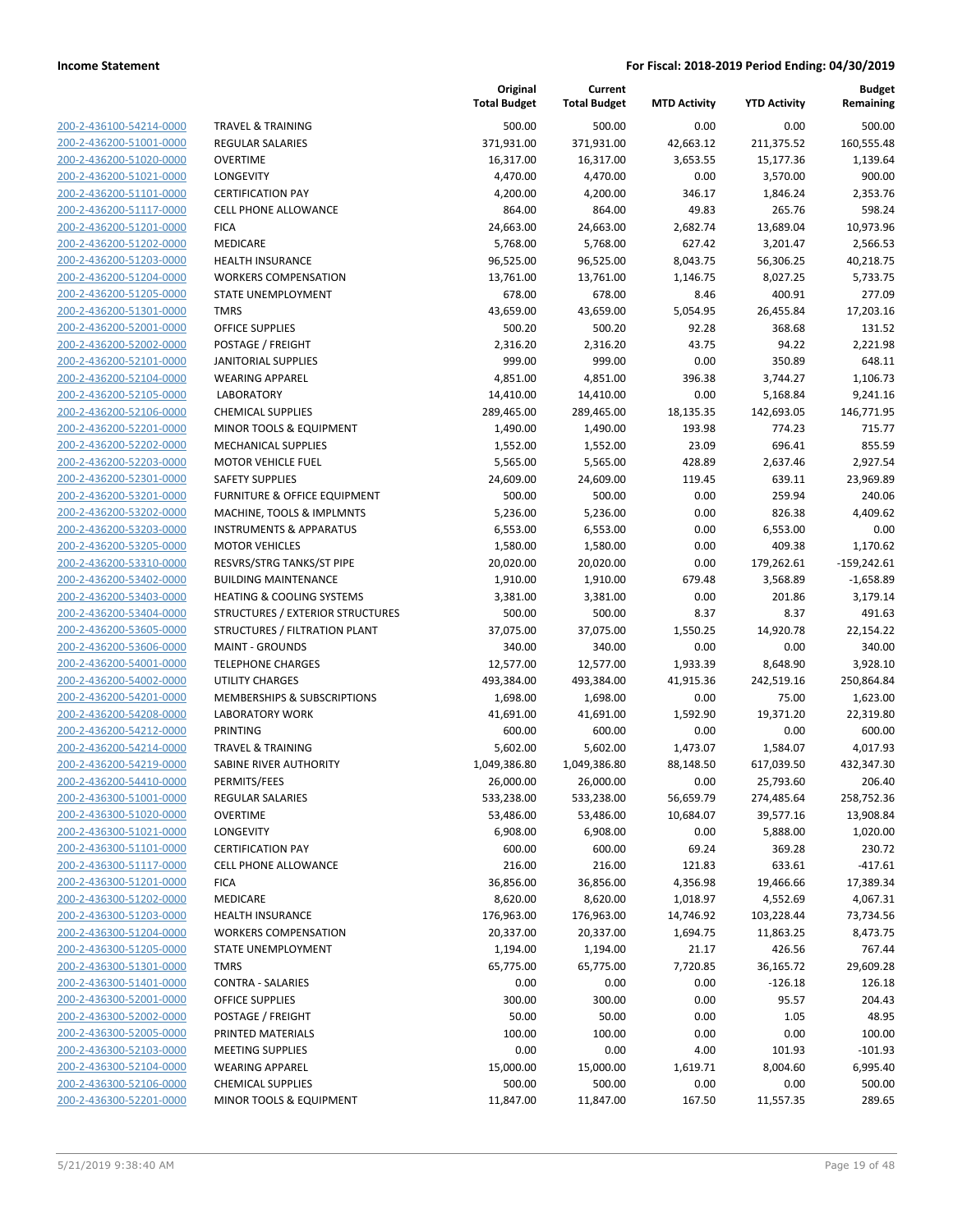| 200-2-436100-54214-0000        |
|--------------------------------|
| 200-2-436200-51001-0000        |
| 200-2-436200-51020-0000        |
| 200-2-436200-51021-0000        |
| 200-2-436200-51101-0000        |
| 200-2-436200-51117-0000        |
| 200-2-436200-51201-0000        |
| 200-2-436200-51202-0000        |
| 200-2-436200-51203-0000        |
| 200-2-436200-51204-0000        |
| 200-2-436200-51205-0000        |
| 200-2-436200-51301-0000        |
| 200-2-436200-52001-0000        |
| 200-2-436200-52002-0000        |
| 200-2-436200-52101-0000        |
| 200-2-436200-52104-0000        |
| 200-2-436200-52105-0000        |
|                                |
| 200-2-436200-52106-0000        |
| 200-2-436200-52201-0000        |
| 200-2-436200-52202-0000        |
| 200-2-436200-52203-0000        |
| 200-2-436200-52301-0000        |
| 200-2-436200-53201-0000        |
| 200-2-436200-53202-0000        |
| 200-2-436200-53203-0000        |
| 200-2-436200-53205-0000        |
| 200-2-436200-53310-0000        |
| 200-2-436200-53402-0000        |
| 200-2-436200-53403-0000        |
| 200-2-436200-53404-0000        |
| 200-2-436200-53605-0000        |
| 200-2-436200-53606-0000        |
| 200-2-436200-54001-0000        |
| 200-2-436200-54002-0000        |
| 200-2-436200-54201-0000        |
| 200-2-436200-54208-0000        |
| 200-2-436200-54212-0000        |
| 200-2-436200-54214-0000        |
| 200-2-436200-54219-0000        |
| 200-2-436200-54410-0000        |
| 200-2-436300-51001-0000        |
| 200-2-436300-51020-0000        |
|                                |
| <u>200-2-436300-51021-0000</u> |
| <u>200-2-436300-51101-0000</u> |
| 200-2-436300-51117-0000        |
| 200-2-436300-51201-0000        |
| 200-2-436300-51202-0000        |
| <u>200-2-436300-51203-0000</u> |
| <u>200-2-436300-51204-0000</u> |
| 200-2-436300-51205-0000        |
| 200-2-436300-51301-0000        |
| 200-2-436300-51401-0000        |
| <u>200-2-436300-52001-0000</u> |
| <u>200-2-436300-52002-0000</u> |
| 200-2-436300-52005-0000        |
| 200-2-436300-52103-0000        |
| 200-2-436300-52104-0000        |
| <u>200-2-436300-52106-0000</u> |
| <u>200-2-436300-52201-0000</u> |
|                                |

|                                                    |                                                       | Original<br><b>Total Budget</b> | Current<br><b>Total Budget</b> | <b>MTD Activity</b> | <b>YTD Activity</b> | <b>Budget</b><br>Remaining |
|----------------------------------------------------|-------------------------------------------------------|---------------------------------|--------------------------------|---------------------|---------------------|----------------------------|
| 200-2-436100-54214-0000                            | <b>TRAVEL &amp; TRAINING</b>                          | 500.00                          | 500.00                         | 0.00                | 0.00                | 500.00                     |
| 200-2-436200-51001-0000                            | <b>REGULAR SALARIES</b>                               | 371,931.00                      | 371,931.00                     | 42,663.12           | 211,375.52          | 160,555.48                 |
| 200-2-436200-51020-0000                            | <b>OVERTIME</b>                                       | 16,317.00                       | 16,317.00                      | 3,653.55            | 15,177.36           | 1,139.64                   |
| 200-2-436200-51021-0000                            | LONGEVITY                                             | 4,470.00                        | 4,470.00                       | 0.00                | 3,570.00            | 900.00                     |
| 200-2-436200-51101-0000                            | <b>CERTIFICATION PAY</b>                              | 4,200.00                        | 4,200.00                       | 346.17              | 1,846.24            | 2,353.76                   |
| 200-2-436200-51117-0000                            | <b>CELL PHONE ALLOWANCE</b>                           | 864.00                          | 864.00                         | 49.83               | 265.76              | 598.24                     |
| 200-2-436200-51201-0000                            | <b>FICA</b>                                           | 24,663.00                       | 24,663.00                      | 2,682.74            | 13,689.04           | 10,973.96                  |
| 200-2-436200-51202-0000                            | MEDICARE                                              | 5,768.00                        | 5,768.00                       | 627.42              | 3,201.47            | 2,566.53                   |
| 200-2-436200-51203-0000                            | <b>HEALTH INSURANCE</b>                               | 96,525.00                       | 96,525.00                      | 8,043.75            | 56,306.25           | 40,218.75                  |
| 200-2-436200-51204-0000                            | <b>WORKERS COMPENSATION</b>                           | 13,761.00                       | 13,761.00                      | 1,146.75            | 8,027.25            | 5,733.75                   |
| 200-2-436200-51205-0000                            | <b>STATE UNEMPLOYMENT</b>                             | 678.00                          | 678.00                         | 8.46                | 400.91              | 277.09                     |
| 200-2-436200-51301-0000                            | <b>TMRS</b>                                           | 43,659.00                       | 43,659.00                      | 5,054.95            | 26,455.84           | 17,203.16                  |
| 200-2-436200-52001-0000                            | <b>OFFICE SUPPLIES</b>                                | 500.20                          | 500.20                         | 92.28               | 368.68              | 131.52                     |
| 200-2-436200-52002-0000                            | POSTAGE / FREIGHT                                     | 2,316.20                        | 2,316.20                       | 43.75               | 94.22               | 2,221.98                   |
| 200-2-436200-52101-0000                            | <b>JANITORIAL SUPPLIES</b>                            | 999.00                          | 999.00                         | 0.00                | 350.89              | 648.11                     |
| 200-2-436200-52104-0000                            | <b>WEARING APPAREL</b>                                | 4,851.00                        | 4,851.00                       | 396.38              | 3,744.27            | 1,106.73                   |
| 200-2-436200-52105-0000                            | <b>LABORATORY</b>                                     | 14,410.00                       | 14,410.00                      | 0.00                | 5,168.84            | 9,241.16                   |
| 200-2-436200-52106-0000                            | <b>CHEMICAL SUPPLIES</b>                              | 289,465.00                      | 289,465.00                     | 18,135.35           | 142,693.05          | 146,771.95                 |
| 200-2-436200-52201-0000                            | MINOR TOOLS & EQUIPMENT                               | 1,490.00                        | 1,490.00                       | 193.98              | 774.23              | 715.77                     |
| 200-2-436200-52202-0000                            | <b>MECHANICAL SUPPLIES</b>                            | 1,552.00                        | 1,552.00                       | 23.09               | 696.41              | 855.59                     |
| 200-2-436200-52203-0000                            | <b>MOTOR VEHICLE FUEL</b>                             | 5,565.00                        | 5,565.00                       | 428.89              | 2,637.46            | 2,927.54                   |
| 200-2-436200-52301-0000                            | <b>SAFETY SUPPLIES</b>                                | 24,609.00                       | 24,609.00                      | 119.45              | 639.11              | 23,969.89                  |
| 200-2-436200-53201-0000                            | <b>FURNITURE &amp; OFFICE EQUIPMENT</b>               | 500.00                          | 500.00                         | 0.00                | 259.94              | 240.06                     |
| 200-2-436200-53202-0000                            | MACHINE, TOOLS & IMPLMNTS                             | 5,236.00                        | 5,236.00                       | 0.00                | 826.38              | 4,409.62                   |
| 200-2-436200-53203-0000                            | <b>INSTRUMENTS &amp; APPARATUS</b>                    | 6,553.00                        | 6,553.00                       | 0.00                | 6,553.00            | 0.00                       |
| 200-2-436200-53205-0000                            | <b>MOTOR VEHICLES</b>                                 | 1,580.00                        | 1,580.00                       | 0.00                | 409.38              | 1,170.62                   |
| 200-2-436200-53310-0000                            | RESVRS/STRG TANKS/ST PIPE                             | 20,020.00                       | 20,020.00                      | 0.00                | 179,262.61          | $-159,242.61$              |
| 200-2-436200-53402-0000                            | <b>BUILDING MAINTENANCE</b>                           | 1,910.00                        | 1,910.00                       | 679.48              | 3,568.89            | $-1,658.89$                |
| 200-2-436200-53403-0000                            | <b>HEATING &amp; COOLING SYSTEMS</b>                  | 3,381.00                        | 3,381.00                       | 0.00                | 201.86              | 3,179.14                   |
| 200-2-436200-53404-0000                            | STRUCTURES / EXTERIOR STRUCTURES                      | 500.00                          | 500.00                         | 8.37                | 8.37                | 491.63                     |
| 200-2-436200-53605-0000                            | STRUCTURES / FILTRATION PLANT                         | 37,075.00                       | 37,075.00                      | 1,550.25            | 14,920.78           | 22,154.22                  |
| 200-2-436200-53606-0000                            | <b>MAINT - GROUNDS</b>                                | 340.00                          | 340.00                         | 0.00                | 0.00                | 340.00                     |
| 200-2-436200-54001-0000                            | <b>TELEPHONE CHARGES</b>                              | 12,577.00                       | 12,577.00                      | 1,933.39            | 8,648.90            | 3,928.10                   |
| 200-2-436200-54002-0000<br>200-2-436200-54201-0000 | <b>UTILITY CHARGES</b>                                | 493,384.00                      | 493,384.00                     | 41,915.36           | 242,519.16          | 250,864.84                 |
| 200-2-436200-54208-0000                            | MEMBERSHIPS & SUBSCRIPTIONS<br><b>LABORATORY WORK</b> | 1,698.00<br>41,691.00           | 1,698.00<br>41,691.00          | 0.00<br>1,592.90    | 75.00<br>19,371.20  | 1,623.00                   |
| 200-2-436200-54212-0000                            | PRINTING                                              | 600.00                          | 600.00                         | 0.00                | 0.00                | 22,319.80<br>600.00        |
| 200-2-436200-54214-0000                            | <b>TRAVEL &amp; TRAINING</b>                          | 5,602.00                        | 5,602.00                       | 1,473.07            | 1,584.07            | 4,017.93                   |
| 200-2-436200-54219-0000                            | SABINE RIVER AUTHORITY                                | 1,049,386.80                    | 1,049,386.80                   | 88,148.50           | 617,039.50          | 432,347.30                 |
| 200-2-436200-54410-0000                            | PERMITS/FEES                                          | 26,000.00                       | 26,000.00                      | 0.00                | 25,793.60           | 206.40                     |
| 200-2-436300-51001-0000                            | REGULAR SALARIES                                      | 533,238.00                      | 533,238.00                     | 56,659.79           | 274,485.64          | 258,752.36                 |
| 200-2-436300-51020-0000                            | <b>OVERTIME</b>                                       | 53,486.00                       | 53,486.00                      | 10,684.07           | 39,577.16           | 13,908.84                  |
| 200-2-436300-51021-0000                            | LONGEVITY                                             | 6,908.00                        | 6,908.00                       | 0.00                | 5,888.00            | 1,020.00                   |
| 200-2-436300-51101-0000                            | <b>CERTIFICATION PAY</b>                              | 600.00                          | 600.00                         | 69.24               | 369.28              | 230.72                     |
| 200-2-436300-51117-0000                            | CELL PHONE ALLOWANCE                                  | 216.00                          | 216.00                         | 121.83              | 633.61              | $-417.61$                  |
| 200-2-436300-51201-0000                            | <b>FICA</b>                                           | 36,856.00                       | 36,856.00                      | 4,356.98            | 19,466.66           | 17,389.34                  |
| 200-2-436300-51202-0000                            | MEDICARE                                              | 8,620.00                        | 8,620.00                       | 1,018.97            | 4,552.69            | 4,067.31                   |
| 200-2-436300-51203-0000                            | <b>HEALTH INSURANCE</b>                               | 176,963.00                      | 176,963.00                     | 14,746.92           | 103,228.44          | 73,734.56                  |
| 200-2-436300-51204-0000                            | <b>WORKERS COMPENSATION</b>                           | 20,337.00                       | 20,337.00                      | 1,694.75            | 11,863.25           | 8,473.75                   |
| 200-2-436300-51205-0000                            | STATE UNEMPLOYMENT                                    | 1,194.00                        | 1,194.00                       | 21.17               | 426.56              | 767.44                     |
| 200-2-436300-51301-0000                            | <b>TMRS</b>                                           | 65,775.00                       | 65,775.00                      | 7,720.85            | 36,165.72           | 29,609.28                  |
| 200-2-436300-51401-0000                            | <b>CONTRA - SALARIES</b>                              | 0.00                            | 0.00                           | 0.00                | $-126.18$           | 126.18                     |
| 200-2-436300-52001-0000                            | <b>OFFICE SUPPLIES</b>                                | 300.00                          | 300.00                         | 0.00                | 95.57               | 204.43                     |
| 200-2-436300-52002-0000                            | POSTAGE / FREIGHT                                     | 50.00                           | 50.00                          | 0.00                | 1.05                | 48.95                      |
| 200-2-436300-52005-0000                            | PRINTED MATERIALS                                     | 100.00                          | 100.00                         | 0.00                | 0.00                | 100.00                     |
| 200-2-436300-52103-0000                            | <b>MEETING SUPPLIES</b>                               | 0.00                            | 0.00                           | 4.00                | 101.93              | $-101.93$                  |
| 200-2-436300-52104-0000                            | <b>WEARING APPAREL</b>                                | 15,000.00                       | 15,000.00                      | 1,619.71            | 8,004.60            | 6,995.40                   |
| 200-2-436300-52106-0000                            | <b>CHEMICAL SUPPLIES</b>                              | 500.00                          | 500.00                         | 0.00                | 0.00                | 500.00                     |
| 200-2-436300-52201-0000                            | MINOR TOOLS & EQUIPMENT                               | 11,847.00                       | 11,847.00                      | 167.50              | 11,557.35           | 289.65                     |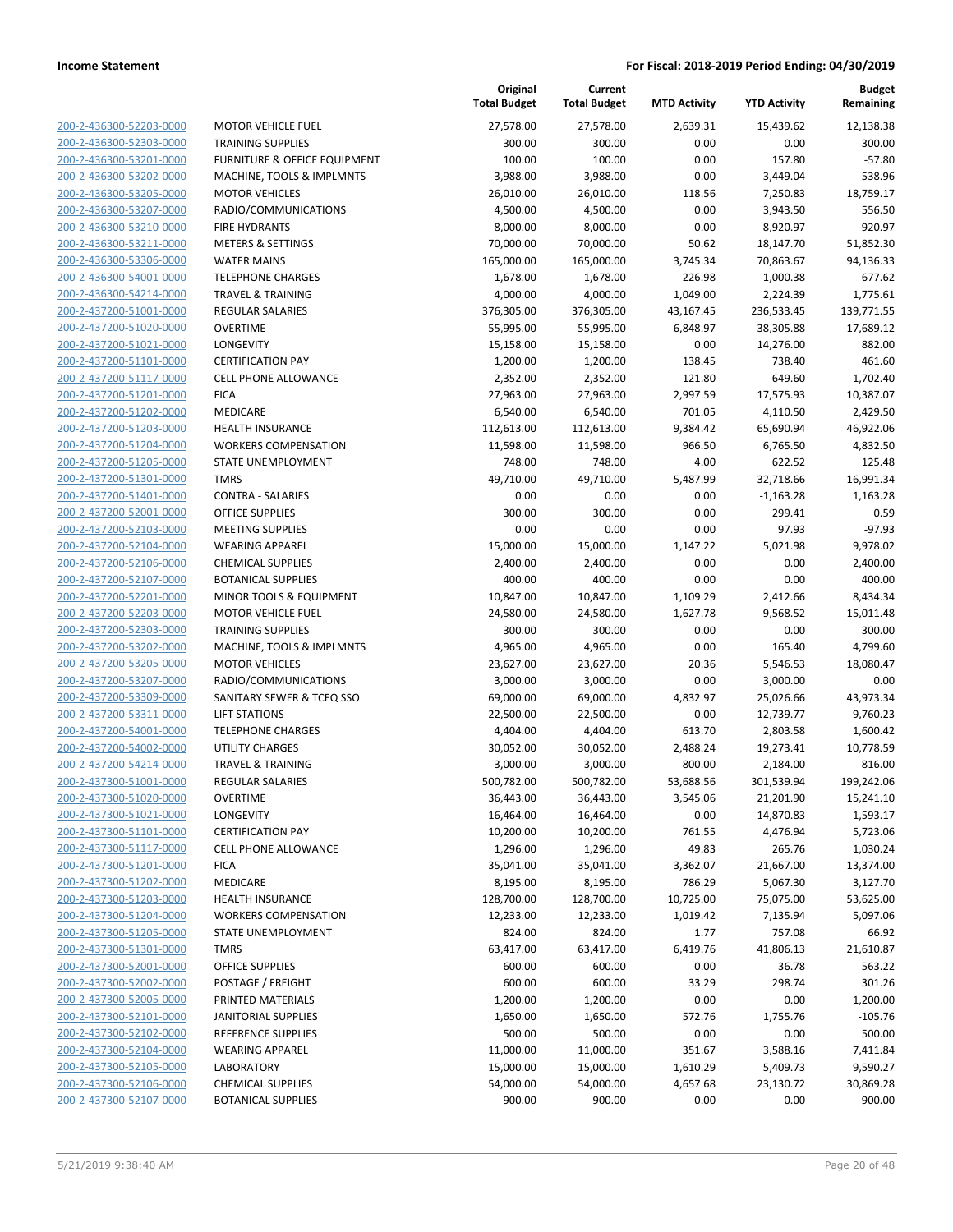| 200-2-436300-52203-0000                            | <b>MOTOR VEHICLE FUEL</b>                           |
|----------------------------------------------------|-----------------------------------------------------|
| 200-2-436300-52303-0000                            | TRAINING SUPPLIES                                   |
| <u>200-2-436300-53201-0000</u>                     | <b>FURNITURE &amp; OFFICE EQ</b>                    |
| 200-2-436300-53202-0000                            | MACHINE, TOOLS & IMP                                |
| 200-2-436300-53205-0000                            | <b>MOTOR VEHICLES</b>                               |
| 200-2-436300-53207-0000                            | RADIO/COMMUNICATIO                                  |
| 200-2-436300-53210-0000                            | <b>FIRE HYDRANTS</b>                                |
| 200-2-436300-53211-0000                            | <b>METERS &amp; SETTINGS</b>                        |
| 200-2-436300-53306-0000                            | <b>WATER MAINS</b>                                  |
| 200-2-436300-54001-0000                            | <b>TELEPHONE CHARGES</b>                            |
| 200-2-436300-54214-0000                            | <b>TRAVEL &amp; TRAINING</b>                        |
| 200-2-437200-51001-0000                            | <b>REGULAR SALARIES</b>                             |
| 200-2-437200-51020-0000                            | <b>OVERTIME</b>                                     |
| 200-2-437200-51021-0000                            | LONGEVITY                                           |
| 200-2-437200-51101-0000                            | <b>CERTIFICATION PAY</b>                            |
| 200-2-437200-51117-0000                            | <b>CELL PHONE ALLOWAN</b>                           |
| 200-2-437200-51201-0000                            | <b>FICA</b>                                         |
| 200-2-437200-51202-0000                            | <b>MEDICARE</b>                                     |
| 200-2-437200-51203-0000                            | <b>HEALTH INSURANCE</b>                             |
| 200-2-437200-51204-0000                            | <b>WORKERS COMPENSAT</b>                            |
| 200-2-437200-51205-0000                            | STATE UNEMPLOYMENT                                  |
| 200-2-437200-51301-0000                            | <b>TMRS</b>                                         |
| 200-2-437200-51401-0000                            | <b>CONTRA - SALARIES</b>                            |
| 200-2-437200-52001-0000                            | <b>OFFICE SUPPLIES</b>                              |
| 200-2-437200-52103-0000                            | <b>MEETING SUPPLIES</b>                             |
| 200-2-437200-52104-0000                            | <b>WEARING APPAREL</b>                              |
| 200-2-437200-52106-0000                            | <b>CHEMICAL SUPPLIES</b>                            |
| 200-2-437200-52107-0000                            | <b>BOTANICAL SUPPLIES</b>                           |
| 200-2-437200-52201-0000                            | <b>MINOR TOOLS &amp; EQUIP</b>                      |
| 200-2-437200-52203-0000                            | <b>MOTOR VEHICLE FUEL</b>                           |
| 200-2-437200-52303-0000                            | <b>TRAINING SUPPLIES</b>                            |
| 200-2-437200-53202-0000                            | MACHINE, TOOLS & IMP                                |
| 200-2-437200-53205-0000                            | <b>MOTOR VEHICLES</b>                               |
| 200-2-437200-53207-0000                            | RADIO/COMMUNICATIO                                  |
| 200-2-437200-53309-0000                            | SANITARY SEWER & TCE                                |
| 200-2-437200-53311-0000                            | <b>LIFT STATIONS</b>                                |
| 200-2-437200-54001-0000                            | <b>TELEPHONE CHARGES</b>                            |
| 200-2-437200-54002-0000                            | <b>UTILITY CHARGES</b>                              |
| 200-2-437200-54214-0000                            | <b>TRAVEL &amp; TRAINING</b>                        |
| 200-2-437300-51001-0000                            | <b>REGULAR SALARIES</b>                             |
| 200-2-437300-51020-0000                            | <b>OVERTIME</b>                                     |
| 200-2-437300-51021-0000                            | LONGEVITY                                           |
| 200-2-437300-51101-0000                            | <b>CERTIFICATION PAY</b>                            |
| 200-2-437300-51117-0000                            | <b>CELL PHONE ALLOWAN</b>                           |
| 200-2-437300-51201-0000                            | FICA                                                |
| 200-2-437300-51202-0000                            | <b>MEDICARE</b>                                     |
| 200-2-437300-51203-0000                            | <b>HEALTH INSURANCE</b><br><b>WORKERS COMPENSAT</b> |
| 200-2-437300-51204-0000<br>200-2-437300-51205-0000 | STATE UNEMPLOYMENT                                  |
| 200-2-437300-51301-0000                            | <b>TMRS</b>                                         |
| 200-2-437300-52001-0000                            | <b>OFFICE SUPPLIES</b>                              |
| 200-2-437300-52002-0000                            | POSTAGE / FREIGHT                                   |
| 200-2-437300-52005-0000                            | PRINTED MATERIALS                                   |
| 200-2-437300-52101-0000                            | <b>JANITORIAL SUPPLIES</b>                          |
| 200-2-437300-52102-0000                            | <b>REFERENCE SUPPLIES</b>                           |
| 200-2-437300-52104-0000                            | <b>WEARING APPAREL</b>                              |
| 200-2-437300-52105-0000                            | <b>LABORATORY</b>                                   |
| 200-2-437300-52106-0000                            | <b>CHEMICAL SUPPLIES</b>                            |
| 200-2-437300-52107-0000                            | <b>BOTANICAL SUPPLIES</b>                           |
|                                                    |                                                     |

|                                                    |                                                         | Original<br><b>Total Budget</b> | Current<br><b>Total Budget</b> | <b>MTD Activity</b> | <b>YTD Activity</b>   | <b>Budget</b><br>Remaining |
|----------------------------------------------------|---------------------------------------------------------|---------------------------------|--------------------------------|---------------------|-----------------------|----------------------------|
| 200-2-436300-52203-0000                            | <b>MOTOR VEHICLE FUEL</b>                               | 27,578.00                       | 27,578.00                      | 2,639.31            | 15,439.62             | 12,138.38                  |
| 200-2-436300-52303-0000                            | <b>TRAINING SUPPLIES</b>                                | 300.00                          | 300.00                         | 0.00                | 0.00                  | 300.00                     |
| 200-2-436300-53201-0000                            | <b>FURNITURE &amp; OFFICE EQUIPMENT</b>                 | 100.00                          | 100.00                         | 0.00                | 157.80                | $-57.80$                   |
| 200-2-436300-53202-0000                            | MACHINE, TOOLS & IMPLMNTS                               | 3,988.00                        | 3,988.00                       | 0.00                | 3,449.04              | 538.96                     |
| 200-2-436300-53205-0000                            | <b>MOTOR VEHICLES</b>                                   | 26,010.00                       | 26,010.00                      | 118.56              | 7,250.83              | 18,759.17                  |
| 200-2-436300-53207-0000                            | RADIO/COMMUNICATIONS                                    | 4,500.00                        | 4,500.00                       | 0.00                | 3,943.50              | 556.50                     |
| 200-2-436300-53210-0000                            | <b>FIRE HYDRANTS</b>                                    | 8,000.00                        | 8,000.00                       | 0.00                | 8,920.97              | $-920.97$                  |
| 200-2-436300-53211-0000                            | <b>METERS &amp; SETTINGS</b>                            | 70,000.00                       | 70,000.00                      | 50.62               | 18,147.70             | 51,852.30                  |
| 200-2-436300-53306-0000                            | <b>WATER MAINS</b>                                      | 165,000.00                      | 165,000.00                     | 3,745.34            | 70,863.67             | 94,136.33                  |
| 200-2-436300-54001-0000                            | <b>TELEPHONE CHARGES</b>                                | 1,678.00                        | 1,678.00                       | 226.98              | 1,000.38              | 677.62                     |
| 200-2-436300-54214-0000                            | <b>TRAVEL &amp; TRAINING</b>                            | 4,000.00                        | 4,000.00                       | 1,049.00            | 2,224.39              | 1,775.61                   |
| 200-2-437200-51001-0000                            | REGULAR SALARIES                                        | 376,305.00                      | 376,305.00                     | 43,167.45           | 236,533.45            | 139,771.55                 |
| 200-2-437200-51020-0000                            | <b>OVERTIME</b>                                         | 55,995.00                       | 55,995.00                      | 6,848.97            | 38,305.88             | 17,689.12                  |
| 200-2-437200-51021-0000                            | LONGEVITY                                               | 15,158.00                       | 15,158.00                      | 0.00                | 14,276.00             | 882.00                     |
| 200-2-437200-51101-0000                            | <b>CERTIFICATION PAY</b>                                | 1,200.00                        | 1,200.00                       | 138.45              | 738.40                | 461.60                     |
| 200-2-437200-51117-0000                            | <b>CELL PHONE ALLOWANCE</b>                             | 2,352.00                        | 2,352.00                       | 121.80              | 649.60                | 1,702.40                   |
| 200-2-437200-51201-0000                            | <b>FICA</b>                                             | 27,963.00                       | 27,963.00                      | 2,997.59            | 17,575.93             | 10,387.07                  |
| 200-2-437200-51202-0000                            | MEDICARE                                                | 6,540.00                        | 6,540.00                       | 701.05              | 4,110.50              | 2,429.50                   |
| 200-2-437200-51203-0000                            | <b>HEALTH INSURANCE</b>                                 | 112,613.00                      | 112,613.00                     | 9,384.42            | 65,690.94             | 46,922.06                  |
| 200-2-437200-51204-0000                            | <b>WORKERS COMPENSATION</b>                             | 11,598.00                       | 11,598.00                      | 966.50              | 6,765.50              | 4,832.50                   |
| 200-2-437200-51205-0000                            | STATE UNEMPLOYMENT                                      | 748.00                          | 748.00                         | 4.00                | 622.52                | 125.48                     |
| 200-2-437200-51301-0000                            | <b>TMRS</b>                                             | 49,710.00                       | 49,710.00                      | 5,487.99            | 32,718.66             | 16,991.34                  |
| 200-2-437200-51401-0000                            | <b>CONTRA - SALARIES</b>                                | 0.00                            | 0.00                           | 0.00                | $-1,163.28$           | 1,163.28                   |
| 200-2-437200-52001-0000                            | <b>OFFICE SUPPLIES</b>                                  | 300.00                          | 300.00                         | 0.00                | 299.41                | 0.59                       |
| 200-2-437200-52103-0000                            | <b>MEETING SUPPLIES</b>                                 | 0.00                            | 0.00                           | 0.00                | 97.93                 | $-97.93$                   |
| 200-2-437200-52104-0000                            | <b>WEARING APPAREL</b>                                  | 15,000.00                       | 15,000.00                      | 1,147.22            | 5,021.98              | 9,978.02                   |
| 200-2-437200-52106-0000                            | <b>CHEMICAL SUPPLIES</b>                                | 2,400.00                        | 2,400.00                       | 0.00                | 0.00                  | 2,400.00                   |
| 200-2-437200-52107-0000                            | <b>BOTANICAL SUPPLIES</b>                               | 400.00                          | 400.00                         | 0.00                | 0.00                  | 400.00                     |
| 200-2-437200-52201-0000                            | MINOR TOOLS & EQUIPMENT                                 | 10,847.00                       | 10,847.00                      | 1,109.29            | 2,412.66              | 8,434.34                   |
| 200-2-437200-52203-0000                            | <b>MOTOR VEHICLE FUEL</b>                               | 24,580.00                       | 24,580.00                      | 1,627.78            | 9,568.52              | 15,011.48                  |
| 200-2-437200-52303-0000                            | <b>TRAINING SUPPLIES</b>                                | 300.00                          | 300.00                         | 0.00                | 0.00                  | 300.00                     |
| 200-2-437200-53202-0000                            | MACHINE, TOOLS & IMPLMNTS                               | 4,965.00                        | 4,965.00                       | 0.00                | 165.40                | 4,799.60                   |
| 200-2-437200-53205-0000                            | <b>MOTOR VEHICLES</b>                                   | 23,627.00                       | 23,627.00                      | 20.36               | 5,546.53              | 18,080.47                  |
| 200-2-437200-53207-0000                            | RADIO/COMMUNICATIONS                                    | 3,000.00                        | 3,000.00                       | 0.00                | 3,000.00              | 0.00                       |
| 200-2-437200-53309-0000                            | SANITARY SEWER & TCEQ SSO                               | 69,000.00                       | 69,000.00                      | 4,832.97            | 25,026.66             | 43,973.34                  |
| 200-2-437200-53311-0000                            | LIFT STATIONS                                           | 22,500.00                       | 22,500.00                      | 0.00                | 12,739.77             | 9,760.23                   |
| 200-2-437200-54001-0000                            | <b>TELEPHONE CHARGES</b>                                | 4,404.00                        | 4,404.00                       | 613.70<br>2,488.24  | 2,803.58<br>19,273.41 | 1,600.42<br>10,778.59      |
| 200-2-437200-54002-0000<br>200-2-437200-54214-0000 | UTILITY CHARGES                                         | 30,052.00                       | 30,052.00                      |                     | 2,184.00              |                            |
| 200-2-437300-51001-0000                            | <b>TRAVEL &amp; TRAINING</b><br><b>REGULAR SALARIES</b> | 3,000.00<br>500,782.00          | 3,000.00<br>500,782.00         | 800.00<br>53,688.56 | 301,539.94            | 816.00<br>199,242.06       |
| 200-2-437300-51020-0000                            | <b>OVERTIME</b>                                         | 36,443.00                       | 36,443.00                      | 3,545.06            | 21,201.90             | 15,241.10                  |
| 200-2-437300-51021-0000                            | <b>LONGEVITY</b>                                        | 16,464.00                       | 16,464.00                      | 0.00                | 14,870.83             | 1,593.17                   |
| 200-2-437300-51101-0000                            | <b>CERTIFICATION PAY</b>                                | 10,200.00                       | 10,200.00                      | 761.55              | 4,476.94              | 5,723.06                   |
| 200-2-437300-51117-0000                            | <b>CELL PHONE ALLOWANCE</b>                             | 1,296.00                        | 1,296.00                       | 49.83               | 265.76                | 1,030.24                   |
| 200-2-437300-51201-0000                            | <b>FICA</b>                                             | 35,041.00                       | 35,041.00                      | 3,362.07            | 21,667.00             | 13,374.00                  |
| 200-2-437300-51202-0000                            | MEDICARE                                                | 8,195.00                        | 8,195.00                       | 786.29              | 5,067.30              | 3,127.70                   |
| 200-2-437300-51203-0000                            | <b>HEALTH INSURANCE</b>                                 | 128,700.00                      | 128,700.00                     | 10,725.00           | 75,075.00             | 53,625.00                  |
| 200-2-437300-51204-0000                            | <b>WORKERS COMPENSATION</b>                             | 12,233.00                       | 12,233.00                      | 1,019.42            | 7,135.94              | 5,097.06                   |
| 200-2-437300-51205-0000                            | STATE UNEMPLOYMENT                                      | 824.00                          | 824.00                         | 1.77                | 757.08                | 66.92                      |
| 200-2-437300-51301-0000                            | <b>TMRS</b>                                             | 63,417.00                       | 63,417.00                      | 6,419.76            | 41,806.13             | 21,610.87                  |
| 200-2-437300-52001-0000                            | <b>OFFICE SUPPLIES</b>                                  | 600.00                          | 600.00                         | 0.00                | 36.78                 | 563.22                     |
| 200-2-437300-52002-0000                            | POSTAGE / FREIGHT                                       | 600.00                          | 600.00                         | 33.29               | 298.74                | 301.26                     |
| 200-2-437300-52005-0000                            | PRINTED MATERIALS                                       | 1,200.00                        | 1,200.00                       | 0.00                | 0.00                  | 1,200.00                   |
| 200-2-437300-52101-0000                            | <b>JANITORIAL SUPPLIES</b>                              | 1,650.00                        | 1,650.00                       | 572.76              | 1,755.76              | $-105.76$                  |
| 200-2-437300-52102-0000                            | REFERENCE SUPPLIES                                      | 500.00                          | 500.00                         | 0.00                | 0.00                  | 500.00                     |
| 200-2-437300-52104-0000                            | <b>WEARING APPAREL</b>                                  | 11,000.00                       | 11,000.00                      | 351.67              | 3,588.16              | 7,411.84                   |
| 200-2-437300-52105-0000                            | <b>LABORATORY</b>                                       | 15,000.00                       | 15,000.00                      | 1,610.29            | 5,409.73              | 9,590.27                   |
| 200-2-437300-52106-0000                            | <b>CHEMICAL SUPPLIES</b>                                | 54,000.00                       | 54,000.00                      | 4,657.68            | 23,130.72             | 30,869.28                  |
| 200-2-437300-52107-0000                            | <b>BOTANICAL SUPPLIES</b>                               | 900.00                          | 900.00                         | 0.00                | 0.00                  | 900.00                     |
|                                                    |                                                         |                                 |                                |                     |                       |                            |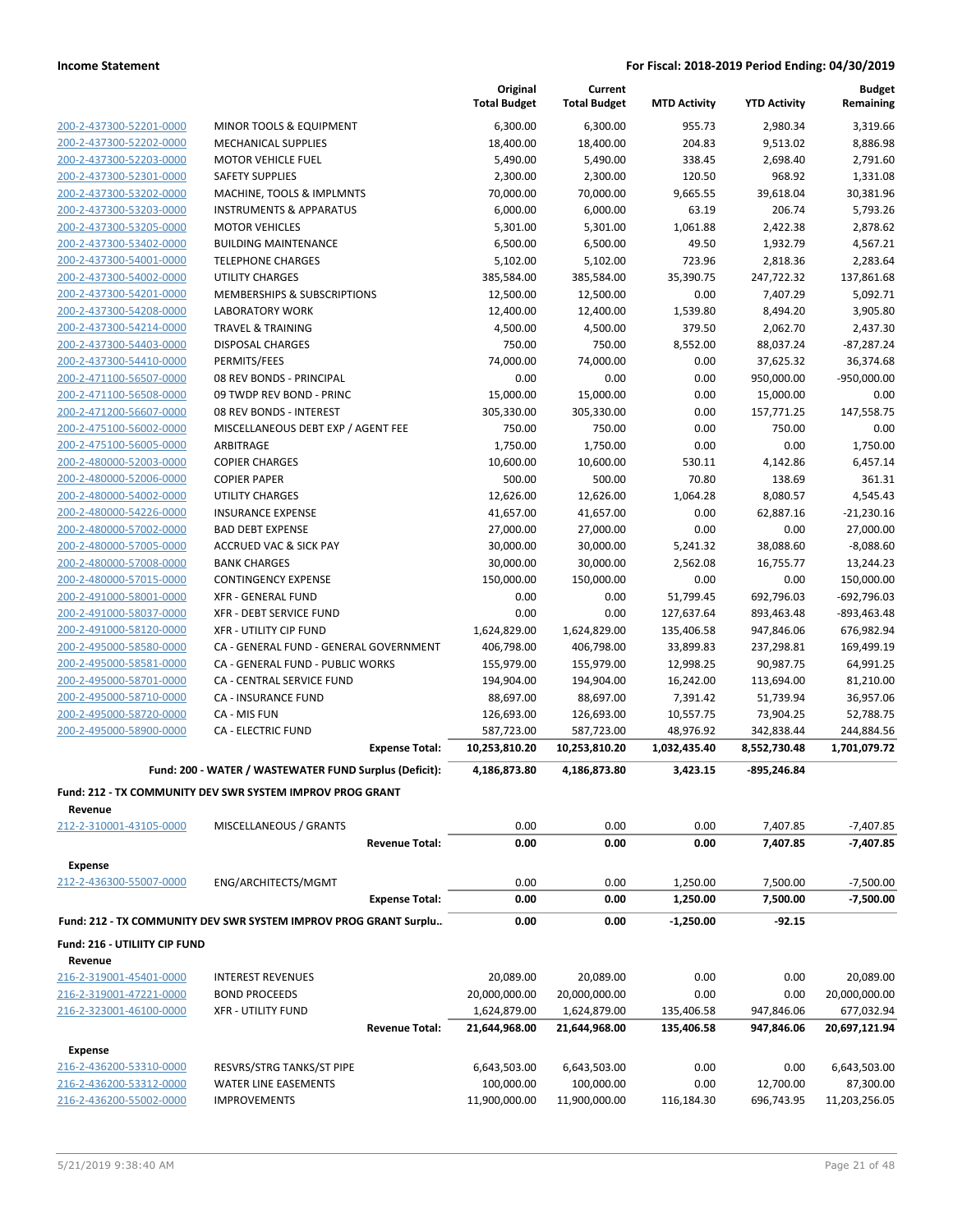|                                                    |                                                                  |                       | Original<br><b>Total Budget</b> | Current<br><b>Total Budget</b> | <b>MTD Activity</b> | <b>YTD Activity</b>  | <b>Budget</b><br>Remaining |
|----------------------------------------------------|------------------------------------------------------------------|-----------------------|---------------------------------|--------------------------------|---------------------|----------------------|----------------------------|
|                                                    |                                                                  |                       |                                 |                                |                     |                      |                            |
| 200-2-437300-52201-0000                            | MINOR TOOLS & EQUIPMENT<br><b>MECHANICAL SUPPLIES</b>            |                       | 6,300.00                        | 6,300.00<br>18,400.00          | 955.73<br>204.83    | 2,980.34<br>9,513.02 | 3,319.66<br>8,886.98       |
| 200-2-437300-52202-0000<br>200-2-437300-52203-0000 | <b>MOTOR VEHICLE FUEL</b>                                        |                       | 18,400.00<br>5,490.00           | 5,490.00                       | 338.45              | 2,698.40             | 2,791.60                   |
| 200-2-437300-52301-0000                            | <b>SAFETY SUPPLIES</b>                                           |                       | 2,300.00                        | 2,300.00                       | 120.50              | 968.92               | 1,331.08                   |
| 200-2-437300-53202-0000                            | MACHINE, TOOLS & IMPLMNTS                                        |                       | 70,000.00                       | 70,000.00                      | 9,665.55            | 39,618.04            | 30,381.96                  |
| 200-2-437300-53203-0000                            | <b>INSTRUMENTS &amp; APPARATUS</b>                               |                       | 6,000.00                        | 6,000.00                       | 63.19               | 206.74               | 5,793.26                   |
| 200-2-437300-53205-0000                            | <b>MOTOR VEHICLES</b>                                            |                       | 5,301.00                        | 5,301.00                       | 1,061.88            | 2,422.38             | 2,878.62                   |
| 200-2-437300-53402-0000                            | <b>BUILDING MAINTENANCE</b>                                      |                       | 6,500.00                        | 6,500.00                       | 49.50               | 1,932.79             | 4,567.21                   |
| 200-2-437300-54001-0000                            | <b>TELEPHONE CHARGES</b>                                         |                       | 5,102.00                        | 5,102.00                       | 723.96              | 2,818.36             | 2,283.64                   |
| 200-2-437300-54002-0000                            | <b>UTILITY CHARGES</b>                                           |                       | 385,584.00                      | 385,584.00                     | 35,390.75           | 247,722.32           | 137,861.68                 |
| 200-2-437300-54201-0000                            | <b>MEMBERSHIPS &amp; SUBSCRIPTIONS</b>                           |                       | 12,500.00                       | 12,500.00                      | 0.00                | 7,407.29             | 5,092.71                   |
| 200-2-437300-54208-0000                            | <b>LABORATORY WORK</b>                                           |                       | 12,400.00                       | 12,400.00                      | 1,539.80            | 8,494.20             | 3,905.80                   |
| 200-2-437300-54214-0000                            | <b>TRAVEL &amp; TRAINING</b>                                     |                       | 4,500.00                        | 4,500.00                       | 379.50              | 2,062.70             | 2,437.30                   |
| 200-2-437300-54403-0000                            | <b>DISPOSAL CHARGES</b>                                          |                       | 750.00                          | 750.00                         | 8,552.00            | 88,037.24            | $-87,287.24$               |
| 200-2-437300-54410-0000                            | PERMITS/FEES                                                     |                       | 74,000.00                       | 74,000.00                      | 0.00                | 37,625.32            | 36,374.68                  |
| 200-2-471100-56507-0000                            | 08 REV BONDS - PRINCIPAL                                         |                       | 0.00                            | 0.00                           | 0.00                | 950,000.00           | $-950,000.00$              |
| 200-2-471100-56508-0000                            | 09 TWDP REV BOND - PRINC                                         |                       | 15,000.00                       | 15,000.00                      | 0.00                | 15,000.00            | 0.00                       |
| 200-2-471200-56607-0000                            | 08 REV BONDS - INTEREST                                          |                       | 305,330.00                      | 305,330.00                     | 0.00                | 157,771.25           | 147,558.75                 |
| 200-2-475100-56002-0000                            | MISCELLANEOUS DEBT EXP / AGENT FEE                               |                       | 750.00                          | 750.00                         | 0.00                | 750.00               | 0.00                       |
| 200-2-475100-56005-0000                            | ARBITRAGE                                                        |                       | 1,750.00                        | 1,750.00                       | 0.00                | 0.00                 | 1,750.00                   |
| 200-2-480000-52003-0000                            | <b>COPIER CHARGES</b>                                            |                       | 10,600.00                       | 10,600.00                      | 530.11              | 4,142.86             | 6,457.14                   |
| 200-2-480000-52006-0000                            | <b>COPIER PAPER</b>                                              |                       | 500.00                          | 500.00                         | 70.80               | 138.69               | 361.31                     |
| 200-2-480000-54002-0000                            | <b>UTILITY CHARGES</b>                                           |                       | 12,626.00                       | 12,626.00                      | 1,064.28            | 8,080.57             | 4,545.43                   |
| 200-2-480000-54226-0000                            | <b>INSURANCE EXPENSE</b>                                         |                       | 41,657.00                       | 41,657.00                      | 0.00                | 62,887.16            | $-21,230.16$               |
| 200-2-480000-57002-0000                            | <b>BAD DEBT EXPENSE</b>                                          |                       | 27,000.00                       | 27,000.00                      | 0.00                | 0.00                 | 27,000.00                  |
| 200-2-480000-57005-0000                            | <b>ACCRUED VAC &amp; SICK PAY</b>                                |                       | 30,000.00                       | 30,000.00                      | 5,241.32            | 38,088.60            | $-8,088.60$                |
| 200-2-480000-57008-0000                            | <b>BANK CHARGES</b>                                              |                       | 30,000.00                       | 30,000.00                      | 2,562.08            | 16,755.77            | 13,244.23                  |
| 200-2-480000-57015-0000                            | <b>CONTINGENCY EXPENSE</b>                                       |                       | 150,000.00                      | 150,000.00                     | 0.00                | 0.00                 | 150,000.00                 |
| 200-2-491000-58001-0000                            | <b>XFR - GENERAL FUND</b>                                        |                       | 0.00                            | 0.00                           | 51,799.45           | 692,796.03           | $-692,796.03$              |
| 200-2-491000-58037-0000                            | XFR - DEBT SERVICE FUND                                          |                       | 0.00                            | 0.00                           | 127,637.64          | 893,463.48           | $-893,463.48$              |
| 200-2-491000-58120-0000                            | <b>XFR - UTILITY CIP FUND</b>                                    |                       | 1,624,829.00                    | 1,624,829.00                   | 135,406.58          | 947,846.06           | 676,982.94                 |
| 200-2-495000-58580-0000                            | CA - GENERAL FUND - GENERAL GOVERNMENT                           |                       | 406,798.00                      | 406,798.00                     | 33,899.83           | 237,298.81           | 169,499.19                 |
| 200-2-495000-58581-0000                            | CA - GENERAL FUND - PUBLIC WORKS                                 |                       | 155,979.00                      | 155,979.00                     | 12,998.25           | 90,987.75            | 64,991.25                  |
| 200-2-495000-58701-0000                            | CA - CENTRAL SERVICE FUND                                        |                       | 194,904.00                      | 194,904.00                     | 16,242.00           | 113,694.00           | 81,210.00                  |
| 200-2-495000-58710-0000                            | CA - INSURANCE FUND                                              |                       | 88,697.00                       | 88,697.00                      | 7,391.42            | 51,739.94            | 36,957.06                  |
| 200-2-495000-58720-0000                            | CA - MIS FUN                                                     |                       | 126,693.00                      | 126,693.00                     | 10,557.75           | 73,904.25            | 52,788.75                  |
| 200-2-495000-58900-0000                            | <b>CA - ELECTRIC FUND</b>                                        |                       | 587,723.00                      | 587,723.00                     | 48,976.92           | 342,838.44           | 244,884.56                 |
|                                                    |                                                                  | <b>Expense Total:</b> | 10,253,810.20                   | 10,253,810.20                  | 1,032,435.40        | 8,552,730.48         | 1,701,079.72               |
|                                                    | Fund: 200 - WATER / WASTEWATER FUND Surplus (Deficit):           |                       | 4,186,873.80                    | 4,186,873.80                   | 3,423.15            | -895,246.84          |                            |
|                                                    | Fund: 212 - TX COMMUNITY DEV SWR SYSTEM IMPROV PROG GRANT        |                       |                                 |                                |                     |                      |                            |
| Revenue                                            |                                                                  |                       |                                 |                                |                     |                      |                            |
| 212-2-310001-43105-0000                            | MISCELLANEOUS / GRANTS                                           |                       | 0.00                            | 0.00                           | 0.00                | 7,407.85             | $-7,407.85$                |
|                                                    |                                                                  | <b>Revenue Total:</b> | 0.00                            | 0.00                           | 0.00                | 7,407.85             | $-7,407.85$                |
| <b>Expense</b>                                     |                                                                  |                       |                                 |                                |                     |                      |                            |
| 212-2-436300-55007-0000                            | ENG/ARCHITECTS/MGMT                                              |                       | 0.00                            | 0.00                           | 1,250.00            | 7,500.00             | $-7,500.00$                |
|                                                    |                                                                  | <b>Expense Total:</b> | 0.00                            | 0.00                           | 1,250.00            | 7,500.00             | $-7,500.00$                |
|                                                    | Fund: 212 - TX COMMUNITY DEV SWR SYSTEM IMPROV PROG GRANT Surplu |                       | 0.00                            | 0.00                           | $-1,250.00$         | $-92.15$             |                            |
| Fund: 216 - UTILIITY CIP FUND                      |                                                                  |                       |                                 |                                |                     |                      |                            |
| Revenue                                            |                                                                  |                       |                                 |                                |                     |                      |                            |
| 216-2-319001-45401-0000                            | <b>INTEREST REVENUES</b>                                         |                       | 20,089.00                       | 20,089.00                      | 0.00                | 0.00                 | 20,089.00                  |
| 216-2-319001-47221-0000                            | <b>BOND PROCEEDS</b>                                             |                       | 20,000,000.00                   | 20,000,000.00                  | 0.00                | 0.00                 | 20,000,000.00              |
| 216-2-323001-46100-0000                            | <b>XFR - UTILITY FUND</b>                                        |                       | 1,624,879.00                    | 1,624,879.00                   | 135,406.58          | 947,846.06           | 677,032.94                 |
|                                                    |                                                                  | <b>Revenue Total:</b> | 21,644,968.00                   | 21,644,968.00                  | 135,406.58          | 947,846.06           | 20,697,121.94              |
| Expense                                            |                                                                  |                       |                                 |                                |                     |                      |                            |
| 216-2-436200-53310-0000                            | RESVRS/STRG TANKS/ST PIPE                                        |                       | 6,643,503.00                    | 6,643,503.00                   | 0.00                | 0.00                 | 6,643,503.00               |
| 216-2-436200-53312-0000                            | WATER LINE EASEMENTS                                             |                       | 100,000.00                      | 100,000.00                     | 0.00                | 12,700.00            | 87,300.00                  |
| 216-2-436200-55002-0000                            | <b>IMPROVEMENTS</b>                                              |                       | 11,900,000.00                   | 11,900,000.00                  | 116,184.30          | 696,743.95           | 11,203,256.05              |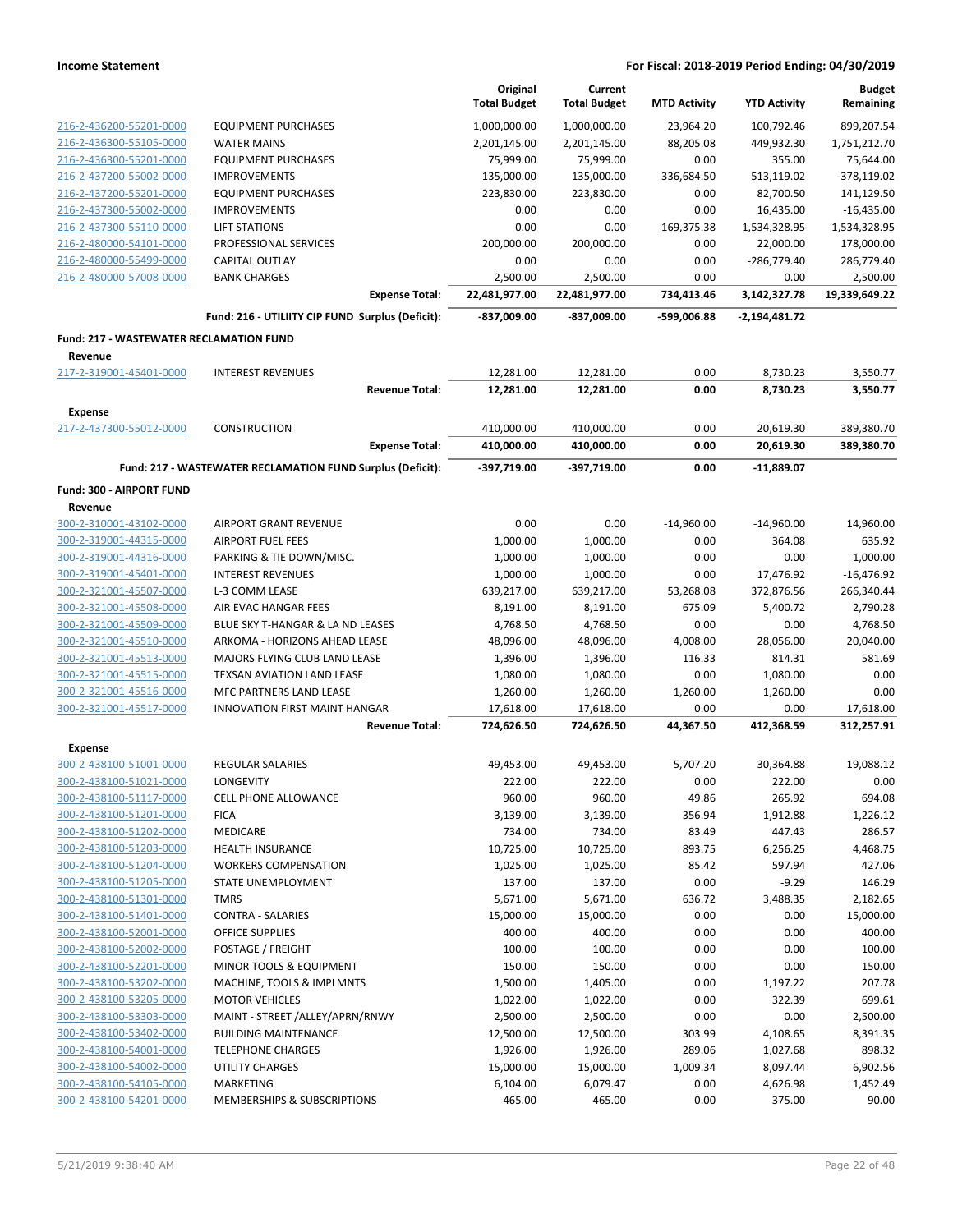|                                                           |                                                            | Original<br><b>Total Budget</b> | Current<br><b>Total Budget</b> | <b>MTD Activity</b> | <b>YTD Activity</b> | <b>Budget</b><br>Remaining |
|-----------------------------------------------------------|------------------------------------------------------------|---------------------------------|--------------------------------|---------------------|---------------------|----------------------------|
| 216-2-436200-55201-0000                                   | <b>EQUIPMENT PURCHASES</b>                                 | 1,000,000.00                    | 1,000,000.00                   | 23,964.20           | 100,792.46          | 899,207.54                 |
| 216-2-436300-55105-0000                                   | <b>WATER MAINS</b>                                         | 2,201,145.00                    | 2,201,145.00                   | 88,205.08           | 449,932.30          | 1,751,212.70               |
| 216-2-436300-55201-0000                                   | <b>EQUIPMENT PURCHASES</b>                                 | 75,999.00                       | 75,999.00                      | 0.00                | 355.00              | 75,644.00                  |
| 216-2-437200-55002-0000                                   | <b>IMPROVEMENTS</b>                                        | 135,000.00                      | 135,000.00                     | 336,684.50          | 513,119.02          | $-378,119.02$              |
| 216-2-437200-55201-0000                                   | <b>EQUIPMENT PURCHASES</b>                                 | 223,830.00                      | 223,830.00                     | 0.00                | 82,700.50           | 141,129.50                 |
| 216-2-437300-55002-0000                                   | <b>IMPROVEMENTS</b>                                        | 0.00                            | 0.00                           | 0.00                | 16,435.00           | $-16,435.00$               |
| 216-2-437300-55110-0000                                   | <b>LIFT STATIONS</b>                                       | 0.00                            | 0.00                           | 169,375.38          | 1,534,328.95        | $-1,534,328.95$            |
| 216-2-480000-54101-0000                                   | PROFESSIONAL SERVICES                                      | 200,000.00                      | 200,000.00                     | 0.00                | 22,000.00           | 178,000.00                 |
| 216-2-480000-55499-0000                                   | CAPITAL OUTLAY                                             | 0.00                            | 0.00                           | 0.00                | $-286,779.40$       | 286,779.40                 |
| 216-2-480000-57008-0000                                   | <b>BANK CHARGES</b>                                        | 2,500.00                        | 2,500.00                       | 0.00                | 0.00                | 2,500.00                   |
|                                                           | <b>Expense Total:</b>                                      | 22,481,977.00                   | 22,481,977.00                  | 734,413.46          | 3,142,327.78        | 19,339,649.22              |
|                                                           | Fund: 216 - UTILIITY CIP FUND Surplus (Deficit):           | -837,009.00                     | -837,009.00                    | -599,006.88         | -2,194,481.72       |                            |
| <b>Fund: 217 - WASTEWATER RECLAMATION FUND</b><br>Revenue |                                                            |                                 |                                |                     |                     |                            |
| 217-2-319001-45401-0000                                   | <b>INTEREST REVENUES</b>                                   | 12,281.00                       | 12,281.00                      | 0.00                | 8,730.23            | 3,550.77                   |
|                                                           | <b>Revenue Total:</b>                                      | 12,281.00                       | 12,281.00                      | 0.00                | 8,730.23            | 3,550.77                   |
| <b>Expense</b>                                            |                                                            |                                 |                                |                     |                     |                            |
| 217-2-437300-55012-0000                                   | <b>CONSTRUCTION</b>                                        | 410,000.00                      | 410,000.00                     | 0.00                | 20,619.30           | 389,380.70                 |
|                                                           | <b>Expense Total:</b>                                      | 410,000.00                      | 410,000.00                     | 0.00                | 20,619.30           | 389,380.70                 |
|                                                           | Fund: 217 - WASTEWATER RECLAMATION FUND Surplus (Deficit): | -397,719.00                     | -397,719.00                    | 0.00                | -11,889.07          |                            |
| Fund: 300 - AIRPORT FUND                                  |                                                            |                                 |                                |                     |                     |                            |
| Revenue                                                   |                                                            |                                 |                                |                     |                     |                            |
| 300-2-310001-43102-0000                                   | <b>AIRPORT GRANT REVENUE</b>                               | 0.00                            | 0.00                           | $-14,960.00$        | $-14,960.00$        | 14,960.00                  |
| 300-2-319001-44315-0000                                   | <b>AIRPORT FUEL FEES</b>                                   | 1,000.00                        | 1,000.00                       | 0.00                | 364.08              | 635.92                     |
| 300-2-319001-44316-0000                                   | PARKING & TIE DOWN/MISC.                                   | 1,000.00                        | 1,000.00                       | 0.00                | 0.00                | 1,000.00                   |
| 300-2-319001-45401-0000                                   | <b>INTEREST REVENUES</b>                                   | 1,000.00                        | 1,000.00                       | 0.00                | 17,476.92           | $-16,476.92$               |
| 300-2-321001-45507-0000                                   | L-3 COMM LEASE                                             | 639,217.00                      | 639,217.00                     | 53,268.08           | 372,876.56          | 266,340.44                 |
| 300-2-321001-45508-0000                                   | AIR EVAC HANGAR FEES                                       | 8,191.00                        | 8,191.00                       | 675.09              | 5,400.72            | 2,790.28                   |
| 300-2-321001-45509-0000                                   | BLUE SKY T-HANGAR & LA ND LEASES                           | 4,768.50                        | 4,768.50                       | 0.00                | 0.00                | 4,768.50                   |
| 300-2-321001-45510-0000                                   | ARKOMA - HORIZONS AHEAD LEASE                              | 48,096.00                       | 48,096.00                      | 4,008.00            | 28,056.00           | 20,040.00                  |
| 300-2-321001-45513-0000                                   | MAJORS FLYING CLUB LAND LEASE                              | 1,396.00                        | 1,396.00                       | 116.33              | 814.31              | 581.69                     |
| 300-2-321001-45515-0000<br>300-2-321001-45516-0000        | TEXSAN AVIATION LAND LEASE                                 | 1,080.00                        | 1,080.00                       | 0.00                | 1,080.00            | 0.00<br>0.00               |
| 300-2-321001-45517-0000                                   | MFC PARTNERS LAND LEASE<br>INNOVATION FIRST MAINT HANGAR   | 1,260.00                        | 1,260.00                       | 1,260.00            | 1,260.00            |                            |
|                                                           | <b>Revenue Total:</b>                                      | 17,618.00<br>724,626.50         | 17,618.00<br>724,626.50        | 0.00<br>44,367.50   | 0.00<br>412,368.59  | 17,618.00<br>312,257.91    |
| <b>Expense</b>                                            |                                                            |                                 |                                |                     |                     |                            |
| 300-2-438100-51001-0000                                   | <b>REGULAR SALARIES</b>                                    | 49,453.00                       | 49,453.00                      | 5,707.20            | 30,364.88           | 19,088.12                  |
| 300-2-438100-51021-0000                                   | LONGEVITY                                                  | 222.00                          | 222.00                         | 0.00                | 222.00              | 0.00                       |
| 300-2-438100-51117-0000                                   | <b>CELL PHONE ALLOWANCE</b>                                | 960.00                          | 960.00                         | 49.86               | 265.92              | 694.08                     |
| 300-2-438100-51201-0000                                   | <b>FICA</b>                                                | 3,139.00                        | 3,139.00                       | 356.94              | 1,912.88            | 1,226.12                   |
| 300-2-438100-51202-0000                                   | MEDICARE                                                   | 734.00                          | 734.00                         | 83.49               | 447.43              | 286.57                     |
| 300-2-438100-51203-0000                                   | <b>HEALTH INSURANCE</b>                                    | 10,725.00                       | 10,725.00                      | 893.75              | 6,256.25            | 4,468.75                   |
| 300-2-438100-51204-0000                                   | <b>WORKERS COMPENSATION</b>                                | 1,025.00                        | 1,025.00                       | 85.42               | 597.94              | 427.06                     |
| 300-2-438100-51205-0000                                   | STATE UNEMPLOYMENT                                         | 137.00                          | 137.00                         | 0.00                | $-9.29$             | 146.29                     |
| 300-2-438100-51301-0000                                   | <b>TMRS</b>                                                | 5,671.00                        | 5,671.00                       | 636.72              | 3,488.35            | 2,182.65                   |
| 300-2-438100-51401-0000                                   | <b>CONTRA - SALARIES</b>                                   | 15,000.00                       | 15,000.00                      | 0.00                | 0.00                | 15,000.00                  |
| 300-2-438100-52001-0000                                   | <b>OFFICE SUPPLIES</b>                                     | 400.00                          | 400.00                         | 0.00                | 0.00                | 400.00                     |
| 300-2-438100-52002-0000                                   | POSTAGE / FREIGHT                                          | 100.00                          | 100.00                         | 0.00                | 0.00                | 100.00                     |
| 300-2-438100-52201-0000                                   | MINOR TOOLS & EQUIPMENT                                    | 150.00                          | 150.00                         | 0.00                | 0.00                | 150.00                     |
| 300-2-438100-53202-0000                                   | MACHINE, TOOLS & IMPLMNTS                                  | 1,500.00                        | 1,405.00                       | 0.00                | 1,197.22            | 207.78                     |
| 300-2-438100-53205-0000                                   | <b>MOTOR VEHICLES</b>                                      | 1,022.00                        | 1,022.00                       | 0.00                | 322.39              | 699.61                     |
| 300-2-438100-53303-0000                                   | MAINT - STREET /ALLEY/APRN/RNWY                            | 2,500.00                        | 2,500.00                       | 0.00                | 0.00                | 2,500.00                   |
| 300-2-438100-53402-0000                                   | <b>BUILDING MAINTENANCE</b>                                | 12,500.00                       | 12,500.00                      | 303.99              | 4,108.65            | 8,391.35                   |
| 300-2-438100-54001-0000                                   | <b>TELEPHONE CHARGES</b>                                   | 1,926.00                        | 1,926.00                       | 289.06              | 1,027.68            | 898.32                     |
| 300-2-438100-54002-0000                                   | UTILITY CHARGES                                            | 15,000.00                       | 15,000.00                      | 1,009.34            | 8,097.44            | 6,902.56                   |
| 300-2-438100-54105-0000                                   | <b>MARKETING</b>                                           | 6,104.00                        | 6,079.47                       | 0.00                | 4,626.98            | 1,452.49                   |
| 300-2-438100-54201-0000                                   | MEMBERSHIPS & SUBSCRIPTIONS                                | 465.00                          | 465.00                         | 0.00                | 375.00              | 90.00                      |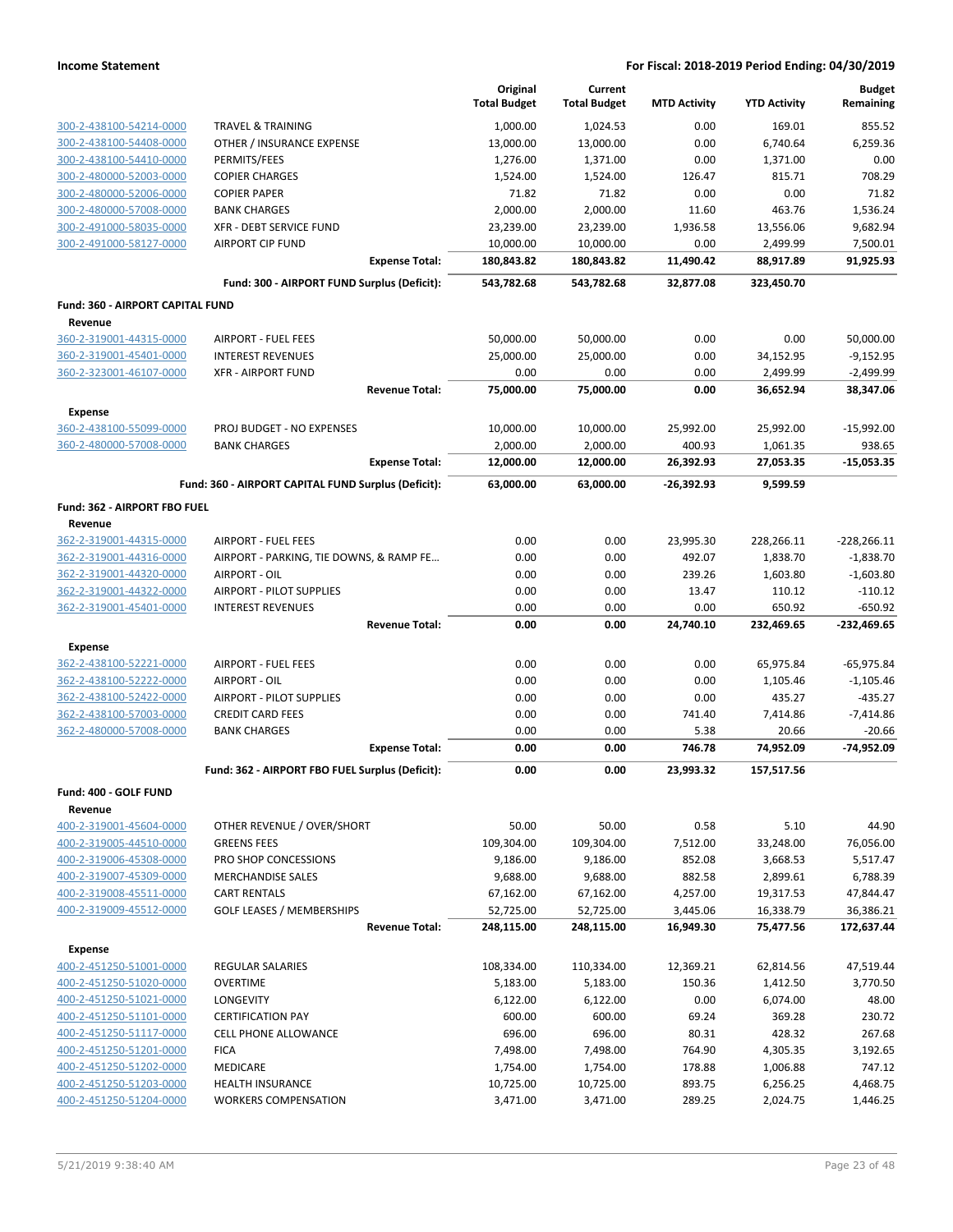|                                  |                                                     | Original<br><b>Total Budget</b> | Current<br><b>Total Budget</b> | <b>MTD Activity</b> | <b>YTD Activity</b> | <b>Budget</b><br>Remaining |
|----------------------------------|-----------------------------------------------------|---------------------------------|--------------------------------|---------------------|---------------------|----------------------------|
| 300-2-438100-54214-0000          | <b>TRAVEL &amp; TRAINING</b>                        | 1,000.00                        | 1,024.53                       | 0.00                | 169.01              | 855.52                     |
| 300-2-438100-54408-0000          | OTHER / INSURANCE EXPENSE                           | 13,000.00                       | 13,000.00                      | 0.00                | 6,740.64            | 6,259.36                   |
| 300-2-438100-54410-0000          | PERMITS/FEES                                        | 1,276.00                        | 1,371.00                       | 0.00                | 1,371.00            | 0.00                       |
| 300-2-480000-52003-0000          | <b>COPIER CHARGES</b>                               | 1,524.00                        | 1,524.00                       | 126.47              | 815.71              | 708.29                     |
| 300-2-480000-52006-0000          | <b>COPIER PAPER</b>                                 | 71.82                           | 71.82                          | 0.00                | 0.00                | 71.82                      |
| 300-2-480000-57008-0000          | <b>BANK CHARGES</b>                                 | 2,000.00                        | 2,000.00                       | 11.60               | 463.76              | 1,536.24                   |
| 300-2-491000-58035-0000          | XFR - DEBT SERVICE FUND                             | 23,239.00                       | 23,239.00                      | 1,936.58            | 13,556.06           | 9,682.94                   |
| 300-2-491000-58127-0000          | <b>AIRPORT CIP FUND</b>                             | 10,000.00                       | 10,000.00                      | 0.00                | 2,499.99            | 7,500.01                   |
|                                  | <b>Expense Total:</b>                               | 180,843.82                      | 180,843.82                     | 11,490.42           | 88,917.89           | 91,925.93                  |
|                                  | Fund: 300 - AIRPORT FUND Surplus (Deficit):         | 543,782.68                      | 543,782.68                     | 32,877.08           | 323,450.70          |                            |
| Fund: 360 - AIRPORT CAPITAL FUND |                                                     |                                 |                                |                     |                     |                            |
| Revenue                          |                                                     |                                 |                                |                     |                     |                            |
| 360-2-319001-44315-0000          | <b>AIRPORT - FUEL FEES</b>                          | 50,000.00                       | 50,000.00                      | 0.00                | 0.00                | 50,000.00                  |
| 360-2-319001-45401-0000          | <b>INTEREST REVENUES</b>                            | 25,000.00                       | 25,000.00                      | 0.00                | 34,152.95           | $-9,152.95$                |
| 360-2-323001-46107-0000          | <b>XFR - AIRPORT FUND</b>                           | 0.00                            | 0.00                           | 0.00                | 2,499.99            | $-2,499.99$                |
|                                  | <b>Revenue Total:</b>                               | 75,000.00                       | 75,000.00                      | 0.00                | 36,652.94           | 38,347.06                  |
| Expense                          |                                                     |                                 |                                |                     |                     |                            |
| 360-2-438100-55099-0000          | PROJ BUDGET - NO EXPENSES                           | 10,000.00                       | 10,000.00                      | 25,992.00           | 25,992.00           | $-15,992.00$               |
| 360-2-480000-57008-0000          | <b>BANK CHARGES</b>                                 | 2,000.00                        | 2,000.00                       | 400.93              | 1,061.35            | 938.65                     |
|                                  | <b>Expense Total:</b>                               | 12,000.00                       | 12,000.00                      | 26,392.93           | 27,053.35           | $-15,053.35$               |
|                                  | Fund: 360 - AIRPORT CAPITAL FUND Surplus (Deficit): | 63,000.00                       | 63,000.00                      | $-26,392.93$        | 9,599.59            |                            |
| Fund: 362 - AIRPORT FBO FUEL     |                                                     |                                 |                                |                     |                     |                            |
| Revenue                          |                                                     |                                 |                                |                     |                     |                            |
| 362-2-319001-44315-0000          | <b>AIRPORT - FUEL FEES</b>                          | 0.00                            | 0.00                           | 23,995.30           | 228,266.11          | $-228,266.11$              |
| 362-2-319001-44316-0000          | AIRPORT - PARKING, TIE DOWNS, & RAMP FE             | 0.00                            | 0.00                           | 492.07              | 1,838.70            | $-1,838.70$                |
| 362-2-319001-44320-0000          | AIRPORT - OIL                                       | 0.00                            | 0.00                           | 239.26              | 1,603.80            | $-1,603.80$                |
| 362-2-319001-44322-0000          | <b>AIRPORT - PILOT SUPPLIES</b>                     | 0.00                            | 0.00                           | 13.47               | 110.12              | $-110.12$                  |
| 362-2-319001-45401-0000          | <b>INTEREST REVENUES</b>                            | 0.00                            | 0.00                           | 0.00                | 650.92              | $-650.92$                  |
|                                  | <b>Revenue Total:</b>                               | 0.00                            | 0.00                           | 24,740.10           | 232,469.65          | $-232,469.65$              |
| <b>Expense</b>                   |                                                     |                                 |                                |                     |                     |                            |
| 362-2-438100-52221-0000          | <b>AIRPORT - FUEL FEES</b>                          | 0.00                            | 0.00                           | 0.00                | 65,975.84           | $-65,975.84$               |
| 362-2-438100-52222-0000          | AIRPORT - OIL                                       | 0.00                            | 0.00                           | 0.00                | 1,105.46            | $-1,105.46$                |
| 362-2-438100-52422-0000          | AIRPORT - PILOT SUPPLIES                            | 0.00                            | 0.00                           | 0.00                | 435.27              | $-435.27$                  |
| 362-2-438100-57003-0000          | <b>CREDIT CARD FEES</b>                             | 0.00                            | 0.00                           | 741.40              | 7,414.86            | $-7,414.86$                |
| 362-2-480000-57008-0000          | <b>BANK CHARGES</b>                                 | 0.00                            | 0.00                           | 5.38                | 20.66               | $-20.66$                   |
|                                  | <b>Expense Total:</b>                               | 0.00                            | 0.00                           | 746.78              | 74,952.09           | -74,952.09                 |
|                                  | Fund: 362 - AIRPORT FBO FUEL Surplus (Deficit):     | 0.00                            | 0.00                           | 23,993.32           | 157,517.56          |                            |
| Fund: 400 - GOLF FUND            |                                                     |                                 |                                |                     |                     |                            |
| Revenue                          |                                                     |                                 |                                |                     |                     |                            |
| 400-2-319001-45604-0000          | OTHER REVENUE / OVER/SHORT                          | 50.00                           | 50.00                          | 0.58                | 5.10                | 44.90                      |
| 400-2-319005-44510-0000          | <b>GREENS FEES</b>                                  | 109,304.00                      | 109,304.00                     | 7,512.00            | 33,248.00           | 76,056.00                  |
| 400-2-319006-45308-0000          | PRO SHOP CONCESSIONS                                | 9,186.00                        | 9,186.00                       | 852.08              | 3,668.53            | 5,517.47                   |
| 400-2-319007-45309-0000          | <b>MERCHANDISE SALES</b>                            | 9,688.00                        | 9,688.00                       | 882.58              | 2,899.61            | 6,788.39                   |
| 400-2-319008-45511-0000          | <b>CART RENTALS</b>                                 | 67,162.00                       | 67,162.00                      | 4,257.00            | 19,317.53           | 47,844.47                  |
| 400-2-319009-45512-0000          | <b>GOLF LEASES / MEMBERSHIPS</b>                    | 52,725.00                       | 52,725.00                      | 3,445.06            | 16,338.79           | 36,386.21                  |
|                                  | <b>Revenue Total:</b>                               | 248,115.00                      | 248,115.00                     | 16,949.30           | 75,477.56           | 172,637.44                 |
| Expense                          |                                                     |                                 |                                |                     |                     |                            |
| 400-2-451250-51001-0000          | REGULAR SALARIES                                    | 108,334.00                      | 110,334.00                     | 12,369.21           | 62,814.56           | 47,519.44                  |
| 400-2-451250-51020-0000          | <b>OVERTIME</b>                                     | 5,183.00                        | 5,183.00                       | 150.36              | 1,412.50            | 3,770.50                   |
| 400-2-451250-51021-0000          | LONGEVITY                                           | 6,122.00                        | 6,122.00                       | 0.00                | 6,074.00            | 48.00                      |
| 400-2-451250-51101-0000          | <b>CERTIFICATION PAY</b>                            | 600.00                          | 600.00                         | 69.24               | 369.28              | 230.72                     |
| 400-2-451250-51117-0000          | CELL PHONE ALLOWANCE                                | 696.00                          | 696.00                         | 80.31               | 428.32              | 267.68                     |
| 400-2-451250-51201-0000          | <b>FICA</b>                                         | 7,498.00                        | 7,498.00                       | 764.90              | 4,305.35            | 3,192.65                   |
| 400-2-451250-51202-0000          | MEDICARE                                            | 1,754.00                        | 1,754.00                       | 178.88              | 1,006.88            | 747.12                     |
| 400-2-451250-51203-0000          | HEALTH INSURANCE                                    | 10,725.00                       | 10,725.00                      | 893.75              | 6,256.25            | 4,468.75                   |
| 400-2-451250-51204-0000          | <b>WORKERS COMPENSATION</b>                         | 3,471.00                        | 3,471.00                       | 289.25              | 2,024.75            | 1,446.25                   |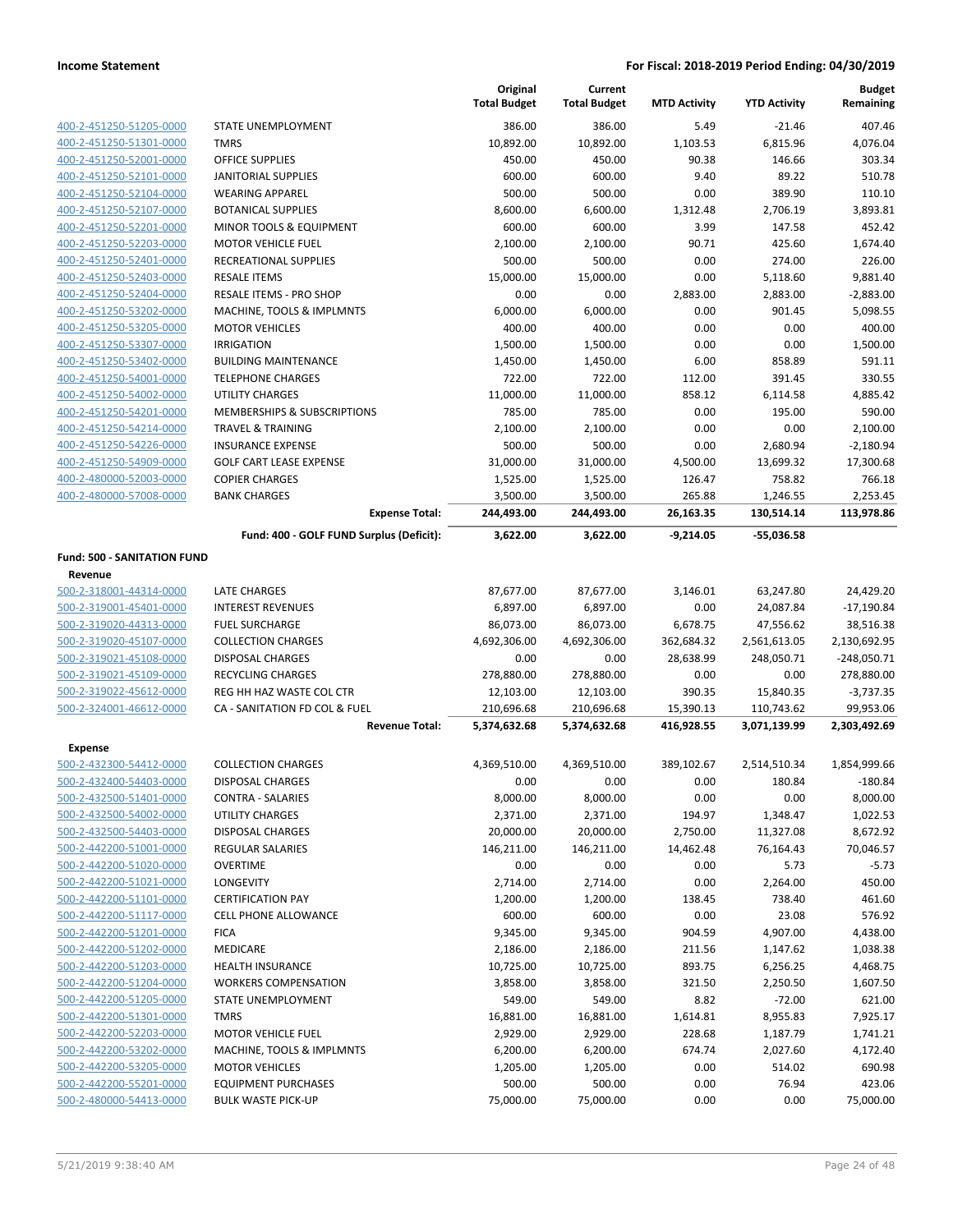|                                    |                                          | Original<br><b>Total Budget</b> | Current<br><b>Total Budget</b> | <b>MTD Activity</b> | <b>YTD Activity</b> | <b>Budget</b><br>Remaining |
|------------------------------------|------------------------------------------|---------------------------------|--------------------------------|---------------------|---------------------|----------------------------|
| 400-2-451250-51205-0000            | STATE UNEMPLOYMENT                       | 386.00                          | 386.00                         | 5.49                | $-21.46$            | 407.46                     |
| 400-2-451250-51301-0000            | <b>TMRS</b>                              | 10,892.00                       | 10,892.00                      | 1,103.53            | 6,815.96            | 4,076.04                   |
| 400-2-451250-52001-0000            | <b>OFFICE SUPPLIES</b>                   | 450.00                          | 450.00                         | 90.38               | 146.66              | 303.34                     |
| 400-2-451250-52101-0000            | <b>JANITORIAL SUPPLIES</b>               | 600.00                          | 600.00                         | 9.40                | 89.22               | 510.78                     |
| 400-2-451250-52104-0000            | <b>WEARING APPAREL</b>                   | 500.00                          | 500.00                         | 0.00                | 389.90              | 110.10                     |
| 400-2-451250-52107-0000            | <b>BOTANICAL SUPPLIES</b>                | 8,600.00                        | 6,600.00                       | 1,312.48            | 2,706.19            | 3,893.81                   |
| 400-2-451250-52201-0000            | MINOR TOOLS & EQUIPMENT                  | 600.00                          | 600.00                         | 3.99                | 147.58              | 452.42                     |
| 400-2-451250-52203-0000            | <b>MOTOR VEHICLE FUEL</b>                | 2,100.00                        | 2,100.00                       | 90.71               | 425.60              | 1,674.40                   |
| 400-2-451250-52401-0000            | RECREATIONAL SUPPLIES                    | 500.00                          | 500.00                         | 0.00                | 274.00              | 226.00                     |
| 400-2-451250-52403-0000            | <b>RESALE ITEMS</b>                      | 15,000.00                       | 15,000.00                      | 0.00                | 5,118.60            | 9,881.40                   |
| 400-2-451250-52404-0000            | RESALE ITEMS - PRO SHOP                  | 0.00                            | 0.00                           | 2,883.00            | 2,883.00            | $-2,883.00$                |
| 400-2-451250-53202-0000            | MACHINE, TOOLS & IMPLMNTS                | 6,000.00                        | 6,000.00                       | 0.00                | 901.45              | 5,098.55                   |
| 400-2-451250-53205-0000            | <b>MOTOR VEHICLES</b>                    | 400.00                          | 400.00                         | 0.00                | 0.00                | 400.00                     |
| 400-2-451250-53307-0000            | <b>IRRIGATION</b>                        | 1,500.00                        | 1,500.00                       | 0.00                | 0.00                | 1,500.00                   |
| 400-2-451250-53402-0000            | <b>BUILDING MAINTENANCE</b>              | 1,450.00                        | 1,450.00                       | 6.00                | 858.89              | 591.11                     |
| 400-2-451250-54001-0000            | <b>TELEPHONE CHARGES</b>                 | 722.00                          | 722.00                         | 112.00              | 391.45              | 330.55                     |
| 400-2-451250-54002-0000            | <b>UTILITY CHARGES</b>                   | 11,000.00                       | 11,000.00                      | 858.12              | 6,114.58            | 4,885.42                   |
| 400-2-451250-54201-0000            | MEMBERSHIPS & SUBSCRIPTIONS              | 785.00                          | 785.00                         | 0.00                | 195.00              | 590.00                     |
| 400-2-451250-54214-0000            | <b>TRAVEL &amp; TRAINING</b>             | 2,100.00                        | 2,100.00                       | 0.00                | 0.00                | 2,100.00                   |
| 400-2-451250-54226-0000            | <b>INSURANCE EXPENSE</b>                 | 500.00                          | 500.00                         | 0.00                | 2,680.94            | $-2,180.94$                |
| 400-2-451250-54909-0000            | <b>GOLF CART LEASE EXPENSE</b>           | 31,000.00                       | 31,000.00                      | 4,500.00            | 13,699.32           | 17,300.68                  |
| 400-2-480000-52003-0000            | <b>COPIER CHARGES</b>                    | 1,525.00                        | 1,525.00                       | 126.47              | 758.82              | 766.18                     |
| 400-2-480000-57008-0000            | <b>BANK CHARGES</b>                      | 3,500.00                        | 3,500.00                       | 265.88              | 1,246.55            | 2,253.45                   |
|                                    | <b>Expense Total:</b>                    | 244,493.00                      | 244,493.00                     | 26,163.35           | 130,514.14          | 113,978.86                 |
|                                    | Fund: 400 - GOLF FUND Surplus (Deficit): | 3,622.00                        | 3,622.00                       | $-9,214.05$         | $-55,036.58$        |                            |
| Fund: 500 - SANITATION FUND        |                                          |                                 |                                |                     |                     |                            |
| Revenue<br>500-2-318001-44314-0000 | LATE CHARGES                             | 87,677.00                       | 87,677.00                      | 3,146.01            | 63,247.80           | 24,429.20                  |
| 500-2-319001-45401-0000            | <b>INTEREST REVENUES</b>                 | 6,897.00                        | 6,897.00                       | 0.00                | 24,087.84           | $-17,190.84$               |
| 500-2-319020-44313-0000            | <b>FUEL SURCHARGE</b>                    | 86,073.00                       | 86,073.00                      | 6,678.75            | 47,556.62           | 38,516.38                  |
| 500-2-319020-45107-0000            | <b>COLLECTION CHARGES</b>                | 4,692,306.00                    | 4,692,306.00                   | 362,684.32          | 2,561,613.05        | 2,130,692.95               |
| 500-2-319021-45108-0000            | DISPOSAL CHARGES                         | 0.00                            | 0.00                           | 28,638.99           | 248,050.71          | $-248,050.71$              |
| 500-2-319021-45109-0000            | RECYCLING CHARGES                        | 278,880.00                      | 278,880.00                     | 0.00                | 0.00                | 278,880.00                 |
| 500-2-319022-45612-0000            | REG HH HAZ WASTE COL CTR                 | 12,103.00                       | 12,103.00                      | 390.35              | 15,840.35           | $-3,737.35$                |
| 500-2-324001-46612-0000            | CA - SANITATION FD COL & FUEL            | 210,696.68                      | 210,696.68                     | 15,390.13           | 110,743.62          | 99,953.06                  |
|                                    | <b>Revenue Total:</b>                    | 5,374,632.68                    | 5,374,632.68                   | 416,928.55          | 3,071,139.99        | 2,303,492.69               |
| <b>Expense</b>                     |                                          |                                 |                                |                     |                     |                            |
| 500-2-432300-54412-0000            | <b>COLLECTION CHARGES</b>                | 4,369,510.00                    | 4,369,510.00                   | 389,102.67          | 2,514,510.34        | 1,854,999.66               |
| 500-2-432400-54403-0000            | DISPOSAL CHARGES                         | 0.00                            | 0.00                           | 0.00                | 180.84              | -180.84                    |
| 500-2-432500-51401-0000            | CONTRA - SALARIES                        | 8,000.00                        | 8,000.00                       | 0.00                | 0.00                | 8,000.00                   |
| 500-2-432500-54002-0000            | UTILITY CHARGES                          | 2,371.00                        | 2,371.00                       | 194.97              | 1,348.47            | 1,022.53                   |
| 500-2-432500-54403-0000            | <b>DISPOSAL CHARGES</b>                  | 20,000.00                       | 20,000.00                      | 2,750.00            | 11,327.08           | 8,672.92                   |
| 500-2-442200-51001-0000            | <b>REGULAR SALARIES</b>                  | 146,211.00                      | 146,211.00                     | 14,462.48           | 76,164.43           | 70,046.57                  |
| 500-2-442200-51020-0000            | <b>OVERTIME</b>                          | 0.00                            | 0.00                           | 0.00                | 5.73                | $-5.73$                    |
| 500-2-442200-51021-0000            | LONGEVITY                                | 2,714.00                        | 2,714.00                       | 0.00                | 2,264.00            | 450.00                     |
| 500-2-442200-51101-0000            | <b>CERTIFICATION PAY</b>                 | 1,200.00                        | 1,200.00                       | 138.45              | 738.40              | 461.60                     |
| 500-2-442200-51117-0000            | <b>CELL PHONE ALLOWANCE</b>              | 600.00                          | 600.00                         | 0.00                | 23.08               | 576.92                     |
| 500-2-442200-51201-0000            | <b>FICA</b>                              | 9,345.00                        | 9,345.00                       | 904.59              | 4,907.00            | 4,438.00                   |
| 500-2-442200-51202-0000            | <b>MEDICARE</b>                          | 2,186.00                        | 2,186.00                       | 211.56              | 1,147.62            | 1,038.38                   |
| 500-2-442200-51203-0000            | <b>HEALTH INSURANCE</b>                  | 10,725.00                       | 10,725.00                      | 893.75              | 6,256.25            | 4,468.75                   |
| 500-2-442200-51204-0000            | <b>WORKERS COMPENSATION</b>              | 3,858.00                        | 3,858.00                       | 321.50              | 2,250.50            | 1,607.50                   |
| 500-2-442200-51205-0000            | STATE UNEMPLOYMENT                       | 549.00                          | 549.00                         | 8.82                | $-72.00$            | 621.00                     |
| 500-2-442200-51301-0000            | <b>TMRS</b>                              | 16,881.00                       | 16,881.00                      | 1,614.81            | 8,955.83            | 7,925.17                   |
| 500-2-442200-52203-0000            | <b>MOTOR VEHICLE FUEL</b>                | 2,929.00                        | 2,929.00                       | 228.68              | 1,187.79            | 1,741.21                   |
| 500-2-442200-53202-0000            | MACHINE, TOOLS & IMPLMNTS                | 6,200.00                        | 6,200.00                       | 674.74              | 2,027.60            | 4,172.40                   |
| 500-2-442200-53205-0000            | <b>MOTOR VEHICLES</b>                    | 1,205.00                        | 1,205.00                       | 0.00                | 514.02              | 690.98                     |
| 500-2-442200-55201-0000            | <b>EQUIPMENT PURCHASES</b>               | 500.00                          | 500.00                         | 0.00                | 76.94               | 423.06                     |
| 500-2-480000-54413-0000            | <b>BULK WASTE PICK-UP</b>                | 75,000.00                       | 75,000.00                      | 0.00                | 0.00                | 75,000.00                  |
|                                    |                                          |                                 |                                |                     |                     |                            |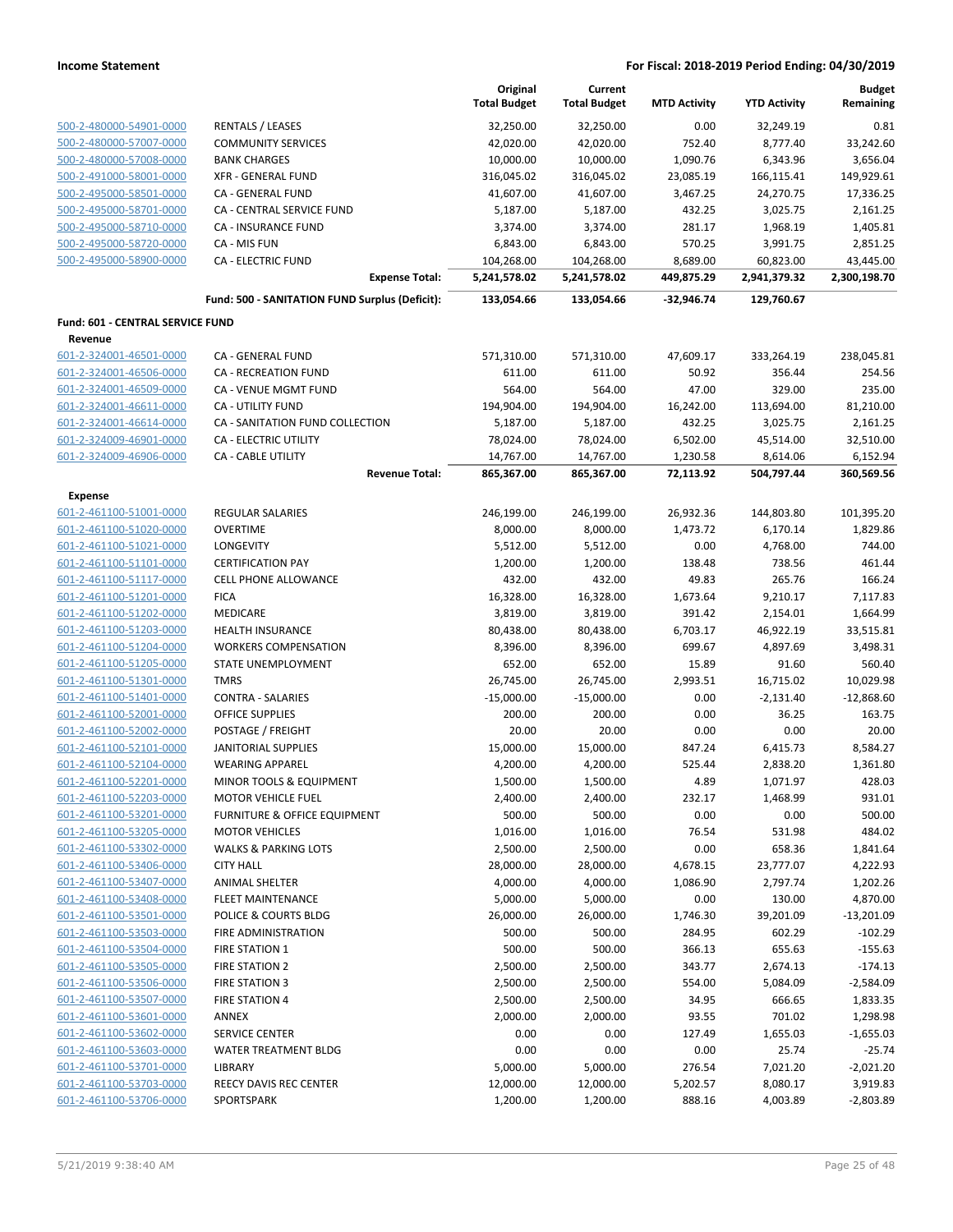|                                  |                                                | Original<br><b>Total Budget</b> | Current<br><b>Total Budget</b> | <b>MTD Activity</b> | <b>YTD Activity</b> | <b>Budget</b><br>Remaining |
|----------------------------------|------------------------------------------------|---------------------------------|--------------------------------|---------------------|---------------------|----------------------------|
| 500-2-480000-54901-0000          | <b>RENTALS / LEASES</b>                        | 32,250.00                       | 32,250.00                      | 0.00                | 32,249.19           | 0.81                       |
| 500-2-480000-57007-0000          | <b>COMMUNITY SERVICES</b>                      | 42,020.00                       | 42,020.00                      | 752.40              | 8,777.40            | 33,242.60                  |
| 500-2-480000-57008-0000          | <b>BANK CHARGES</b>                            | 10,000.00                       | 10,000.00                      | 1,090.76            | 6,343.96            | 3,656.04                   |
| 500-2-491000-58001-0000          | <b>XFR - GENERAL FUND</b>                      | 316,045.02                      | 316,045.02                     | 23,085.19           | 166,115.41          | 149,929.61                 |
| 500-2-495000-58501-0000          | CA - GENERAL FUND                              | 41,607.00                       | 41,607.00                      | 3,467.25            | 24,270.75           | 17,336.25                  |
| 500-2-495000-58701-0000          | CA - CENTRAL SERVICE FUND                      | 5,187.00                        | 5,187.00                       | 432.25              | 3,025.75            | 2,161.25                   |
| 500-2-495000-58710-0000          | <b>CA - INSURANCE FUND</b>                     | 3,374.00                        | 3,374.00                       | 281.17              | 1,968.19            | 1,405.81                   |
| 500-2-495000-58720-0000          | CA - MIS FUN                                   | 6,843.00                        | 6,843.00                       | 570.25              | 3,991.75            | 2,851.25                   |
| 500-2-495000-58900-0000          | <b>CA - ELECTRIC FUND</b>                      | 104,268.00                      | 104,268.00                     | 8,689.00            | 60,823.00           | 43,445.00                  |
|                                  | <b>Expense Total:</b>                          | 5,241,578.02                    | 5,241,578.02                   | 449,875.29          | 2,941,379.32        | 2,300,198.70               |
|                                  | Fund: 500 - SANITATION FUND Surplus (Deficit): | 133,054.66                      | 133,054.66                     | $-32,946.74$        | 129,760.67          |                            |
| Fund: 601 - CENTRAL SERVICE FUND |                                                |                                 |                                |                     |                     |                            |
| Revenue                          |                                                |                                 |                                |                     |                     |                            |
| 601-2-324001-46501-0000          | CA - GENERAL FUND                              | 571,310.00                      | 571,310.00                     | 47,609.17           | 333,264.19          | 238,045.81                 |
| 601-2-324001-46506-0000          | CA - RECREATION FUND                           | 611.00                          | 611.00                         | 50.92               | 356.44              | 254.56                     |
| 601-2-324001-46509-0000          | CA - VENUE MGMT FUND                           | 564.00                          | 564.00                         | 47.00               | 329.00              | 235.00                     |
| 601-2-324001-46611-0000          | <b>CA - UTILITY FUND</b>                       | 194,904.00                      | 194,904.00                     | 16,242.00           | 113,694.00          | 81,210.00                  |
| 601-2-324001-46614-0000          | CA - SANITATION FUND COLLECTION                | 5,187.00                        | 5,187.00                       | 432.25              | 3,025.75            | 2,161.25                   |
| 601-2-324009-46901-0000          | CA - ELECTRIC UTILITY                          | 78,024.00                       | 78,024.00                      | 6,502.00            | 45,514.00           | 32,510.00                  |
| 601-2-324009-46906-0000          | <b>CA - CABLE UTILITY</b>                      | 14,767.00                       | 14,767.00                      | 1,230.58            | 8,614.06            | 6,152.94                   |
|                                  | <b>Revenue Total:</b>                          | 865,367.00                      | 865,367.00                     | 72,113.92           | 504,797.44          | 360,569.56                 |
| <b>Expense</b>                   |                                                |                                 |                                |                     |                     |                            |
| 601-2-461100-51001-0000          | <b>REGULAR SALARIES</b>                        | 246,199.00                      | 246,199.00                     | 26,932.36           | 144,803.80          | 101,395.20                 |
| 601-2-461100-51020-0000          | <b>OVERTIME</b>                                | 8,000.00                        | 8,000.00                       | 1,473.72            | 6,170.14            | 1,829.86                   |
| 601-2-461100-51021-0000          | LONGEVITY                                      | 5,512.00                        | 5,512.00                       | 0.00                | 4,768.00            | 744.00                     |
| 601-2-461100-51101-0000          | <b>CERTIFICATION PAY</b>                       | 1,200.00                        | 1,200.00                       | 138.48              | 738.56              | 461.44                     |
| 601-2-461100-51117-0000          | <b>CELL PHONE ALLOWANCE</b>                    | 432.00                          | 432.00                         | 49.83               | 265.76              | 166.24                     |
| 601-2-461100-51201-0000          | <b>FICA</b>                                    | 16,328.00                       | 16,328.00                      | 1,673.64            | 9,210.17            | 7,117.83                   |
| 601-2-461100-51202-0000          | MEDICARE                                       | 3,819.00                        | 3,819.00                       | 391.42              | 2,154.01            | 1,664.99                   |
| 601-2-461100-51203-0000          | <b>HEALTH INSURANCE</b>                        | 80,438.00                       | 80,438.00                      | 6,703.17            | 46,922.19           | 33,515.81                  |
| 601-2-461100-51204-0000          | <b>WORKERS COMPENSATION</b>                    | 8,396.00                        | 8,396.00                       | 699.67              | 4,897.69            | 3,498.31                   |
| 601-2-461100-51205-0000          | STATE UNEMPLOYMENT                             | 652.00                          | 652.00                         | 15.89               | 91.60               | 560.40                     |
| 601-2-461100-51301-0000          | <b>TMRS</b>                                    | 26,745.00                       | 26,745.00                      | 2,993.51            | 16,715.02           | 10,029.98                  |
| 601-2-461100-51401-0000          | <b>CONTRA - SALARIES</b>                       | $-15,000.00$                    | $-15,000.00$                   | 0.00                | $-2,131.40$         | $-12,868.60$               |
| 601-2-461100-52001-0000          | <b>OFFICE SUPPLIES</b>                         | 200.00                          | 200.00                         | 0.00                | 36.25               | 163.75                     |
| 601-2-461100-52002-0000          | POSTAGE / FREIGHT                              | 20.00                           | 20.00                          | 0.00                | 0.00                | 20.00                      |
| 601-2-461100-52101-0000          | <b>JANITORIAL SUPPLIES</b>                     | 15,000.00                       | 15,000.00                      | 847.24              | 6,415.73            | 8,584.27                   |
| 601-2-461100-52104-0000          | <b>WEARING APPAREL</b>                         | 4,200.00                        | 4,200.00                       | 525.44              | 2,838.20            | 1,361.80                   |
| 601-2-461100-52201-0000          | MINOR TOOLS & EQUIPMENT                        | 1,500.00                        | 1,500.00                       | 4.89                | 1,071.97            | 428.03                     |
| 601-2-461100-52203-0000          | <b>MOTOR VEHICLE FUEL</b>                      | 2,400.00                        | 2,400.00                       | 232.17              | 1,468.99            | 931.01                     |
| 601-2-461100-53201-0000          | FURNITURE & OFFICE EQUIPMENT                   | 500.00                          | 500.00                         | 0.00                | 0.00                | 500.00                     |
| 601-2-461100-53205-0000          | <b>MOTOR VEHICLES</b>                          | 1,016.00                        | 1,016.00                       | 76.54               | 531.98              | 484.02                     |
| 601-2-461100-53302-0000          | <b>WALKS &amp; PARKING LOTS</b>                | 2,500.00                        | 2,500.00                       | 0.00                | 658.36              | 1,841.64                   |
| 601-2-461100-53406-0000          | <b>CITY HALL</b>                               | 28,000.00                       | 28,000.00                      | 4,678.15            | 23,777.07           | 4,222.93                   |
| 601-2-461100-53407-0000          | <b>ANIMAL SHELTER</b>                          | 4,000.00                        | 4,000.00                       | 1,086.90            | 2,797.74            | 1,202.26                   |
| 601-2-461100-53408-0000          | <b>FLEET MAINTENANCE</b>                       | 5,000.00                        | 5,000.00                       | 0.00                | 130.00              | 4,870.00                   |
| 601-2-461100-53501-0000          | POLICE & COURTS BLDG                           | 26,000.00                       | 26,000.00                      | 1,746.30            | 39,201.09           | $-13,201.09$               |
| 601-2-461100-53503-0000          | FIRE ADMINISTRATION                            | 500.00                          | 500.00                         | 284.95              | 602.29              | $-102.29$                  |
| 601-2-461100-53504-0000          | FIRE STATION 1                                 | 500.00                          | 500.00                         | 366.13              | 655.63              | $-155.63$                  |
| 601-2-461100-53505-0000          | <b>FIRE STATION 2</b>                          | 2,500.00                        | 2,500.00                       | 343.77              | 2,674.13            | $-174.13$                  |
| 601-2-461100-53506-0000          | <b>FIRE STATION 3</b>                          | 2,500.00                        | 2,500.00                       | 554.00              | 5,084.09            | $-2,584.09$                |
| 601-2-461100-53507-0000          | <b>FIRE STATION 4</b>                          | 2,500.00                        | 2,500.00                       | 34.95               | 666.65              | 1,833.35                   |
| 601-2-461100-53601-0000          | ANNEX                                          | 2,000.00                        | 2,000.00                       | 93.55               | 701.02              | 1,298.98                   |
| 601-2-461100-53602-0000          | <b>SERVICE CENTER</b>                          | 0.00                            | 0.00                           | 127.49              | 1,655.03            | $-1,655.03$                |
| 601-2-461100-53603-0000          | WATER TREATMENT BLDG                           | 0.00                            | 0.00                           | 0.00                | 25.74               | $-25.74$                   |
| 601-2-461100-53701-0000          | LIBRARY                                        | 5,000.00                        | 5,000.00                       | 276.54              | 7,021.20            | $-2,021.20$                |
| 601-2-461100-53703-0000          | <b>REECY DAVIS REC CENTER</b>                  | 12,000.00                       | 12,000.00                      | 5,202.57            | 8,080.17            | 3,919.83                   |
| 601-2-461100-53706-0000          | SPORTSPARK                                     | 1,200.00                        | 1,200.00                       | 888.16              | 4,003.89            | $-2,803.89$                |
|                                  |                                                |                                 |                                |                     |                     |                            |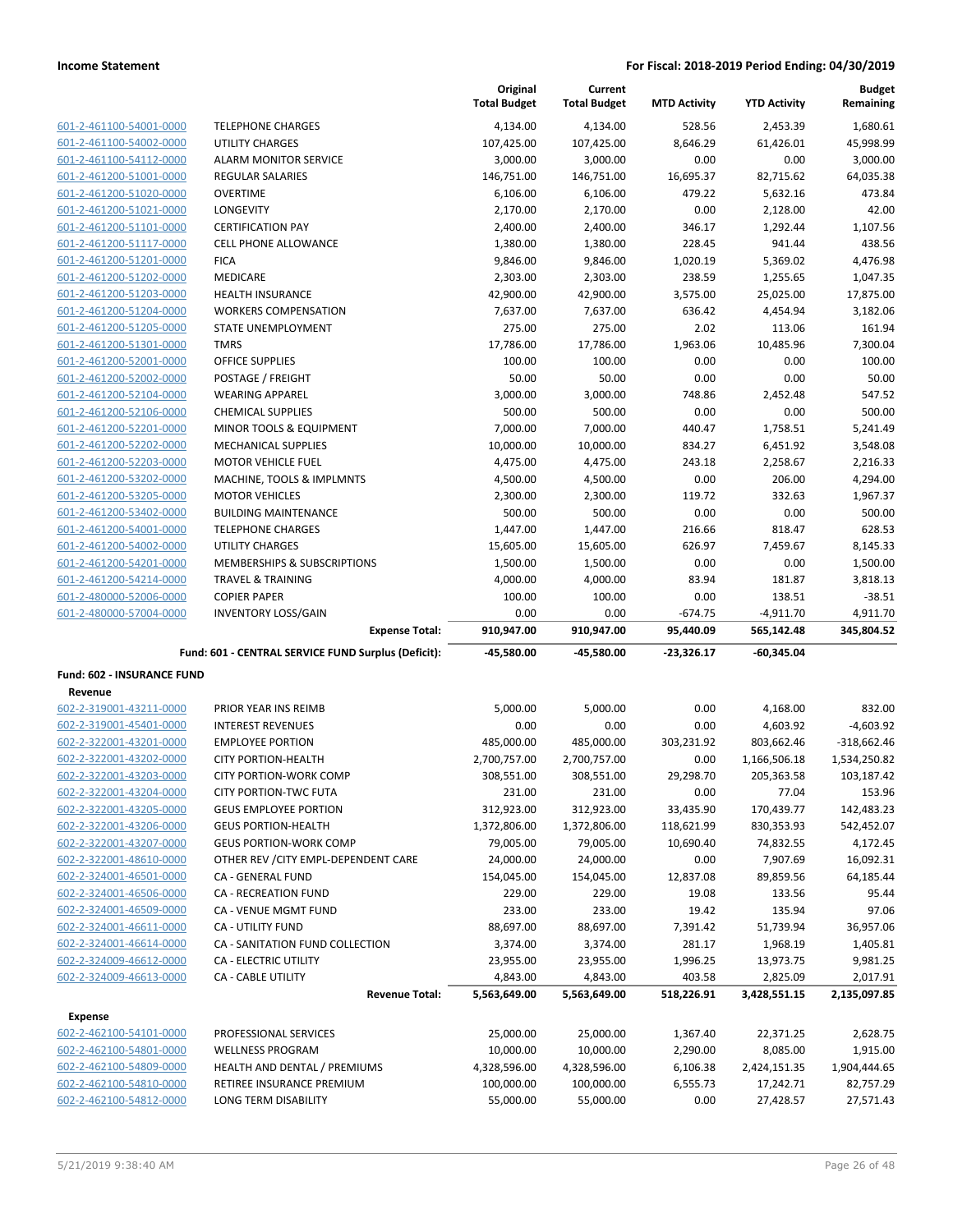|                                              |                                                     | Original<br><b>Total Budget</b> | Current<br><b>Total Budget</b> | <b>MTD Activity</b> | <b>YTD Activity</b>  | <b>Budget</b><br>Remaining |
|----------------------------------------------|-----------------------------------------------------|---------------------------------|--------------------------------|---------------------|----------------------|----------------------------|
| 601-2-461100-54001-0000                      | <b>TELEPHONE CHARGES</b>                            | 4,134.00                        | 4,134.00                       | 528.56              | 2,453.39             | 1,680.61                   |
| 601-2-461100-54002-0000                      | UTILITY CHARGES                                     | 107,425.00                      | 107,425.00                     | 8,646.29            | 61,426.01            | 45,998.99                  |
| 601-2-461100-54112-0000                      | <b>ALARM MONITOR SERVICE</b>                        | 3,000.00                        | 3,000.00                       | 0.00                | 0.00                 | 3,000.00                   |
| 601-2-461200-51001-0000                      | <b>REGULAR SALARIES</b>                             | 146,751.00                      | 146,751.00                     | 16,695.37           | 82,715.62            | 64,035.38                  |
| 601-2-461200-51020-0000                      | <b>OVERTIME</b>                                     | 6,106.00                        | 6,106.00                       | 479.22              | 5,632.16             | 473.84                     |
| 601-2-461200-51021-0000                      | LONGEVITY                                           | 2,170.00                        | 2,170.00                       | 0.00                | 2,128.00             | 42.00                      |
| 601-2-461200-51101-0000                      | <b>CERTIFICATION PAY</b>                            | 2,400.00                        | 2,400.00                       | 346.17              | 1,292.44             | 1,107.56                   |
| 601-2-461200-51117-0000                      | <b>CELL PHONE ALLOWANCE</b>                         | 1,380.00                        | 1,380.00                       | 228.45              | 941.44               | 438.56                     |
| 601-2-461200-51201-0000                      | <b>FICA</b>                                         | 9,846.00                        | 9,846.00                       | 1,020.19            | 5,369.02             | 4,476.98                   |
| 601-2-461200-51202-0000                      | <b>MEDICARE</b>                                     | 2,303.00                        | 2,303.00                       | 238.59              | 1,255.65             | 1,047.35                   |
| 601-2-461200-51203-0000                      | HEALTH INSURANCE                                    | 42,900.00                       | 42,900.00                      | 3,575.00            | 25,025.00            | 17,875.00                  |
| 601-2-461200-51204-0000                      | <b>WORKERS COMPENSATION</b>                         | 7,637.00                        | 7,637.00                       | 636.42              | 4,454.94             | 3,182.06                   |
| 601-2-461200-51205-0000                      | STATE UNEMPLOYMENT                                  | 275.00                          | 275.00                         | 2.02                | 113.06               | 161.94                     |
| 601-2-461200-51301-0000                      | <b>TMRS</b>                                         | 17,786.00                       | 17,786.00                      | 1,963.06            | 10,485.96            | 7,300.04                   |
| 601-2-461200-52001-0000                      | <b>OFFICE SUPPLIES</b>                              | 100.00                          | 100.00                         | 0.00                | 0.00                 | 100.00                     |
| 601-2-461200-52002-0000                      | POSTAGE / FREIGHT                                   | 50.00                           | 50.00                          | 0.00                | 0.00                 | 50.00                      |
| 601-2-461200-52104-0000                      | <b>WEARING APPAREL</b>                              | 3,000.00                        | 3,000.00                       | 748.86              | 2,452.48             | 547.52                     |
| 601-2-461200-52106-0000                      | <b>CHEMICAL SUPPLIES</b>                            | 500.00                          | 500.00                         | 0.00                | 0.00                 | 500.00                     |
| 601-2-461200-52201-0000                      | MINOR TOOLS & EQUIPMENT                             | 7,000.00                        | 7,000.00                       | 440.47              | 1,758.51             | 5,241.49                   |
| 601-2-461200-52202-0000                      | MECHANICAL SUPPLIES                                 | 10,000.00                       | 10,000.00                      | 834.27              | 6,451.92             | 3,548.08                   |
| 601-2-461200-52203-0000                      | <b>MOTOR VEHICLE FUEL</b>                           | 4,475.00                        | 4,475.00                       | 243.18              | 2,258.67             | 2,216.33                   |
| 601-2-461200-53202-0000                      | MACHINE, TOOLS & IMPLMNTS                           | 4,500.00                        | 4,500.00                       | 0.00                | 206.00               | 4,294.00                   |
| 601-2-461200-53205-0000                      | <b>MOTOR VEHICLES</b>                               | 2,300.00                        | 2,300.00                       | 119.72              | 332.63               | 1,967.37                   |
| 601-2-461200-53402-0000                      | <b>BUILDING MAINTENANCE</b>                         | 500.00                          | 500.00                         | 0.00                | 0.00                 | 500.00                     |
| 601-2-461200-54001-0000                      | <b>TELEPHONE CHARGES</b>                            | 1,447.00                        | 1,447.00                       | 216.66              | 818.47               | 628.53                     |
| 601-2-461200-54002-0000                      | UTILITY CHARGES                                     | 15,605.00                       | 15,605.00                      | 626.97              | 7,459.67             | 8,145.33                   |
| 601-2-461200-54201-0000                      | MEMBERSHIPS & SUBSCRIPTIONS                         | 1,500.00                        | 1,500.00                       | 0.00                | 0.00                 | 1,500.00                   |
| 601-2-461200-54214-0000                      | <b>TRAVEL &amp; TRAINING</b>                        | 4,000.00                        | 4,000.00                       | 83.94               | 181.87               | 3,818.13                   |
| 601-2-480000-52006-0000                      | <b>COPIER PAPER</b>                                 | 100.00                          | 100.00                         | 0.00                | 138.51               | $-38.51$                   |
| 601-2-480000-57004-0000                      | <b>INVENTORY LOSS/GAIN</b>                          | 0.00                            | 0.00                           | $-674.75$           | $-4,911.70$          | 4,911.70                   |
|                                              | <b>Expense Total:</b>                               | 910,947.00                      | 910,947.00                     | 95,440.09           | 565,142.48           | 345,804.52                 |
|                                              | Fund: 601 - CENTRAL SERVICE FUND Surplus (Deficit): | -45,580.00                      | -45,580.00                     | $-23,326.17$        | $-60,345.04$         |                            |
| <b>Fund: 602 - INSURANCE FUND</b><br>Revenue |                                                     |                                 |                                |                     |                      |                            |
| 602-2-319001-43211-0000                      | PRIOR YEAR INS REIMB                                | 5,000.00                        | 5,000.00                       | 0.00                |                      |                            |
| 602-2-319001-45401-0000                      | <b>INTEREST REVENUES</b>                            | 0.00                            | 0.00                           | 0.00                | 4,168.00<br>4,603.92 | 832.00<br>$-4,603.92$      |
| 602-2-322001-43201-0000                      | <b>EMPLOYEE PORTION</b>                             | 485,000.00                      | 485,000.00                     | 303,231.92          | 803,662.46           | $-318,662.46$              |
| 602-2-322001-43202-0000                      | <b>CITY PORTION-HEALTH</b>                          | 2,700,757.00                    | 2,700,757.00                   | 0.00                | 1,166,506.18         | 1,534,250.82               |
| 602-2-322001-43203-0000                      | CITY PORTION-WORK COMP                              | 308,551.00                      | 308,551.00                     | 29,298.70           | 205,363.58           | 103,187.42                 |
| 602-2-322001-43204-0000                      | <b>CITY PORTION-TWC FUTA</b>                        | 231.00                          | 231.00                         | 0.00                | 77.04                | 153.96                     |
| 602-2-322001-43205-0000                      | <b>GEUS EMPLOYEE PORTION</b>                        | 312,923.00                      | 312,923.00                     | 33,435.90           | 170,439.77           | 142,483.23                 |
| 602-2-322001-43206-0000                      | <b>GEUS PORTION-HEALTH</b>                          | 1,372,806.00                    | 1,372,806.00                   | 118,621.99          | 830,353.93           | 542,452.07                 |
| 602-2-322001-43207-0000                      | <b>GEUS PORTION-WORK COMP</b>                       | 79,005.00                       | 79,005.00                      | 10,690.40           | 74,832.55            | 4,172.45                   |
| 602-2-322001-48610-0000                      | OTHER REV / CITY EMPL-DEPENDENT CARE                | 24,000.00                       | 24,000.00                      | 0.00                | 7,907.69             | 16,092.31                  |
| 602-2-324001-46501-0000                      | CA - GENERAL FUND                                   | 154,045.00                      | 154,045.00                     | 12,837.08           | 89,859.56            | 64,185.44                  |
| 602-2-324001-46506-0000                      | <b>CA - RECREATION FUND</b>                         | 229.00                          | 229.00                         | 19.08               | 133.56               | 95.44                      |
| 602-2-324001-46509-0000                      | CA - VENUE MGMT FUND                                | 233.00                          | 233.00                         | 19.42               | 135.94               | 97.06                      |
| 602-2-324001-46611-0000                      | CA - UTILITY FUND                                   | 88,697.00                       | 88,697.00                      | 7,391.42            | 51,739.94            | 36,957.06                  |
| 602-2-324001-46614-0000                      | CA - SANITATION FUND COLLECTION                     | 3,374.00                        | 3,374.00                       | 281.17              | 1,968.19             | 1,405.81                   |
| 602-2-324009-46612-0000                      | CA - ELECTRIC UTILITY                               | 23,955.00                       | 23,955.00                      | 1,996.25            | 13,973.75            | 9,981.25                   |
| 602-2-324009-46613-0000                      | <b>CA - CABLE UTILITY</b>                           | 4,843.00                        | 4,843.00                       | 403.58              | 2,825.09             | 2,017.91                   |
|                                              | <b>Revenue Total:</b>                               | 5,563,649.00                    | 5,563,649.00                   | 518,226.91          | 3,428,551.15         | 2,135,097.85               |
| <b>Expense</b>                               |                                                     |                                 |                                |                     |                      |                            |
| 602-2-462100-54101-0000                      | PROFESSIONAL SERVICES                               | 25,000.00                       | 25,000.00                      | 1,367.40            | 22,371.25            | 2,628.75                   |
| 602-2-462100-54801-0000                      | <b>WELLNESS PROGRAM</b>                             | 10,000.00                       | 10,000.00                      | 2,290.00            | 8,085.00             | 1,915.00                   |
| 602-2-462100-54809-0000                      | HEALTH AND DENTAL / PREMIUMS                        | 4,328,596.00                    | 4,328,596.00                   | 6,106.38            | 2,424,151.35         | 1,904,444.65               |
| 602-2-462100-54810-0000                      | RETIREE INSURANCE PREMIUM                           | 100,000.00                      | 100,000.00                     | 6,555.73            | 17,242.71            | 82,757.29                  |
| 602-2-462100-54812-0000                      | LONG TERM DISABILITY                                | 55,000.00                       | 55,000.00                      | 0.00                | 27,428.57            | 27,571.43                  |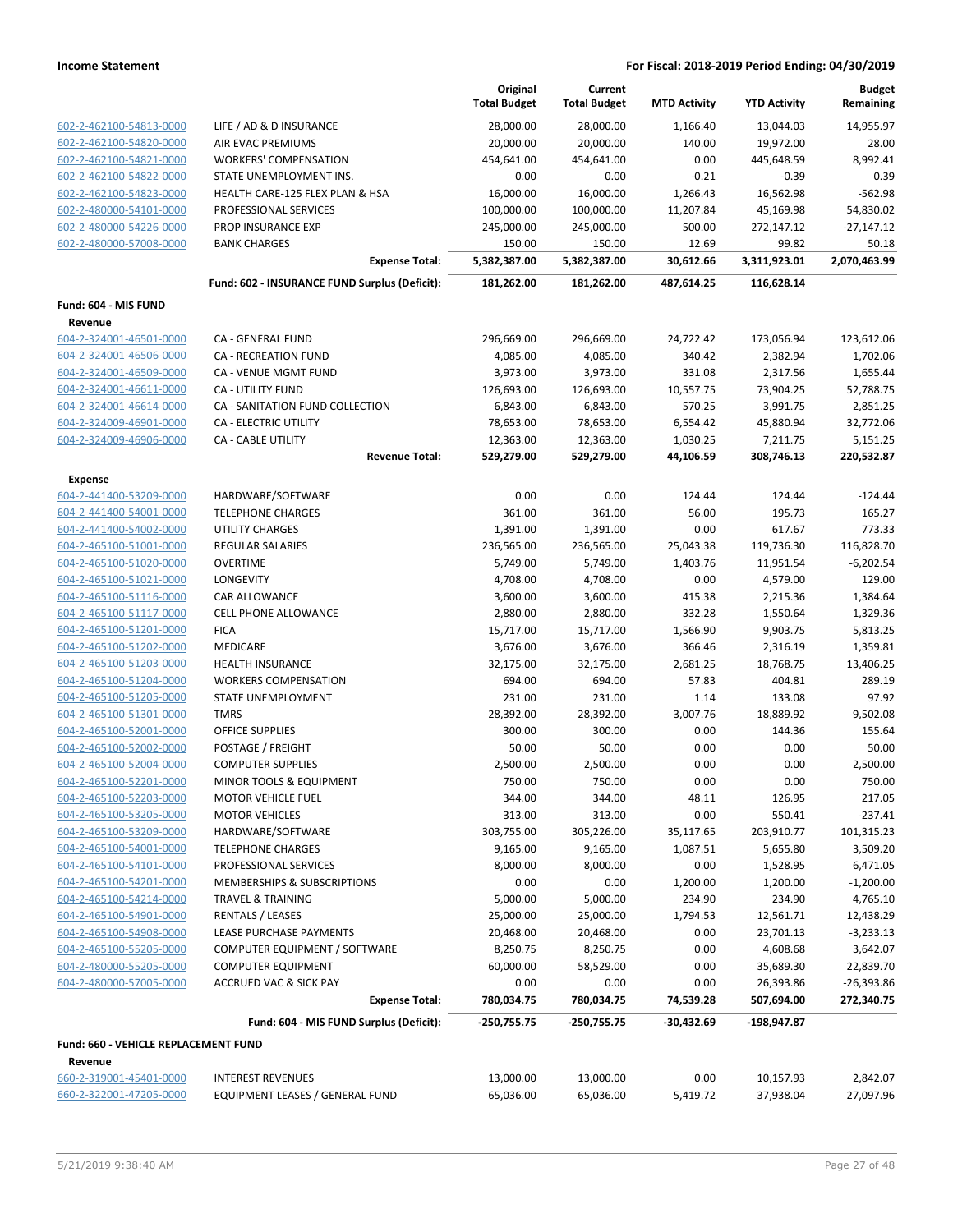|                                                    |                                                    | Original<br><b>Total Budget</b> | Current<br><b>Total Budget</b> | <b>MTD Activity</b>   | <b>YTD Activity</b>    | <b>Budget</b><br>Remaining |
|----------------------------------------------------|----------------------------------------------------|---------------------------------|--------------------------------|-----------------------|------------------------|----------------------------|
| 602-2-462100-54813-0000                            | LIFE / AD & D INSURANCE                            | 28,000.00                       | 28,000.00                      | 1,166.40              | 13,044.03              | 14,955.97                  |
| 602-2-462100-54820-0000                            | AIR EVAC PREMIUMS                                  | 20,000.00                       | 20,000.00                      | 140.00                | 19,972.00              | 28.00                      |
| 602-2-462100-54821-0000                            | <b>WORKERS' COMPENSATION</b>                       | 454,641.00                      | 454,641.00                     | 0.00                  | 445,648.59             | 8.992.41                   |
| 602-2-462100-54822-0000                            | STATE UNEMPLOYMENT INS.                            | 0.00                            | 0.00                           | $-0.21$               | $-0.39$                | 0.39                       |
| 602-2-462100-54823-0000                            | HEALTH CARE-125 FLEX PLAN & HSA                    | 16,000.00                       | 16,000.00                      | 1,266.43              | 16,562.98              | $-562.98$                  |
| 602-2-480000-54101-0000                            | PROFESSIONAL SERVICES                              | 100,000.00                      | 100,000.00                     | 11,207.84             | 45,169.98              | 54,830.02                  |
| 602-2-480000-54226-0000                            | <b>PROP INSURANCE EXP</b>                          | 245,000.00                      | 245,000.00                     | 500.00                | 272,147.12             | $-27,147.12$               |
| 602-2-480000-57008-0000                            | <b>BANK CHARGES</b>                                | 150.00                          | 150.00                         | 12.69                 | 99.82                  | 50.18                      |
|                                                    | <b>Expense Total:</b>                              | 5,382,387.00                    | 5,382,387.00                   | 30,612.66             | 3,311,923.01           | 2,070,463.99               |
|                                                    | Fund: 602 - INSURANCE FUND Surplus (Deficit):      | 181,262.00                      | 181,262.00                     | 487,614.25            | 116,628.14             |                            |
| Fund: 604 - MIS FUND                               |                                                    |                                 |                                |                       |                        |                            |
| Revenue                                            |                                                    |                                 |                                |                       |                        |                            |
| 604-2-324001-46501-0000                            | CA - GENERAL FUND                                  | 296,669.00                      | 296,669.00                     | 24,722.42             | 173,056.94             | 123,612.06                 |
| 604-2-324001-46506-0000                            | CA - RECREATION FUND                               | 4,085.00                        | 4,085.00                       | 340.42                | 2,382.94               | 1,702.06                   |
| 604-2-324001-46509-0000                            | CA - VENUE MGMT FUND                               | 3,973.00                        | 3,973.00                       | 331.08                | 2,317.56               | 1,655.44                   |
| 604-2-324001-46611-0000                            | CA - UTILITY FUND                                  | 126,693.00                      | 126,693.00                     | 10,557.75             | 73,904.25              | 52,788.75                  |
| 604-2-324001-46614-0000                            | CA - SANITATION FUND COLLECTION                    | 6,843.00                        | 6,843.00                       | 570.25                | 3,991.75               | 2,851.25                   |
| 604-2-324009-46901-0000                            | CA - ELECTRIC UTILITY                              | 78,653.00                       | 78,653.00                      | 6,554.42              | 45,880.94              | 32,772.06                  |
| 604-2-324009-46906-0000                            | <b>CA - CABLE UTILITY</b><br><b>Revenue Total:</b> | 12,363.00<br>529,279.00         | 12,363.00                      | 1,030.25<br>44,106.59 | 7,211.75<br>308,746.13 | 5,151.25<br>220,532.87     |
|                                                    |                                                    |                                 | 529,279.00                     |                       |                        |                            |
| <b>Expense</b>                                     |                                                    |                                 |                                |                       |                        |                            |
| 604-2-441400-53209-0000                            | HARDWARE/SOFTWARE                                  | 0.00                            | 0.00                           | 124.44                | 124.44                 | $-124.44$                  |
| 604-2-441400-54001-0000                            | <b>TELEPHONE CHARGES</b>                           | 361.00                          | 361.00                         | 56.00                 | 195.73                 | 165.27                     |
| 604-2-441400-54002-0000                            | <b>UTILITY CHARGES</b>                             | 1,391.00                        | 1,391.00                       | 0.00                  | 617.67                 | 773.33                     |
| 604-2-465100-51001-0000                            | REGULAR SALARIES                                   | 236,565.00                      | 236,565.00                     | 25,043.38             | 119,736.30             | 116,828.70                 |
| 604-2-465100-51020-0000                            | <b>OVERTIME</b>                                    | 5,749.00                        | 5,749.00                       | 1,403.76              | 11,951.54              | $-6,202.54$                |
| 604-2-465100-51021-0000                            | LONGEVITY                                          | 4,708.00                        | 4,708.00                       | 0.00                  | 4,579.00               | 129.00                     |
| 604-2-465100-51116-0000                            | <b>CAR ALLOWANCE</b>                               | 3,600.00                        | 3,600.00                       | 415.38                | 2,215.36               | 1,384.64                   |
| 604-2-465100-51117-0000                            | CELL PHONE ALLOWANCE                               | 2,880.00                        | 2,880.00                       | 332.28                | 1,550.64               | 1,329.36                   |
| 604-2-465100-51201-0000<br>604-2-465100-51202-0000 | <b>FICA</b><br>MEDICARE                            | 15,717.00<br>3,676.00           | 15,717.00<br>3,676.00          | 1,566.90<br>366.46    | 9,903.75<br>2,316.19   | 5,813.25<br>1,359.81       |
| 604-2-465100-51203-0000                            | <b>HEALTH INSURANCE</b>                            | 32,175.00                       | 32,175.00                      | 2,681.25              | 18,768.75              | 13,406.25                  |
| 604-2-465100-51204-0000                            | <b>WORKERS COMPENSATION</b>                        | 694.00                          | 694.00                         | 57.83                 | 404.81                 | 289.19                     |
| 604-2-465100-51205-0000                            | STATE UNEMPLOYMENT                                 | 231.00                          | 231.00                         | 1.14                  | 133.08                 | 97.92                      |
| 604-2-465100-51301-0000                            | <b>TMRS</b>                                        | 28,392.00                       | 28,392.00                      | 3,007.76              | 18,889.92              | 9,502.08                   |
| 604-2-465100-52001-0000                            | <b>OFFICE SUPPLIES</b>                             | 300.00                          | 300.00                         | 0.00                  | 144.36                 | 155.64                     |
| 604-2-465100-52002-0000                            | POSTAGE / FREIGHT                                  | 50.00                           | 50.00                          | 0.00                  | 0.00                   | 50.00                      |
| 604-2-465100-52004-0000                            | <b>COMPUTER SUPPLIES</b>                           | 2,500.00                        | 2,500.00                       | 0.00                  | 0.00                   | 2,500.00                   |
| 604-2-465100-52201-0000                            | MINOR TOOLS & EQUIPMENT                            | 750.00                          | 750.00                         | 0.00                  | 0.00                   | 750.00                     |
| 604-2-465100-52203-0000                            | <b>MOTOR VEHICLE FUEL</b>                          | 344.00                          | 344.00                         | 48.11                 | 126.95                 | 217.05                     |
| 604-2-465100-53205-0000                            | <b>MOTOR VEHICLES</b>                              | 313.00                          | 313.00                         | 0.00                  | 550.41                 | $-237.41$                  |
| 604-2-465100-53209-0000                            | HARDWARE/SOFTWARE                                  | 303,755.00                      | 305,226.00                     | 35,117.65             | 203,910.77             | 101,315.23                 |
| 604-2-465100-54001-0000                            | <b>TELEPHONE CHARGES</b>                           | 9,165.00                        | 9,165.00                       | 1,087.51              | 5,655.80               | 3,509.20                   |
| 604-2-465100-54101-0000                            | PROFESSIONAL SERVICES                              | 8,000.00                        | 8,000.00                       | 0.00                  | 1,528.95               | 6,471.05                   |
| 604-2-465100-54201-0000                            | MEMBERSHIPS & SUBSCRIPTIONS                        | 0.00                            | 0.00                           | 1,200.00              | 1,200.00               | $-1,200.00$                |
| 604-2-465100-54214-0000                            | <b>TRAVEL &amp; TRAINING</b>                       | 5,000.00                        | 5,000.00                       | 234.90                | 234.90                 | 4,765.10                   |
| 604-2-465100-54901-0000                            | <b>RENTALS / LEASES</b>                            | 25,000.00                       | 25,000.00                      | 1,794.53              | 12,561.71              | 12,438.29                  |
| 604-2-465100-54908-0000                            | LEASE PURCHASE PAYMENTS                            | 20,468.00                       | 20,468.00                      | 0.00                  | 23,701.13              | $-3,233.13$                |
| 604-2-465100-55205-0000                            | COMPUTER EQUIPMENT / SOFTWARE                      | 8,250.75                        | 8,250.75                       | 0.00                  | 4,608.68               | 3,642.07                   |
| 604-2-480000-55205-0000                            | <b>COMPUTER EQUIPMENT</b>                          | 60,000.00                       | 58,529.00                      | 0.00                  | 35,689.30              | 22,839.70                  |
| 604-2-480000-57005-0000                            | <b>ACCRUED VAC &amp; SICK PAY</b>                  | 0.00                            | 0.00                           | 0.00                  | 26,393.86              | $-26,393.86$               |
|                                                    | <b>Expense Total:</b>                              | 780,034.75                      | 780,034.75                     | 74,539.28             | 507,694.00             | 272,340.75                 |
|                                                    | Fund: 604 - MIS FUND Surplus (Deficit):            | -250,755.75                     | -250,755.75                    | -30,432.69            | -198,947.87            |                            |
| Fund: 660 - VEHICLE REPLACEMENT FUND               |                                                    |                                 |                                |                       |                        |                            |
| Revenue                                            |                                                    |                                 |                                |                       |                        |                            |
| 660-2-319001-45401-0000                            | <b>INTEREST REVENUES</b>                           | 13,000.00                       | 13,000.00                      | 0.00                  | 10,157.93              | 2,842.07                   |
| 660-2-322001-47205-0000                            | EQUIPMENT LEASES / GENERAL FUND                    | 65,036.00                       | 65,036.00                      | 5,419.72              | 37,938.04              | 27,097.96                  |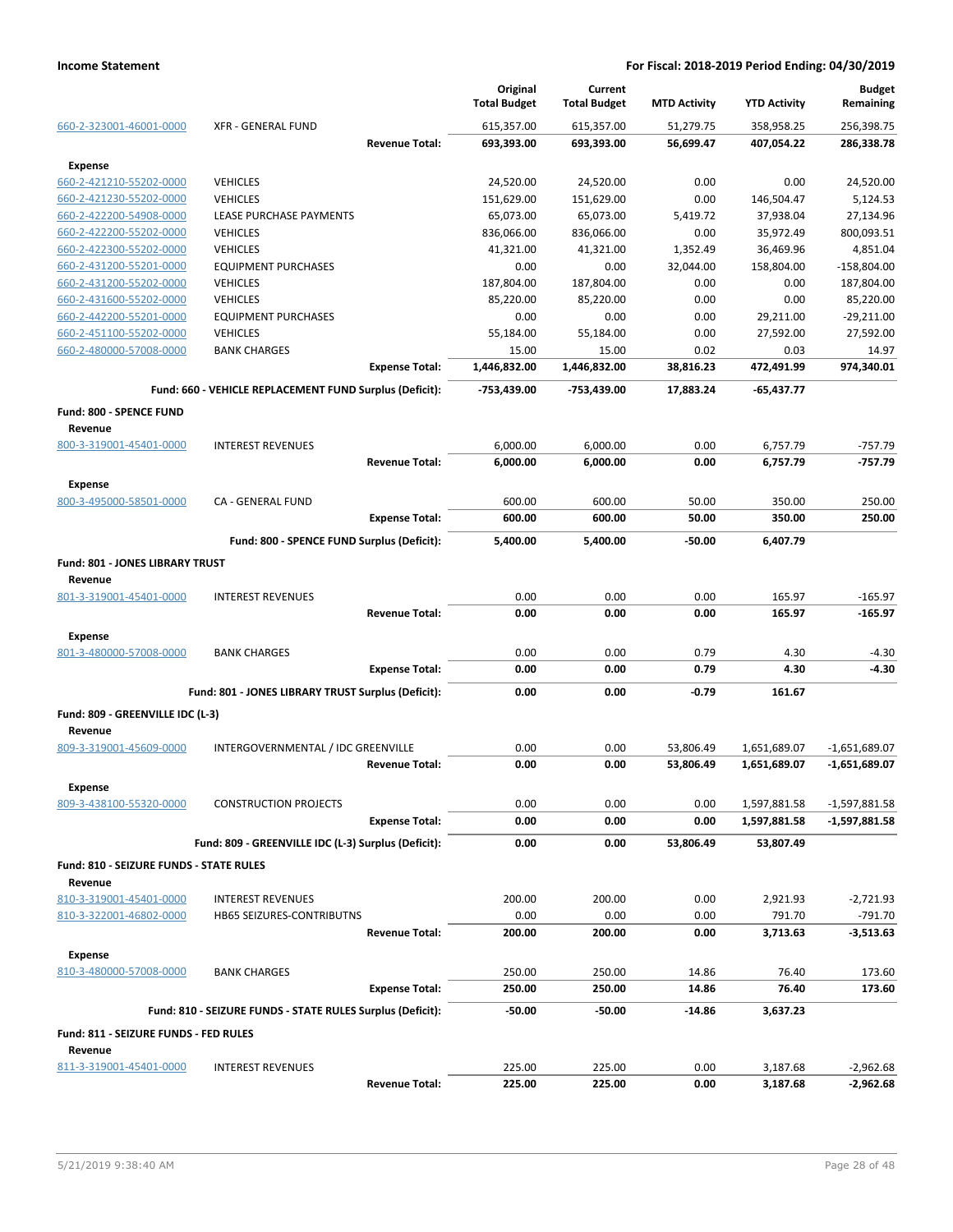|                                           |                                                            |                       | Original<br><b>Total Budget</b> | Current<br><b>Total Budget</b> | <b>MTD Activity</b> | <b>YTD Activity</b> | <b>Budget</b><br>Remaining |
|-------------------------------------------|------------------------------------------------------------|-----------------------|---------------------------------|--------------------------------|---------------------|---------------------|----------------------------|
| 660-2-323001-46001-0000                   | <b>XFR - GENERAL FUND</b>                                  |                       | 615,357.00                      | 615,357.00                     | 51,279.75           | 358,958.25          | 256,398.75                 |
|                                           |                                                            | <b>Revenue Total:</b> | 693,393.00                      | 693,393.00                     | 56,699.47           | 407,054.22          | 286,338.78                 |
| <b>Expense</b>                            |                                                            |                       |                                 |                                |                     |                     |                            |
| 660-2-421210-55202-0000                   | <b>VEHICLES</b>                                            |                       | 24,520.00                       | 24,520.00                      | 0.00                | 0.00                | 24,520.00                  |
| 660-2-421230-55202-0000                   | <b>VEHICLES</b>                                            |                       | 151,629.00                      | 151,629.00                     | 0.00                | 146,504.47          | 5,124.53                   |
| 660-2-422200-54908-0000                   | LEASE PURCHASE PAYMENTS                                    |                       | 65,073.00                       | 65,073.00                      | 5,419.72            | 37,938.04           | 27,134.96                  |
| 660-2-422200-55202-0000                   | <b>VEHICLES</b>                                            |                       | 836,066.00                      | 836,066.00                     | 0.00                | 35,972.49           | 800,093.51                 |
| 660-2-422300-55202-0000                   | <b>VEHICLES</b>                                            |                       | 41,321.00                       | 41,321.00                      | 1,352.49            | 36,469.96           | 4,851.04                   |
| 660-2-431200-55201-0000                   | <b>EQUIPMENT PURCHASES</b>                                 |                       | 0.00                            | 0.00                           | 32,044.00           | 158,804.00          | $-158,804.00$              |
| 660-2-431200-55202-0000                   | <b>VEHICLES</b>                                            |                       | 187,804.00                      | 187,804.00                     | 0.00                | 0.00                | 187,804.00                 |
| 660-2-431600-55202-0000                   | <b>VEHICLES</b>                                            |                       | 85,220.00                       | 85,220.00                      | 0.00                | 0.00                | 85,220.00                  |
| 660-2-442200-55201-0000                   | <b>EQUIPMENT PURCHASES</b>                                 |                       | 0.00                            | 0.00                           | 0.00                | 29,211.00           | $-29,211.00$               |
| 660-2-451100-55202-0000                   | <b>VEHICLES</b>                                            |                       | 55,184.00                       | 55,184.00                      | 0.00                | 27,592.00           | 27,592.00                  |
| 660-2-480000-57008-0000                   | <b>BANK CHARGES</b>                                        |                       | 15.00                           | 15.00                          | 0.02                | 0.03                | 14.97                      |
|                                           |                                                            | <b>Expense Total:</b> | 1,446,832.00                    | 1,446,832.00                   | 38,816.23           | 472,491.99          | 974,340.01                 |
|                                           | Fund: 660 - VEHICLE REPLACEMENT FUND Surplus (Deficit):    |                       | -753,439.00                     | -753,439.00                    | 17,883.24           | -65,437.77          |                            |
|                                           |                                                            |                       |                                 |                                |                     |                     |                            |
| <b>Fund: 800 - SPENCE FUND</b>            |                                                            |                       |                                 |                                |                     |                     |                            |
| Revenue                                   |                                                            |                       |                                 |                                |                     |                     |                            |
| 800-3-319001-45401-0000                   | <b>INTEREST REVENUES</b>                                   |                       | 6,000.00                        | 6,000.00                       | 0.00                | 6,757.79            | $-757.79$                  |
|                                           |                                                            | <b>Revenue Total:</b> | 6,000.00                        | 6,000.00                       | 0.00                | 6,757.79            | $-757.79$                  |
| <b>Expense</b>                            |                                                            |                       |                                 |                                |                     |                     |                            |
| 800-3-495000-58501-0000                   | CA - GENERAL FUND                                          |                       | 600.00                          | 600.00                         | 50.00               | 350.00              | 250.00                     |
|                                           |                                                            | <b>Expense Total:</b> | 600.00                          | 600.00                         | 50.00               | 350.00              | 250.00                     |
|                                           | Fund: 800 - SPENCE FUND Surplus (Deficit):                 |                       | 5,400.00                        | 5,400.00                       | $-50.00$            | 6,407.79            |                            |
| Fund: 801 - JONES LIBRARY TRUST           |                                                            |                       |                                 |                                |                     |                     |                            |
| Revenue                                   |                                                            |                       |                                 |                                |                     |                     |                            |
| 801-3-319001-45401-0000                   | <b>INTEREST REVENUES</b>                                   |                       | 0.00                            | 0.00                           | 0.00                | 165.97              | $-165.97$                  |
|                                           |                                                            | <b>Revenue Total:</b> | 0.00                            | 0.00                           | 0.00                | 165.97              | $-165.97$                  |
|                                           |                                                            |                       |                                 |                                |                     |                     |                            |
| <b>Expense</b>                            |                                                            |                       |                                 |                                |                     |                     |                            |
| 801-3-480000-57008-0000                   | <b>BANK CHARGES</b>                                        |                       | 0.00                            | 0.00                           | 0.79                | 4.30                | $-4.30$                    |
|                                           |                                                            | <b>Expense Total:</b> | 0.00                            | 0.00                           | 0.79                | 4.30                | $-4.30$                    |
|                                           | Fund: 801 - JONES LIBRARY TRUST Surplus (Deficit):         |                       | 0.00                            | 0.00                           | -0.79               | 161.67              |                            |
| Fund: 809 - GREENVILLE IDC (L-3)          |                                                            |                       |                                 |                                |                     |                     |                            |
| Revenue                                   |                                                            |                       |                                 |                                |                     |                     |                            |
| 809-3-319001-45609-0000                   | INTERGOVERNMENTAL / IDC GREENVILLE                         |                       | 0.00                            | 0.00                           | 53,806.49           | 1,651,689.07        | $-1,651,689.07$            |
|                                           |                                                            | <b>Revenue Total:</b> | 0.00                            | 0.00                           | 53,806.49           | 1,651,689.07        | -1,651,689.07              |
|                                           |                                                            |                       |                                 |                                |                     |                     |                            |
| <b>Expense</b>                            |                                                            |                       |                                 |                                |                     |                     |                            |
| 809-3-438100-55320-0000                   | <b>CONSTRUCTION PROJECTS</b>                               |                       | 0.00                            | 0.00                           | 0.00                | 1,597,881.58        | -1,597,881.58              |
|                                           |                                                            | <b>Expense Total:</b> | 0.00                            | 0.00                           | 0.00                | 1,597,881.58        | $-1,597,881.58$            |
|                                           | Fund: 809 - GREENVILLE IDC (L-3) Surplus (Deficit):        |                       | 0.00                            | 0.00                           | 53,806.49           | 53,807.49           |                            |
| Fund: 810 - SEIZURE FUNDS - STATE RULES   |                                                            |                       |                                 |                                |                     |                     |                            |
| Revenue                                   |                                                            |                       |                                 |                                |                     |                     |                            |
| 810-3-319001-45401-0000                   | <b>INTEREST REVENUES</b>                                   |                       | 200.00                          | 200.00                         | 0.00                | 2,921.93            | $-2,721.93$                |
| 810-3-322001-46802-0000                   | HB65 SEIZURES-CONTRIBUTNS                                  |                       | 0.00                            | 0.00                           | 0.00                | 791.70              | $-791.70$                  |
|                                           |                                                            | <b>Revenue Total:</b> | 200.00                          | 200.00                         | 0.00                | 3,713.63            | $-3,513.63$                |
|                                           |                                                            |                       |                                 |                                |                     |                     |                            |
| <b>Expense</b><br>810-3-480000-57008-0000 |                                                            |                       |                                 |                                |                     |                     |                            |
|                                           | <b>BANK CHARGES</b>                                        |                       | 250.00                          | 250.00                         | 14.86               | 76.40               | 173.60                     |
|                                           |                                                            | <b>Expense Total:</b> | 250.00                          | 250.00                         | 14.86               | 76.40               | 173.60                     |
|                                           | Fund: 810 - SEIZURE FUNDS - STATE RULES Surplus (Deficit): |                       | $-50.00$                        | $-50.00$                       | $-14.86$            | 3,637.23            |                            |
| Fund: 811 - SEIZURE FUNDS - FED RULES     |                                                            |                       |                                 |                                |                     |                     |                            |
| Revenue                                   |                                                            |                       |                                 |                                |                     |                     |                            |
| 811-3-319001-45401-0000                   | <b>INTEREST REVENUES</b>                                   |                       | 225.00                          | 225.00                         | 0.00                | 3,187.68            | $-2,962.68$                |
|                                           |                                                            | <b>Revenue Total:</b> | 225.00                          | 225.00                         | 0.00                | 3,187.68            | $-2,962.68$                |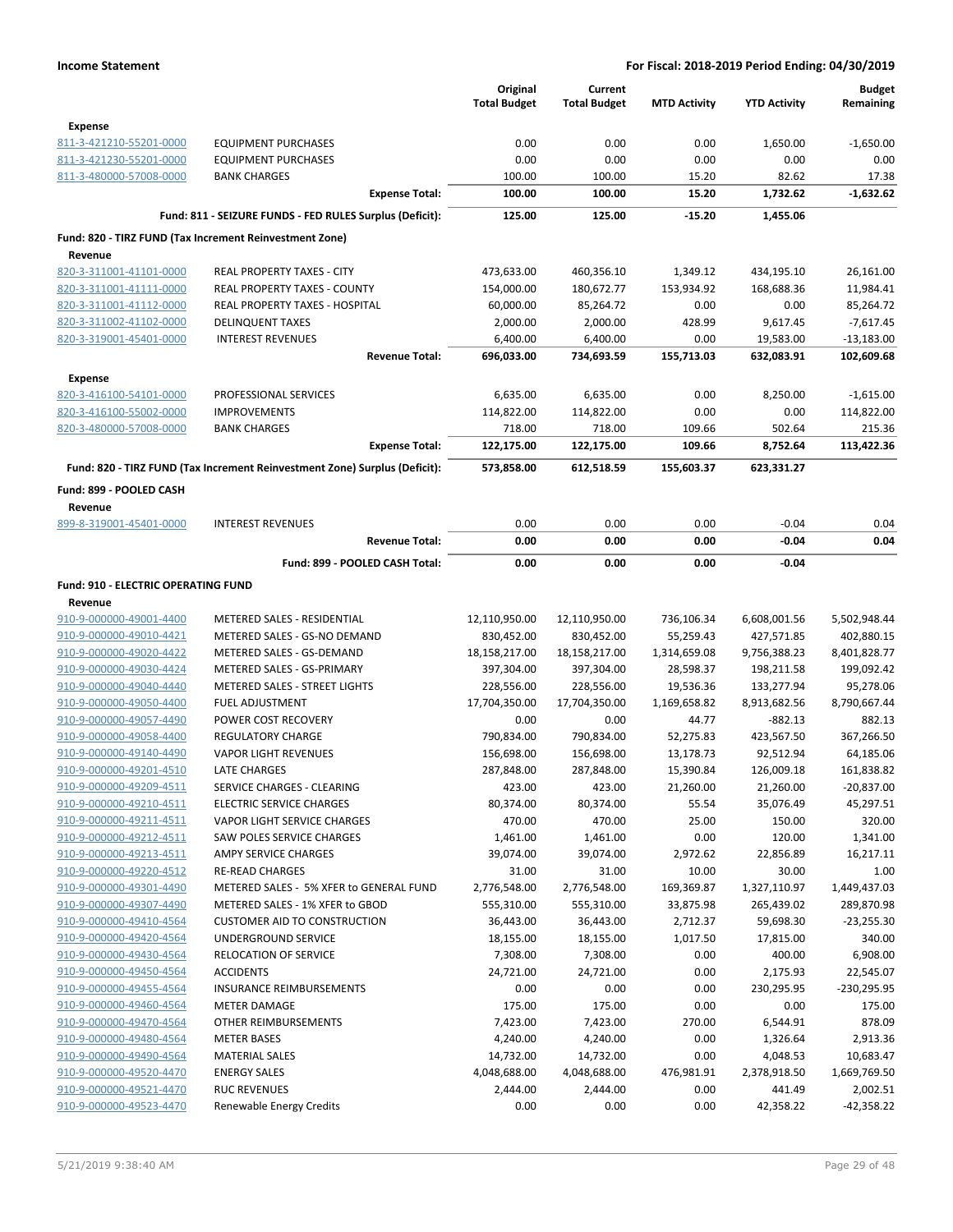|                                     |                                                                            | Original<br><b>Total Budget</b> | Current<br><b>Total Budget</b> | <b>MTD Activity</b> | <b>YTD Activity</b> | <b>Budget</b><br>Remaining |
|-------------------------------------|----------------------------------------------------------------------------|---------------------------------|--------------------------------|---------------------|---------------------|----------------------------|
| <b>Expense</b>                      |                                                                            |                                 |                                |                     |                     |                            |
| 811-3-421210-55201-0000             | <b>EQUIPMENT PURCHASES</b>                                                 | 0.00                            | 0.00                           | 0.00                | 1,650.00            | $-1,650.00$                |
| 811-3-421230-55201-0000             | <b>EQUIPMENT PURCHASES</b>                                                 | 0.00                            | 0.00                           | 0.00                | 0.00                | 0.00                       |
| 811-3-480000-57008-0000             | <b>BANK CHARGES</b>                                                        | 100.00                          | 100.00                         | 15.20               | 82.62               | 17.38                      |
|                                     | <b>Expense Total:</b>                                                      | 100.00                          | 100.00                         | 15.20               | 1,732.62            | $-1,632.62$                |
|                                     | Fund: 811 - SEIZURE FUNDS - FED RULES Surplus (Deficit):                   | 125.00                          | 125.00                         | $-15.20$            | 1,455.06            |                            |
|                                     | Fund: 820 - TIRZ FUND (Tax Increment Reinvestment Zone)                    |                                 |                                |                     |                     |                            |
| Revenue                             |                                                                            |                                 |                                |                     |                     |                            |
| 820-3-311001-41101-0000             | <b>REAL PROPERTY TAXES - CITY</b>                                          | 473,633.00                      | 460,356.10                     | 1,349.12            | 434,195.10          | 26,161.00                  |
| 820-3-311001-41111-0000             | <b>REAL PROPERTY TAXES - COUNTY</b>                                        | 154,000.00                      | 180,672.77                     | 153,934.92          | 168,688.36          | 11,984.41                  |
| 820-3-311001-41112-0000             | REAL PROPERTY TAXES - HOSPITAL                                             | 60,000.00                       | 85,264.72                      | 0.00                | 0.00                | 85,264.72                  |
| 820-3-311002-41102-0000             | <b>DELINQUENT TAXES</b>                                                    | 2,000.00                        | 2,000.00                       | 428.99              | 9,617.45            | $-7,617.45$                |
| 820-3-319001-45401-0000             | <b>INTEREST REVENUES</b>                                                   | 6,400.00                        | 6,400.00                       | 0.00                | 19,583.00           | $-13,183.00$               |
|                                     | <b>Revenue Total:</b>                                                      | 696,033.00                      | 734,693.59                     | 155,713.03          | 632,083.91          | 102,609.68                 |
| Expense                             |                                                                            |                                 |                                |                     |                     |                            |
| 820-3-416100-54101-0000             | PROFESSIONAL SERVICES                                                      | 6,635.00                        | 6,635.00                       | 0.00                | 8,250.00            | $-1,615.00$                |
| 820-3-416100-55002-0000             | <b>IMPROVEMENTS</b>                                                        | 114,822.00                      | 114,822.00                     | 0.00                | 0.00                | 114,822.00                 |
| 820-3-480000-57008-0000             | <b>BANK CHARGES</b>                                                        | 718.00                          | 718.00                         | 109.66              | 502.64              | 215.36                     |
|                                     | <b>Expense Total:</b>                                                      | 122,175.00                      | 122,175.00                     | 109.66              | 8,752.64            | 113,422.36                 |
|                                     |                                                                            |                                 |                                |                     |                     |                            |
|                                     | Fund: 820 - TIRZ FUND (Tax Increment Reinvestment Zone) Surplus (Deficit): | 573,858.00                      | 612,518.59                     | 155,603.37          | 623,331.27          |                            |
| Fund: 899 - POOLED CASH             |                                                                            |                                 |                                |                     |                     |                            |
| Revenue                             |                                                                            |                                 |                                |                     |                     |                            |
| 899-8-319001-45401-0000             | <b>INTEREST REVENUES</b>                                                   | 0.00                            | 0.00                           | 0.00                | $-0.04$             | 0.04                       |
|                                     | <b>Revenue Total:</b>                                                      | 0.00                            | 0.00                           | 0.00                | $-0.04$             | 0.04                       |
|                                     | Fund: 899 - POOLED CASH Total:                                             | 0.00                            | 0.00                           | 0.00                | $-0.04$             |                            |
| Fund: 910 - ELECTRIC OPERATING FUND |                                                                            |                                 |                                |                     |                     |                            |
| Revenue                             |                                                                            |                                 |                                |                     |                     |                            |
| 910-9-000000-49001-4400             | METERED SALES - RESIDENTIAL                                                | 12,110,950.00                   | 12,110,950.00                  | 736,106.34          | 6,608,001.56        | 5,502,948.44               |
| 910-9-000000-49010-4421             | METERED SALES - GS-NO DEMAND                                               | 830,452.00                      | 830,452.00                     | 55,259.43           | 427,571.85          | 402,880.15                 |
| 910-9-000000-49020-4422             | METERED SALES - GS-DEMAND                                                  | 18,158,217.00                   | 18,158,217.00                  | 1,314,659.08        | 9,756,388.23        | 8,401,828.77               |
| 910-9-000000-49030-4424             | METERED SALES - GS-PRIMARY                                                 | 397,304.00                      | 397,304.00                     | 28,598.37           | 198,211.58          | 199,092.42                 |
| 910-9-000000-49040-4440             | METERED SALES - STREET LIGHTS                                              | 228,556.00                      | 228,556.00                     | 19,536.36           | 133,277.94          | 95,278.06                  |
| 910-9-000000-49050-4400             | <b>FUEL ADJUSTMENT</b>                                                     | 17,704,350.00                   | 17,704,350.00                  | 1,169,658.82        | 8,913,682.56        | 8,790,667.44               |
| 910-9-000000-49057-4490             | POWER COST RECOVERY                                                        | 0.00                            | 0.00                           | 44.77               | $-882.13$           | 882.13                     |
| 910-9-000000-49058-4400             | <b>REGULATORY CHARGE</b>                                                   | 790,834.00                      | 790,834.00                     | 52,275.83           | 423,567.50          | 367,266.50                 |
| 910-9-000000-49140-4490             | <b>VAPOR LIGHT REVENUES</b>                                                | 156,698.00                      | 156,698.00                     | 13,178.73           | 92,512.94           | 64,185.06                  |
| 910-9-000000-49201-4510             | <b>LATE CHARGES</b>                                                        | 287,848.00                      | 287,848.00                     | 15,390.84           | 126,009.18          | 161,838.82                 |
| 910-9-000000-49209-4511             | SERVICE CHARGES - CLEARING                                                 | 423.00                          | 423.00                         | 21,260.00           | 21,260.00           | $-20,837.00$               |
| 910-9-000000-49210-4511             | <b>ELECTRIC SERVICE CHARGES</b>                                            | 80,374.00                       | 80,374.00                      | 55.54               | 35,076.49           | 45,297.51                  |
| 910-9-000000-49211-4511             | VAPOR LIGHT SERVICE CHARGES                                                | 470.00                          | 470.00                         | 25.00               | 150.00              | 320.00                     |
| 910-9-000000-49212-4511             | SAW POLES SERVICE CHARGES                                                  | 1,461.00                        | 1,461.00                       | 0.00                | 120.00              | 1,341.00                   |
| 910-9-000000-49213-4511             | AMPY SERVICE CHARGES                                                       | 39,074.00                       | 39,074.00                      | 2,972.62            | 22,856.89           | 16,217.11                  |
| 910-9-000000-49220-4512             | <b>RE-READ CHARGES</b>                                                     | 31.00                           | 31.00                          | 10.00               | 30.00               | 1.00                       |
| 910-9-000000-49301-4490             | METERED SALES - 5% XFER to GENERAL FUND                                    | 2,776,548.00                    | 2,776,548.00                   | 169,369.87          | 1,327,110.97        | 1,449,437.03               |
| 910-9-000000-49307-4490             | METERED SALES - 1% XFER to GBOD                                            | 555,310.00                      | 555,310.00                     | 33,875.98           | 265,439.02          | 289,870.98                 |
| 910-9-000000-49410-4564             | <b>CUSTOMER AID TO CONSTRUCTION</b>                                        | 36,443.00                       | 36,443.00                      | 2,712.37            | 59,698.30           | $-23,255.30$               |
| 910-9-000000-49420-4564             | UNDERGROUND SERVICE                                                        | 18,155.00                       | 18,155.00                      | 1,017.50            | 17,815.00           | 340.00                     |
| 910-9-000000-49430-4564             | RELOCATION OF SERVICE                                                      | 7,308.00                        | 7,308.00                       | 0.00                | 400.00              | 6,908.00                   |
| 910-9-000000-49450-4564             | <b>ACCIDENTS</b>                                                           | 24,721.00                       | 24,721.00                      | 0.00                | 2,175.93            | 22,545.07                  |
| 910-9-000000-49455-4564             | <b>INSURANCE REIMBURSEMENTS</b>                                            | 0.00                            | 0.00                           | 0.00                | 230,295.95          | -230,295.95                |
| 910-9-000000-49460-4564             | METER DAMAGE                                                               | 175.00                          | 175.00                         | 0.00                | 0.00                | 175.00                     |
| 910-9-000000-49470-4564             | OTHER REIMBURSEMENTS                                                       | 7,423.00                        | 7,423.00                       | 270.00              | 6,544.91            | 878.09                     |
| 910-9-000000-49480-4564             | <b>METER BASES</b>                                                         | 4,240.00                        | 4,240.00                       | 0.00                | 1,326.64            | 2,913.36                   |
| 910-9-000000-49490-4564             | <b>MATERIAL SALES</b>                                                      | 14,732.00                       | 14,732.00                      | 0.00                | 4,048.53            | 10,683.47                  |
| 910-9-000000-49520-4470             | <b>ENERGY SALES</b>                                                        | 4,048,688.00                    | 4,048,688.00                   | 476,981.91          | 2,378,918.50        | 1,669,769.50               |
| 910-9-000000-49521-4470             | <b>RUC REVENUES</b>                                                        | 2,444.00                        | 2,444.00                       | 0.00                | 441.49              | 2,002.51                   |
| 910-9-000000-49523-4470             | Renewable Energy Credits                                                   | 0.00                            | 0.00                           | 0.00                | 42,358.22           | $-42,358.22$               |
|                                     |                                                                            |                                 |                                |                     |                     |                            |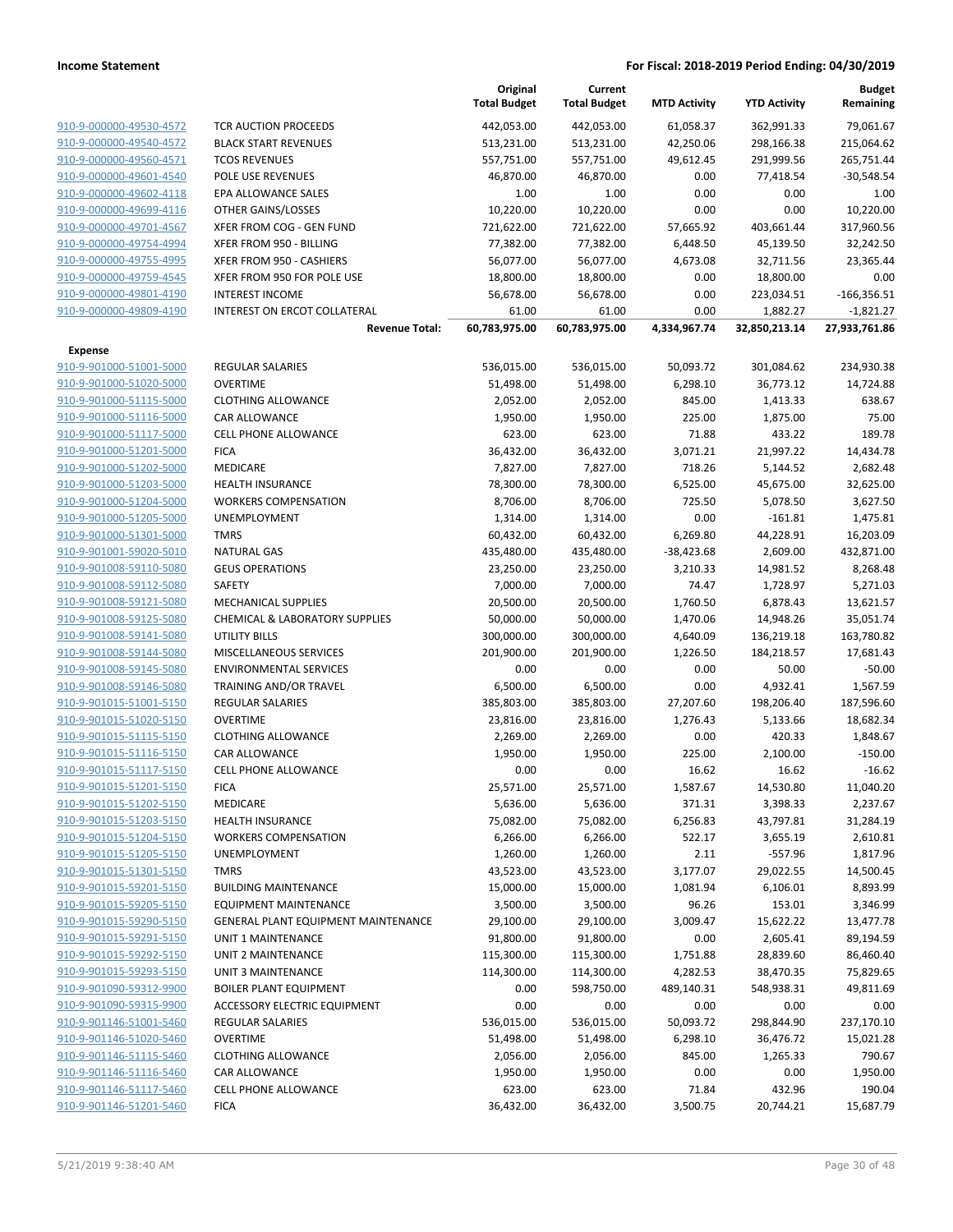|                         |                                            | Original<br><b>Total Budget</b> | Current<br><b>Total Budget</b> | <b>MTD Activity</b> | <b>YTD Activity</b> | <b>Budget</b><br>Remaining |
|-------------------------|--------------------------------------------|---------------------------------|--------------------------------|---------------------|---------------------|----------------------------|
| 910-9-000000-49530-4572 | <b>TCR AUCTION PROCEEDS</b>                | 442,053.00                      | 442,053.00                     | 61,058.37           | 362,991.33          | 79,061.67                  |
| 910-9-000000-49540-4572 | <b>BLACK START REVENUES</b>                | 513,231.00                      | 513,231.00                     | 42,250.06           | 298,166.38          | 215,064.62                 |
| 910-9-000000-49560-4571 | <b>TCOS REVENUES</b>                       | 557,751.00                      | 557,751.00                     | 49,612.45           | 291,999.56          | 265,751.44                 |
| 910-9-000000-49601-4540 | <b>POLE USE REVENUES</b>                   | 46,870.00                       | 46,870.00                      | 0.00                | 77,418.54           | $-30,548.54$               |
| 910-9-000000-49602-4118 | EPA ALLOWANCE SALES                        | 1.00                            | 1.00                           | 0.00                | 0.00                | 1.00                       |
| 910-9-000000-49699-4116 | OTHER GAINS/LOSSES                         | 10,220.00                       | 10,220.00                      | 0.00                | 0.00                | 10,220.00                  |
| 910-9-000000-49701-4567 | XFER FROM COG - GEN FUND                   | 721,622.00                      | 721,622.00                     | 57,665.92           | 403,661.44          | 317,960.56                 |
| 910-9-000000-49754-4994 | XFER FROM 950 - BILLING                    | 77,382.00                       | 77,382.00                      | 6,448.50            | 45,139.50           | 32,242.50                  |
| 910-9-000000-49755-4995 | XFER FROM 950 - CASHIERS                   | 56,077.00                       | 56,077.00                      | 4,673.08            | 32,711.56           | 23,365.44                  |
| 910-9-000000-49759-4545 | XFER FROM 950 FOR POLE USE                 | 18,800.00                       | 18,800.00                      | 0.00                | 18,800.00           | 0.00                       |
| 910-9-000000-49801-4190 | <b>INTEREST INCOME</b>                     | 56,678.00                       | 56,678.00                      | 0.00                | 223,034.51          | $-166,356.51$              |
| 910-9-000000-49809-4190 | INTEREST ON ERCOT COLLATERAL               | 61.00                           | 61.00                          | 0.00                | 1,882.27            | $-1,821.27$                |
|                         | <b>Revenue Total:</b>                      | 60,783,975.00                   | 60,783,975.00                  | 4,334,967.74        | 32,850,213.14       | 27,933,761.86              |
| <b>Expense</b>          |                                            |                                 |                                |                     |                     |                            |
| 910-9-901000-51001-5000 | <b>REGULAR SALARIES</b>                    | 536,015.00                      | 536,015.00                     | 50,093.72           | 301,084.62          | 234,930.38                 |
| 910-9-901000-51020-5000 | <b>OVERTIME</b>                            | 51,498.00                       | 51,498.00                      | 6,298.10            | 36,773.12           | 14,724.88                  |
| 910-9-901000-51115-5000 | <b>CLOTHING ALLOWANCE</b>                  | 2,052.00                        | 2,052.00                       | 845.00              | 1,413.33            | 638.67                     |
| 910-9-901000-51116-5000 | CAR ALLOWANCE                              | 1,950.00                        | 1,950.00                       | 225.00              | 1,875.00            | 75.00                      |
| 910-9-901000-51117-5000 | <b>CELL PHONE ALLOWANCE</b>                | 623.00                          | 623.00                         | 71.88               | 433.22              | 189.78                     |
| 910-9-901000-51201-5000 | <b>FICA</b>                                | 36,432.00                       | 36,432.00                      | 3,071.21            | 21,997.22           | 14,434.78                  |
| 910-9-901000-51202-5000 | <b>MEDICARE</b>                            | 7,827.00                        | 7,827.00                       | 718.26              | 5,144.52            | 2,682.48                   |
| 910-9-901000-51203-5000 | <b>HEALTH INSURANCE</b>                    | 78,300.00                       | 78,300.00                      | 6,525.00            | 45,675.00           | 32,625.00                  |
| 910-9-901000-51204-5000 | <b>WORKERS COMPENSATION</b>                | 8,706.00                        | 8,706.00                       | 725.50              | 5,078.50            | 3,627.50                   |
| 910-9-901000-51205-5000 | UNEMPLOYMENT                               | 1,314.00                        | 1,314.00                       | 0.00                | $-161.81$           | 1,475.81                   |
| 910-9-901000-51301-5000 | <b>TMRS</b>                                | 60,432.00                       | 60,432.00                      | 6,269.80            | 44,228.91           | 16,203.09                  |
| 910-9-901001-59020-5010 | <b>NATURAL GAS</b>                         | 435,480.00                      | 435,480.00                     | $-38,423.68$        | 2,609.00            | 432,871.00                 |
| 910-9-901008-59110-5080 | <b>GEUS OPERATIONS</b>                     | 23,250.00                       | 23,250.00                      | 3,210.33            | 14,981.52           | 8,268.48                   |
| 910-9-901008-59112-5080 | <b>SAFETY</b>                              | 7,000.00                        | 7,000.00                       | 74.47               | 1,728.97            | 5,271.03                   |
| 910-9-901008-59121-5080 | <b>MECHANICAL SUPPLIES</b>                 | 20,500.00                       | 20,500.00                      | 1,760.50            | 6,878.43            | 13,621.57                  |
| 910-9-901008-59125-5080 | CHEMICAL & LABORATORY SUPPLIES             | 50,000.00                       | 50,000.00                      | 1,470.06            | 14,948.26           | 35,051.74                  |
| 910-9-901008-59141-5080 | UTILITY BILLS                              | 300,000.00                      | 300,000.00                     | 4,640.09            | 136,219.18          | 163,780.82                 |
| 910-9-901008-59144-5080 | MISCELLANEOUS SERVICES                     | 201,900.00                      | 201,900.00                     | 1,226.50            | 184,218.57          | 17,681.43                  |
| 910-9-901008-59145-5080 | <b>ENVIRONMENTAL SERVICES</b>              | 0.00                            | 0.00                           | 0.00                | 50.00               | $-50.00$                   |
| 910-9-901008-59146-5080 | TRAINING AND/OR TRAVEL                     | 6,500.00                        | 6,500.00                       | 0.00                | 4,932.41            | 1,567.59                   |
| 910-9-901015-51001-5150 | REGULAR SALARIES                           | 385,803.00                      | 385,803.00                     | 27,207.60           | 198,206.40          | 187,596.60                 |
| 910-9-901015-51020-5150 | <b>OVERTIME</b>                            | 23,816.00                       | 23,816.00                      | 1,276.43            | 5,133.66            | 18,682.34                  |
| 910-9-901015-51115-5150 | <b>CLOTHING ALLOWANCE</b>                  | 2,269.00                        | 2,269.00                       | 0.00                | 420.33              | 1,848.67                   |
| 910-9-901015-51116-5150 | <b>CAR ALLOWANCE</b>                       | 1,950.00                        | 1,950.00                       | 225.00              | 2,100.00            | $-150.00$                  |
| 910-9-901015-51117-5150 | <b>CELL PHONE ALLOWANCE</b>                | 0.00                            | 0.00                           | 16.62               | 16.62               | $-16.62$                   |
| 910-9-901015-51201-5150 | <b>FICA</b>                                | 25,571.00                       | 25,571.00                      | 1,587.67            | 14,530.80           | 11,040.20                  |
| 910-9-901015-51202-5150 | MEDICARE                                   | 5,636.00                        | 5,636.00                       | 371.31              | 3,398.33            | 2,237.67                   |
| 910-9-901015-51203-5150 | <b>HEALTH INSURANCE</b>                    | 75,082.00                       | 75,082.00                      | 6,256.83            | 43,797.81           | 31,284.19                  |
| 910-9-901015-51204-5150 | <b>WORKERS COMPENSATION</b>                | 6,266.00                        | 6,266.00                       | 522.17              | 3,655.19            | 2,610.81                   |
| 910-9-901015-51205-5150 | <b>UNEMPLOYMENT</b>                        | 1,260.00                        | 1,260.00                       | 2.11                | $-557.96$           | 1,817.96                   |
| 910-9-901015-51301-5150 | <b>TMRS</b>                                | 43,523.00                       | 43,523.00                      | 3,177.07            | 29,022.55           | 14,500.45                  |
| 910-9-901015-59201-5150 | <b>BUILDING MAINTENANCE</b>                | 15,000.00                       | 15,000.00                      | 1,081.94            | 6,106.01            | 8,893.99                   |
| 910-9-901015-59205-5150 | <b>EQUIPMENT MAINTENANCE</b>               | 3,500.00                        | 3,500.00                       | 96.26               | 153.01              | 3,346.99                   |
| 910-9-901015-59290-5150 | <b>GENERAL PLANT EQUIPMENT MAINTENANCE</b> | 29,100.00                       | 29,100.00                      | 3,009.47            | 15,622.22           | 13,477.78                  |
| 910-9-901015-59291-5150 | <b>UNIT 1 MAINTENANCE</b>                  | 91,800.00                       | 91,800.00                      | 0.00                | 2,605.41            | 89,194.59                  |
| 910-9-901015-59292-5150 | <b>UNIT 2 MAINTENANCE</b>                  | 115,300.00                      | 115,300.00                     | 1,751.88            | 28,839.60           | 86,460.40                  |
| 910-9-901015-59293-5150 | <b>UNIT 3 MAINTENANCE</b>                  | 114,300.00                      | 114,300.00                     | 4,282.53            | 38,470.35           | 75,829.65                  |
| 910-9-901090-59312-9900 | <b>BOILER PLANT EQUIPMENT</b>              | 0.00                            | 598,750.00                     | 489,140.31          | 548,938.31          | 49,811.69                  |
| 910-9-901090-59315-9900 | ACCESSORY ELECTRIC EQUIPMENT               | 0.00                            | 0.00                           | 0.00                | 0.00                | 0.00                       |
| 910-9-901146-51001-5460 | <b>REGULAR SALARIES</b>                    | 536,015.00                      | 536,015.00                     | 50,093.72           | 298,844.90          | 237,170.10                 |
| 910-9-901146-51020-5460 | <b>OVERTIME</b>                            | 51,498.00                       | 51,498.00                      | 6,298.10            | 36,476.72           | 15,021.28                  |
| 910-9-901146-51115-5460 | <b>CLOTHING ALLOWANCE</b>                  | 2,056.00                        | 2,056.00                       | 845.00              | 1,265.33            | 790.67                     |
| 910-9-901146-51116-5460 | CAR ALLOWANCE                              | 1,950.00                        | 1,950.00                       | 0.00                | 0.00                | 1,950.00                   |
| 910-9-901146-51117-5460 | <b>CELL PHONE ALLOWANCE</b>                | 623.00                          | 623.00                         | 71.84               | 432.96              | 190.04                     |
| 910-9-901146-51201-5460 | <b>FICA</b>                                | 36,432.00                       | 36,432.00                      | 3,500.75            | 20,744.21           | 15,687.79                  |
|                         |                                            |                                 |                                |                     |                     |                            |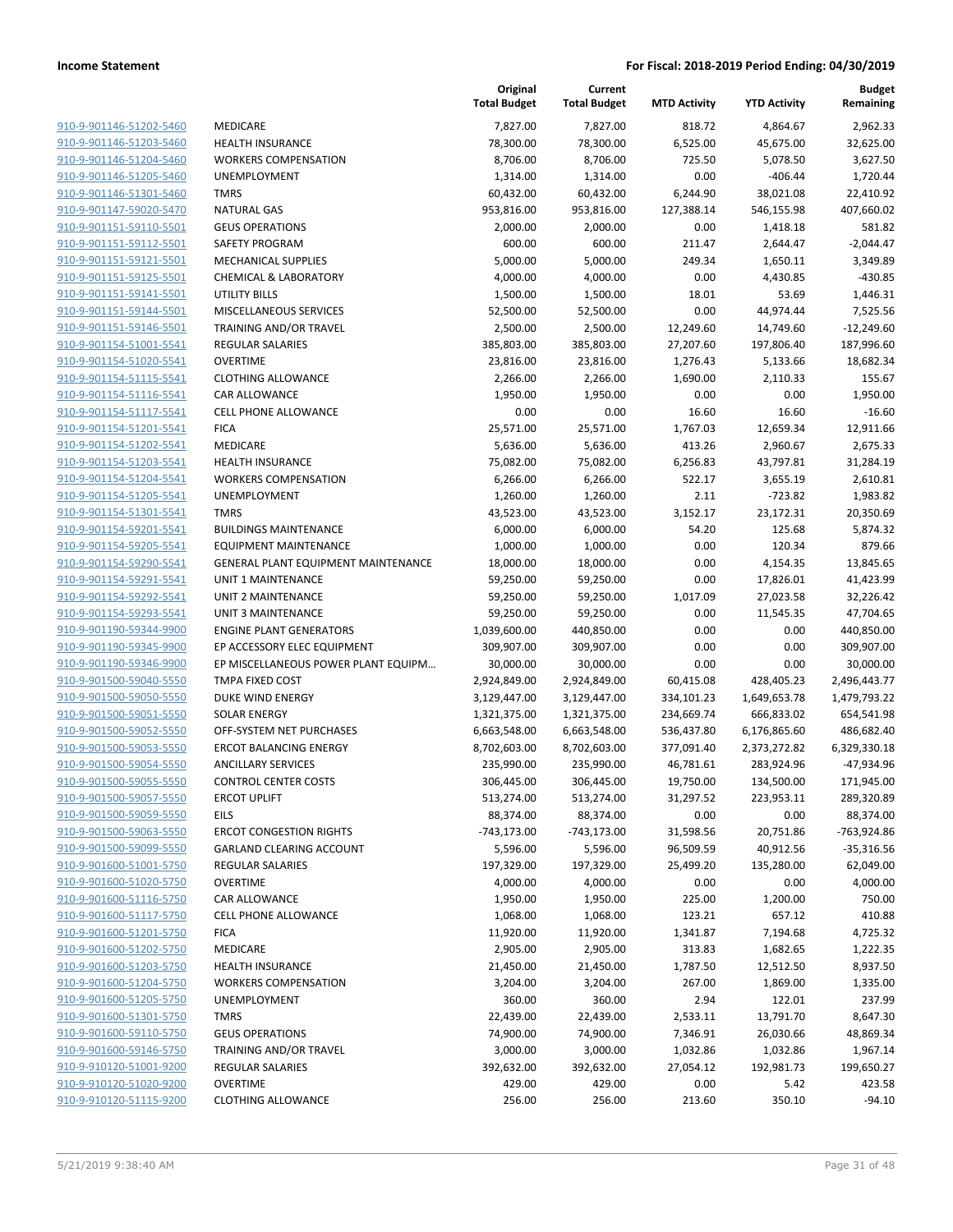|                                                    |                                                                   | Original<br><b>Total Budget</b> | Current<br><b>Total Budget</b> | <b>MTD Activity</b>    | <b>YTD Activity</b>     | <b>Budget</b><br>Remaining |
|----------------------------------------------------|-------------------------------------------------------------------|---------------------------------|--------------------------------|------------------------|-------------------------|----------------------------|
| 910-9-901146-51202-5460                            | <b>MEDICARE</b>                                                   | 7,827.00                        | 7,827.00                       | 818.72                 | 4,864.67                | 2,962.33                   |
| 910-9-901146-51203-5460                            | <b>HEALTH INSURANCE</b>                                           | 78,300.00                       | 78,300.00                      | 6,525.00               | 45,675.00               | 32,625.00                  |
| 910-9-901146-51204-5460                            | <b>WORKERS COMPENSATION</b>                                       | 8,706.00                        | 8,706.00                       | 725.50                 | 5,078.50                | 3,627.50                   |
| 910-9-901146-51205-5460                            | <b>UNEMPLOYMENT</b>                                               | 1,314.00                        | 1,314.00                       | 0.00                   | $-406.44$               | 1,720.44                   |
| 910-9-901146-51301-5460                            | <b>TMRS</b>                                                       | 60,432.00                       | 60,432.00                      | 6,244.90               | 38,021.08               | 22,410.92                  |
| 910-9-901147-59020-5470                            | <b>NATURAL GAS</b>                                                | 953,816.00                      | 953,816.00                     | 127,388.14             | 546,155.98              | 407,660.02                 |
| 910-9-901151-59110-5501                            | <b>GEUS OPERATIONS</b>                                            | 2,000.00                        | 2,000.00                       | 0.00                   | 1,418.18                | 581.82                     |
| 910-9-901151-59112-5501                            | <b>SAFETY PROGRAM</b>                                             | 600.00                          | 600.00                         | 211.47                 | 2,644.47                | $-2,044.47$                |
| 910-9-901151-59121-5501                            | <b>MECHANICAL SUPPLIES</b>                                        | 5,000.00                        | 5,000.00                       | 249.34                 | 1,650.11                | 3,349.89                   |
| 910-9-901151-59125-5501                            | <b>CHEMICAL &amp; LABORATORY</b>                                  | 4,000.00                        | 4,000.00                       | 0.00                   | 4,430.85                | $-430.85$                  |
| 910-9-901151-59141-5501                            | UTILITY BILLS                                                     | 1,500.00                        | 1,500.00                       | 18.01                  | 53.69                   | 1,446.31                   |
| 910-9-901151-59144-5501                            | MISCELLANEOUS SERVICES                                            | 52,500.00                       | 52,500.00                      | 0.00                   | 44,974.44               | 7,525.56                   |
| 910-9-901151-59146-5501                            | TRAINING AND/OR TRAVEL                                            | 2,500.00                        | 2,500.00                       | 12,249.60              | 14,749.60               | $-12,249.60$               |
| 910-9-901154-51001-5541                            | REGULAR SALARIES                                                  | 385,803.00                      | 385,803.00                     | 27,207.60              | 197,806.40              | 187,996.60                 |
| 910-9-901154-51020-5541                            | <b>OVERTIME</b>                                                   | 23,816.00                       | 23,816.00                      | 1,276.43               | 5,133.66                | 18,682.34                  |
| 910-9-901154-51115-5541                            | <b>CLOTHING ALLOWANCE</b>                                         | 2,266.00                        | 2,266.00                       | 1,690.00               | 2,110.33                | 155.67                     |
| 910-9-901154-51116-5541                            | CAR ALLOWANCE                                                     | 1,950.00                        | 1,950.00                       | 0.00                   | 0.00                    | 1,950.00                   |
| 910-9-901154-51117-5541                            | <b>CELL PHONE ALLOWANCE</b>                                       | 0.00                            | 0.00                           | 16.60                  | 16.60                   | $-16.60$                   |
| 910-9-901154-51201-5541                            | <b>FICA</b>                                                       | 25,571.00                       | 25,571.00                      | 1,767.03               | 12,659.34               | 12,911.66                  |
| 910-9-901154-51202-5541                            | MEDICARE                                                          | 5,636.00                        | 5,636.00                       | 413.26                 | 2,960.67                | 2,675.33                   |
| 910-9-901154-51203-5541                            | HEALTH INSURANCE                                                  | 75,082.00                       | 75,082.00                      | 6,256.83               | 43,797.81               | 31,284.19                  |
| 910-9-901154-51204-5541                            | <b>WORKERS COMPENSATION</b>                                       | 6,266.00                        | 6,266.00                       | 522.17                 | 3,655.19                | 2,610.81                   |
| 910-9-901154-51205-5541                            | <b>UNEMPLOYMENT</b>                                               | 1,260.00                        | 1,260.00                       | 2.11                   | $-723.82$               | 1,983.82                   |
| 910-9-901154-51301-5541                            | <b>TMRS</b>                                                       | 43,523.00                       | 43,523.00                      | 3,152.17               | 23,172.31               | 20,350.69                  |
| 910-9-901154-59201-5541                            | <b>BUILDINGS MAINTENANCE</b>                                      | 6,000.00                        | 6,000.00                       | 54.20                  | 125.68                  | 5,874.32                   |
| 910-9-901154-59205-5541                            | <b>EQUIPMENT MAINTENANCE</b>                                      | 1,000.00                        | 1,000.00                       | 0.00                   | 120.34                  | 879.66                     |
| 910-9-901154-59290-5541                            | GENERAL PLANT EQUIPMENT MAINTENANCE                               | 18,000.00                       | 18,000.00                      | 0.00                   | 4,154.35                | 13,845.65                  |
| 910-9-901154-59291-5541                            | UNIT 1 MAINTENANCE                                                | 59,250.00                       | 59,250.00                      | 0.00                   | 17,826.01               | 41,423.99                  |
| 910-9-901154-59292-5541                            | UNIT 2 MAINTENANCE                                                | 59,250.00                       | 59,250.00                      | 1,017.09               | 27,023.58               | 32,226.42                  |
| 910-9-901154-59293-5541                            | UNIT 3 MAINTENANCE                                                | 59,250.00                       | 59,250.00                      | 0.00                   | 11,545.35               | 47,704.65                  |
| 910-9-901190-59344-9900                            | <b>ENGINE PLANT GENERATORS</b>                                    | 1,039,600.00                    | 440,850.00                     | 0.00                   | 0.00                    | 440,850.00                 |
| 910-9-901190-59345-9900                            | EP ACCESSORY ELEC EQUIPMENT                                       | 309,907.00                      | 309,907.00                     | 0.00                   | 0.00                    | 309,907.00                 |
| 910-9-901190-59346-9900                            | EP MISCELLANEOUS POWER PLANT EQUIPM                               | 30,000.00                       | 30,000.00                      | 0.00                   | 0.00                    | 30,000.00                  |
| 910-9-901500-59040-5550                            | TMPA FIXED COST                                                   | 2,924,849.00                    | 2,924,849.00                   | 60,415.08              | 428,405.23              | 2,496,443.77               |
| 910-9-901500-59050-5550                            | DUKE WIND ENERGY                                                  | 3,129,447.00                    | 3,129,447.00                   | 334,101.23             | 1,649,653.78            | 1,479,793.22               |
| 910-9-901500-59051-5550                            | <b>SOLAR ENERGY</b>                                               | 1,321,375.00                    | 1,321,375.00                   | 234,669.74             | 666,833.02              | 654,541.98                 |
| 910-9-901500-59052-5550                            | OFF-SYSTEM NET PURCHASES                                          | 6,663,548.00                    | 6,663,548.00                   | 536,437.80             | 6,176,865.60            | 486,682.40                 |
| 910-9-901500-59053-5550                            | <b>ERCOT BALANCING ENERGY</b>                                     | 8,702,603.00                    | 8,702,603.00                   | 377,091.40             | 2,373,272.82            | 6,329,330.18               |
| 910-9-901500-59054-5550                            | <b>ANCILLARY SERVICES</b>                                         | 235,990.00                      | 235,990.00                     | 46,781.61              | 283,924.96              | -47,934.96                 |
| 910-9-901500-59055-5550                            | <b>CONTROL CENTER COSTS</b>                                       | 306,445.00                      | 306,445.00                     | 19,750.00              | 134,500.00              | 171,945.00                 |
| 910-9-901500-59057-5550                            | <b>ERCOT UPLIFT</b>                                               | 513,274.00                      | 513,274.00                     | 31,297.52              | 223,953.11              | 289,320.89                 |
| 910-9-901500-59059-5550                            | <b>EILS</b>                                                       | 88,374.00                       | 88,374.00                      | 0.00                   | 0.00                    | 88,374.00                  |
| 910-9-901500-59063-5550                            | <b>ERCOT CONGESTION RIGHTS</b><br><b>GARLAND CLEARING ACCOUNT</b> | $-743,173.00$                   | $-743,173.00$                  | 31,598.56              | 20,751.86               | -763,924.86                |
| 910-9-901500-59099-5550                            |                                                                   | 5,596.00                        | 5,596.00                       | 96,509.59<br>25,499.20 | 40,912.56<br>135,280.00 | $-35,316.56$               |
| 910-9-901600-51001-5750                            | <b>REGULAR SALARIES</b><br><b>OVERTIME</b>                        | 197,329.00                      | 197,329.00                     |                        |                         | 62,049.00                  |
| 910-9-901600-51020-5750<br>910-9-901600-51116-5750 | CAR ALLOWANCE                                                     | 4,000.00                        | 4,000.00                       | 0.00                   | 0.00                    | 4,000.00<br>750.00         |
| 910-9-901600-51117-5750                            | <b>CELL PHONE ALLOWANCE</b>                                       | 1,950.00                        | 1,950.00                       | 225.00                 | 1,200.00<br>657.12      |                            |
| 910-9-901600-51201-5750                            | <b>FICA</b>                                                       | 1,068.00                        | 1,068.00                       | 123.21<br>1,341.87     |                         | 410.88                     |
| 910-9-901600-51202-5750                            | MEDICARE                                                          | 11,920.00<br>2,905.00           | 11,920.00<br>2,905.00          | 313.83                 | 7,194.68<br>1,682.65    | 4,725.32<br>1,222.35       |
| 910-9-901600-51203-5750                            | HEALTH INSURANCE                                                  | 21,450.00                       | 21,450.00                      | 1,787.50               | 12,512.50               | 8,937.50                   |
| 910-9-901600-51204-5750                            | <b>WORKERS COMPENSATION</b>                                       | 3,204.00                        | 3,204.00                       | 267.00                 | 1,869.00                | 1,335.00                   |
| 910-9-901600-51205-5750                            | <b>UNEMPLOYMENT</b>                                               |                                 |                                |                        |                         |                            |
| 910-9-901600-51301-5750                            | <b>TMRS</b>                                                       | 360.00<br>22,439.00             | 360.00<br>22,439.00            | 2.94<br>2,533.11       | 122.01<br>13,791.70     | 237.99<br>8,647.30         |
| 910-9-901600-59110-5750                            | <b>GEUS OPERATIONS</b>                                            | 74,900.00                       | 74,900.00                      | 7,346.91               | 26,030.66               | 48,869.34                  |
| 910-9-901600-59146-5750                            | TRAINING AND/OR TRAVEL                                            | 3,000.00                        | 3,000.00                       | 1,032.86               | 1,032.86                | 1,967.14                   |
| 910-9-910120-51001-9200                            | REGULAR SALARIES                                                  | 392,632.00                      | 392,632.00                     | 27,054.12              | 192,981.73              | 199,650.27                 |
| 910-9-910120-51020-9200                            | <b>OVERTIME</b>                                                   | 429.00                          | 429.00                         | 0.00                   | 5.42                    | 423.58                     |
| 910-9-910120-51115-9200                            | <b>CLOTHING ALLOWANCE</b>                                         | 256.00                          | 256.00                         | 213.60                 | 350.10                  | $-94.10$                   |
|                                                    |                                                                   |                                 |                                |                        |                         |                            |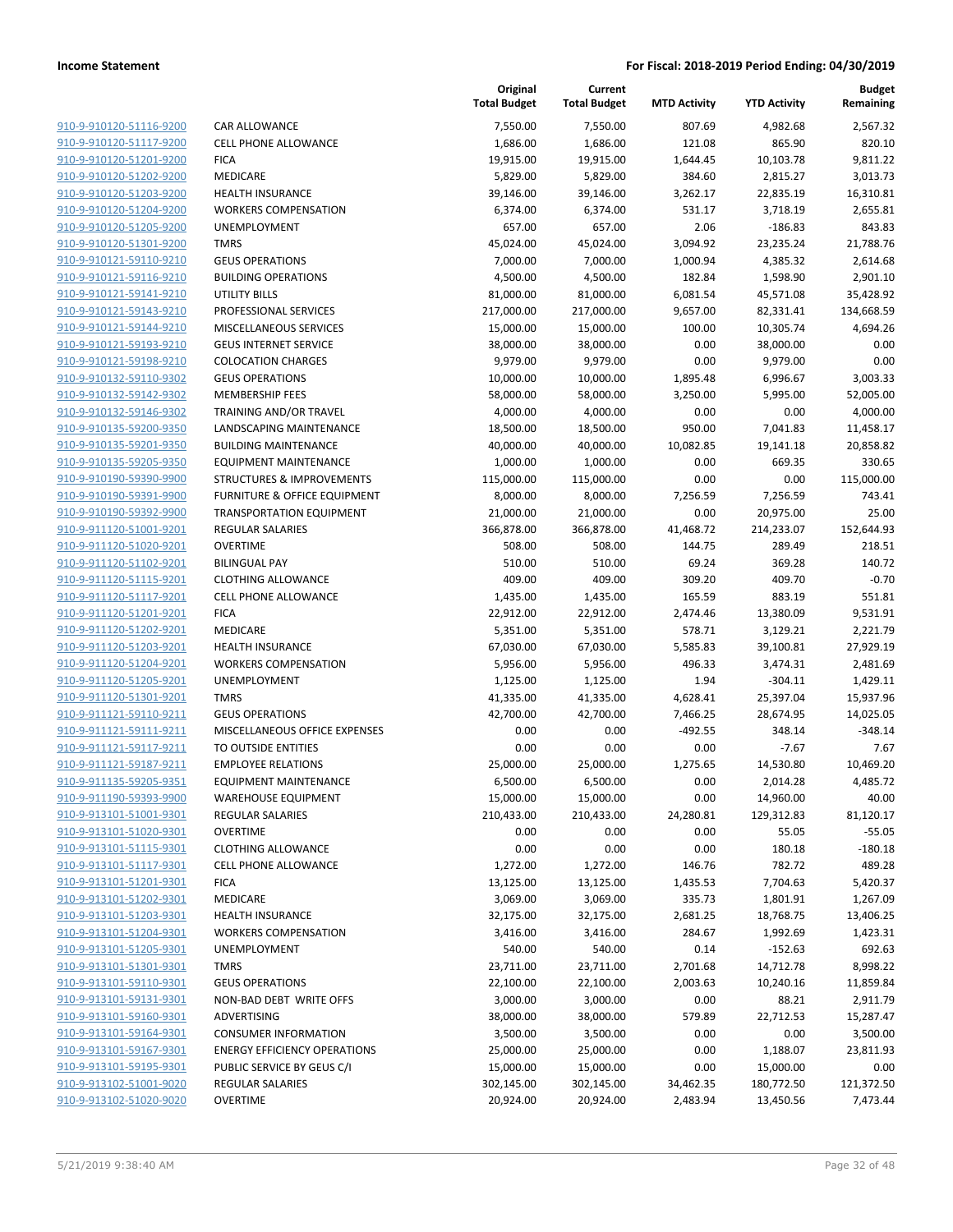| 910-9-910120-51116-9200 | CAF        |
|-------------------------|------------|
| 910-9-910120-51117-9200 | CEL        |
| 910-9-910120-51201-9200 | FIC/       |
| 910-9-910120-51202-9200 | MEI        |
| 910-9-910120-51203-9200 | HEA        |
| 910-9-910120-51204-9200 | wo         |
| 910-9-910120-51205-9200 | UNI        |
| 910-9-910120-51301-9200 | TMI        |
|                         |            |
| 910-9-910121-59110-9210 | GEL        |
| 910-9-910121-59116-9210 | BUI        |
| 910-9-910121-59141-9210 | UTI        |
| 910-9-910121-59143-9210 | PRC        |
| 910-9-910121-59144-9210 | MIS        |
| 910-9-910121-59193-9210 | GEL        |
| 910-9-910121-59198-9210 | COL        |
| 910-9-910132-59110-9302 | GEL        |
| 910-9-910132-59142-9302 | MEI        |
| 910-9-910132-59146-9302 | TRA        |
| 910-9-910135-59200-9350 | LAN        |
| 910-9-910135-59201-9350 | <b>BUI</b> |
| 910-9-910135-59205-9350 | EQL        |
| 910-9-910190-59390-9900 | <b>STR</b> |
| 910-9-910190-59391-9900 | <b>FUR</b> |
| 910-9-910190-59392-9900 | TRA        |
| 910-9-911120-51001-9201 | REC        |
| 910-9-911120-51020-9201 | ovi        |
| 910-9-911120-51102-9201 | BILI       |
| 910-9-911120-51115-9201 | CLO        |
| 910-9-911120-51117-9201 | CEL        |
| 910-9-911120-51201-9201 | FIC/       |
| 910-9-911120-51202-9201 | MEI        |
| 910-9-911120-51203-9201 | HEA        |
| 910-9-911120-51204-9201 | <b>WO</b>  |
| 910-9-911120-51205-9201 | UNI        |
| 910-9-911120-51301-9201 | TMI        |
| 910-9-911121-59110-9211 | GEL        |
| 910-9-911121-59111-9211 | <b>MIS</b> |
| 910-9-911121-59117-9211 | TO I       |
| 910-9-911121-59187-9211 | <b>EMI</b> |
| 910-9-911135-59205-9351 | EQL        |
| 910-9-911190-59393-9900 | WA         |
| 910-9-913101-51001-9301 | REG        |
| 910-9-913101-51020-9301 | OVE        |
| 910-9-913101-51115-9301 | CLO        |
| 910-9-913101-51117-9301 | CEL        |
| 910-9-913101-51201-9301 | FIC/       |
| 910-9-913101-51202-9301 | MEI        |
| 910-9-913101-51203-9301 | HEA        |
| 910-9-913101-51204-9301 | <b>WO</b>  |
| 910-9-913101-51205-9301 | UNI        |
| 910-9-913101-51301-9301 | TMI        |
| 910-9-913101-59110-9301 | GEL        |
| 910-9-913101-59131-9301 | NOI        |
| 910-9-913101-59160-9301 | AD۱        |
| 910-9-913101-59164-9301 | <b>COI</b> |
| 910-9-913101-59167-9301 | ENE        |
| 910-9-913101-59195-9301 | pue        |
| 910-9-913102-51001-9020 | REG        |
| 910-9-913102-51020-9020 |            |
|                         | OVE        |

|                         |                                         | Original<br><b>Total Budget</b> | Current<br><b>Total Budget</b> | <b>MTD Activity</b> | <b>YTD Activity</b> | <b>Budget</b><br>Remaining |
|-------------------------|-----------------------------------------|---------------------------------|--------------------------------|---------------------|---------------------|----------------------------|
| 910-9-910120-51116-9200 | CAR ALLOWANCE                           | 7,550.00                        | 7,550.00                       | 807.69              | 4,982.68            | 2,567.32                   |
| 910-9-910120-51117-9200 | <b>CELL PHONE ALLOWANCE</b>             | 1,686.00                        | 1,686.00                       | 121.08              | 865.90              | 820.10                     |
| 910-9-910120-51201-9200 | <b>FICA</b>                             | 19,915.00                       | 19,915.00                      | 1,644.45            | 10,103.78           | 9,811.22                   |
| 910-9-910120-51202-9200 | <b>MEDICARE</b>                         | 5,829.00                        | 5,829.00                       | 384.60              | 2,815.27            | 3,013.73                   |
| 910-9-910120-51203-9200 | <b>HEALTH INSURANCE</b>                 | 39,146.00                       | 39,146.00                      | 3,262.17            | 22,835.19           | 16,310.81                  |
| 910-9-910120-51204-9200 | <b>WORKERS COMPENSATION</b>             | 6,374.00                        | 6,374.00                       | 531.17              | 3,718.19            | 2,655.81                   |
| 910-9-910120-51205-9200 | UNEMPLOYMENT                            | 657.00                          | 657.00                         | 2.06                | $-186.83$           | 843.83                     |
| 910-9-910120-51301-9200 | <b>TMRS</b>                             | 45,024.00                       | 45,024.00                      | 3,094.92            | 23,235.24           | 21,788.76                  |
| 910-9-910121-59110-9210 | <b>GEUS OPERATIONS</b>                  | 7,000.00                        | 7,000.00                       | 1,000.94            | 4,385.32            | 2,614.68                   |
| 910-9-910121-59116-9210 | <b>BUILDING OPERATIONS</b>              | 4,500.00                        | 4,500.00                       | 182.84              | 1,598.90            | 2,901.10                   |
| 910-9-910121-59141-9210 | <b>UTILITY BILLS</b>                    | 81,000.00                       | 81,000.00                      | 6,081.54            | 45,571.08           | 35,428.92                  |
| 910-9-910121-59143-9210 | PROFESSIONAL SERVICES                   | 217,000.00                      | 217,000.00                     | 9,657.00            | 82,331.41           | 134,668.59                 |
| 910-9-910121-59144-9210 | MISCELLANEOUS SERVICES                  | 15,000.00                       | 15,000.00                      | 100.00              | 10,305.74           | 4,694.26                   |
| 910-9-910121-59193-9210 | <b>GEUS INTERNET SERVICE</b>            | 38,000.00                       | 38,000.00                      | 0.00                | 38,000.00           | 0.00                       |
| 910-9-910121-59198-9210 | <b>COLOCATION CHARGES</b>               | 9,979.00                        | 9,979.00                       | 0.00                | 9,979.00            | 0.00                       |
| 910-9-910132-59110-9302 | <b>GEUS OPERATIONS</b>                  | 10,000.00                       | 10,000.00                      | 1,895.48            | 6,996.67            | 3,003.33                   |
| 910-9-910132-59142-9302 | <b>MEMBERSHIP FEES</b>                  | 58,000.00                       | 58,000.00                      | 3,250.00            | 5,995.00            | 52,005.00                  |
| 910-9-910132-59146-9302 | <b>TRAINING AND/OR TRAVEL</b>           | 4,000.00                        | 4,000.00                       | 0.00                | 0.00                | 4,000.00                   |
| 910-9-910135-59200-9350 | <b>LANDSCAPING MAINTENANCE</b>          | 18,500.00                       | 18,500.00                      | 950.00              | 7,041.83            | 11,458.17                  |
| 910-9-910135-59201-9350 | <b>BUILDING MAINTENANCE</b>             | 40,000.00                       | 40,000.00                      | 10,082.85           | 19,141.18           | 20,858.82                  |
| 910-9-910135-59205-9350 | <b>EQUIPMENT MAINTENANCE</b>            | 1,000.00                        | 1,000.00                       | 0.00                | 669.35              | 330.65                     |
| 910-9-910190-59390-9900 | <b>STRUCTURES &amp; IMPROVEMENTS</b>    | 115,000.00                      | 115,000.00                     | 0.00                | 0.00                | 115,000.00                 |
| 910-9-910190-59391-9900 | <b>FURNITURE &amp; OFFICE EQUIPMENT</b> | 8,000.00                        | 8,000.00                       | 7,256.59            | 7,256.59            | 743.41                     |
| 910-9-910190-59392-9900 | <b>TRANSPORTATION EQUIPMENT</b>         | 21,000.00                       | 21,000.00                      | 0.00                | 20,975.00           | 25.00                      |
| 910-9-911120-51001-9201 | <b>REGULAR SALARIES</b>                 | 366,878.00                      | 366,878.00                     | 41,468.72           | 214,233.07          | 152,644.93                 |
| 910-9-911120-51020-9201 | <b>OVERTIME</b>                         | 508.00                          | 508.00                         | 144.75              | 289.49              | 218.51                     |
| 910-9-911120-51102-9201 | <b>BILINGUAL PAY</b>                    | 510.00                          | 510.00                         | 69.24               | 369.28              | 140.72                     |
| 910-9-911120-51115-9201 | <b>CLOTHING ALLOWANCE</b>               | 409.00                          | 409.00                         | 309.20              | 409.70              | $-0.70$                    |
| 910-9-911120-51117-9201 | <b>CELL PHONE ALLOWANCE</b>             | 1,435.00                        | 1,435.00                       | 165.59              | 883.19              | 551.81                     |
| 910-9-911120-51201-9201 | <b>FICA</b>                             | 22,912.00                       | 22,912.00                      | 2,474.46            | 13,380.09           | 9,531.91                   |
| 910-9-911120-51202-9201 | MEDICARE                                | 5,351.00                        | 5,351.00                       | 578.71              | 3,129.21            | 2,221.79                   |
| 910-9-911120-51203-9201 | <b>HEALTH INSURANCE</b>                 | 67,030.00                       | 67,030.00                      | 5,585.83            | 39,100.81           | 27,929.19                  |
| 910-9-911120-51204-9201 | <b>WORKERS COMPENSATION</b>             | 5,956.00                        | 5,956.00                       | 496.33              | 3,474.31            | 2,481.69                   |
| 910-9-911120-51205-9201 | UNEMPLOYMENT                            | 1,125.00                        | 1,125.00                       | 1.94                | $-304.11$           | 1,429.11                   |
| 910-9-911120-51301-9201 | <b>TMRS</b>                             | 41,335.00                       | 41,335.00                      | 4,628.41            | 25,397.04           | 15,937.96                  |
| 910-9-911121-59110-9211 | <b>GEUS OPERATIONS</b>                  | 42,700.00                       | 42,700.00                      | 7,466.25            | 28,674.95           | 14,025.05                  |
| 910-9-911121-59111-9211 | MISCELLANEOUS OFFICE EXPENSES           | 0.00                            | 0.00                           | $-492.55$           | 348.14              | $-348.14$                  |
| 910-9-911121-59117-9211 | TO OUTSIDE ENTITIES                     | 0.00                            | 0.00                           | 0.00                | $-7.67$             | 7.67                       |
| 910-9-911121-59187-9211 | <b>EMPLOYEE RELATIONS</b>               | 25,000.00                       | 25,000.00                      | 1,275.65            | 14,530.80           | 10,469.20                  |
| 910-9-911135-59205-9351 | <b>EQUIPMENT MAINTENANCE</b>            | 6,500.00                        | 6,500.00                       | 0.00                | 2,014.28            | 4,485.72                   |
| 910-9-911190-59393-9900 | <b>WAREHOUSE EQUIPMENT</b>              | 15,000.00                       | 15,000.00                      | 0.00                | 14,960.00           | 40.00                      |
| 910-9-913101-51001-9301 | <b>REGULAR SALARIES</b>                 | 210,433.00                      | 210,433.00                     | 24,280.81           | 129,312.83          | 81,120.17                  |
| 910-9-913101-51020-9301 | <b>OVERTIME</b>                         | 0.00                            | 0.00                           | 0.00                | 55.05               | $-55.05$                   |
| 910-9-913101-51115-9301 | <b>CLOTHING ALLOWANCE</b>               | 0.00                            | 0.00                           | 0.00                | 180.18              | $-180.18$                  |
| 910-9-913101-51117-9301 | <b>CELL PHONE ALLOWANCE</b>             | 1,272.00                        | 1,272.00                       | 146.76              | 782.72              | 489.28                     |
| 910-9-913101-51201-9301 | <b>FICA</b>                             | 13,125.00                       | 13,125.00                      | 1,435.53            | 7,704.63            | 5,420.37                   |
| 910-9-913101-51202-9301 | MEDICARE                                | 3,069.00                        | 3,069.00                       | 335.73              | 1,801.91            | 1,267.09                   |
| 910-9-913101-51203-9301 | HEALTH INSURANCE                        | 32,175.00                       | 32,175.00                      | 2,681.25            | 18,768.75           | 13,406.25                  |
| 910-9-913101-51204-9301 | <b>WORKERS COMPENSATION</b>             | 3,416.00                        | 3,416.00                       | 284.67              | 1,992.69            | 1,423.31                   |
| 910-9-913101-51205-9301 | <b>UNEMPLOYMENT</b>                     | 540.00                          | 540.00                         | 0.14                | $-152.63$           | 692.63                     |
| 910-9-913101-51301-9301 | <b>TMRS</b>                             | 23,711.00                       | 23,711.00                      | 2,701.68            | 14,712.78           | 8,998.22                   |
| 910-9-913101-59110-9301 | <b>GEUS OPERATIONS</b>                  | 22,100.00                       | 22,100.00                      | 2,003.63            | 10,240.16           | 11,859.84                  |
| 910-9-913101-59131-9301 | NON-BAD DEBT WRITE OFFS                 | 3,000.00                        | 3,000.00                       | 0.00                | 88.21               | 2,911.79                   |
| 910-9-913101-59160-9301 | ADVERTISING                             | 38,000.00                       | 38,000.00                      | 579.89              | 22,712.53           | 15,287.47                  |
| 910-9-913101-59164-9301 | <b>CONSUMER INFORMATION</b>             | 3,500.00                        | 3,500.00                       | 0.00                | 0.00                | 3,500.00                   |
| 910-9-913101-59167-9301 | <b>ENERGY EFFICIENCY OPERATIONS</b>     | 25,000.00                       | 25,000.00                      | 0.00                | 1,188.07            | 23,811.93                  |
| 910-9-913101-59195-9301 | PUBLIC SERVICE BY GEUS C/I              | 15,000.00                       | 15,000.00                      | 0.00                | 15,000.00           | 0.00                       |
| 910-9-913102-51001-9020 | <b>REGULAR SALARIES</b>                 | 302,145.00                      | 302,145.00                     | 34,462.35           | 180,772.50          | 121,372.50                 |
| 910-9-913102-51020-9020 | <b>OVERTIME</b>                         | 20,924.00                       | 20,924.00                      | 2,483.94            | 13,450.56           | 7,473.44                   |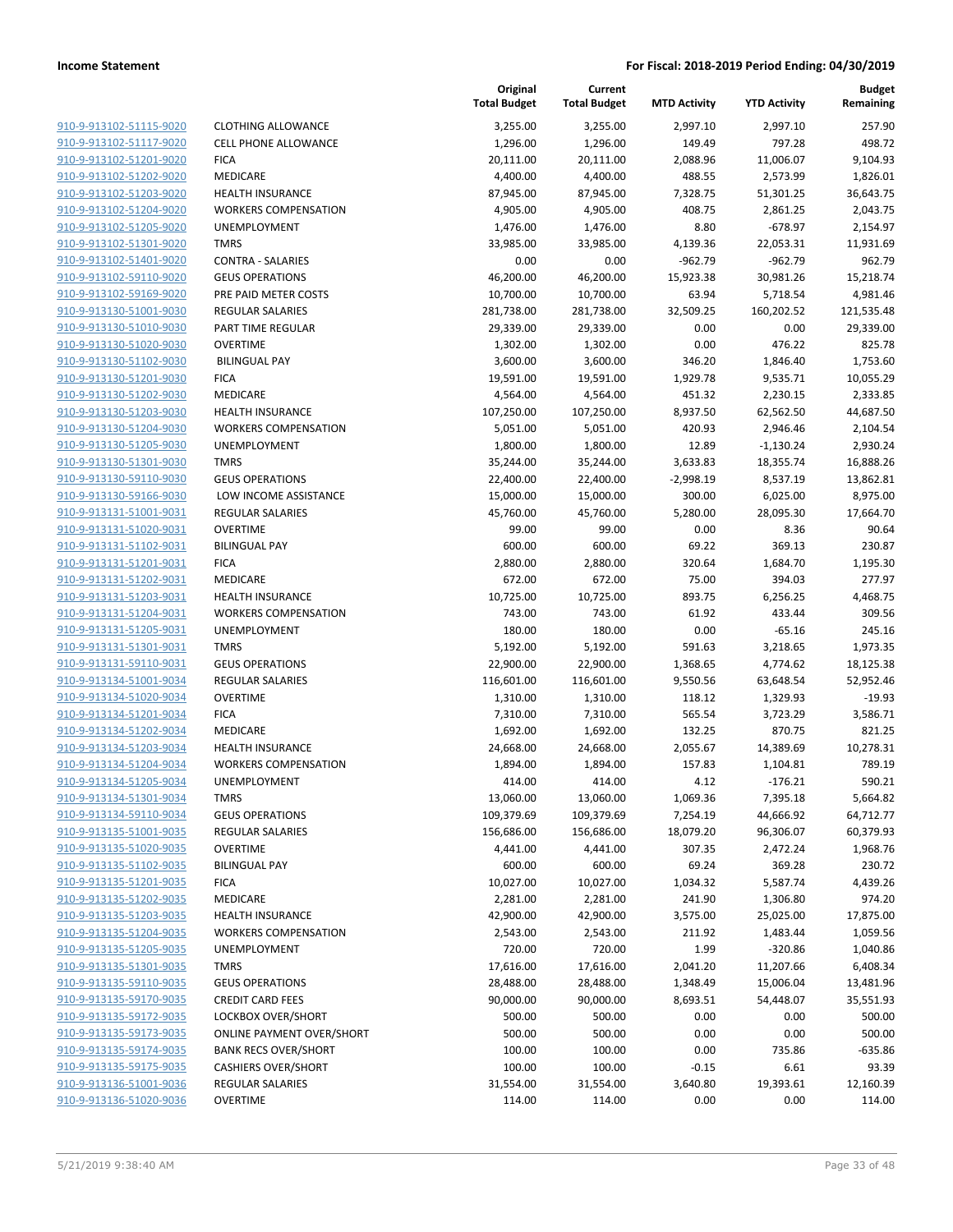910-9-913102-51115-9020 910-9-913102-51117-9020 910-9-913102-51201-9020 910-9-913102-51202-9020 910-9-913102-51203-9020 910-9-913102-51204-9020 910-9-913102-51205-9020 910-9-913102-51301-9020 910-9-913102-51401-9020 910-9-913102-59110-9020 910-9-913102-59169-9020 910-9-913130-51001-9030 910-9-913130-51010-9030 910-9-913130-51020-9030 910-9-913130-51102-9030 910-9-913130-51201-9030 910-9-913130-51202-9030 910-9-913130-51203-9030 910-9-913130-51204-9030 910-9-913130-51205-9030 910-9-913130-51301-9030 910-9-913130-59110-9030 910-9-913130-59166-9030 910-9-913131-51001-9031 910-9-913131-51020-9031 910-9-913131-51102-9031 910-9-913131-51201-9031 910-9-913131-51202-9031 910-9-913131-51203-9031 910-9-913131-51204-9031 910-9-913131-51205-9031 910-9-913131-51301-9031 910-9-913131-59110-9031 910-9-913134-51001-9034 910-9-913134-51020-9034 910-9-913134-51201-9034 910-9-913134-51202-9034 910-9-913134-51203-9034 910-9-913134-51204-9034 910-9-913134-51205-9034 910-9-913134-51301-9034 910-9-913134-59110-9034 910-9-913135-51001-9035 910-9-913135-51020-9035 910-9-913135-51102-9035 910-9-913135-51201-9035 910-9-913135-51202-9035 910-9-913135-51203-9035 910-9-913135-51204-9035 910-9-913135-51205-9035 910-9-913135-51301-9035 910-9-913135-59110-9035 910-9-913135-59170-9035 910-9-913135-59172-9035 910-9-913135-59173-9035 910-9-913135-59174-9035 910-9-913135-59175-9035 910-9-913136-51001-9036 910-9-913136-51020-9036

|                             | Original            | Current             |                     |                     | <b>Budget</b>      |
|-----------------------------|---------------------|---------------------|---------------------|---------------------|--------------------|
|                             | <b>Total Budget</b> | <b>Total Budget</b> | <b>MTD Activity</b> | <b>YTD Activity</b> | Remaining          |
| <b>CLOTHING ALLOWANCE</b>   | 3,255.00            | 3,255.00            | 2,997.10            | 2,997.10            | 257.90             |
| <b>CELL PHONE ALLOWANCE</b> | 1,296.00            | 1,296.00            | 149.49              | 797.28              | 498.72             |
| <b>FICA</b>                 | 20,111.00           | 20,111.00           | 2,088.96            | 11,006.07           | 9,104.93           |
| MEDICARE                    | 4,400.00            | 4,400.00            | 488.55              | 2,573.99            | 1,826.01           |
| <b>HEALTH INSURANCE</b>     | 87,945.00           | 87,945.00           | 7,328.75            | 51,301.25           | 36,643.75          |
| <b>WORKERS COMPENSATION</b> | 4,905.00            | 4,905.00            | 408.75              | 2,861.25            | 2,043.75           |
| <b>UNEMPLOYMENT</b>         | 1,476.00            | 1,476.00            | 8.80                | $-678.97$           | 2,154.97           |
| <b>TMRS</b>                 | 33,985.00           | 33,985.00           | 4,139.36            | 22,053.31           | 11,931.69          |
| <b>CONTRA - SALARIES</b>    | 0.00                | 0.00                | $-962.79$           | $-962.79$           | 962.79             |
| <b>GEUS OPERATIONS</b>      | 46,200.00           | 46,200.00           | 15,923.38           | 30,981.26           | 15,218.74          |
| PRE PAID METER COSTS        | 10,700.00           | 10,700.00           | 63.94               | 5,718.54            | 4,981.46           |
| <b>REGULAR SALARIES</b>     | 281,738.00          | 281,738.00          | 32,509.25           | 160,202.52          | 121,535.48         |
| PART TIME REGULAR           | 29,339.00           | 29,339.00           | 0.00                | 0.00                | 29,339.00          |
| <b>OVERTIME</b>             | 1,302.00            | 1,302.00            | 0.00                | 476.22              | 825.78             |
| <b>BILINGUAL PAY</b>        | 3,600.00            | 3,600.00            | 346.20              | 1,846.40            | 1,753.60           |
| <b>FICA</b>                 | 19,591.00           | 19,591.00           | 1,929.78            | 9,535.71            | 10,055.29          |
| <b>MEDICARE</b>             | 4,564.00            | 4,564.00            | 451.32              | 2,230.15            | 2,333.85           |
| <b>HEALTH INSURANCE</b>     | 107,250.00          | 107,250.00          | 8,937.50            | 62,562.50           | 44,687.50          |
| <b>WORKERS COMPENSATION</b> | 5,051.00            | 5,051.00            | 420.93              | 2,946.46            | 2,104.54           |
| UNEMPLOYMENT                | 1,800.00            | 1,800.00            | 12.89               | $-1,130.24$         | 2,930.24           |
| <b>TMRS</b>                 | 35,244.00           | 35,244.00           | 3,633.83            | 18,355.74           | 16,888.26          |
| <b>GEUS OPERATIONS</b>      | 22,400.00           | 22,400.00           | $-2,998.19$         | 8,537.19            | 13,862.81          |
| LOW INCOME ASSISTANCE       | 15,000.00           | 15,000.00           | 300.00              | 6,025.00            | 8,975.00           |
| <b>REGULAR SALARIES</b>     | 45,760.00           | 45,760.00           | 5,280.00            | 28,095.30           | 17,664.70          |
| <b>OVERTIME</b>             | 99.00               | 99.00               | 0.00                | 8.36                | 90.64              |
| <b>BILINGUAL PAY</b>        | 600.00              | 600.00              | 69.22               | 369.13              | 230.87             |
| <b>FICA</b><br>MEDICARE     | 2,880.00<br>672.00  | 2,880.00<br>672.00  | 320.64<br>75.00     | 1,684.70<br>394.03  | 1,195.30<br>277.97 |
| <b>HEALTH INSURANCE</b>     | 10,725.00           | 10,725.00           | 893.75              | 6,256.25            | 4,468.75           |
| <b>WORKERS COMPENSATION</b> | 743.00              | 743.00              | 61.92               | 433.44              | 309.56             |
| UNEMPLOYMENT                | 180.00              | 180.00              | 0.00                | $-65.16$            | 245.16             |
| <b>TMRS</b>                 | 5,192.00            | 5,192.00            | 591.63              | 3,218.65            | 1,973.35           |
| <b>GEUS OPERATIONS</b>      | 22,900.00           | 22,900.00           | 1,368.65            | 4,774.62            | 18,125.38          |
| <b>REGULAR SALARIES</b>     | 116,601.00          | 116,601.00          | 9,550.56            | 63,648.54           | 52,952.46          |
| <b>OVERTIME</b>             | 1,310.00            | 1,310.00            | 118.12              | 1,329.93            | $-19.93$           |
| <b>FICA</b>                 | 7,310.00            | 7,310.00            | 565.54              | 3,723.29            | 3,586.71           |
| MEDICARE                    | 1,692.00            | 1,692.00            | 132.25              | 870.75              | 821.25             |
| <b>HEALTH INSURANCE</b>     | 24,668.00           | 24,668.00           | 2,055.67            | 14,389.69           | 10,278.31          |
| <b>WORKERS COMPENSATION</b> | 1,894.00            | 1,894.00            | 157.83              | 1,104.81            | 789.19             |
| UNEMPLOYMENT                | 414.00              | 414.00              | 4.12                | -176.21             | 590.21             |
| <b>TMRS</b>                 | 13,060.00           | 13,060.00           | 1,069.36            | 7,395.18            | 5,664.82           |
| <b>GEUS OPERATIONS</b>      | 109,379.69          | 109,379.69          | 7,254.19            | 44,666.92           | 64,712.77          |
| REGULAR SALARIES            | 156,686.00          | 156,686.00          | 18,079.20           | 96,306.07           | 60,379.93          |
| <b>OVERTIME</b>             | 4,441.00            | 4,441.00            | 307.35              | 2,472.24            | 1,968.76           |
| <b>BILINGUAL PAY</b>        | 600.00              | 600.00              | 69.24               | 369.28              | 230.72             |
| <b>FICA</b>                 | 10,027.00           | 10,027.00           | 1,034.32            | 5,587.74            | 4,439.26           |
| MEDICARE                    | 2,281.00            | 2,281.00            | 241.90              | 1,306.80            | 974.20             |
| HEALTH INSURANCE            | 42,900.00           | 42,900.00           | 3,575.00            | 25,025.00           | 17,875.00          |
| <b>WORKERS COMPENSATION</b> | 2,543.00            | 2,543.00            | 211.92              | 1,483.44            | 1,059.56           |
| <b>UNEMPLOYMENT</b>         | 720.00              | 720.00              | 1.99                | $-320.86$           | 1,040.86           |
| TMRS                        | 17,616.00           | 17,616.00           | 2,041.20            | 11,207.66           | 6,408.34           |
| <b>GEUS OPERATIONS</b>      | 28,488.00           | 28,488.00           | 1,348.49            | 15,006.04           | 13,481.96          |
| <b>CREDIT CARD FEES</b>     | 90,000.00           | 90,000.00           | 8,693.51            | 54,448.07           | 35,551.93          |
| LOCKBOX OVER/SHORT          | 500.00              | 500.00              | 0.00                | 0.00                | 500.00             |
| ONLINE PAYMENT OVER/SHORT   | 500.00              | 500.00              | 0.00                | 0.00                | 500.00             |
| <b>BANK RECS OVER/SHORT</b> | 100.00              | 100.00              | 0.00                | 735.86              | -635.86            |
| <b>CASHIERS OVER/SHORT</b>  | 100.00              | 100.00              | $-0.15$             | 6.61                | 93.39              |
| REGULAR SALARIES            | 31,554.00           | 31,554.00           | 3,640.80            | 19,393.61           | 12,160.39          |
| <b>OVERTIME</b>             | 114.00              | 114.00              | 0.00                | 0.00                | 114.00             |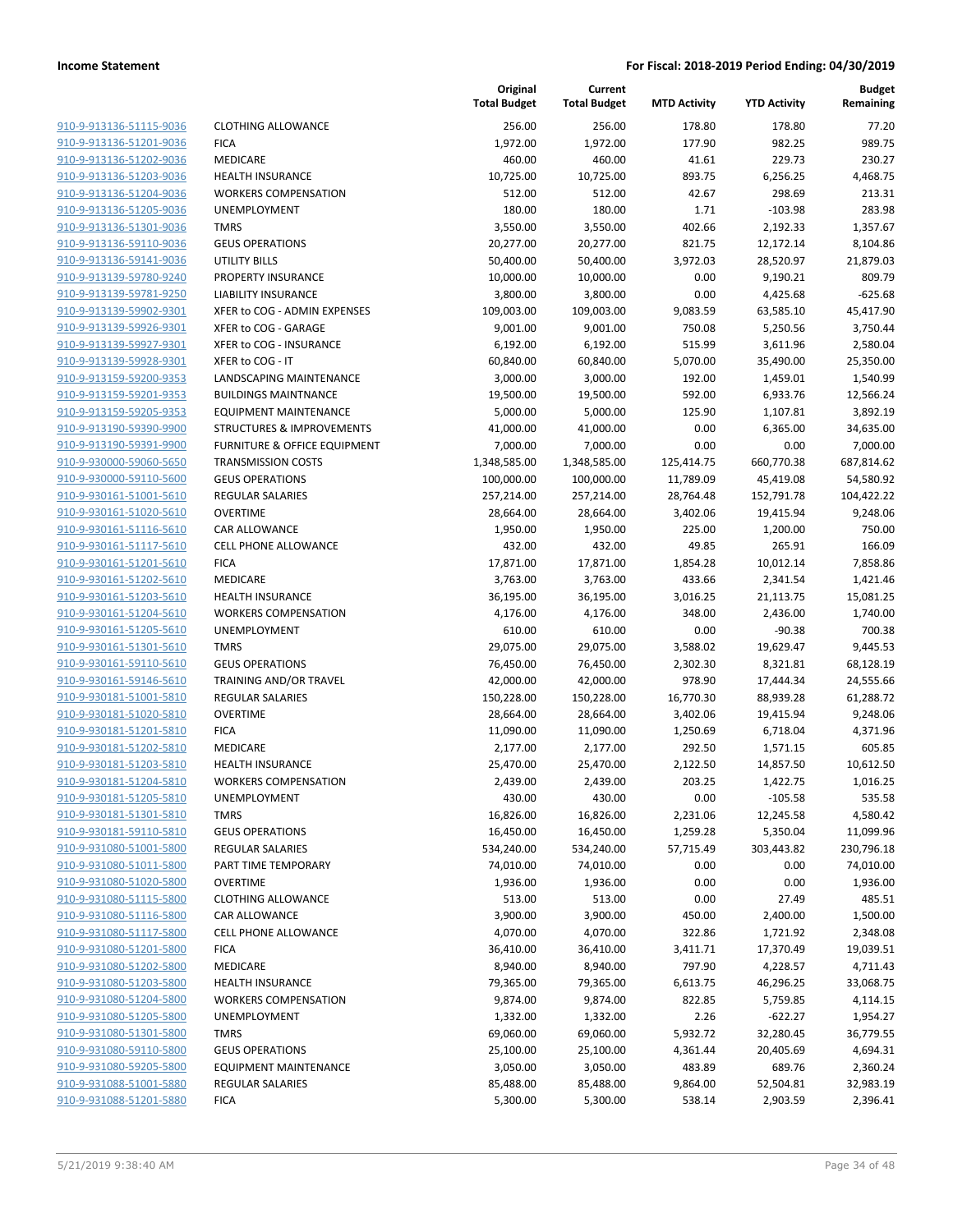| 910-9-913136-51115-9036        |
|--------------------------------|
| 910-9-913136-51201-9036        |
| 910-9-913136-51202-9036        |
| 910-9-913136-51203-9036        |
| 910-9-913136-51204-9036        |
| 910-9-913136-51205-9036        |
| 910-9-913136-51301-9036        |
| 910-9-913136-59110-9036        |
| 910-9-913136-59141-9036        |
| 910-9-913139-59780-9240        |
| 910-9-913139-59781-9250        |
| 910-9-913139-59902-9301        |
| 910-9-913139-59926-9301        |
| 910-9-913139-59927-9301        |
| <u>910-9-913139-59928-9301</u> |
| 910-9-913159-59200-9353        |
| 910-9-913159-59201-9353        |
| 910-9-913159-59205-9353        |
| 910-9-913190-59390-9900        |
| <u>910-9-913190-59391-9900</u> |
| 910-9-930000-59060-5650        |
| 910-9-930000-59110-5600        |
| 910-9-930161-51001-5610        |
| 910-9-930161-51020-5610        |
| <u>910-9-930161-51116-5610</u> |
| 910-9-930161-51117-5610        |
| 910-9-930161-51201-5610        |
| 910-9-930161-51202-5610        |
| 910-9-930161-51203-5610        |
| <u>910-9-930161-51204-5610</u> |
| 910-9-930161-51205-5610        |
| 910-9-930161-51301-5610        |
| 910-9-930161-59110-5610        |
| 910-9-930161-59146-5610        |
| <u>910-9-930181-51001-5810</u> |
| 910-9-930181-51020-5810        |
| 910-9-930181-51201-5810        |
| 910-9-930181-51202-5810        |
| 910-9-930181-51203-5810        |
| 910-9-930181-51204-5810        |
| 910-9-930181-51205-5810        |
| 910-9-930181-51301-5810        |
| 910-9-930181-59110-5810        |
| <u>910-9-931080-51001-5800</u> |
| <u>910-9-931080-51011-5800</u> |
| 910-9-931080-51020-5800        |
| 910-9-931080-51115-5800        |
| 910-9-931080-51116-5800        |
| 910-9-931080-51117-5800        |
| 910-9-931080-51201-5800        |
| <u>910-9-931080-51202-5800</u> |
| 910-9-931080-51203-5800        |
| 910-9-931080-51204-5800        |
| <u>910-9-931080-51205-5800</u> |
| <u>910-9-931080-51301-5800</u> |
| <u>910-9-931080-59110-5800</u> |
| 910-9-931080-59205-5800        |
| <u>910-9-931088-51001-5880</u> |
| 910-9-931088-51201-5880        |

|                         |                                      | Original<br><b>Total Budget</b> | Current<br><b>Total Budget</b> | <b>MTD Activity</b> | <b>YTD Activity</b> | <b>Budget</b><br>Remaining |
|-------------------------|--------------------------------------|---------------------------------|--------------------------------|---------------------|---------------------|----------------------------|
| 910-9-913136-51115-9036 | <b>CLOTHING ALLOWANCE</b>            | 256.00                          | 256.00                         | 178.80              | 178.80              | 77.20                      |
| 910-9-913136-51201-9036 | <b>FICA</b>                          | 1,972.00                        | 1,972.00                       | 177.90              | 982.25              | 989.75                     |
| 910-9-913136-51202-9036 | MEDICARE                             | 460.00                          | 460.00                         | 41.61               | 229.73              | 230.27                     |
| 910-9-913136-51203-9036 | <b>HEALTH INSURANCE</b>              | 10,725.00                       | 10,725.00                      | 893.75              | 6,256.25            | 4,468.75                   |
| 910-9-913136-51204-9036 | <b>WORKERS COMPENSATION</b>          | 512.00                          | 512.00                         | 42.67               | 298.69              | 213.31                     |
| 910-9-913136-51205-9036 | <b>UNEMPLOYMENT</b>                  | 180.00                          | 180.00                         | 1.71                | $-103.98$           | 283.98                     |
| 910-9-913136-51301-9036 | <b>TMRS</b>                          | 3,550.00                        | 3,550.00                       | 402.66              | 2,192.33            | 1,357.67                   |
| 910-9-913136-59110-9036 | <b>GEUS OPERATIONS</b>               | 20,277.00                       | 20,277.00                      | 821.75              | 12,172.14           | 8,104.86                   |
| 910-9-913136-59141-9036 | UTILITY BILLS                        | 50,400.00                       | 50,400.00                      | 3,972.03            | 28,520.97           | 21,879.03                  |
| 910-9-913139-59780-9240 | PROPERTY INSURANCE                   | 10,000.00                       | 10,000.00                      | 0.00                | 9,190.21            | 809.79                     |
| 910-9-913139-59781-9250 | <b>LIABILITY INSURANCE</b>           | 3,800.00                        | 3,800.00                       | 0.00                | 4,425.68            | $-625.68$                  |
| 910-9-913139-59902-9301 | XFER to COG - ADMIN EXPENSES         | 109,003.00                      | 109,003.00                     | 9,083.59            | 63,585.10           | 45,417.90                  |
| 910-9-913139-59926-9301 | XFER to COG - GARAGE                 | 9,001.00                        | 9,001.00                       | 750.08              | 5,250.56            | 3,750.44                   |
| 910-9-913139-59927-9301 | XFER to COG - INSURANCE              | 6,192.00                        | 6,192.00                       | 515.99              | 3,611.96            | 2,580.04                   |
| 910-9-913139-59928-9301 | XFER to COG - IT                     | 60,840.00                       | 60,840.00                      | 5,070.00            | 35,490.00           | 25,350.00                  |
| 910-9-913159-59200-9353 | LANDSCAPING MAINTENANCE              | 3,000.00                        | 3,000.00                       | 192.00              | 1,459.01            | 1,540.99                   |
| 910-9-913159-59201-9353 | <b>BUILDINGS MAINTNANCE</b>          | 19,500.00                       | 19,500.00                      | 592.00              | 6,933.76            | 12,566.24                  |
| 910-9-913159-59205-9353 | <b>EQUIPMENT MAINTENANCE</b>         | 5,000.00                        | 5,000.00                       | 125.90              | 1,107.81            | 3,892.19                   |
| 910-9-913190-59390-9900 | <b>STRUCTURES &amp; IMPROVEMENTS</b> | 41,000.00                       | 41,000.00                      | 0.00                | 6,365.00            | 34,635.00                  |
| 910-9-913190-59391-9900 | FURNITURE & OFFICE EQUIPMENT         | 7,000.00                        | 7,000.00                       | 0.00                | 0.00                | 7,000.00                   |
| 910-9-930000-59060-5650 | <b>TRANSMISSION COSTS</b>            | 1,348,585.00                    | 1,348,585.00                   | 125,414.75          | 660,770.38          | 687,814.62                 |
| 910-9-930000-59110-5600 | <b>GEUS OPERATIONS</b>               | 100,000.00                      | 100,000.00                     | 11,789.09           | 45,419.08           | 54,580.92                  |
| 910-9-930161-51001-5610 | <b>REGULAR SALARIES</b>              | 257,214.00                      | 257,214.00                     | 28,764.48           | 152,791.78          | 104,422.22                 |
| 910-9-930161-51020-5610 | <b>OVERTIME</b>                      | 28,664.00                       | 28,664.00                      | 3,402.06            | 19,415.94           | 9,248.06                   |
| 910-9-930161-51116-5610 | <b>CAR ALLOWANCE</b>                 | 1,950.00                        | 1,950.00                       | 225.00              | 1,200.00            | 750.00                     |
| 910-9-930161-51117-5610 | <b>CELL PHONE ALLOWANCE</b>          | 432.00                          | 432.00                         | 49.85               | 265.91              | 166.09                     |
| 910-9-930161-51201-5610 | <b>FICA</b>                          | 17,871.00                       | 17,871.00                      | 1,854.28            | 10,012.14           | 7,858.86                   |
| 910-9-930161-51202-5610 | MEDICARE                             | 3,763.00                        | 3,763.00                       | 433.66              | 2,341.54            | 1,421.46                   |
| 910-9-930161-51203-5610 | <b>HEALTH INSURANCE</b>              | 36,195.00                       | 36,195.00                      | 3,016.25            | 21,113.75           | 15,081.25                  |
| 910-9-930161-51204-5610 | <b>WORKERS COMPENSATION</b>          | 4,176.00                        | 4,176.00                       | 348.00              | 2,436.00            | 1,740.00                   |
| 910-9-930161-51205-5610 | UNEMPLOYMENT                         | 610.00                          | 610.00                         | 0.00                | $-90.38$            | 700.38                     |
| 910-9-930161-51301-5610 | <b>TMRS</b>                          | 29,075.00                       | 29,075.00                      | 3,588.02            | 19,629.47           | 9,445.53                   |
| 910-9-930161-59110-5610 | <b>GEUS OPERATIONS</b>               | 76,450.00                       | 76,450.00                      | 2,302.30            | 8,321.81            | 68,128.19                  |
| 910-9-930161-59146-5610 | TRAINING AND/OR TRAVEL               | 42,000.00                       | 42,000.00                      | 978.90              | 17,444.34           | 24,555.66                  |
| 910-9-930181-51001-5810 | <b>REGULAR SALARIES</b>              | 150,228.00                      | 150,228.00                     | 16,770.30           | 88,939.28           | 61,288.72                  |
| 910-9-930181-51020-5810 | <b>OVERTIME</b>                      | 28,664.00                       | 28,664.00                      | 3,402.06            | 19,415.94           | 9,248.06                   |
| 910-9-930181-51201-5810 | <b>FICA</b>                          | 11,090.00                       | 11,090.00                      | 1,250.69            | 6,718.04            | 4,371.96                   |
| 910-9-930181-51202-5810 | MEDICARE                             | 2,177.00                        | 2,177.00                       | 292.50              | 1,571.15            | 605.85                     |
| 910-9-930181-51203-5810 | <b>HEALTH INSURANCE</b>              | 25,470.00                       | 25,470.00                      | 2,122.50            | 14,857.50           | 10,612.50                  |
| 910-9-930181-51204-5810 | <b>WORKERS COMPENSATION</b>          | 2,439.00                        | 2,439.00                       | 203.25              | 1,422.75            | 1,016.25                   |
| 910-9-930181-51205-5810 | UNEMPLOYMENT                         | 430.00                          | 430.00                         | 0.00                | $-105.58$           | 535.58                     |
| 910-9-930181-51301-5810 | <b>TMRS</b>                          | 16,826.00                       | 16,826.00                      | 2,231.06            | 12,245.58           | 4,580.42                   |
| 910-9-930181-59110-5810 | <b>GEUS OPERATIONS</b>               | 16,450.00                       | 16,450.00                      | 1,259.28            | 5,350.04            | 11,099.96                  |
| 910-9-931080-51001-5800 | REGULAR SALARIES                     | 534,240.00                      | 534,240.00                     | 57,715.49           | 303,443.82          | 230,796.18                 |
| 910-9-931080-51011-5800 | PART TIME TEMPORARY                  | 74,010.00                       | 74,010.00                      | 0.00                | 0.00                | 74,010.00                  |
| 910-9-931080-51020-5800 | <b>OVERTIME</b>                      | 1,936.00                        | 1,936.00                       | 0.00                | 0.00                | 1,936.00                   |
| 910-9-931080-51115-5800 | <b>CLOTHING ALLOWANCE</b>            | 513.00                          | 513.00                         | 0.00                | 27.49               | 485.51                     |
| 910-9-931080-51116-5800 | CAR ALLOWANCE                        | 3,900.00                        | 3,900.00                       | 450.00              | 2,400.00            | 1,500.00                   |
| 910-9-931080-51117-5800 | <b>CELL PHONE ALLOWANCE</b>          | 4,070.00                        | 4,070.00                       | 322.86              | 1,721.92            | 2,348.08                   |
| 910-9-931080-51201-5800 | <b>FICA</b>                          | 36,410.00                       | 36,410.00                      | 3,411.71            | 17,370.49           | 19,039.51                  |
| 910-9-931080-51202-5800 | MEDICARE                             | 8,940.00                        | 8,940.00                       | 797.90              | 4,228.57            | 4,711.43                   |
| 910-9-931080-51203-5800 | <b>HEALTH INSURANCE</b>              | 79,365.00                       | 79,365.00                      | 6,613.75            | 46,296.25           | 33,068.75                  |
| 910-9-931080-51204-5800 | <b>WORKERS COMPENSATION</b>          | 9,874.00                        | 9,874.00                       | 822.85              | 5,759.85            | 4,114.15                   |
| 910-9-931080-51205-5800 | UNEMPLOYMENT                         | 1,332.00                        | 1,332.00                       | 2.26                | $-622.27$           | 1,954.27                   |
| 910-9-931080-51301-5800 | <b>TMRS</b>                          | 69,060.00                       | 69,060.00                      | 5,932.72            | 32,280.45           | 36,779.55                  |
| 910-9-931080-59110-5800 | <b>GEUS OPERATIONS</b>               | 25,100.00                       | 25,100.00                      | 4,361.44            | 20,405.69           | 4,694.31                   |
| 910-9-931080-59205-5800 | <b>EQUIPMENT MAINTENANCE</b>         | 3,050.00                        | 3,050.00                       | 483.89              | 689.76              | 2,360.24                   |
| 910-9-931088-51001-5880 | REGULAR SALARIES                     | 85,488.00                       | 85,488.00                      | 9,864.00            | 52,504.81           | 32,983.19                  |
| 910-9-931088-51201-5880 | <b>FICA</b>                          | 5,300.00                        | 5,300.00                       | 538.14              | 2,903.59            | 2,396.41                   |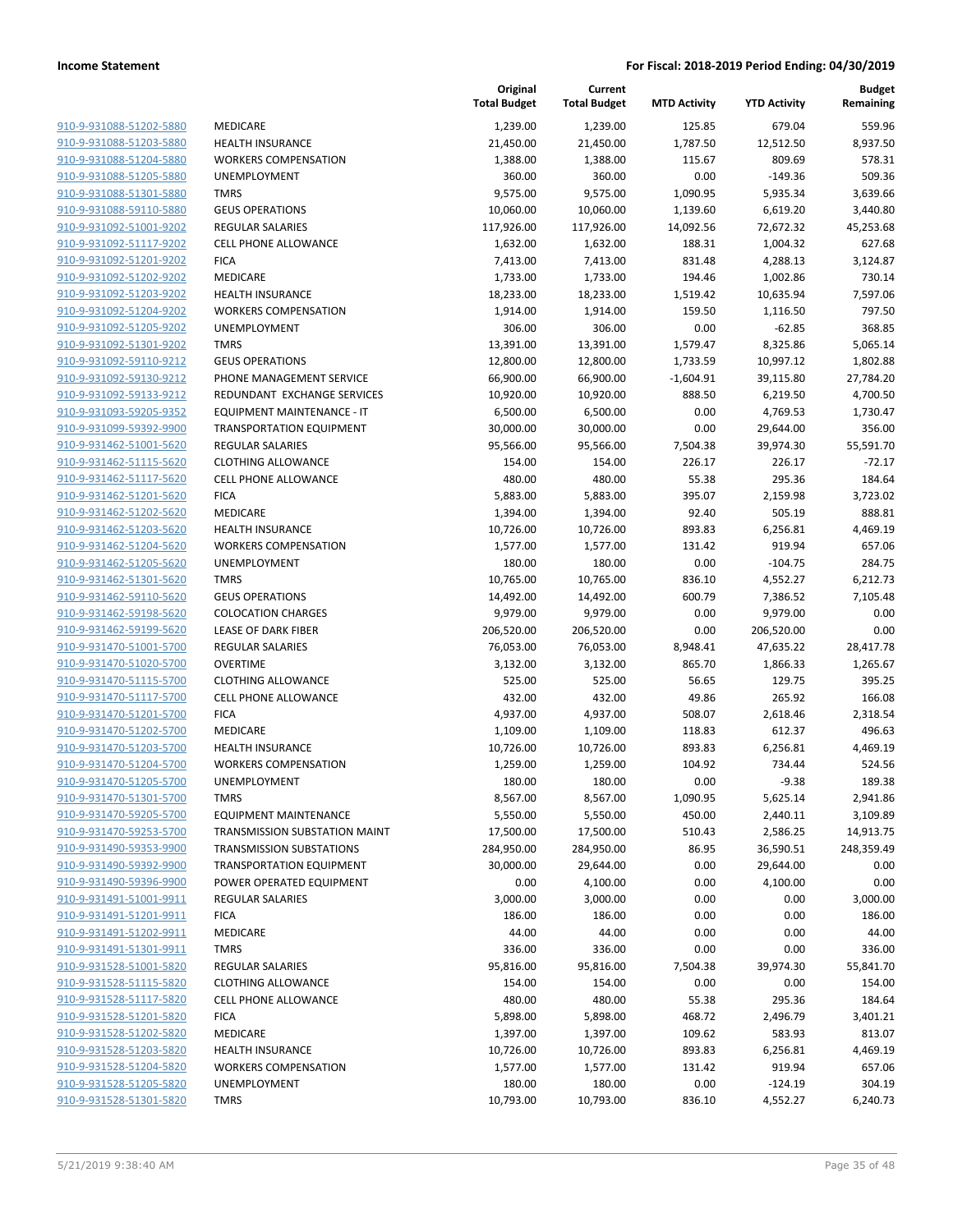| 910-9-931088-51202-5880        |
|--------------------------------|
| 910-9-931088-51203-5880        |
| 910-9-931088-51204-5880        |
| 910-9-931088-51205-5880        |
| 910-9-931088-51301-5880        |
| 910-9-931088-59110-5880        |
| <u>910-9-931092-51001-9202</u> |
| 910-9-931092-51117-9202        |
| 910-9-931092-51201-9202        |
| 910-9-931092-51202-9202        |
| 910-9-931092-51203-9202        |
| 910-9-931092-51204-9202        |
| 910-9-931092-51205-9202        |
| 910-9-931092-51301-9202        |
| 910-9-931092-59110-9212        |
| 910-9-931092-59130-9212        |
| <u>910-9-931092-59133-9212</u> |
| 910-9-931093-59205-9352        |
| 910-9-931099-59392-9900        |
| 910-9-931462-51001-5620        |
| 910-9-931462-51115-5620        |
| 910-9-931462-51117-5620        |
| 910-9-931462-51201-5620        |
| 910-9-931462-51202-5620        |
| 910-9-931462-51203-5620        |
| 910-9-931462-51204-5620        |
| <u>910-9-931462-51205-5620</u> |
| 910-9-931462-51301-5620        |
| 910-9-931462-59110-5620        |
| 910-9-931462-59198-5620        |
| <u>910-9-931462-59199-5620</u> |
| <u>910-9-931470-51001-5700</u> |
| 910-9-931470-51020-5700        |
| 910-9-931470-51115-5700        |
| 910-9-931470-51117-5700        |
| 910-9-931470-51201-5700        |
| <u>910-9-931470-51202-5700</u> |
| 910-9-931470-51203-5700        |
| 910-9-931470-51204-5700        |
| 910-9-931470-51205-5700        |
| 910-9-931470-51301-5700        |
| 910-9-931470-59205-5700        |
| 910-9-931470-59253-5700        |
| 910-9-931490-59353-9900        |
| 910-9-931490-59392-9900        |
| <u>910-9-931490-59396-9900</u> |
| <u>910-9-931491-51001-9911</u> |
| 910-9-931491-51201-9911        |
| 910-9-931491-51202-9911        |
| 910-9-931491-51301-9911        |
| <u>910-9-931528-51001-5820</u> |
| <u>910-9-931528-51115-5820</u> |
| 910-9-931528-51117-5820        |
| 910-9-931528-51201-5820        |
| 910-9-931528-51202-5820        |
| <u>910-9-931528-51203-5820</u> |
| <u>910-9-931528-51204-5820</u> |
| <u>910-9-931528-51205-5820</u> |
| 910-9-931528-51301-5820        |
|                                |

|                         |                                 | Original<br><b>Total Budget</b> | Current<br><b>Total Budget</b> | <b>MTD Activity</b> | <b>YTD Activity</b> | <b>Budget</b><br>Remaining |
|-------------------------|---------------------------------|---------------------------------|--------------------------------|---------------------|---------------------|----------------------------|
| 910-9-931088-51202-5880 | <b>MEDICARE</b>                 | 1,239.00                        | 1,239.00                       | 125.85              | 679.04              | 559.96                     |
| 910-9-931088-51203-5880 | <b>HEALTH INSURANCE</b>         | 21,450.00                       | 21,450.00                      | 1,787.50            | 12,512.50           | 8,937.50                   |
| 910-9-931088-51204-5880 | <b>WORKERS COMPENSATION</b>     | 1,388.00                        | 1,388.00                       | 115.67              | 809.69              | 578.31                     |
| 910-9-931088-51205-5880 | UNEMPLOYMENT                    | 360.00                          | 360.00                         | 0.00                | $-149.36$           | 509.36                     |
| 910-9-931088-51301-5880 | <b>TMRS</b>                     | 9,575.00                        | 9,575.00                       | 1,090.95            | 5,935.34            | 3,639.66                   |
| 910-9-931088-59110-5880 | <b>GEUS OPERATIONS</b>          | 10,060.00                       | 10,060.00                      | 1,139.60            | 6,619.20            | 3,440.80                   |
| 910-9-931092-51001-9202 | <b>REGULAR SALARIES</b>         | 117,926.00                      | 117,926.00                     | 14,092.56           | 72,672.32           | 45,253.68                  |
| 910-9-931092-51117-9202 | CELL PHONE ALLOWANCE            | 1,632.00                        | 1,632.00                       | 188.31              | 1,004.32            | 627.68                     |
| 910-9-931092-51201-9202 | <b>FICA</b>                     | 7,413.00                        | 7,413.00                       | 831.48              | 4,288.13            | 3,124.87                   |
| 910-9-931092-51202-9202 | <b>MEDICARE</b>                 | 1,733.00                        | 1,733.00                       | 194.46              | 1,002.86            | 730.14                     |
| 910-9-931092-51203-9202 | <b>HEALTH INSURANCE</b>         | 18,233.00                       | 18,233.00                      | 1,519.42            | 10,635.94           | 7,597.06                   |
| 910-9-931092-51204-9202 | <b>WORKERS COMPENSATION</b>     | 1,914.00                        | 1,914.00                       | 159.50              | 1,116.50            | 797.50                     |
| 910-9-931092-51205-9202 | UNEMPLOYMENT                    | 306.00                          | 306.00                         | 0.00                | $-62.85$            | 368.85                     |
| 910-9-931092-51301-9202 | <b>TMRS</b>                     | 13,391.00                       | 13,391.00                      | 1,579.47            | 8,325.86            | 5,065.14                   |
| 910-9-931092-59110-9212 | <b>GEUS OPERATIONS</b>          | 12,800.00                       | 12,800.00                      | 1,733.59            | 10,997.12           | 1,802.88                   |
| 910-9-931092-59130-9212 | PHONE MANAGEMENT SERVICE        | 66,900.00                       | 66,900.00                      | $-1,604.91$         | 39,115.80           | 27,784.20                  |
| 910-9-931092-59133-9212 | REDUNDANT EXCHANGE SERVICES     | 10,920.00                       | 10,920.00                      | 888.50              | 6,219.50            | 4,700.50                   |
| 910-9-931093-59205-9352 | EQUIPMENT MAINTENANCE - IT      | 6,500.00                        | 6,500.00                       | 0.00                | 4,769.53            | 1,730.47                   |
| 910-9-931099-59392-9900 | <b>TRANSPORTATION EQUIPMENT</b> | 30,000.00                       | 30,000.00                      | 0.00                | 29,644.00           | 356.00                     |
| 910-9-931462-51001-5620 | <b>REGULAR SALARIES</b>         | 95,566.00                       | 95,566.00                      | 7,504.38            | 39,974.30           | 55,591.70                  |
| 910-9-931462-51115-5620 | <b>CLOTHING ALLOWANCE</b>       | 154.00                          | 154.00                         | 226.17              | 226.17              | $-72.17$                   |
| 910-9-931462-51117-5620 | CELL PHONE ALLOWANCE            | 480.00                          | 480.00                         | 55.38               | 295.36              | 184.64                     |
| 910-9-931462-51201-5620 | <b>FICA</b>                     | 5,883.00                        | 5,883.00                       | 395.07              | 2,159.98            | 3,723.02                   |
| 910-9-931462-51202-5620 | <b>MEDICARE</b>                 | 1,394.00                        | 1,394.00                       | 92.40               | 505.19              | 888.81                     |
| 910-9-931462-51203-5620 | <b>HEALTH INSURANCE</b>         | 10,726.00                       | 10,726.00                      | 893.83              | 6,256.81            | 4,469.19                   |
| 910-9-931462-51204-5620 | <b>WORKERS COMPENSATION</b>     | 1,577.00                        | 1,577.00                       | 131.42              | 919.94              | 657.06                     |
| 910-9-931462-51205-5620 | UNEMPLOYMENT                    | 180.00                          | 180.00                         | 0.00                | $-104.75$           | 284.75                     |
| 910-9-931462-51301-5620 | <b>TMRS</b>                     | 10,765.00                       | 10,765.00                      | 836.10              | 4,552.27            | 6,212.73                   |
| 910-9-931462-59110-5620 | <b>GEUS OPERATIONS</b>          | 14,492.00                       | 14,492.00                      | 600.79              | 7,386.52            | 7,105.48                   |
| 910-9-931462-59198-5620 | <b>COLOCATION CHARGES</b>       | 9,979.00                        | 9,979.00                       | 0.00                | 9,979.00            | 0.00                       |
| 910-9-931462-59199-5620 | <b>LEASE OF DARK FIBER</b>      | 206,520.00                      | 206,520.00                     | 0.00                | 206,520.00          | 0.00                       |
| 910-9-931470-51001-5700 | <b>REGULAR SALARIES</b>         | 76,053.00                       | 76,053.00                      | 8,948.41            | 47,635.22           | 28,417.78                  |
| 910-9-931470-51020-5700 | <b>OVERTIME</b>                 | 3,132.00                        | 3,132.00                       | 865.70              | 1,866.33            | 1,265.67                   |
| 910-9-931470-51115-5700 | <b>CLOTHING ALLOWANCE</b>       | 525.00                          | 525.00                         | 56.65               | 129.75              | 395.25                     |
| 910-9-931470-51117-5700 | <b>CELL PHONE ALLOWANCE</b>     | 432.00                          | 432.00                         | 49.86               | 265.92              | 166.08                     |
| 910-9-931470-51201-5700 | <b>FICA</b>                     | 4,937.00                        | 4,937.00                       | 508.07              | 2,618.46            | 2,318.54                   |
| 910-9-931470-51202-5700 | <b>MEDICARE</b>                 | 1,109.00                        | 1,109.00                       | 118.83              | 612.37              | 496.63                     |
| 910-9-931470-51203-5700 | <b>HEALTH INSURANCE</b>         | 10,726.00                       | 10,726.00                      | 893.83              | 6,256.81            | 4,469.19                   |
| 910-9-931470-51204-5700 | <b>WORKERS COMPENSATION</b>     | 1,259.00                        | 1,259.00                       | 104.92              | 734.44              | 524.56                     |
| 910-9-931470-51205-5700 | UNEMPLOYMENT                    | 180.00                          | 180.00                         | 0.00                | $-9.38$             | 189.38                     |
| 910-9-931470-51301-5700 | <b>TMRS</b>                     | 8,567.00                        | 8,567.00                       | 1,090.95            | 5,625.14            | 2,941.86                   |
| 910-9-931470-59205-5700 | <b>EQUIPMENT MAINTENANCE</b>    | 5,550.00                        | 5,550.00                       | 450.00              | 2,440.11            | 3,109.89                   |
| 910-9-931470-59253-5700 | TRANSMISSION SUBSTATION MAINT   | 17,500.00                       | 17,500.00                      | 510.43              | 2,586.25            | 14,913.75                  |
| 910-9-931490-59353-9900 | <b>TRANSMISSION SUBSTATIONS</b> | 284,950.00                      | 284,950.00                     | 86.95               | 36,590.51           | 248,359.49                 |
| 910-9-931490-59392-9900 | <b>TRANSPORTATION EQUIPMENT</b> | 30,000.00                       | 29,644.00                      | 0.00                | 29,644.00           | 0.00                       |
| 910-9-931490-59396-9900 | POWER OPERATED EQUIPMENT        | 0.00                            | 4,100.00                       | 0.00                | 4,100.00            | 0.00                       |
| 910-9-931491-51001-9911 | <b>REGULAR SALARIES</b>         | 3,000.00                        | 3,000.00                       | 0.00                | 0.00                | 3,000.00                   |
| 910-9-931491-51201-9911 | <b>FICA</b>                     | 186.00                          | 186.00                         | 0.00                | 0.00                | 186.00                     |
| 910-9-931491-51202-9911 | <b>MEDICARE</b>                 | 44.00                           | 44.00                          | 0.00                | 0.00                | 44.00                      |
| 910-9-931491-51301-9911 | <b>TMRS</b>                     | 336.00                          | 336.00                         | 0.00                | 0.00                | 336.00                     |
| 910-9-931528-51001-5820 | <b>REGULAR SALARIES</b>         | 95,816.00                       | 95,816.00                      | 7,504.38            | 39,974.30           | 55,841.70                  |
| 910-9-931528-51115-5820 | <b>CLOTHING ALLOWANCE</b>       | 154.00                          | 154.00                         | 0.00                | 0.00                | 154.00                     |
| 910-9-931528-51117-5820 | <b>CELL PHONE ALLOWANCE</b>     | 480.00                          | 480.00                         | 55.38               | 295.36              | 184.64                     |
| 910-9-931528-51201-5820 | <b>FICA</b>                     | 5,898.00                        | 5,898.00                       | 468.72              | 2,496.79            | 3,401.21                   |
| 910-9-931528-51202-5820 | <b>MEDICARE</b>                 | 1,397.00                        | 1,397.00                       | 109.62              | 583.93              | 813.07                     |
| 910-9-931528-51203-5820 | <b>HEALTH INSURANCE</b>         | 10,726.00                       | 10,726.00                      | 893.83              | 6,256.81            | 4,469.19                   |
| 910-9-931528-51204-5820 | <b>WORKERS COMPENSATION</b>     | 1,577.00                        | 1,577.00                       | 131.42              | 919.94              | 657.06                     |
| 910-9-931528-51205-5820 | UNEMPLOYMENT                    | 180.00                          | 180.00                         | 0.00                | $-124.19$           | 304.19                     |
| 910-9-931528-51301-5820 | <b>TMRS</b>                     | 10,793.00                       | 10,793.00                      | 836.10              | 4,552.27            | 6,240.73                   |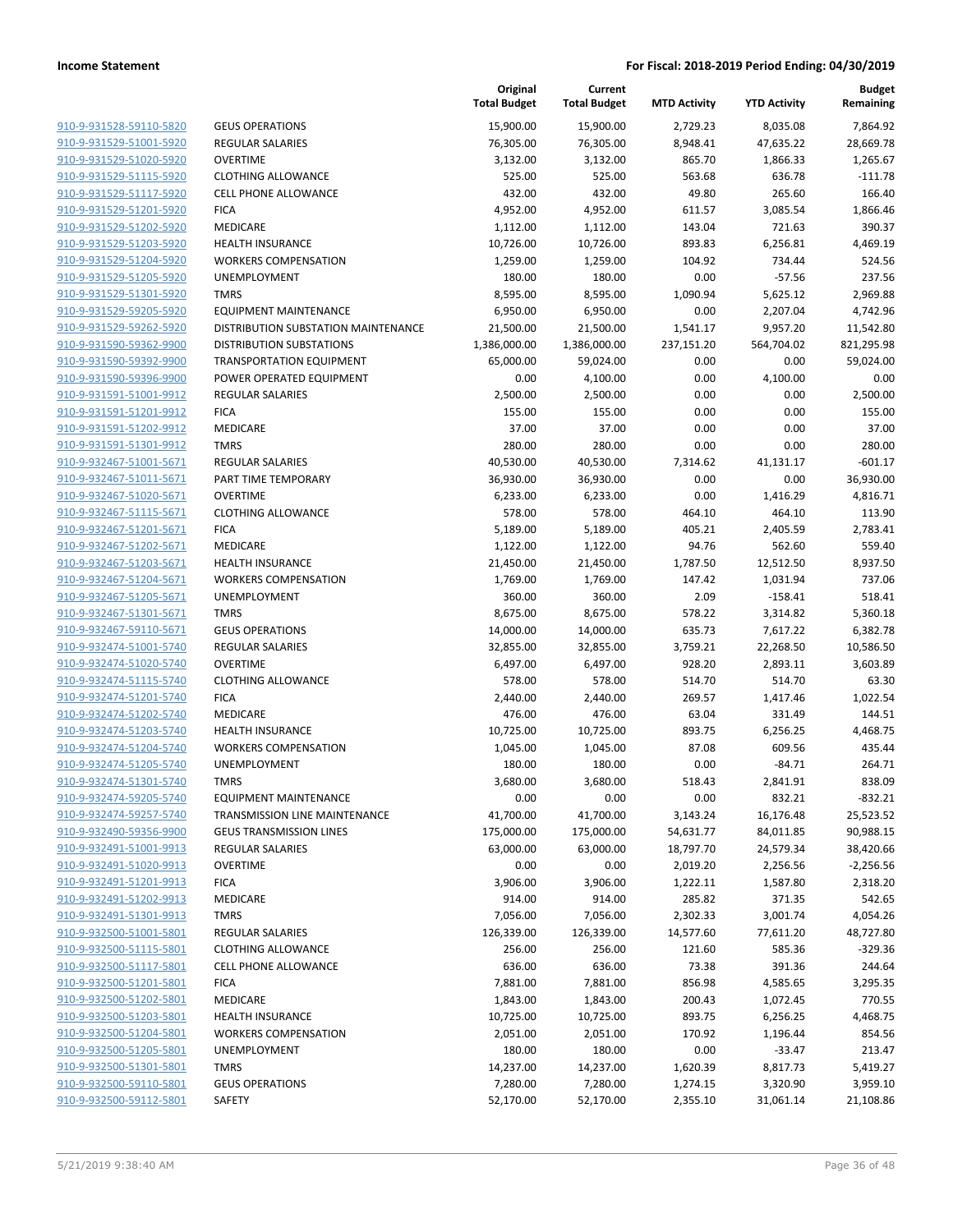| 910-9-931528-59110-5820            |  |
|------------------------------------|--|
| 910-9-931529-51001-5920            |  |
| 910-9-931529-51020-5920            |  |
| 910-9-931529-51115-5920            |  |
| <u>910-9-931529-51117-5920</u>     |  |
| 910-9-931529-51201-5920            |  |
| 910-9-931529-51202-5920            |  |
| 910-9-931529-51203-5920            |  |
| 910-9-931529-51204-5920            |  |
| 910-9-931529-51205-5920            |  |
| 910-9-931529-51301-5920            |  |
| 910-9-931529-59205-5920            |  |
| 910-9-931529-59262-5920            |  |
| 910-9-931590-59362-9900            |  |
| <u>910-9-931590-59392-9900</u>     |  |
| 910-9-931590-59396-9900            |  |
| 910-9-931591-51001-9912            |  |
| 910-9-931591-51201-9912            |  |
| 910-9-931591-51202-9912            |  |
| 910-9-931591-51301-9912            |  |
| 910-9-932467-51001-5671            |  |
| 910-9-932467-51011-5671            |  |
| 910-9-932467-51020-5671            |  |
| 910-9-932467-51115-5671            |  |
| <del>910-9-932467-51201-5671</del> |  |
| 910-9-932467-51202-5671            |  |
| 910-9-932467-51203-5671            |  |
| 910-9-932467-51204-5671            |  |
| 910-9-932467-51205-5671            |  |
| <del>910-9-932467-51301-5671</del> |  |
| 910-9-932467-59110-5671            |  |
| 910-9-932474-51001-5740            |  |
| 910-9-932474-51020-5740            |  |
| 910-9-932474-51115-5740            |  |
| <del>910-9-932474-51201-5740</del> |  |
| 910-9-932474-51202-5740            |  |
| 910-9-932474-51203-5740            |  |
| 910-9-932474-51204-5740            |  |
| 910-9-932474-51205-5740            |  |
| 910-9-932474-51301-5740            |  |
| 910-9-932474-59205-5740            |  |
| 910-9-932474-59257-5740            |  |
| 910-9-932490-59356-9900            |  |
| 910-9-932491-51001-9913            |  |
| <u>910-9-932491-51020-9913</u>     |  |
| 910-9-932491-51201-9913            |  |
| 910-9-932491-51202-9913            |  |
| 910-9-932491-51301-9913            |  |
| 910-9-932500-51001-5801            |  |
| <u>910-9-932500-51115-5801</u>     |  |
| 910-9-932500-51117-5801            |  |
| 910-9-932500-51201-5801            |  |
| 910-9-932500-51202-5801            |  |
| 910-9-932500-51203-5801            |  |
| <u>910-9-932500-51204-5801</u>     |  |
| 910-9-932500-51205-5801            |  |
| 910-9-932500-51301-5801            |  |
| 910-9-932500-59110-5801            |  |
| 910-9-932500-59112-5801            |  |
|                                    |  |

|                         |                                      | Original<br><b>Total Budget</b> | Current<br><b>Total Budget</b> | <b>MTD Activity</b> | <b>YTD Activity</b> | <b>Budget</b><br>Remaining |
|-------------------------|--------------------------------------|---------------------------------|--------------------------------|---------------------|---------------------|----------------------------|
| 910-9-931528-59110-5820 | <b>GEUS OPERATIONS</b>               | 15,900.00                       | 15,900.00                      | 2,729.23            | 8,035.08            | 7,864.92                   |
| 910-9-931529-51001-5920 | <b>REGULAR SALARIES</b>              | 76,305.00                       | 76,305.00                      | 8,948.41            | 47,635.22           | 28,669.78                  |
| 910-9-931529-51020-5920 | <b>OVERTIME</b>                      | 3,132.00                        | 3,132.00                       | 865.70              | 1,866.33            | 1,265.67                   |
| 910-9-931529-51115-5920 | <b>CLOTHING ALLOWANCE</b>            | 525.00                          | 525.00                         | 563.68              | 636.78              | $-111.78$                  |
| 910-9-931529-51117-5920 | <b>CELL PHONE ALLOWANCE</b>          | 432.00                          | 432.00                         | 49.80               | 265.60              | 166.40                     |
| 910-9-931529-51201-5920 | <b>FICA</b>                          | 4,952.00                        | 4,952.00                       | 611.57              | 3,085.54            | 1,866.46                   |
| 910-9-931529-51202-5920 | <b>MEDICARE</b>                      | 1,112.00                        | 1,112.00                       | 143.04              | 721.63              | 390.37                     |
| 910-9-931529-51203-5920 | <b>HEALTH INSURANCE</b>              | 10,726.00                       | 10,726.00                      | 893.83              | 6,256.81            | 4.469.19                   |
| 910-9-931529-51204-5920 | <b>WORKERS COMPENSATION</b>          | 1,259.00                        | 1,259.00                       | 104.92              | 734.44              | 524.56                     |
| 910-9-931529-51205-5920 | UNEMPLOYMENT                         | 180.00                          | 180.00                         | 0.00                | $-57.56$            | 237.56                     |
| 910-9-931529-51301-5920 | <b>TMRS</b>                          | 8,595.00                        | 8,595.00                       | 1,090.94            | 5,625.12            | 2.969.88                   |
| 910-9-931529-59205-5920 | EQUIPMENT MAINTENANCE                | 6,950.00                        | 6,950.00                       | 0.00                | 2,207.04            | 4,742.96                   |
| 910-9-931529-59262-5920 | DISTRIBUTION SUBSTATION MAINTENANCE  | 21,500.00                       | 21,500.00                      | 1,541.17            | 9,957.20            | 11,542.80                  |
| 910-9-931590-59362-9900 | <b>DISTRIBUTION SUBSTATIONS</b>      | 1,386,000.00                    | 1,386,000.00                   | 237,151.20          | 564,704.02          | 821,295.98                 |
| 910-9-931590-59392-9900 | <b>TRANSPORTATION EQUIPMENT</b>      | 65,000.00                       | 59,024.00                      | 0.00                | 0.00                | 59,024.00                  |
| 910-9-931590-59396-9900 | POWER OPERATED EQUIPMENT             | 0.00                            | 4,100.00                       | 0.00                | 4,100.00            | 0.00                       |
| 910-9-931591-51001-9912 | <b>REGULAR SALARIES</b>              | 2,500.00                        | 2,500.00                       | 0.00                | 0.00                | 2,500.00                   |
| 910-9-931591-51201-9912 | <b>FICA</b>                          | 155.00                          | 155.00                         | 0.00                | 0.00                | 155.00                     |
| 910-9-931591-51202-9912 | <b>MEDICARE</b>                      | 37.00                           | 37.00                          | 0.00                | 0.00                | 37.00                      |
| 910-9-931591-51301-9912 | <b>TMRS</b>                          | 280.00                          | 280.00                         | 0.00                | 0.00                | 280.00                     |
| 910-9-932467-51001-5671 | <b>REGULAR SALARIES</b>              | 40,530.00                       | 40,530.00                      | 7,314.62            | 41,131.17           | $-601.17$                  |
| 910-9-932467-51011-5671 | PART TIME TEMPORARY                  | 36,930.00                       | 36,930.00                      | 0.00                | 0.00                | 36,930.00                  |
| 910-9-932467-51020-5671 | <b>OVERTIME</b>                      | 6,233.00                        | 6,233.00                       | 0.00                | 1,416.29            | 4,816.71                   |
| 910-9-932467-51115-5671 | <b>CLOTHING ALLOWANCE</b>            | 578.00                          | 578.00                         | 464.10              | 464.10              | 113.90                     |
| 910-9-932467-51201-5671 | <b>FICA</b>                          | 5,189.00                        | 5,189.00                       | 405.21              | 2,405.59            | 2,783.41                   |
| 910-9-932467-51202-5671 | <b>MEDICARE</b>                      | 1,122.00                        | 1,122.00                       | 94.76               | 562.60              | 559.40                     |
| 910-9-932467-51203-5671 | <b>HEALTH INSURANCE</b>              | 21,450.00                       | 21,450.00                      | 1,787.50            | 12,512.50           | 8,937.50                   |
| 910-9-932467-51204-5671 | <b>WORKERS COMPENSATION</b>          | 1,769.00                        | 1,769.00                       | 147.42              | 1,031.94            | 737.06                     |
| 910-9-932467-51205-5671 | UNEMPLOYMENT                         | 360.00                          | 360.00                         | 2.09                | $-158.41$           | 518.41                     |
| 910-9-932467-51301-5671 | <b>TMRS</b>                          | 8,675.00                        | 8,675.00                       | 578.22              | 3,314.82            | 5,360.18                   |
| 910-9-932467-59110-5671 | <b>GEUS OPERATIONS</b>               | 14,000.00                       | 14,000.00                      | 635.73              | 7,617.22            | 6,382.78                   |
| 910-9-932474-51001-5740 | <b>REGULAR SALARIES</b>              | 32,855.00                       | 32,855.00                      | 3,759.21            | 22,268.50           | 10,586.50                  |
| 910-9-932474-51020-5740 | <b>OVERTIME</b>                      | 6,497.00                        | 6,497.00                       | 928.20              | 2,893.11            | 3,603.89                   |
| 910-9-932474-51115-5740 | <b>CLOTHING ALLOWANCE</b>            | 578.00                          | 578.00                         | 514.70              | 514.70              | 63.30                      |
| 910-9-932474-51201-5740 | <b>FICA</b>                          | 2,440.00                        | 2,440.00                       | 269.57              | 1,417.46            | 1,022.54                   |
| 910-9-932474-51202-5740 | <b>MEDICARE</b>                      | 476.00                          | 476.00                         | 63.04               | 331.49              | 144.51                     |
| 910-9-932474-51203-5740 | <b>HEALTH INSURANCE</b>              | 10,725.00                       | 10,725.00                      | 893.75              | 6,256.25            | 4,468.75                   |
| 910-9-932474-51204-5740 | <b>WORKERS COMPENSATION</b>          | 1,045.00                        | 1,045.00                       | 87.08               | 609.56              | 435.44                     |
| 910-9-932474-51205-5740 | UNEMPLOYMENT                         | 180.00                          | 180.00                         | 0.00                | $-84.71$            | 264.71                     |
| 910-9-932474-51301-5740 | TMRS                                 | 3,680.00                        | 3,680.00                       | 518.43              | 2,841.91            | 838.09                     |
| 910-9-932474-59205-5740 | <b>EQUIPMENT MAINTENANCE</b>         | 0.00                            | 0.00                           | 0.00                | 832.21              | $-832.21$                  |
| 910-9-932474-59257-5740 | <b>TRANSMISSION LINE MAINTENANCE</b> | 41,700.00                       | 41,700.00                      | 3,143.24            | 16,176.48           | 25,523.52                  |
| 910-9-932490-59356-9900 | <b>GEUS TRANSMISSION LINES</b>       | 175,000.00                      | 175,000.00                     | 54,631.77           | 84,011.85           | 90,988.15                  |
| 910-9-932491-51001-9913 | REGULAR SALARIES                     | 63,000.00                       | 63,000.00                      | 18,797.70           | 24,579.34           | 38,420.66                  |
| 910-9-932491-51020-9913 | <b>OVERTIME</b>                      | 0.00                            | 0.00                           | 2,019.20            | 2,256.56            | $-2,256.56$                |
| 910-9-932491-51201-9913 | <b>FICA</b>                          | 3,906.00                        | 3,906.00                       | 1,222.11            | 1,587.80            | 2,318.20                   |
| 910-9-932491-51202-9913 | <b>MEDICARE</b>                      | 914.00                          | 914.00                         | 285.82              | 371.35              | 542.65                     |
| 910-9-932491-51301-9913 | <b>TMRS</b>                          | 7,056.00                        | 7,056.00                       | 2,302.33            | 3,001.74            | 4,054.26                   |
| 910-9-932500-51001-5801 | <b>REGULAR SALARIES</b>              | 126,339.00                      | 126,339.00                     | 14,577.60           | 77,611.20           | 48,727.80                  |
| 910-9-932500-51115-5801 | <b>CLOTHING ALLOWANCE</b>            | 256.00                          | 256.00                         | 121.60              | 585.36              | $-329.36$                  |
| 910-9-932500-51117-5801 | <b>CELL PHONE ALLOWANCE</b>          | 636.00                          | 636.00                         | 73.38               | 391.36              | 244.64                     |
| 910-9-932500-51201-5801 | <b>FICA</b>                          | 7,881.00                        | 7,881.00                       | 856.98              | 4,585.65            | 3,295.35                   |
| 910-9-932500-51202-5801 | MEDICARE                             | 1,843.00                        | 1,843.00                       | 200.43              | 1,072.45            | 770.55                     |
| 910-9-932500-51203-5801 | <b>HEALTH INSURANCE</b>              | 10,725.00                       | 10,725.00                      | 893.75              | 6,256.25            | 4,468.75                   |
| 910-9-932500-51204-5801 | <b>WORKERS COMPENSATION</b>          | 2,051.00                        | 2,051.00                       | 170.92              | 1,196.44            | 854.56                     |
| 910-9-932500-51205-5801 | UNEMPLOYMENT                         | 180.00                          | 180.00                         | 0.00                | $-33.47$            | 213.47                     |
| 910-9-932500-51301-5801 | <b>TMRS</b>                          | 14,237.00                       | 14,237.00                      | 1,620.39            | 8,817.73            | 5,419.27                   |
| 910-9-932500-59110-5801 | <b>GEUS OPERATIONS</b>               | 7,280.00                        | 7,280.00                       | 1,274.15            | 3,320.90            | 3,959.10                   |
| 910-9-932500-59112-5801 | SAFETY                               | 52,170.00                       | 52,170.00                      | 2,355.10            | 31,061.14           | 21,108.86                  |
|                         |                                      |                                 |                                |                     |                     |                            |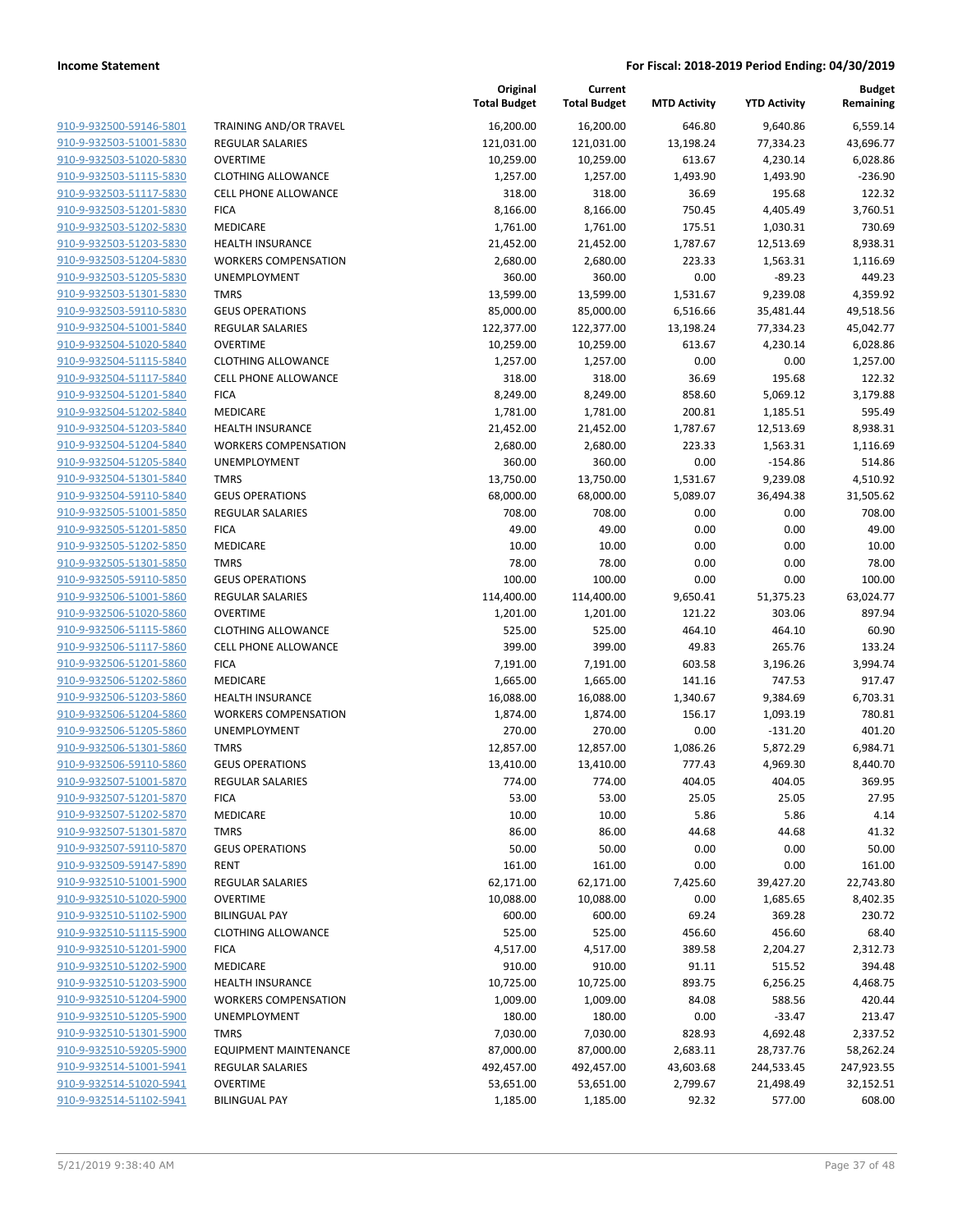| 910-9-932500-59146-5801 |
|-------------------------|
| 910-9-932503-51001-5830 |
| 910-9-932503-51020-5830 |
| 910-9-932503-51115-5830 |
| 910-9-932503-51117-5830 |
| 910-9-932503-51201-5830 |
| 910-9-932503-51202-5830 |
| 910-9-932503-51203-5830 |
| 910-9-932503-51204-5830 |
| 910-9-932503-51205-5830 |
| 910-9-932503-51301-5830 |
| 910-9-932503-59110-5830 |
| 910-9-932504-51001-5840 |
| 910-9-932504-51020-5840 |
| 910-9-932504-51115-5840 |
| 910-9-932504-51117-5840 |
| 910-9-932504-51201-5840 |
| 910-9-932504-51202-5840 |
| 910-9-932504-51203-5840 |
| 910-9-932504-51204-5840 |
| 910-9-932504-51205-5840 |
| 910-9-932504-51301-5840 |
| 910-9-932504-59110-5840 |
| 910-9-932505-51001-5850 |
| 910-9-932505-51201-5850 |
| 910-9-932505-51202-5850 |
| 910-9-932505-51301-5850 |
| 910-9-932505-59110-5850 |
| 910-9-932506-51001-5860 |
| 910-9-932506-51020-5860 |
| 910-9-932506-51115-5860 |
| 910-9-932506-51117-5860 |
| 910-9-932506-51201-5860 |
| 910-9-932506-51202-5860 |
| 910-9-932506-51203-5860 |
| 910-9-932506-51204-5860 |
| 910-9-932506-51205-5860 |
| 910-9-932506-51301-5860 |
| 910-9-932506-59110-5860 |
| 910-9-932507-51001-5870 |
| 910-9-932507-51201-5870 |
| 910-9-932507-51202-5870 |
| 910-9-932507-51301-5870 |
| 910-9-932507-59110-5870 |
| 910-9-932509-59147-5890 |
| 910-9-932510-51001-5900 |
| 910-9-932510-51020-5900 |
| 910-9-932510-51102-5900 |
| 910-9-932510-51115-5900 |
| 910-9-932510-51201-5900 |
| 910-9-932510-51202-5900 |
| 910-9-932510-51203-5900 |
| 910-9-932510-51204-5900 |
| 910-9-932510-51205-5900 |
| 910-9-932510-51301-5900 |
| 910-9-932510-59205-5900 |
| 910-9-932514-51001-5941 |
| 910-9-932514-51020-5941 |
| 910-9-932514-51102-5941 |
|                         |

|                         |                              | Original<br><b>Total Budget</b> | Current<br><b>Total Budget</b> | <b>MTD Activity</b> | <b>YTD Activity</b> | <b>Budget</b><br>Remaining |
|-------------------------|------------------------------|---------------------------------|--------------------------------|---------------------|---------------------|----------------------------|
| 910-9-932500-59146-5801 | TRAINING AND/OR TRAVEL       | 16,200.00                       | 16,200.00                      | 646.80              | 9,640.86            | 6,559.14                   |
| 910-9-932503-51001-5830 | <b>REGULAR SALARIES</b>      | 121,031.00                      | 121,031.00                     | 13,198.24           | 77,334.23           | 43,696.77                  |
| 910-9-932503-51020-5830 | <b>OVERTIME</b>              | 10,259.00                       | 10,259.00                      | 613.67              | 4,230.14            | 6,028.86                   |
| 910-9-932503-51115-5830 | <b>CLOTHING ALLOWANCE</b>    | 1,257.00                        | 1,257.00                       | 1,493.90            | 1,493.90            | $-236.90$                  |
| 910-9-932503-51117-5830 | <b>CELL PHONE ALLOWANCE</b>  | 318.00                          | 318.00                         | 36.69               | 195.68              | 122.32                     |
| 910-9-932503-51201-5830 | <b>FICA</b>                  | 8,166.00                        | 8,166.00                       | 750.45              | 4,405.49            | 3,760.51                   |
| 910-9-932503-51202-5830 | MEDICARE                     | 1,761.00                        | 1,761.00                       | 175.51              | 1,030.31            | 730.69                     |
| 910-9-932503-51203-5830 | <b>HEALTH INSURANCE</b>      | 21,452.00                       | 21,452.00                      | 1,787.67            | 12,513.69           | 8,938.31                   |
| 910-9-932503-51204-5830 | <b>WORKERS COMPENSATION</b>  | 2,680.00                        | 2,680.00                       | 223.33              | 1,563.31            | 1,116.69                   |
| 910-9-932503-51205-5830 | UNEMPLOYMENT                 | 360.00                          | 360.00                         | 0.00                | $-89.23$            | 449.23                     |
| 910-9-932503-51301-5830 | <b>TMRS</b>                  | 13,599.00                       | 13,599.00                      | 1,531.67            | 9,239.08            | 4,359.92                   |
| 910-9-932503-59110-5830 | <b>GEUS OPERATIONS</b>       | 85,000.00                       | 85,000.00                      | 6,516.66            | 35,481.44           | 49,518.56                  |
| 910-9-932504-51001-5840 | REGULAR SALARIES             | 122,377.00                      | 122,377.00                     | 13,198.24           | 77,334.23           | 45,042.77                  |
| 910-9-932504-51020-5840 | <b>OVERTIME</b>              | 10,259.00                       | 10,259.00                      | 613.67              | 4,230.14            | 6,028.86                   |
| 910-9-932504-51115-5840 | <b>CLOTHING ALLOWANCE</b>    | 1,257.00                        | 1,257.00                       | 0.00                | 0.00                | 1,257.00                   |
| 910-9-932504-51117-5840 | <b>CELL PHONE ALLOWANCE</b>  | 318.00                          | 318.00                         | 36.69               | 195.68              | 122.32                     |
| 910-9-932504-51201-5840 | <b>FICA</b>                  | 8,249.00                        | 8,249.00                       | 858.60              | 5,069.12            | 3,179.88                   |
| 910-9-932504-51202-5840 | MEDICARE                     | 1,781.00                        | 1,781.00                       | 200.81              | 1,185.51            | 595.49                     |
| 910-9-932504-51203-5840 | <b>HEALTH INSURANCE</b>      | 21,452.00                       | 21,452.00                      | 1,787.67            | 12,513.69           | 8,938.31                   |
| 910-9-932504-51204-5840 | <b>WORKERS COMPENSATION</b>  | 2,680.00                        | 2,680.00                       | 223.33              | 1,563.31            | 1,116.69                   |
| 910-9-932504-51205-5840 | <b>UNEMPLOYMENT</b>          | 360.00                          | 360.00                         | 0.00                | $-154.86$           | 514.86                     |
| 910-9-932504-51301-5840 | <b>TMRS</b>                  | 13,750.00                       | 13,750.00                      | 1,531.67            | 9,239.08            | 4,510.92                   |
| 910-9-932504-59110-5840 | <b>GEUS OPERATIONS</b>       | 68,000.00                       | 68,000.00                      | 5,089.07            | 36,494.38           | 31,505.62                  |
| 910-9-932505-51001-5850 | <b>REGULAR SALARIES</b>      | 708.00                          | 708.00                         | 0.00                | 0.00                | 708.00                     |
| 910-9-932505-51201-5850 | <b>FICA</b>                  | 49.00                           | 49.00                          | 0.00                | 0.00                | 49.00                      |
| 910-9-932505-51202-5850 | MEDICARE                     | 10.00                           | 10.00                          | 0.00                | 0.00                | 10.00                      |
| 910-9-932505-51301-5850 | <b>TMRS</b>                  | 78.00                           | 78.00                          | 0.00                | 0.00                | 78.00                      |
| 910-9-932505-59110-5850 | <b>GEUS OPERATIONS</b>       | 100.00                          | 100.00                         | 0.00                | 0.00                | 100.00                     |
| 910-9-932506-51001-5860 | <b>REGULAR SALARIES</b>      | 114,400.00                      | 114,400.00                     | 9,650.41            | 51,375.23           | 63,024.77                  |
| 910-9-932506-51020-5860 | <b>OVERTIME</b>              | 1,201.00                        | 1,201.00                       | 121.22              | 303.06              | 897.94                     |
| 910-9-932506-51115-5860 | <b>CLOTHING ALLOWANCE</b>    | 525.00                          | 525.00                         | 464.10              | 464.10              | 60.90                      |
| 910-9-932506-51117-5860 | CELL PHONE ALLOWANCE         | 399.00                          | 399.00                         | 49.83               | 265.76              | 133.24                     |
| 910-9-932506-51201-5860 | <b>FICA</b>                  | 7,191.00                        | 7,191.00                       | 603.58              | 3,196.26            | 3,994.74                   |
| 910-9-932506-51202-5860 | MEDICARE                     | 1,665.00                        | 1,665.00                       | 141.16              | 747.53              | 917.47                     |
| 910-9-932506-51203-5860 | <b>HEALTH INSURANCE</b>      | 16,088.00                       | 16,088.00                      | 1,340.67            | 9,384.69            | 6,703.31                   |
| 910-9-932506-51204-5860 | <b>WORKERS COMPENSATION</b>  | 1,874.00                        | 1,874.00                       | 156.17              | 1,093.19            | 780.81                     |
| 910-9-932506-51205-5860 | UNEMPLOYMENT                 | 270.00                          | 270.00                         | 0.00                | $-131.20$           | 401.20                     |
| 910-9-932506-51301-5860 | <b>TMRS</b>                  | 12,857.00                       | 12,857.00                      | 1,086.26            | 5,872.29            | 6,984.71                   |
| 910-9-932506-59110-5860 | <b>GEUS OPERATIONS</b>       | 13,410.00                       | 13,410.00                      | 777.43              | 4,969.30            | 8,440.70                   |
| 910-9-932507-51001-5870 | <b>REGULAR SALARIES</b>      | 774.00                          | 774.00                         | 404.05              | 404.05              | 369.95                     |
| 910-9-932507-51201-5870 | <b>FICA</b>                  | 53.00                           | 53.00                          | 25.05               | 25.05               | 27.95                      |
| 910-9-932507-51202-5870 | MEDICARE                     | 10.00                           | 10.00                          | 5.86                | 5.86                | 4.14                       |
| 910-9-932507-51301-5870 | <b>TMRS</b>                  | 86.00                           | 86.00                          | 44.68               | 44.68               | 41.32                      |
| 910-9-932507-59110-5870 | <b>GEUS OPERATIONS</b>       | 50.00                           | 50.00                          | 0.00                | 0.00                | 50.00                      |
| 910-9-932509-59147-5890 | <b>RENT</b>                  | 161.00                          | 161.00                         | 0.00                | 0.00                | 161.00                     |
| 910-9-932510-51001-5900 | <b>REGULAR SALARIES</b>      | 62,171.00                       | 62,171.00                      | 7,425.60            | 39,427.20           | 22,743.80                  |
| 910-9-932510-51020-5900 | <b>OVERTIME</b>              | 10,088.00                       | 10,088.00                      | 0.00                | 1,685.65            | 8,402.35                   |
| 910-9-932510-51102-5900 | <b>BILINGUAL PAY</b>         | 600.00                          | 600.00                         | 69.24               | 369.28              | 230.72                     |
| 910-9-932510-51115-5900 | <b>CLOTHING ALLOWANCE</b>    | 525.00                          | 525.00                         | 456.60              | 456.60              | 68.40                      |
| 910-9-932510-51201-5900 | <b>FICA</b>                  | 4,517.00                        | 4,517.00                       | 389.58              | 2,204.27            | 2,312.73                   |
| 910-9-932510-51202-5900 | MEDICARE                     | 910.00                          | 910.00                         | 91.11               | 515.52              | 394.48                     |
| 910-9-932510-51203-5900 | <b>HEALTH INSURANCE</b>      | 10,725.00                       | 10,725.00                      | 893.75              | 6,256.25            | 4,468.75                   |
| 910-9-932510-51204-5900 | <b>WORKERS COMPENSATION</b>  | 1,009.00                        | 1,009.00                       | 84.08               | 588.56              | 420.44                     |
| 910-9-932510-51205-5900 | UNEMPLOYMENT                 | 180.00                          | 180.00                         | 0.00                | $-33.47$            | 213.47                     |
| 910-9-932510-51301-5900 | <b>TMRS</b>                  | 7,030.00                        | 7,030.00                       | 828.93              | 4,692.48            | 2,337.52                   |
| 910-9-932510-59205-5900 | <b>EQUIPMENT MAINTENANCE</b> | 87,000.00                       | 87,000.00                      | 2,683.11            | 28,737.76           | 58,262.24                  |
| 910-9-932514-51001-5941 | REGULAR SALARIES             | 492,457.00                      | 492,457.00                     | 43,603.68           | 244,533.45          | 247,923.55                 |
| 910-9-932514-51020-5941 | <b>OVERTIME</b>              | 53,651.00                       | 53,651.00                      | 2,799.67            | 21,498.49           | 32,152.51                  |
| 910-9-932514-51102-5941 | <b>BILINGUAL PAY</b>         | 1,185.00                        | 1,185.00                       | 92.32               | 577.00              | 608.00                     |
|                         |                              |                                 |                                |                     |                     |                            |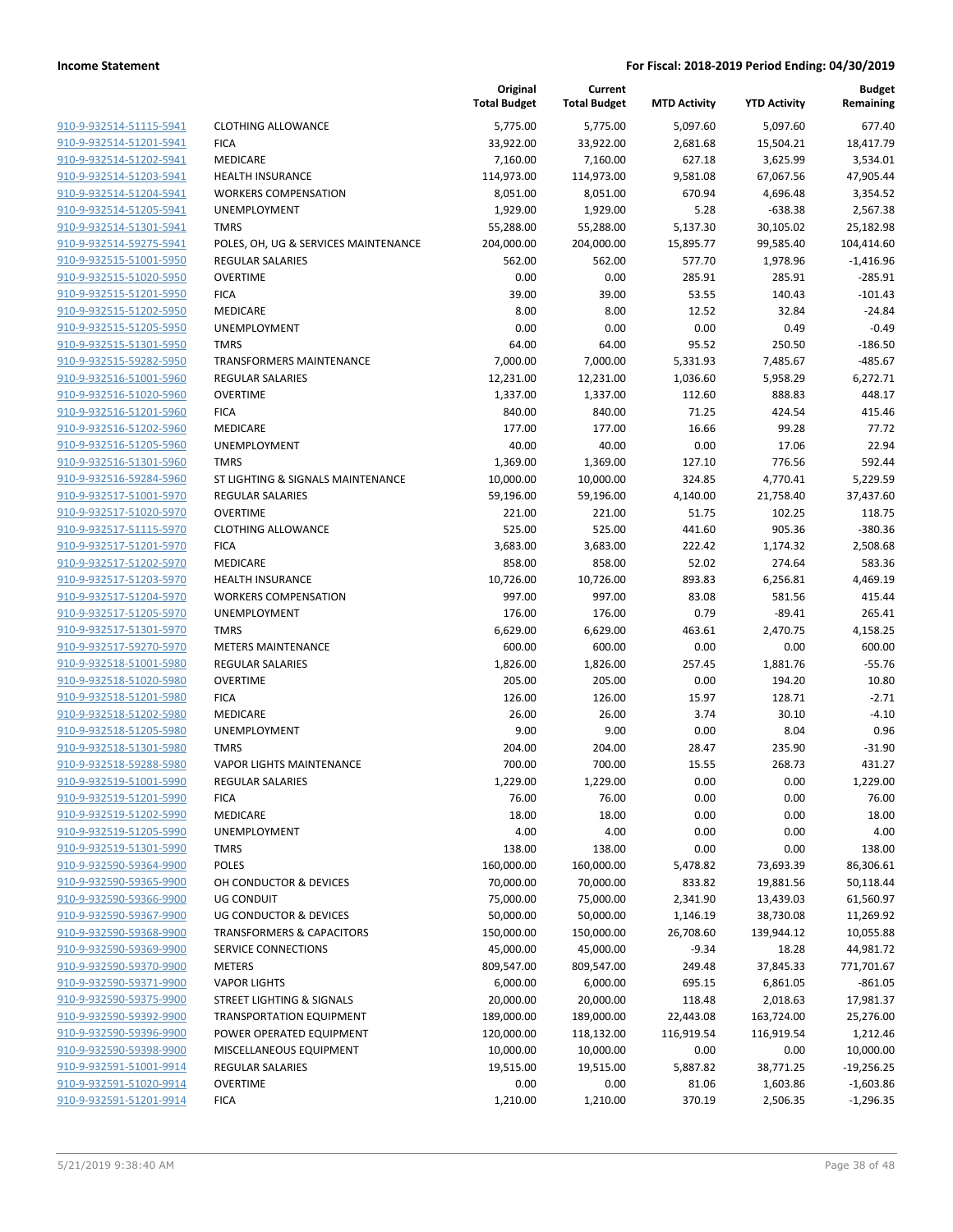|                                                    |                                      | Original<br><b>Total Budget</b> | Current<br><b>Total Budget</b> | <b>MTD Activity</b>  | <b>YTD Activity</b>     | <b>Budget</b><br>Remaining |
|----------------------------------------------------|--------------------------------------|---------------------------------|--------------------------------|----------------------|-------------------------|----------------------------|
| 910-9-932514-51115-5941                            | <b>CLOTHING ALLOWANCE</b>            | 5,775.00                        | 5,775.00                       | 5,097.60             | 5,097.60                | 677.40                     |
| 910-9-932514-51201-5941                            | <b>FICA</b>                          | 33,922.00                       | 33,922.00                      | 2,681.68             | 15,504.21               | 18,417.79                  |
| 910-9-932514-51202-5941                            | MEDICARE                             | 7,160.00                        | 7,160.00                       | 627.18               | 3,625.99                | 3,534.01                   |
| 910-9-932514-51203-5941                            | <b>HEALTH INSURANCE</b>              | 114,973.00                      | 114,973.00                     | 9,581.08             | 67,067.56               | 47,905.44                  |
| 910-9-932514-51204-5941                            | <b>WORKERS COMPENSATION</b>          | 8,051.00                        | 8,051.00                       | 670.94               | 4,696.48                | 3,354.52                   |
| 910-9-932514-51205-5941                            | <b>UNEMPLOYMENT</b>                  | 1,929.00                        | 1,929.00                       | 5.28                 | $-638.38$               | 2,567.38                   |
| 910-9-932514-51301-5941                            | <b>TMRS</b>                          | 55,288.00                       | 55,288.00                      | 5,137.30             | 30,105.02               | 25,182.98                  |
| 910-9-932514-59275-5941                            | POLES, OH, UG & SERVICES MAINTENANCE | 204,000.00                      | 204,000.00                     | 15,895.77            | 99,585.40               | 104,414.60                 |
| 910-9-932515-51001-5950                            | <b>REGULAR SALARIES</b>              | 562.00                          | 562.00                         | 577.70               | 1,978.96                | $-1,416.96$                |
| 910-9-932515-51020-5950                            | <b>OVERTIME</b>                      | 0.00                            | 0.00                           | 285.91               | 285.91                  | $-285.91$                  |
| 910-9-932515-51201-5950                            | <b>FICA</b>                          | 39.00                           | 39.00                          | 53.55                | 140.43                  | $-101.43$                  |
| 910-9-932515-51202-5950                            | <b>MEDICARE</b>                      | 8.00                            | 8.00                           | 12.52                | 32.84                   | $-24.84$                   |
| 910-9-932515-51205-5950                            | UNEMPLOYMENT                         | 0.00                            | 0.00                           | 0.00                 | 0.49                    | $-0.49$                    |
| 910-9-932515-51301-5950                            | <b>TMRS</b>                          | 64.00                           | 64.00                          | 95.52                | 250.50                  | $-186.50$                  |
| 910-9-932515-59282-5950                            | <b>TRANSFORMERS MAINTENANCE</b>      | 7,000.00                        | 7,000.00                       | 5,331.93             | 7,485.67                | $-485.67$                  |
| 910-9-932516-51001-5960                            | <b>REGULAR SALARIES</b>              | 12,231.00                       | 12,231.00                      | 1,036.60             | 5,958.29                | 6,272.71                   |
| 910-9-932516-51020-5960                            | <b>OVERTIME</b>                      | 1,337.00                        | 1,337.00                       | 112.60               | 888.83                  | 448.17                     |
| 910-9-932516-51201-5960                            | <b>FICA</b>                          | 840.00                          | 840.00                         | 71.25                | 424.54                  | 415.46                     |
| 910-9-932516-51202-5960                            | MEDICARE                             | 177.00                          | 177.00                         | 16.66                | 99.28                   | 77.72                      |
| 910-9-932516-51205-5960                            | UNEMPLOYMENT                         | 40.00                           | 40.00                          | 0.00                 | 17.06                   | 22.94                      |
| 910-9-932516-51301-5960                            | <b>TMRS</b>                          | 1,369.00                        | 1,369.00                       | 127.10               | 776.56                  | 592.44                     |
| 910-9-932516-59284-5960                            | ST LIGHTING & SIGNALS MAINTENANCE    | 10,000.00                       | 10,000.00                      | 324.85               | 4,770.41                | 5,229.59                   |
| 910-9-932517-51001-5970                            | REGULAR SALARIES                     | 59,196.00                       | 59,196.00                      | 4,140.00             | 21,758.40               | 37,437.60                  |
| 910-9-932517-51020-5970                            | <b>OVERTIME</b>                      | 221.00                          | 221.00                         | 51.75                | 102.25                  | 118.75                     |
| 910-9-932517-51115-5970                            | <b>CLOTHING ALLOWANCE</b>            | 525.00                          | 525.00                         | 441.60               | 905.36                  | $-380.36$                  |
| 910-9-932517-51201-5970                            | <b>FICA</b>                          | 3,683.00                        | 3,683.00                       | 222.42               | 1,174.32                | 2,508.68                   |
| 910-9-932517-51202-5970                            | MEDICARE                             | 858.00                          | 858.00                         | 52.02                | 274.64                  | 583.36                     |
| 910-9-932517-51203-5970                            | <b>HEALTH INSURANCE</b>              | 10,726.00                       | 10,726.00                      | 893.83               | 6,256.81                | 4,469.19                   |
| 910-9-932517-51204-5970                            | <b>WORKERS COMPENSATION</b>          | 997.00                          | 997.00                         | 83.08                | 581.56                  | 415.44                     |
| 910-9-932517-51205-5970                            | <b>UNEMPLOYMENT</b>                  | 176.00                          | 176.00                         | 0.79                 | $-89.41$                | 265.41                     |
| 910-9-932517-51301-5970                            | <b>TMRS</b>                          | 6,629.00                        | 6,629.00                       | 463.61               | 2,470.75                | 4,158.25                   |
| 910-9-932517-59270-5970                            | <b>METERS MAINTENANCE</b>            | 600.00                          | 600.00                         | 0.00                 | 0.00                    | 600.00                     |
| 910-9-932518-51001-5980                            | <b>REGULAR SALARIES</b>              | 1,826.00                        | 1,826.00                       | 257.45               | 1,881.76                | $-55.76$                   |
| 910-9-932518-51020-5980                            | <b>OVERTIME</b>                      | 205.00                          | 205.00                         | 0.00                 | 194.20                  | 10.80                      |
| 910-9-932518-51201-5980                            | <b>FICA</b>                          | 126.00                          | 126.00                         | 15.97                | 128.71                  | $-2.71$                    |
| 910-9-932518-51202-5980                            | <b>MEDICARE</b>                      | 26.00                           | 26.00                          | 3.74                 | 30.10                   | $-4.10$                    |
| 910-9-932518-51205-5980                            | UNEMPLOYMENT                         | 9.00                            | 9.00                           | 0.00                 | 8.04                    | 0.96                       |
| 910-9-932518-51301-5980<br>910-9-932518-59288-5980 | <b>TMRS</b>                          | 204.00                          | 204.00                         | 28.47                | 235.90                  | $-31.90$                   |
| 910-9-932519-51001-5990                            | <b>VAPOR LIGHTS MAINTENANCE</b>      | 700.00                          | 700.00                         | 15.55                | 268.73                  | 431.27                     |
|                                                    | REGULAR SALARIES                     | 1,229.00                        | 1,229.00                       | 0.00                 | 0.00                    | 1,229.00                   |
| 910-9-932519-51201-5990                            | <b>FICA</b>                          | 76.00                           | 76.00                          | 0.00                 | 0.00                    | 76.00                      |
| 910-9-932519-51202-5990<br>910-9-932519-51205-5990 | MEDICARE                             | 18.00<br>4.00                   | 18.00<br>4.00                  | 0.00<br>0.00         | 0.00<br>0.00            | 18.00<br>4.00              |
| 910-9-932519-51301-5990                            | UNEMPLOYMENT<br><b>TMRS</b>          | 138.00                          | 138.00                         | 0.00                 | 0.00                    |                            |
| 910-9-932590-59364-9900                            | POLES                                | 160,000.00                      | 160,000.00                     | 5,478.82             | 73,693.39               | 138.00<br>86,306.61        |
| 910-9-932590-59365-9900                            | OH CONDUCTOR & DEVICES               | 70,000.00                       | 70,000.00                      | 833.82               | 19,881.56               | 50,118.44                  |
| 910-9-932590-59366-9900                            | <b>UG CONDUIT</b>                    | 75,000.00                       | 75,000.00                      |                      |                         |                            |
| 910-9-932590-59367-9900                            | UG CONDUCTOR & DEVICES               |                                 | 50,000.00                      | 2,341.90             | 13,439.03               | 61,560.97                  |
| 910-9-932590-59368-9900                            | <b>TRANSFORMERS &amp; CAPACITORS</b> | 50,000.00                       |                                | 1,146.19             | 38,730.08<br>139,944.12 | 11,269.92                  |
| 910-9-932590-59369-9900                            | SERVICE CONNECTIONS                  | 150,000.00<br>45,000.00         | 150,000.00<br>45,000.00        | 26,708.60<br>$-9.34$ | 18.28                   | 10,055.88<br>44,981.72     |
| 910-9-932590-59370-9900                            | <b>METERS</b>                        | 809,547.00                      | 809,547.00                     | 249.48               |                         |                            |
| 910-9-932590-59371-9900                            | <b>VAPOR LIGHTS</b>                  | 6,000.00                        | 6,000.00                       | 695.15               | 37,845.33<br>6,861.05   | 771,701.67<br>$-861.05$    |
| 910-9-932590-59375-9900                            | STREET LIGHTING & SIGNALS            | 20,000.00                       | 20,000.00                      | 118.48               |                         |                            |
| 910-9-932590-59392-9900                            | TRANSPORTATION EQUIPMENT             |                                 |                                |                      | 2,018.63                | 17,981.37<br>25,276.00     |
| 910-9-932590-59396-9900                            |                                      | 189,000.00                      | 189,000.00                     | 22,443.08            | 163,724.00              |                            |
|                                                    | POWER OPERATED EQUIPMENT             | 120,000.00                      | 118,132.00                     | 116,919.54           | 116,919.54              | 1,212.46<br>10,000.00      |
| 910-9-932590-59398-9900                            | MISCELLANEOUS EQUIPMENT              | 10,000.00                       | 10,000.00                      | 0.00                 | 0.00                    |                            |
| 910-9-932591-51001-9914                            | REGULAR SALARIES                     | 19,515.00                       | 19,515.00                      | 5,887.82             | 38,771.25               | $-19,256.25$               |
| 910-9-932591-51020-9914<br>910-9-932591-51201-9914 | <b>OVERTIME</b>                      | 0.00                            | 0.00                           | 81.06                | 1,603.86                | $-1,603.86$                |
|                                                    | <b>FICA</b>                          | 1,210.00                        | 1,210.00                       | 370.19               | 2,506.35                | $-1,296.35$                |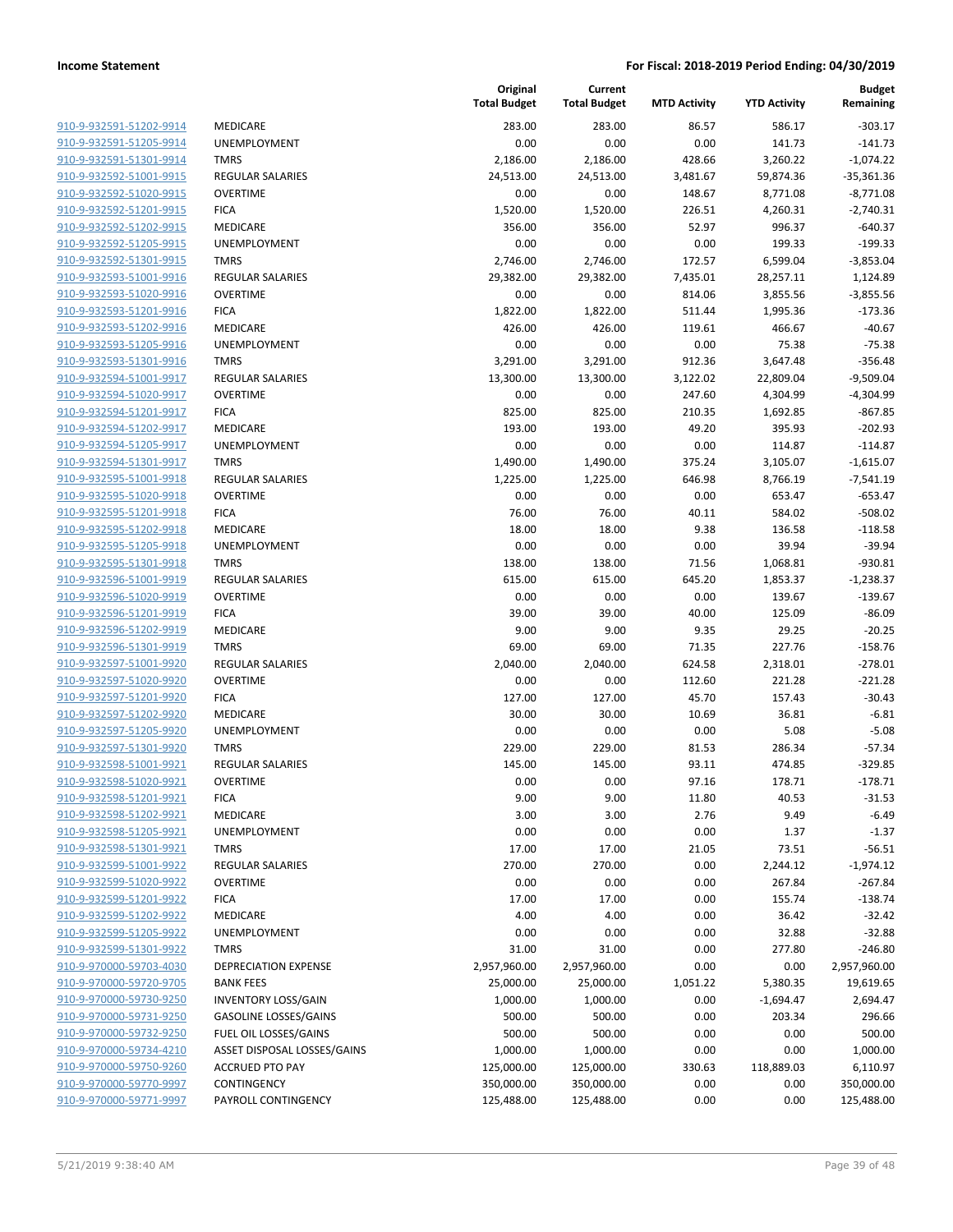| 910-9-932591-51202-9914        |
|--------------------------------|
| <u>910-9-932591-51205-9914</u> |
| 910-9-932591-51301-9914        |
| 910-9-932592-51001-9915        |
| 910-9-932592-51020-9915        |
| 910-9-932592-51201-9915        |
| 910-9-932592-51202-9915        |
| 910-9-932592-51205-9915        |
| 910-9-932592-51301-9915        |
| 910-9-932593-51001-9916        |
| 910-9-932593-51020-9916        |
| <u>910-9-932593-51201-9916</u> |
| 910-9-932593-51202-9916        |
| 910-9-932593-51205-9916        |
| 910-9-932593-51301-9916        |
| 910-9-932594-51001-9917        |
| 910-9-932594-51020-9917        |
| 910-9-932594-51201-9917        |
|                                |
| 910-9-932594-51202-9917        |
| 910-9-932594-51205-9917        |
| 910-9-932594-51301-9917        |
| 910-9-932595-51001-9918        |
| 910-9-932595-51020-9918        |
| 910-9-932595-51201-9918        |
| 910-9-932595-51202-9918        |
| 910-9-932595-51205-9918        |
| <u>910-9-932595-51301-9918</u> |
| 910-9-932596-51001-9919        |
| 910-9-932596-51020-9919        |
| 910-9-932596-51201-9919        |
| 910-9-932596-51202-9919        |
| <u>910-9-932596-51301-9919</u> |
| 910-9-932597-51001-9920        |
| 910-9-932597-51020-9920        |
| 910-9-932597-51201-9920        |
| 910-9-932597-51202-9920        |
| 910-9-932597-51205-9920        |
| 910-9-932597-51301-9920        |
| 910-9-932598-51001-9921        |
| 910-9-932598-51020-9921        |
| 910-9-932598-51201-9921        |
| 910-9-932598-51202-9921        |
| 910-9-932598-51205-9921        |
| 910-9-932598-51301-9921        |
| 910-9-932599-51001-9922        |
| 910-9-932599-51020-9922        |
| 910-9-932599-51201-9922        |
| 910-9-932599-51202-9922        |
| 910-9-932599-51205-9922        |
| 910-9-932599-51301-9922        |
| 910-9-970000-59703-4030        |
|                                |
| 910-9-970000-59720-9705        |
| 910-9-970000-59730-9250        |
| 910-9-970000-59731-9250        |
| 910-9-970000-59732-9250        |
| 910-9-970000-59734-4210        |
| 910-9-970000-59750-9260        |
| 910-9-970000-59770-9997        |
| 910-9-970000-59771-9997        |
|                                |

|                         |                              | Original<br><b>Total Budget</b> | Current<br><b>Total Budget</b> | <b>MTD Activity</b> | <b>YTD Activity</b> | <b>Budget</b><br>Remaining |
|-------------------------|------------------------------|---------------------------------|--------------------------------|---------------------|---------------------|----------------------------|
| 910-9-932591-51202-9914 | MEDICARE                     | 283.00                          | 283.00                         | 86.57               | 586.17              | $-303.17$                  |
| 910-9-932591-51205-9914 | <b>UNEMPLOYMENT</b>          | 0.00                            | 0.00                           | 0.00                | 141.73              | $-141.73$                  |
| 910-9-932591-51301-9914 | <b>TMRS</b>                  | 2,186.00                        | 2,186.00                       | 428.66              | 3,260.22            | $-1,074.22$                |
| 910-9-932592-51001-9915 | <b>REGULAR SALARIES</b>      | 24,513.00                       | 24,513.00                      | 3,481.67            | 59,874.36           | $-35,361.36$               |
| 910-9-932592-51020-9915 | <b>OVERTIME</b>              | 0.00                            | 0.00                           | 148.67              | 8,771.08            | $-8,771.08$                |
| 910-9-932592-51201-9915 | <b>FICA</b>                  | 1,520.00                        | 1,520.00                       | 226.51              | 4,260.31            | $-2,740.31$                |
| 910-9-932592-51202-9915 | MEDICARE                     | 356.00                          | 356.00                         | 52.97               | 996.37              | $-640.37$                  |
| 910-9-932592-51205-9915 | <b>UNEMPLOYMENT</b>          | 0.00                            | 0.00                           | 0.00                | 199.33              | $-199.33$                  |
| 910-9-932592-51301-9915 | <b>TMRS</b>                  | 2,746.00                        | 2,746.00                       | 172.57              | 6,599.04            | $-3,853.04$                |
| 910-9-932593-51001-9916 | <b>REGULAR SALARIES</b>      | 29,382.00                       | 29,382.00                      | 7,435.01            | 28,257.11           | 1,124.89                   |
| 910-9-932593-51020-9916 | <b>OVERTIME</b>              | 0.00                            | 0.00                           | 814.06              | 3,855.56            | $-3,855.56$                |
| 910-9-932593-51201-9916 | <b>FICA</b>                  | 1,822.00                        | 1,822.00                       | 511.44              | 1,995.36            | $-173.36$                  |
| 910-9-932593-51202-9916 | MEDICARE                     | 426.00                          | 426.00                         | 119.61              | 466.67              | $-40.67$                   |
| 910-9-932593-51205-9916 | UNEMPLOYMENT                 | 0.00                            | 0.00                           | 0.00                | 75.38               | $-75.38$                   |
| 910-9-932593-51301-9916 | <b>TMRS</b>                  | 3,291.00                        | 3,291.00                       | 912.36              | 3,647.48            | $-356.48$                  |
| 910-9-932594-51001-9917 | REGULAR SALARIES             | 13,300.00                       | 13,300.00                      | 3,122.02            | 22,809.04           | $-9,509.04$                |
| 910-9-932594-51020-9917 | <b>OVERTIME</b>              | 0.00                            | 0.00                           | 247.60              | 4,304.99            | $-4,304.99$                |
| 910-9-932594-51201-9917 | <b>FICA</b>                  | 825.00                          | 825.00                         | 210.35              | 1,692.85            | $-867.85$                  |
| 910-9-932594-51202-9917 | MEDICARE                     | 193.00                          | 193.00                         | 49.20               | 395.93              | $-202.93$                  |
| 910-9-932594-51205-9917 | UNEMPLOYMENT                 | 0.00                            | 0.00                           | 0.00                | 114.87              | $-114.87$                  |
| 910-9-932594-51301-9917 | <b>TMRS</b>                  | 1,490.00                        | 1,490.00                       | 375.24              | 3,105.07            | $-1,615.07$                |
| 910-9-932595-51001-9918 | <b>REGULAR SALARIES</b>      | 1,225.00                        | 1,225.00                       | 646.98              | 8,766.19            | $-7,541.19$                |
| 910-9-932595-51020-9918 | <b>OVERTIME</b>              | 0.00                            | 0.00                           | 0.00                | 653.47              | $-653.47$                  |
| 910-9-932595-51201-9918 | <b>FICA</b>                  | 76.00                           | 76.00                          | 40.11               | 584.02              | $-508.02$                  |
| 910-9-932595-51202-9918 | MEDICARE                     | 18.00                           | 18.00                          | 9.38                | 136.58              | $-118.58$                  |
| 910-9-932595-51205-9918 | UNEMPLOYMENT                 | 0.00                            | 0.00                           | 0.00                | 39.94               | $-39.94$                   |
| 910-9-932595-51301-9918 | <b>TMRS</b>                  | 138.00                          | 138.00                         | 71.56               | 1,068.81            | $-930.81$                  |
| 910-9-932596-51001-9919 | <b>REGULAR SALARIES</b>      | 615.00                          | 615.00                         | 645.20              | 1,853.37            | $-1,238.37$                |
| 910-9-932596-51020-9919 | <b>OVERTIME</b>              | 0.00                            | 0.00                           | 0.00                | 139.67              | $-139.67$                  |
| 910-9-932596-51201-9919 | <b>FICA</b>                  | 39.00                           | 39.00                          | 40.00               | 125.09              | $-86.09$                   |
| 910-9-932596-51202-9919 | MEDICARE                     | 9.00                            | 9.00                           | 9.35                | 29.25               | $-20.25$                   |
| 910-9-932596-51301-9919 | <b>TMRS</b>                  | 69.00                           | 69.00                          | 71.35               | 227.76              | $-158.76$                  |
| 910-9-932597-51001-9920 | <b>REGULAR SALARIES</b>      | 2,040.00                        | 2,040.00                       | 624.58              | 2,318.01            | $-278.01$                  |
| 910-9-932597-51020-9920 | <b>OVERTIME</b>              | 0.00                            | 0.00                           | 112.60              | 221.28              | $-221.28$                  |
| 910-9-932597-51201-9920 | <b>FICA</b>                  | 127.00                          | 127.00                         | 45.70               | 157.43              | $-30.43$                   |
| 910-9-932597-51202-9920 | <b>MEDICARE</b>              | 30.00                           | 30.00                          | 10.69               | 36.81               | $-6.81$                    |
| 910-9-932597-51205-9920 | UNEMPLOYMENT                 | 0.00                            | 0.00                           | 0.00                | 5.08                | $-5.08$                    |
| 910-9-932597-51301-9920 | <b>TMRS</b>                  | 229.00                          | 229.00                         | 81.53               | 286.34              | $-57.34$                   |
| 910-9-932598-51001-9921 | REGULAR SALARIES             | 145.00                          | 145.00                         | 93.11               | 474.85              | $-329.85$                  |
| 910-9-932598-51020-9921 | OVERTIME                     | 0.00                            | 0.00                           | 97.16               | 178.71              | $-178.71$                  |
| 910-9-932598-51201-9921 | <b>FICA</b>                  | 9.00                            | 9.00                           | 11.80               | 40.53               | $-31.53$                   |
| 910-9-932598-51202-9921 | MEDICARE                     | 3.00                            | 3.00                           | 2.76                | 9.49                | $-6.49$                    |
| 910-9-932598-51205-9921 | UNEMPLOYMENT                 | 0.00                            | 0.00                           | 0.00                | 1.37                | $-1.37$                    |
| 910-9-932598-51301-9921 | <b>TMRS</b>                  | 17.00                           | 17.00                          | 21.05               | 73.51               | $-56.51$                   |
| 910-9-932599-51001-9922 | <b>REGULAR SALARIES</b>      | 270.00                          | 270.00                         | 0.00                | 2,244.12            | $-1,974.12$                |
| 910-9-932599-51020-9922 | <b>OVERTIME</b>              | 0.00                            | 0.00                           | 0.00                | 267.84              | $-267.84$                  |
| 910-9-932599-51201-9922 | <b>FICA</b>                  | 17.00                           | 17.00                          | 0.00                | 155.74              | $-138.74$                  |
| 910-9-932599-51202-9922 | MEDICARE                     | 4.00                            | 4.00                           | 0.00                | 36.42               | $-32.42$                   |
| 910-9-932599-51205-9922 | <b>UNEMPLOYMENT</b>          | 0.00                            | 0.00                           | 0.00                | 32.88               | $-32.88$                   |
| 910-9-932599-51301-9922 | <b>TMRS</b>                  | 31.00                           | 31.00                          | 0.00                | 277.80              | $-246.80$                  |
| 910-9-970000-59703-4030 | DEPRECIATION EXPENSE         | 2,957,960.00                    | 2,957,960.00                   | 0.00                | 0.00                | 2,957,960.00               |
| 910-9-970000-59720-9705 | <b>BANK FEES</b>             | 25,000.00                       | 25,000.00                      | 1,051.22            | 5,380.35            | 19,619.65                  |
| 910-9-970000-59730-9250 | <b>INVENTORY LOSS/GAIN</b>   | 1,000.00                        | 1,000.00                       | 0.00                | $-1,694.47$         | 2,694.47                   |
| 910-9-970000-59731-9250 | <b>GASOLINE LOSSES/GAINS</b> | 500.00                          | 500.00                         | 0.00                | 203.34              | 296.66                     |
| 910-9-970000-59732-9250 | FUEL OIL LOSSES/GAINS        | 500.00                          | 500.00                         | 0.00                | 0.00                | 500.00                     |
| 910-9-970000-59734-4210 | ASSET DISPOSAL LOSSES/GAINS  | 1,000.00                        | 1,000.00                       | 0.00                | 0.00                | 1,000.00                   |
| 910-9-970000-59750-9260 | <b>ACCRUED PTO PAY</b>       | 125,000.00                      | 125,000.00                     | 330.63              | 118,889.03          | 6,110.97                   |
| 910-9-970000-59770-9997 | CONTINGENCY                  | 350,000.00                      | 350,000.00                     | 0.00                | 0.00                | 350,000.00                 |
| 910-9-970000-59771-9997 | PAYROLL CONTINGENCY          | 125,488.00                      | 125,488.00                     | 0.00                | 0.00                | 125,488.00                 |
|                         |                              |                                 |                                |                     |                     |                            |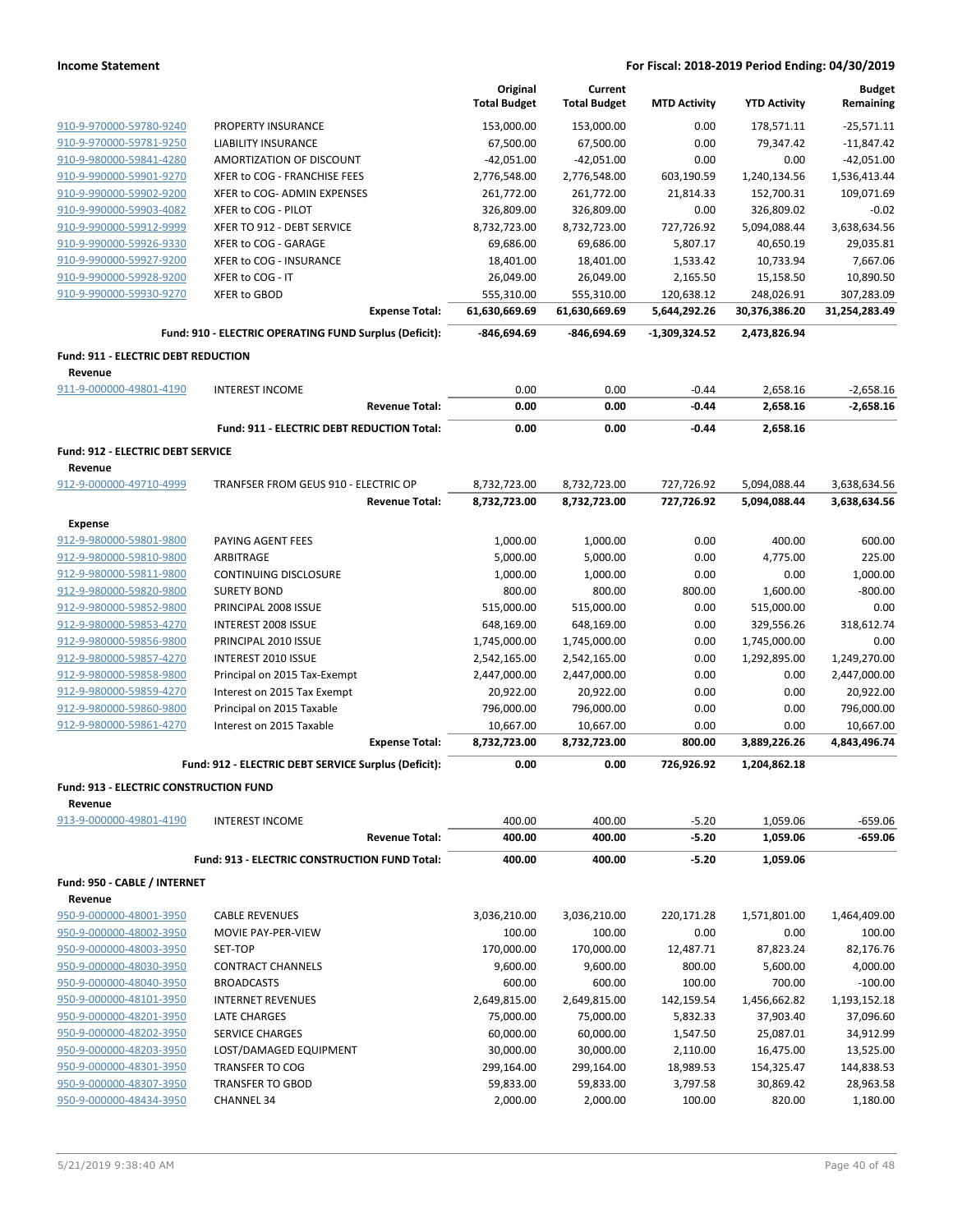|                                               |                                                        |                       | Original                    | Current                     |                            |                             | <b>Budget</b>               |
|-----------------------------------------------|--------------------------------------------------------|-----------------------|-----------------------------|-----------------------------|----------------------------|-----------------------------|-----------------------------|
|                                               |                                                        |                       | <b>Total Budget</b>         | <b>Total Budget</b>         | <b>MTD Activity</b>        | <b>YTD Activity</b>         | Remaining                   |
| 910-9-970000-59780-9240                       | PROPERTY INSURANCE                                     |                       | 153,000.00                  | 153,000.00                  | 0.00                       | 178,571.11                  | $-25,571.11$                |
| 910-9-970000-59781-9250                       | LIABILITY INSURANCE                                    |                       | 67,500.00                   | 67,500.00                   | 0.00                       | 79,347.42                   | $-11,847.42$                |
| 910-9-980000-59841-4280                       | AMORTIZATION OF DISCOUNT                               |                       | $-42,051.00$                | $-42,051.00$                | 0.00                       | 0.00                        | $-42,051.00$                |
| 910-9-990000-59901-9270                       | XFER to COG - FRANCHISE FEES                           |                       | 2,776,548.00                | 2,776,548.00                | 603,190.59                 | 1,240,134.56                | 1,536,413.44                |
| 910-9-990000-59902-9200                       | XFER to COG- ADMIN EXPENSES                            |                       | 261,772.00                  | 261,772.00                  | 21,814.33                  | 152,700.31                  | 109,071.69                  |
| 910-9-990000-59903-4082                       | XFER to COG - PILOT                                    |                       | 326,809.00                  | 326,809.00                  | 0.00                       | 326,809.02                  | $-0.02$                     |
| 910-9-990000-59912-9999                       | XFER TO 912 - DEBT SERVICE                             |                       | 8,732,723.00                | 8,732,723.00                | 727,726.92                 | 5,094,088.44                | 3,638,634.56                |
| 910-9-990000-59926-9330                       | XFER to COG - GARAGE                                   |                       | 69,686.00                   | 69,686.00                   | 5,807.17                   | 40,650.19                   | 29,035.81                   |
| 910-9-990000-59927-9200                       | XFER to COG - INSURANCE                                |                       | 18,401.00                   | 18,401.00                   | 1,533.42                   | 10,733.94                   | 7,667.06                    |
| 910-9-990000-59928-9200                       | XFER to COG - IT                                       |                       | 26,049.00                   | 26,049.00                   | 2,165.50                   | 15,158.50                   | 10,890.50                   |
| 910-9-990000-59930-9270                       | XFER to GBOD                                           | <b>Expense Total:</b> | 555,310.00<br>61,630,669.69 | 555,310.00<br>61,630,669.69 | 120,638.12<br>5,644,292.26 | 248,026.91<br>30,376,386.20 | 307,283.09<br>31,254,283.49 |
|                                               |                                                        |                       |                             |                             |                            |                             |                             |
|                                               | Fund: 910 - ELECTRIC OPERATING FUND Surplus (Deficit): |                       | -846,694.69                 | -846,694.69                 | $-1,309,324.52$            | 2,473,826.94                |                             |
| Fund: 911 - ELECTRIC DEBT REDUCTION           |                                                        |                       |                             |                             |                            |                             |                             |
| Revenue                                       |                                                        |                       |                             |                             |                            |                             |                             |
| 911-9-000000-49801-4190                       | <b>INTEREST INCOME</b>                                 |                       | 0.00                        | 0.00                        | $-0.44$                    | 2,658.16                    | $-2,658.16$                 |
|                                               |                                                        | <b>Revenue Total:</b> | 0.00                        | 0.00                        | $-0.44$                    | 2,658.16                    | $-2,658.16$                 |
|                                               | Fund: 911 - ELECTRIC DEBT REDUCTION Total:             |                       | 0.00                        | 0.00                        | $-0.44$                    | 2,658.16                    |                             |
| <b>Fund: 912 - ELECTRIC DEBT SERVICE</b>      |                                                        |                       |                             |                             |                            |                             |                             |
| Revenue                                       |                                                        |                       |                             |                             |                            |                             |                             |
| 912-9-000000-49710-4999                       | TRANFSER FROM GEUS 910 - ELECTRIC OP                   |                       | 8,732,723.00                | 8,732,723.00                | 727,726.92                 | 5,094,088.44                | 3,638,634.56                |
|                                               |                                                        | <b>Revenue Total:</b> | 8,732,723.00                | 8,732,723.00                | 727,726.92                 | 5,094,088.44                | 3,638,634.56                |
| <b>Expense</b>                                |                                                        |                       |                             |                             |                            |                             |                             |
| 912-9-980000-59801-9800                       | PAYING AGENT FEES                                      |                       | 1,000.00                    | 1,000.00                    | 0.00                       | 400.00                      | 600.00                      |
| 912-9-980000-59810-9800                       | ARBITRAGE                                              |                       | 5,000.00                    | 5,000.00                    | 0.00                       | 4,775.00                    | 225.00                      |
| 912-9-980000-59811-9800                       | CONTINUING DISCLOSURE                                  |                       | 1,000.00                    | 1,000.00                    | 0.00                       | 0.00                        | 1,000.00                    |
| 912-9-980000-59820-9800                       | <b>SURETY BOND</b>                                     |                       | 800.00                      | 800.00                      | 800.00                     | 1,600.00                    | $-800.00$                   |
| 912-9-980000-59852-9800                       | PRINCIPAL 2008 ISSUE                                   |                       | 515,000.00                  | 515,000.00                  | 0.00                       | 515,000.00                  | 0.00                        |
| 912-9-980000-59853-4270                       | INTEREST 2008 ISSUE                                    |                       | 648,169.00                  | 648,169.00                  | 0.00                       | 329,556.26                  | 318,612.74                  |
| 912-9-980000-59856-9800                       | PRINCIPAL 2010 ISSUE                                   |                       | 1,745,000.00                | 1,745,000.00                | 0.00                       | 1,745,000.00                | 0.00                        |
| 912-9-980000-59857-4270                       | INTEREST 2010 ISSUE                                    |                       | 2,542,165.00                | 2,542,165.00                | 0.00                       | 1,292,895.00                | 1,249,270.00                |
| 912-9-980000-59858-9800                       | Principal on 2015 Tax-Exempt                           |                       | 2,447,000.00                | 2,447,000.00                | 0.00                       | 0.00                        | 2,447,000.00                |
| 912-9-980000-59859-4270                       | Interest on 2015 Tax Exempt                            |                       | 20,922.00                   | 20,922.00                   | 0.00                       | 0.00                        | 20,922.00                   |
| 912-9-980000-59860-9800                       | Principal on 2015 Taxable                              |                       | 796,000.00                  | 796,000.00                  | 0.00                       | 0.00                        | 796,000.00                  |
| 912-9-980000-59861-4270                       | Interest on 2015 Taxable                               |                       | 10,667.00                   | 10,667.00                   | 0.00                       | 0.00                        | 10,667.00                   |
|                                               |                                                        | <b>Expense Total:</b> | 8,732,723.00                | 8,732,723.00                | 800.00                     | 3,889,226.26                | 4,843,496.74                |
|                                               | Fund: 912 - ELECTRIC DEBT SERVICE Surplus (Deficit):   |                       | 0.00                        | 0.00                        | 726,926.92                 | 1,204,862.18                |                             |
| <b>Fund: 913 - ELECTRIC CONSTRUCTION FUND</b> |                                                        |                       |                             |                             |                            |                             |                             |
| Revenue                                       |                                                        |                       |                             |                             |                            |                             |                             |
| 913-9-000000-49801-4190                       | <b>INTEREST INCOME</b>                                 |                       | 400.00                      | 400.00                      | $-5.20$                    | 1,059.06                    | $-659.06$                   |
|                                               |                                                        | <b>Revenue Total:</b> | 400.00                      | 400.00                      | $-5.20$                    | 1,059.06                    | -659.06                     |
|                                               | Fund: 913 - ELECTRIC CONSTRUCTION FUND Total:          |                       | 400.00                      | 400.00                      | $-5.20$                    | 1,059.06                    |                             |
| Fund: 950 - CABLE / INTERNET                  |                                                        |                       |                             |                             |                            |                             |                             |
| Revenue                                       |                                                        |                       |                             |                             |                            |                             |                             |
| 950-9-000000-48001-3950                       | <b>CABLE REVENUES</b>                                  |                       | 3,036,210.00                | 3,036,210.00                | 220,171.28                 | 1,571,801.00                | 1,464,409.00                |
| 950-9-000000-48002-3950                       | MOVIE PAY-PER-VIEW                                     |                       | 100.00                      | 100.00                      | 0.00                       | 0.00                        | 100.00                      |
| 950-9-000000-48003-3950                       | SET-TOP                                                |                       | 170,000.00                  | 170,000.00                  | 12,487.71                  | 87,823.24                   | 82,176.76                   |
| 950-9-000000-48030-3950                       | <b>CONTRACT CHANNELS</b>                               |                       | 9,600.00                    | 9,600.00                    | 800.00                     | 5,600.00                    | 4,000.00                    |
| 950-9-000000-48040-3950                       | <b>BROADCASTS</b>                                      |                       | 600.00                      | 600.00                      | 100.00                     | 700.00                      | $-100.00$                   |
| 950-9-000000-48101-3950                       | <b>INTERNET REVENUES</b>                               |                       | 2,649,815.00                | 2,649,815.00                | 142,159.54                 | 1,456,662.82                | 1,193,152.18                |
| 950-9-000000-48201-3950                       | LATE CHARGES                                           |                       | 75,000.00                   | 75,000.00                   | 5,832.33                   | 37,903.40                   | 37,096.60                   |
| 950-9-000000-48202-3950                       | <b>SERVICE CHARGES</b>                                 |                       | 60,000.00                   | 60,000.00                   | 1,547.50                   | 25,087.01                   | 34,912.99                   |
| 950-9-000000-48203-3950                       | LOST/DAMAGED EQUIPMENT                                 |                       | 30,000.00                   | 30,000.00                   | 2,110.00                   | 16,475.00                   | 13,525.00                   |
| 950-9-000000-48301-3950                       | TRANSFER TO COG                                        |                       | 299,164.00                  | 299,164.00                  | 18,989.53                  | 154,325.47                  | 144,838.53                  |
| 950-9-000000-48307-3950                       | <b>TRANSFER TO GBOD</b>                                |                       | 59,833.00                   | 59,833.00                   | 3,797.58                   | 30,869.42                   | 28,963.58                   |
| 950-9-000000-48434-3950                       | <b>CHANNEL 34</b>                                      |                       | 2,000.00                    | 2,000.00                    | 100.00                     | 820.00                      | 1,180.00                    |
|                                               |                                                        |                       |                             |                             |                            |                             |                             |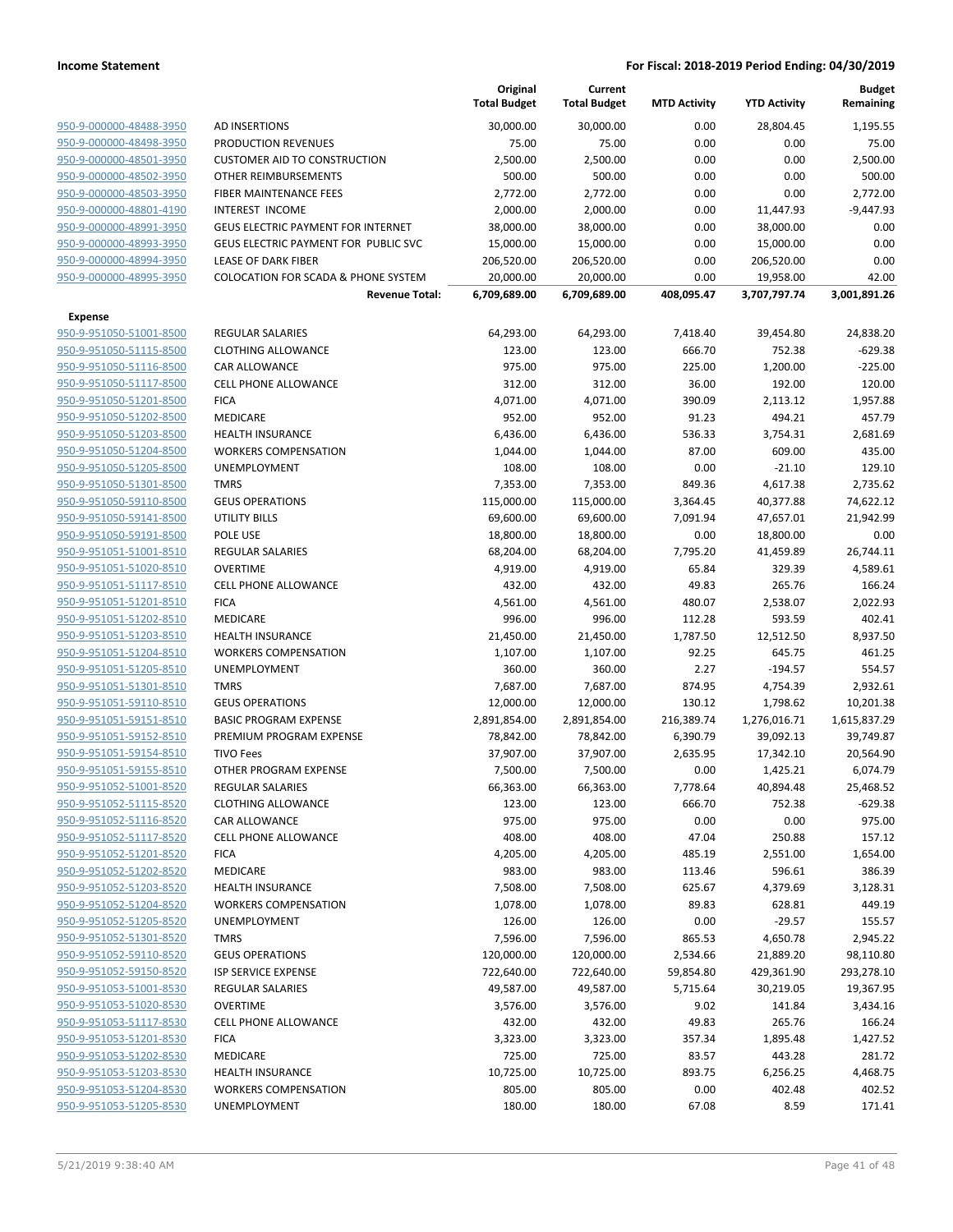|                                |                                                | Original<br><b>Total Budget</b> | Current<br><b>Total Budget</b> | <b>MTD Activity</b> | <b>YTD Activity</b> | Budget<br>Remaining |
|--------------------------------|------------------------------------------------|---------------------------------|--------------------------------|---------------------|---------------------|---------------------|
| 950-9-000000-48488-3950        | AD INSERTIONS                                  | 30,000.00                       | 30,000.00                      | 0.00                | 28,804.45           | 1,195.55            |
| 950-9-000000-48498-3950        | <b>PRODUCTION REVENUES</b>                     | 75.00                           | 75.00                          | 0.00                | 0.00                | 75.00               |
| 950-9-000000-48501-3950        | <b>CUSTOMER AID TO CONSTRUCTION</b>            | 2,500.00                        | 2,500.00                       | 0.00                | 0.00                | 2,500.00            |
| 950-9-000000-48502-3950        | <b>OTHER REIMBURSEMENTS</b>                    | 500.00                          | 500.00                         | 0.00                | 0.00                | 500.00              |
| 950-9-000000-48503-3950        | <b>FIBER MAINTENANCE FEES</b>                  | 2,772.00                        | 2,772.00                       | 0.00                | 0.00                | 2,772.00            |
| 950-9-000000-48801-4190        | <b>INTEREST INCOME</b>                         | 2,000.00                        | 2,000.00                       | 0.00                | 11,447.93           | $-9,447.93$         |
| 950-9-000000-48991-3950        | <b>GEUS ELECTRIC PAYMENT FOR INTERNET</b>      | 38,000.00                       | 38,000.00                      | 0.00                | 38,000.00           | 0.00                |
| 950-9-000000-48993-3950        | <b>GEUS ELECTRIC PAYMENT FOR PUBLIC SVC</b>    | 15,000.00                       | 15,000.00                      | 0.00                | 15,000.00           | 0.00                |
| 950-9-000000-48994-3950        | <b>LEASE OF DARK FIBER</b>                     | 206,520.00                      | 206,520.00                     | 0.00                | 206,520.00          | 0.00                |
| 950-9-000000-48995-3950        | <b>COLOCATION FOR SCADA &amp; PHONE SYSTEM</b> | 20,000.00                       | 20,000.00                      | 0.00                | 19,958.00           | 42.00               |
|                                | <b>Revenue Total:</b>                          | 6,709,689.00                    | 6,709,689.00                   | 408,095.47          | 3,707,797.74        | 3,001,891.26        |
| Expense                        |                                                |                                 |                                |                     |                     |                     |
| 950-9-951050-51001-8500        | <b>REGULAR SALARIES</b>                        | 64,293.00                       | 64,293.00                      | 7,418.40            | 39,454.80           | 24,838.20           |
| 950-9-951050-51115-8500        | <b>CLOTHING ALLOWANCE</b>                      | 123.00                          | 123.00                         | 666.70              | 752.38              | $-629.38$           |
| 950-9-951050-51116-8500        | CAR ALLOWANCE                                  | 975.00                          | 975.00                         | 225.00              | 1,200.00            | $-225.00$           |
| 950-9-951050-51117-8500        | <b>CELL PHONE ALLOWANCE</b>                    | 312.00                          | 312.00                         | 36.00               | 192.00              | 120.00              |
| 950-9-951050-51201-8500        | <b>FICA</b>                                    | 4,071.00                        | 4,071.00                       | 390.09              | 2,113.12            | 1,957.88            |
| 950-9-951050-51202-8500        | MEDICARE                                       | 952.00                          | 952.00                         | 91.23               | 494.21              | 457.79              |
| 950-9-951050-51203-8500        | <b>HEALTH INSURANCE</b>                        | 6,436.00                        | 6,436.00                       | 536.33              | 3,754.31            | 2,681.69            |
| 950-9-951050-51204-8500        | <b>WORKERS COMPENSATION</b>                    | 1,044.00                        | 1,044.00                       | 87.00               | 609.00              | 435.00              |
| 950-9-951050-51205-8500        | UNEMPLOYMENT                                   | 108.00                          | 108.00                         | 0.00                | $-21.10$            | 129.10              |
| 950-9-951050-51301-8500        | <b>TMRS</b>                                    | 7,353.00                        | 7,353.00                       | 849.36              | 4,617.38            | 2,735.62            |
| 950-9-951050-59110-8500        | <b>GEUS OPERATIONS</b>                         | 115,000.00                      | 115,000.00                     | 3,364.45            | 40,377.88           | 74,622.12           |
| 950-9-951050-59141-8500        | <b>UTILITY BILLS</b>                           | 69,600.00                       | 69,600.00                      | 7,091.94            | 47,657.01           | 21,942.99           |
| 950-9-951050-59191-8500        | POLE USE                                       | 18,800.00                       | 18,800.00                      | 0.00                | 18,800.00           | 0.00                |
| 950-9-951051-51001-8510        | <b>REGULAR SALARIES</b>                        | 68,204.00                       | 68,204.00                      | 7,795.20            | 41,459.89           | 26,744.11           |
| 950-9-951051-51020-8510        | <b>OVERTIME</b>                                | 4,919.00                        | 4,919.00                       | 65.84               | 329.39              | 4,589.61            |
| 950-9-951051-51117-8510        | <b>CELL PHONE ALLOWANCE</b>                    | 432.00                          | 432.00                         | 49.83               | 265.76              | 166.24              |
| 950-9-951051-51201-8510        | <b>FICA</b>                                    | 4,561.00                        | 4,561.00                       | 480.07              | 2,538.07            | 2,022.93            |
| 950-9-951051-51202-8510        | MEDICARE                                       | 996.00                          | 996.00                         | 112.28              | 593.59              | 402.41              |
| 950-9-951051-51203-8510        | <b>HEALTH INSURANCE</b>                        | 21,450.00                       | 21,450.00                      | 1,787.50            | 12,512.50           | 8,937.50            |
| 950-9-951051-51204-8510        | <b>WORKERS COMPENSATION</b>                    | 1,107.00                        | 1,107.00                       | 92.25               | 645.75              | 461.25              |
| 950-9-951051-51205-8510        | <b>UNEMPLOYMENT</b>                            | 360.00                          | 360.00                         | 2.27                | $-194.57$           | 554.57              |
| 950-9-951051-51301-8510        | <b>TMRS</b>                                    | 7,687.00                        | 7,687.00                       | 874.95              | 4,754.39            | 2,932.61            |
| 950-9-951051-59110-8510        | <b>GEUS OPERATIONS</b>                         | 12,000.00                       | 12,000.00                      | 130.12              | 1,798.62            | 10,201.38           |
| 950-9-951051-59151-8510        | <b>BASIC PROGRAM EXPENSE</b>                   | 2,891,854.00                    | 2,891,854.00                   | 216,389.74          | 1,276,016.71        | 1,615,837.29        |
| 950-9-951051-59152-8510        | PREMIUM PROGRAM EXPENSE                        | 78,842.00                       | 78,842.00                      | 6,390.79            | 39,092.13           | 39,749.87           |
| 950-9-951051-59154-8510        | <b>TIVO Fees</b>                               | 37,907.00                       | 37,907.00                      | 2,635.95            | 17,342.10           | 20,564.90           |
| 950-9-951051-59155-8510        | OTHER PROGRAM EXPENSE                          | 7,500.00                        | 7,500.00                       | 0.00                | 1,425.21            | 6,074.79            |
| <u>950-9-951052-51001-8520</u> | <b>REGULAR SALARIES</b>                        | 66,363.00                       | 66,363.00                      | 7,778.64            | 40,894.48           | 25,468.52           |
| 950-9-951052-51115-8520        | <b>CLOTHING ALLOWANCE</b>                      | 123.00                          | 123.00                         | 666.70              | 752.38              | $-629.38$           |
| 950-9-951052-51116-8520        | CAR ALLOWANCE                                  | 975.00                          | 975.00                         | 0.00                | 0.00                | 975.00              |
| 950-9-951052-51117-8520        | <b>CELL PHONE ALLOWANCE</b>                    | 408.00                          | 408.00                         | 47.04               | 250.88              | 157.12              |
| 950-9-951052-51201-8520        | <b>FICA</b>                                    | 4,205.00                        | 4,205.00                       | 485.19              | 2,551.00            | 1,654.00            |
| 950-9-951052-51202-8520        | MEDICARE                                       | 983.00                          | 983.00                         | 113.46              | 596.61              | 386.39              |
| 950-9-951052-51203-8520        | <b>HEALTH INSURANCE</b>                        | 7,508.00                        | 7,508.00                       | 625.67              | 4,379.69            | 3,128.31            |
| 950-9-951052-51204-8520        | <b>WORKERS COMPENSATION</b>                    | 1,078.00                        | 1,078.00                       | 89.83               | 628.81              | 449.19              |
| 950-9-951052-51205-8520        | <b>UNEMPLOYMENT</b>                            | 126.00                          | 126.00                         | 0.00                | $-29.57$            | 155.57              |
| 950-9-951052-51301-8520        | <b>TMRS</b>                                    | 7,596.00                        | 7,596.00                       | 865.53              | 4,650.78            | 2,945.22            |
| 950-9-951052-59110-8520        | <b>GEUS OPERATIONS</b>                         | 120,000.00                      | 120,000.00                     | 2,534.66            | 21,889.20           | 98,110.80           |
| 950-9-951052-59150-8520        | <b>ISP SERVICE EXPENSE</b>                     | 722,640.00                      | 722,640.00                     | 59,854.80           | 429,361.90          | 293,278.10          |
| 950-9-951053-51001-8530        | <b>REGULAR SALARIES</b>                        | 49,587.00                       | 49,587.00                      | 5,715.64            | 30,219.05           | 19,367.95           |
| 950-9-951053-51020-8530        | <b>OVERTIME</b>                                | 3,576.00                        | 3,576.00                       | 9.02                | 141.84              | 3,434.16            |
| 950-9-951053-51117-8530        | <b>CELL PHONE ALLOWANCE</b>                    | 432.00                          | 432.00                         | 49.83               | 265.76              | 166.24              |
| 950-9-951053-51201-8530        | <b>FICA</b>                                    | 3,323.00                        | 3,323.00                       | 357.34              | 1,895.48            | 1,427.52            |
| 950-9-951053-51202-8530        | MEDICARE                                       | 725.00                          | 725.00                         | 83.57               | 443.28              | 281.72              |
| 950-9-951053-51203-8530        | <b>HEALTH INSURANCE</b>                        | 10,725.00                       | 10,725.00                      | 893.75              | 6,256.25            | 4,468.75            |
| 950-9-951053-51204-8530        | <b>WORKERS COMPENSATION</b>                    | 805.00                          | 805.00                         | 0.00                | 402.48              | 402.52              |
| 950-9-951053-51205-8530        | <b>UNEMPLOYMENT</b>                            | 180.00                          | 180.00                         | 67.08               | 8.59                | 171.41              |
|                                |                                                |                                 |                                |                     |                     |                     |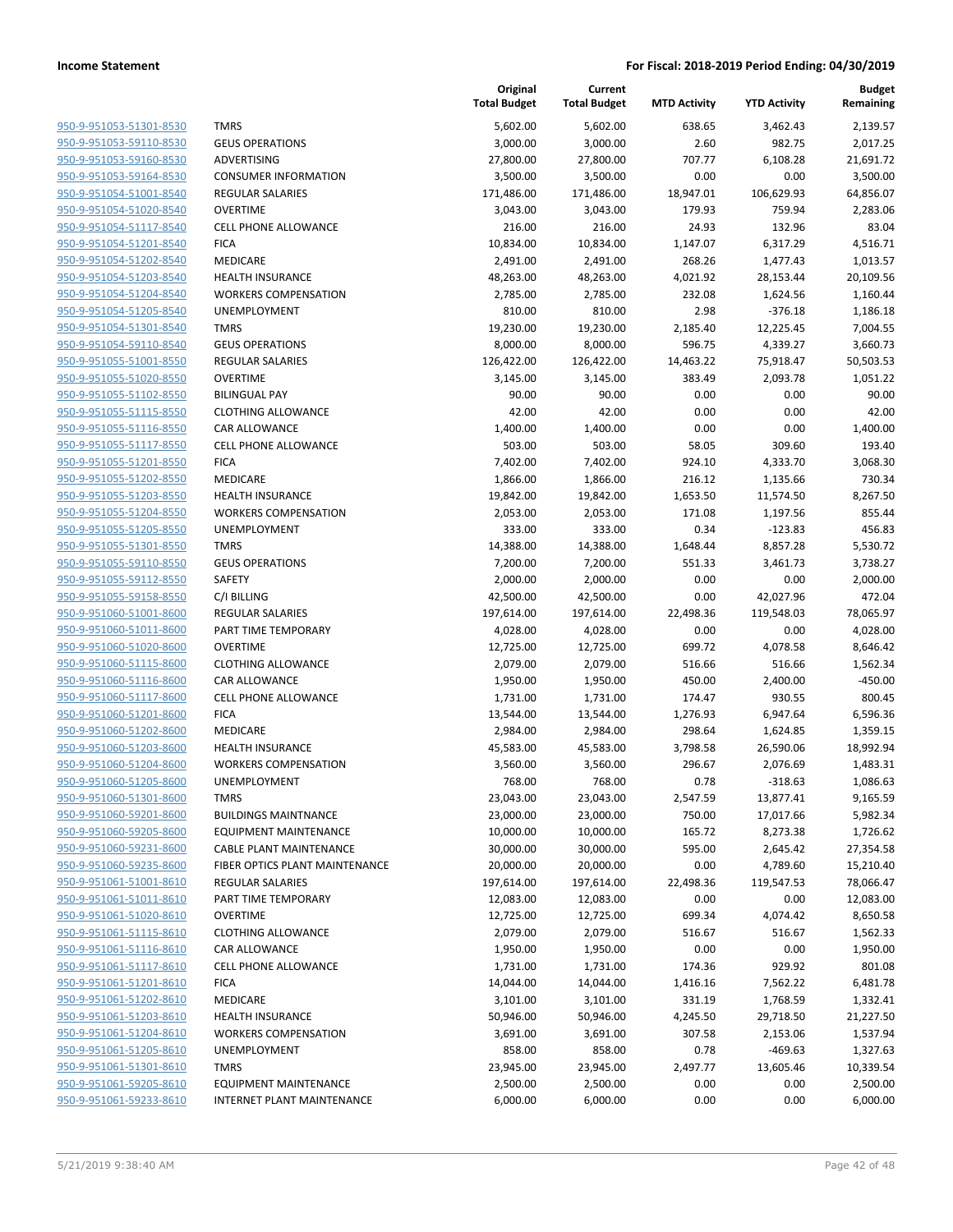| 950-9-951053-51301-8530                            |
|----------------------------------------------------|
| 950-9-951053-59110-8530                            |
| 950-9-951053-59160-8530                            |
| 950-9-951053-59164-8530                            |
| 950-9-951054-51001-8540                            |
| 950-9-951054-51020-8540                            |
| 950-9-951054-51117-8540                            |
| 950-9-951054-51201-8540                            |
| 950-9-951054-51202-8540                            |
| 950-9-951054-51203-8540                            |
| 950-9-951054-51204-8540                            |
| 950-9-951054-51205-8540                            |
| 950-9-951054-51301-8540                            |
| 950-9-951054-59110-8540                            |
| 950-9-951055-51001-8550                            |
| 950-9-951055-51020-8550                            |
| <u>950-9-951055-51102-8550</u>                     |
| 950-9-951055-51115-8550                            |
| 950-9-951055-51116-8550                            |
| 950-9-951055-51117-8550                            |
| 950-9-951055-51201-8550                            |
| 950-9-951055-51202-8550                            |
| 950-9-951055-51203-8550                            |
| 950-9-951055-51204-8550                            |
| 950-9-951055-51205-8550                            |
| 950-9-951055-51301-8550                            |
| 950-9-951055-59110-8550                            |
| 950-9-951055-59112-8550                            |
| 950-9-951055-59158-8550                            |
| 950-9-951060-51001-8600                            |
| 950-9-951060-51011-8600                            |
| <u>950-9-951060-51020-8600</u>                     |
| 950-9-951060-51115-8600                            |
| 950-9-951060-51116-8600                            |
| 950-9-951060-51117-8600                            |
| 950-9-951060-51201-8600                            |
| 950-9-951060-51202-8600                            |
| 950-9-951060-51203-8600                            |
| 950-9-951060-51204-8600                            |
| 950-9-951060-51205-8600                            |
| 950-9-951060-51301-8600                            |
| 950-9-951060-59201-8600                            |
| 950-9-951060-59205-8600                            |
| 950-9-951060-59231-8600                            |
| 950-9-951060-59235-8600                            |
| 950-9-951061-51001-8610                            |
| 950-9-951061-51011-8610                            |
| 950-9-951061-51020-8610<br>950-9-951061-51115-8610 |
|                                                    |
| 950-9-951061-51116-8610                            |
| 950-9-951061-51117-8610                            |
| 950-9-951061-51201-8610                            |
| 950-9-951061-51202-8610                            |
| 950-9-951061-51203-8610                            |
| 950-9-951061-51204-8610                            |
| 950-9-951061-51205-8610                            |
| 950-9-951061-51301-8610                            |
| 950-9-951061-59205-8610<br>950-9-951061-59233-8610 |
|                                                    |

|                         |                                | Original<br><b>Total Budget</b> | Current<br><b>Total Budget</b> | <b>MTD Activity</b> | <b>YTD Activity</b> | <b>Budget</b><br>Remaining |
|-------------------------|--------------------------------|---------------------------------|--------------------------------|---------------------|---------------------|----------------------------|
| 950-9-951053-51301-8530 | <b>TMRS</b>                    | 5,602.00                        | 5,602.00                       | 638.65              | 3,462.43            | 2,139.57                   |
| 950-9-951053-59110-8530 | <b>GEUS OPERATIONS</b>         | 3,000.00                        | 3,000.00                       | 2.60                | 982.75              | 2,017.25                   |
| 950-9-951053-59160-8530 | ADVERTISING                    | 27,800.00                       | 27,800.00                      | 707.77              | 6,108.28            | 21,691.72                  |
| 950-9-951053-59164-8530 | <b>CONSUMER INFORMATION</b>    | 3,500.00                        | 3,500.00                       | 0.00                | 0.00                | 3,500.00                   |
| 950-9-951054-51001-8540 | <b>REGULAR SALARIES</b>        | 171,486.00                      | 171,486.00                     | 18,947.01           | 106,629.93          | 64,856.07                  |
| 950-9-951054-51020-8540 | <b>OVERTIME</b>                | 3,043.00                        | 3,043.00                       | 179.93              | 759.94              | 2,283.06                   |
| 950-9-951054-51117-8540 | <b>CELL PHONE ALLOWANCE</b>    | 216.00                          | 216.00                         | 24.93               | 132.96              | 83.04                      |
| 950-9-951054-51201-8540 | <b>FICA</b>                    | 10,834.00                       | 10,834.00                      | 1,147.07            | 6,317.29            | 4,516.71                   |
| 950-9-951054-51202-8540 | MEDICARE                       | 2,491.00                        | 2,491.00                       | 268.26              | 1,477.43            | 1,013.57                   |
| 950-9-951054-51203-8540 | <b>HEALTH INSURANCE</b>        | 48,263.00                       | 48,263.00                      | 4,021.92            | 28,153.44           | 20,109.56                  |
| 950-9-951054-51204-8540 | <b>WORKERS COMPENSATION</b>    | 2,785.00                        | 2,785.00                       | 232.08              | 1,624.56            | 1,160.44                   |
| 950-9-951054-51205-8540 | UNEMPLOYMENT                   | 810.00                          | 810.00                         | 2.98                | $-376.18$           | 1,186.18                   |
| 950-9-951054-51301-8540 | <b>TMRS</b>                    | 19,230.00                       | 19,230.00                      | 2,185.40            | 12,225.45           | 7,004.55                   |
| 950-9-951054-59110-8540 | <b>GEUS OPERATIONS</b>         | 8,000.00                        | 8,000.00                       | 596.75              | 4,339.27            | 3,660.73                   |
| 950-9-951055-51001-8550 | <b>REGULAR SALARIES</b>        | 126,422.00                      | 126,422.00                     | 14,463.22           | 75,918.47           | 50,503.53                  |
| 950-9-951055-51020-8550 | <b>OVERTIME</b>                | 3,145.00                        | 3,145.00                       | 383.49              | 2,093.78            | 1,051.22                   |
| 950-9-951055-51102-8550 | <b>BILINGUAL PAY</b>           | 90.00                           | 90.00                          | 0.00                | 0.00                | 90.00                      |
| 950-9-951055-51115-8550 | <b>CLOTHING ALLOWANCE</b>      | 42.00                           | 42.00                          | 0.00                | 0.00                | 42.00                      |
| 950-9-951055-51116-8550 | CAR ALLOWANCE                  | 1,400.00                        | 1,400.00                       | 0.00                | 0.00                | 1,400.00                   |
| 950-9-951055-51117-8550 | <b>CELL PHONE ALLOWANCE</b>    | 503.00                          | 503.00                         | 58.05               | 309.60              | 193.40                     |
| 950-9-951055-51201-8550 | <b>FICA</b>                    | 7,402.00                        | 7,402.00                       | 924.10              | 4,333.70            | 3,068.30                   |
| 950-9-951055-51202-8550 | MEDICARE                       | 1,866.00                        | 1,866.00                       | 216.12              | 1,135.66            | 730.34                     |
| 950-9-951055-51203-8550 | <b>HEALTH INSURANCE</b>        | 19,842.00                       | 19,842.00                      | 1,653.50            | 11,574.50           | 8,267.50                   |
| 950-9-951055-51204-8550 | <b>WORKERS COMPENSATION</b>    | 2,053.00                        | 2,053.00                       | 171.08              | 1,197.56            | 855.44                     |
| 950-9-951055-51205-8550 | UNEMPLOYMENT                   | 333.00                          | 333.00                         | 0.34                | $-123.83$           | 456.83                     |
| 950-9-951055-51301-8550 | <b>TMRS</b>                    | 14,388.00                       | 14,388.00                      | 1,648.44            | 8,857.28            | 5,530.72                   |
| 950-9-951055-59110-8550 | <b>GEUS OPERATIONS</b>         | 7,200.00                        | 7,200.00                       | 551.33              | 3,461.73            | 3,738.27                   |
| 950-9-951055-59112-8550 | SAFETY                         | 2,000.00                        | 2,000.00                       | 0.00                | 0.00                | 2,000.00                   |
| 950-9-951055-59158-8550 | C/I BILLING                    | 42,500.00                       | 42,500.00                      | 0.00                | 42,027.96           | 472.04                     |
| 950-9-951060-51001-8600 | <b>REGULAR SALARIES</b>        | 197,614.00                      | 197,614.00                     | 22,498.36           | 119,548.03          | 78,065.97                  |
| 950-9-951060-51011-8600 | PART TIME TEMPORARY            | 4,028.00                        | 4,028.00                       | 0.00                | 0.00                | 4,028.00                   |
| 950-9-951060-51020-8600 | <b>OVERTIME</b>                | 12,725.00                       | 12,725.00                      | 699.72              | 4,078.58            | 8,646.42                   |
| 950-9-951060-51115-8600 | <b>CLOTHING ALLOWANCE</b>      | 2,079.00                        | 2,079.00                       | 516.66              | 516.66              | 1,562.34                   |
| 950-9-951060-51116-8600 | <b>CAR ALLOWANCE</b>           | 1,950.00                        | 1,950.00                       | 450.00              | 2,400.00            | $-450.00$                  |
| 950-9-951060-51117-8600 | <b>CELL PHONE ALLOWANCE</b>    | 1,731.00                        | 1,731.00                       | 174.47              | 930.55              | 800.45                     |
| 950-9-951060-51201-8600 | <b>FICA</b>                    | 13,544.00                       | 13,544.00                      | 1,276.93            | 6,947.64            | 6,596.36                   |
| 950-9-951060-51202-8600 | MEDICARE                       | 2,984.00                        | 2,984.00                       | 298.64              | 1,624.85            | 1,359.15                   |
| 950-9-951060-51203-8600 | <b>HEALTH INSURANCE</b>        | 45,583.00                       | 45,583.00                      | 3,798.58            | 26,590.06           | 18,992.94                  |
| 950-9-951060-51204-8600 | <b>WORKERS COMPENSATION</b>    | 3,560.00                        | 3,560.00                       | 296.67              | 2,076.69            | 1,483.31                   |
| 950-9-951060-51205-8600 | UNEMPLOYMENT                   | 768.00                          | 768.00                         | 0.78                | $-318.63$           | 1,086.63                   |
| 950-9-951060-51301-8600 | <b>TMRS</b>                    | 23,043.00                       | 23,043.00                      | 2,547.59            | 13,877.41           | 9,165.59                   |
| 950-9-951060-59201-8600 | <b>BUILDINGS MAINTNANCE</b>    | 23,000.00                       | 23,000.00                      | 750.00              | 17,017.66           | 5,982.34                   |
| 950-9-951060-59205-8600 | <b>EQUIPMENT MAINTENANCE</b>   | 10,000.00                       | 10,000.00                      | 165.72              | 8,273.38            | 1,726.62                   |
| 950-9-951060-59231-8600 | CABLE PLANT MAINTENANCE        | 30,000.00                       | 30,000.00                      | 595.00              | 2,645.42            | 27,354.58                  |
| 950-9-951060-59235-8600 | FIBER OPTICS PLANT MAINTENANCE | 20,000.00                       | 20,000.00                      | 0.00                | 4,789.60            | 15,210.40                  |
| 950-9-951061-51001-8610 | <b>REGULAR SALARIES</b>        | 197,614.00                      | 197,614.00                     | 22,498.36           | 119,547.53          | 78,066.47                  |
| 950-9-951061-51011-8610 | PART TIME TEMPORARY            | 12,083.00                       | 12,083.00                      | 0.00                | 0.00                | 12,083.00                  |
| 950-9-951061-51020-8610 | <b>OVERTIME</b>                | 12,725.00                       | 12,725.00                      | 699.34              | 4,074.42            | 8,650.58                   |
| 950-9-951061-51115-8610 | <b>CLOTHING ALLOWANCE</b>      | 2,079.00                        | 2,079.00                       | 516.67              | 516.67              | 1,562.33                   |
| 950-9-951061-51116-8610 | CAR ALLOWANCE                  | 1,950.00                        | 1,950.00                       | 0.00                | 0.00                | 1,950.00                   |
| 950-9-951061-51117-8610 | <b>CELL PHONE ALLOWANCE</b>    | 1,731.00                        | 1,731.00                       | 174.36              | 929.92              | 801.08                     |
| 950-9-951061-51201-8610 | <b>FICA</b>                    | 14,044.00                       | 14,044.00                      | 1,416.16            | 7,562.22            | 6,481.78                   |
| 950-9-951061-51202-8610 | MEDICARE                       | 3,101.00                        | 3,101.00                       | 331.19              | 1,768.59            | 1,332.41                   |
| 950-9-951061-51203-8610 | <b>HEALTH INSURANCE</b>        | 50,946.00                       | 50,946.00                      | 4,245.50            | 29,718.50           | 21,227.50                  |
| 950-9-951061-51204-8610 | <b>WORKERS COMPENSATION</b>    | 3,691.00                        | 3,691.00                       | 307.58              | 2,153.06            | 1,537.94                   |
| 950-9-951061-51205-8610 | UNEMPLOYMENT                   | 858.00                          | 858.00                         | 0.78                | $-469.63$           | 1,327.63                   |
| 950-9-951061-51301-8610 | <b>TMRS</b>                    | 23,945.00                       | 23,945.00                      | 2,497.77            | 13,605.46           | 10,339.54                  |
| 950-9-951061-59205-8610 | <b>EQUIPMENT MAINTENANCE</b>   | 2,500.00                        | 2,500.00                       | 0.00                | 0.00                | 2,500.00                   |
| 950-9-951061-59233-8610 | INTERNET PLANT MAINTENANCE     | 6,000.00                        | 6,000.00                       | 0.00                | 0.00                | 6,000.00                   |
|                         |                                |                                 |                                |                     |                     |                            |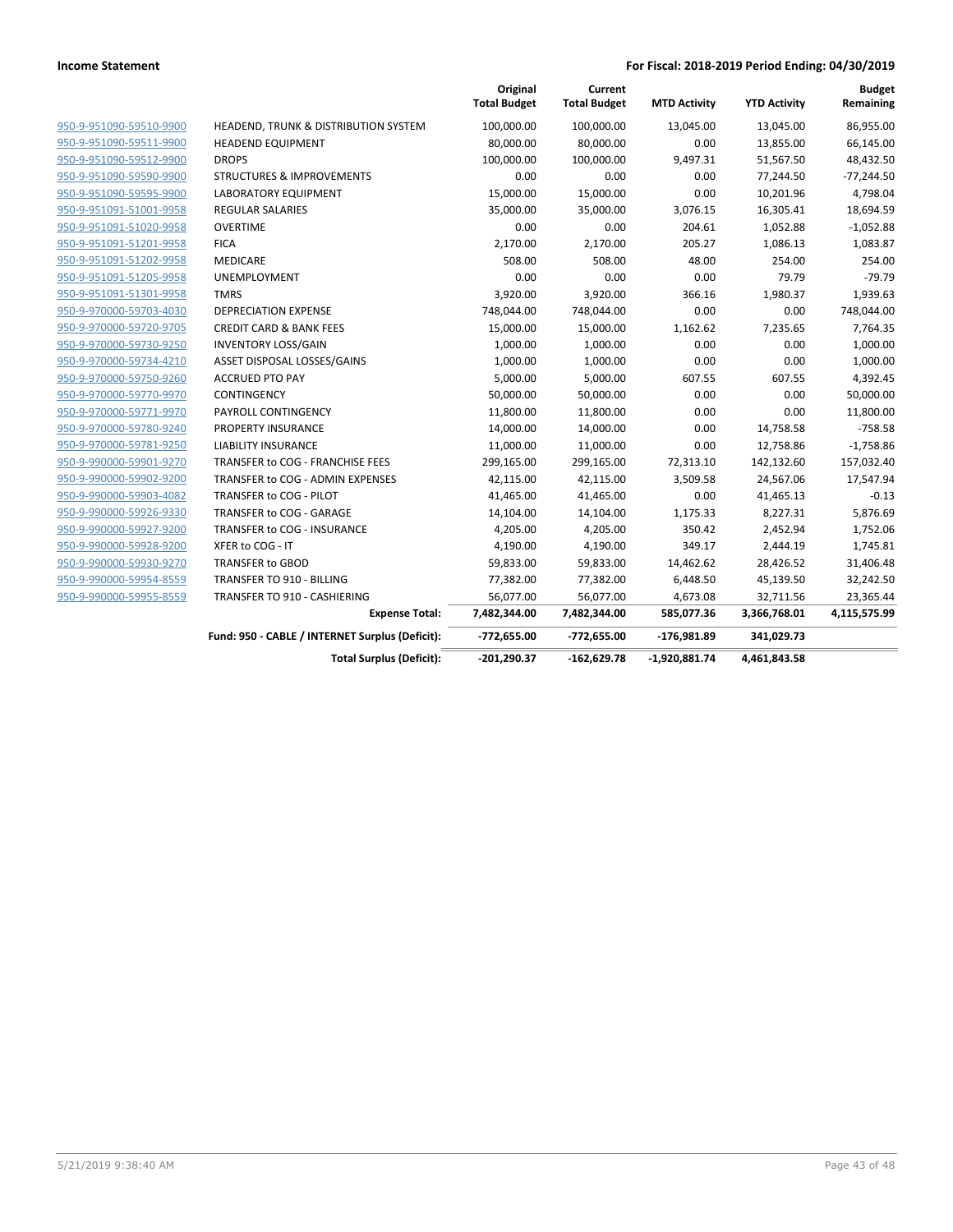|                         |                                                 | Original<br><b>Total Budget</b> | Current<br><b>Total Budget</b> | <b>MTD Activity</b> | <b>YTD Activity</b> | <b>Budget</b><br>Remaining |
|-------------------------|-------------------------------------------------|---------------------------------|--------------------------------|---------------------|---------------------|----------------------------|
| 950-9-951090-59510-9900 | HEADEND, TRUNK & DISTRIBUTION SYSTEM            | 100,000.00                      | 100,000.00                     | 13,045.00           | 13,045.00           | 86,955.00                  |
| 950-9-951090-59511-9900 | <b>HEADEND EQUIPMENT</b>                        | 80,000.00                       | 80,000.00                      | 0.00                | 13,855.00           | 66,145.00                  |
| 950-9-951090-59512-9900 | <b>DROPS</b>                                    | 100,000.00                      | 100,000.00                     | 9,497.31            | 51,567.50           | 48,432.50                  |
| 950-9-951090-59590-9900 | <b>STRUCTURES &amp; IMPROVEMENTS</b>            | 0.00                            | 0.00                           | 0.00                | 77,244.50           | $-77,244.50$               |
| 950-9-951090-59595-9900 | LABORATORY EQUIPMENT                            | 15,000.00                       | 15,000.00                      | 0.00                | 10,201.96           | 4,798.04                   |
| 950-9-951091-51001-9958 | <b>REGULAR SALARIES</b>                         | 35,000.00                       | 35,000.00                      | 3,076.15            | 16,305.41           | 18,694.59                  |
| 950-9-951091-51020-9958 | <b>OVERTIME</b>                                 | 0.00                            | 0.00                           | 204.61              | 1,052.88            | $-1,052.88$                |
| 950-9-951091-51201-9958 | <b>FICA</b>                                     | 2,170.00                        | 2,170.00                       | 205.27              | 1,086.13            | 1,083.87                   |
| 950-9-951091-51202-9958 | <b>MEDICARE</b>                                 | 508.00                          | 508.00                         | 48.00               | 254.00              | 254.00                     |
| 950-9-951091-51205-9958 | UNEMPLOYMENT                                    | 0.00                            | 0.00                           | 0.00                | 79.79               | $-79.79$                   |
| 950-9-951091-51301-9958 | <b>TMRS</b>                                     | 3,920.00                        | 3,920.00                       | 366.16              | 1,980.37            | 1,939.63                   |
| 950-9-970000-59703-4030 | <b>DEPRECIATION EXPENSE</b>                     | 748,044.00                      | 748,044.00                     | 0.00                | 0.00                | 748,044.00                 |
| 950-9-970000-59720-9705 | <b>CREDIT CARD &amp; BANK FEES</b>              | 15,000.00                       | 15,000.00                      | 1,162.62            | 7,235.65            | 7,764.35                   |
| 950-9-970000-59730-9250 | <b>INVENTORY LOSS/GAIN</b>                      | 1,000.00                        | 1,000.00                       | 0.00                | 0.00                | 1,000.00                   |
| 950-9-970000-59734-4210 | ASSET DISPOSAL LOSSES/GAINS                     | 1,000.00                        | 1,000.00                       | 0.00                | 0.00                | 1,000.00                   |
| 950-9-970000-59750-9260 | <b>ACCRUED PTO PAY</b>                          | 5,000.00                        | 5,000.00                       | 607.55              | 607.55              | 4,392.45                   |
| 950-9-970000-59770-9970 | CONTINGENCY                                     | 50,000.00                       | 50,000.00                      | 0.00                | 0.00                | 50,000.00                  |
| 950-9-970000-59771-9970 | PAYROLL CONTINGENCY                             | 11,800.00                       | 11,800.00                      | 0.00                | 0.00                | 11,800.00                  |
| 950-9-970000-59780-9240 | <b>PROPERTY INSURANCE</b>                       | 14,000.00                       | 14,000.00                      | 0.00                | 14,758.58           | $-758.58$                  |
| 950-9-970000-59781-9250 | <b>LIABILITY INSURANCE</b>                      | 11,000.00                       | 11,000.00                      | 0.00                | 12,758.86           | $-1,758.86$                |
| 950-9-990000-59901-9270 | TRANSFER to COG - FRANCHISE FEES                | 299,165.00                      | 299,165.00                     | 72,313.10           | 142,132.60          | 157,032.40                 |
| 950-9-990000-59902-9200 | TRANSFER to COG - ADMIN EXPENSES                | 42,115.00                       | 42,115.00                      | 3,509.58            | 24,567.06           | 17,547.94                  |
| 950-9-990000-59903-4082 | TRANSFER to COG - PILOT                         | 41,465.00                       | 41,465.00                      | 0.00                | 41,465.13           | $-0.13$                    |
| 950-9-990000-59926-9330 | TRANSFER to COG - GARAGE                        | 14,104.00                       | 14,104.00                      | 1,175.33            | 8,227.31            | 5,876.69                   |
| 950-9-990000-59927-9200 | TRANSFER to COG - INSURANCE                     | 4,205.00                        | 4,205.00                       | 350.42              | 2,452.94            | 1,752.06                   |
| 950-9-990000-59928-9200 | XFER to COG - IT                                | 4,190.00                        | 4,190.00                       | 349.17              | 2,444.19            | 1,745.81                   |
| 950-9-990000-59930-9270 | <b>TRANSFER to GBOD</b>                         | 59,833.00                       | 59,833.00                      | 14,462.62           | 28,426.52           | 31,406.48                  |
| 950-9-990000-59954-8559 | TRANSFER TO 910 - BILLING                       | 77,382.00                       | 77,382.00                      | 6,448.50            | 45,139.50           | 32,242.50                  |
| 950-9-990000-59955-8559 | <b>TRANSFER TO 910 - CASHIERING</b>             | 56,077.00                       | 56,077.00                      | 4,673.08            | 32,711.56           | 23,365.44                  |
|                         | <b>Expense Total:</b>                           | 7,482,344.00                    | 7,482,344.00                   | 585,077.36          | 3,366,768.01        | 4,115,575.99               |
|                         | Fund: 950 - CABLE / INTERNET Surplus (Deficit): | $-772,655.00$                   | $-772,655.00$                  | $-176,981.89$       | 341,029.73          |                            |
|                         | <b>Total Surplus (Deficit):</b>                 | $-201,290.37$                   | $-162,629.78$                  | $-1,920,881.74$     | 4,461,843.58        |                            |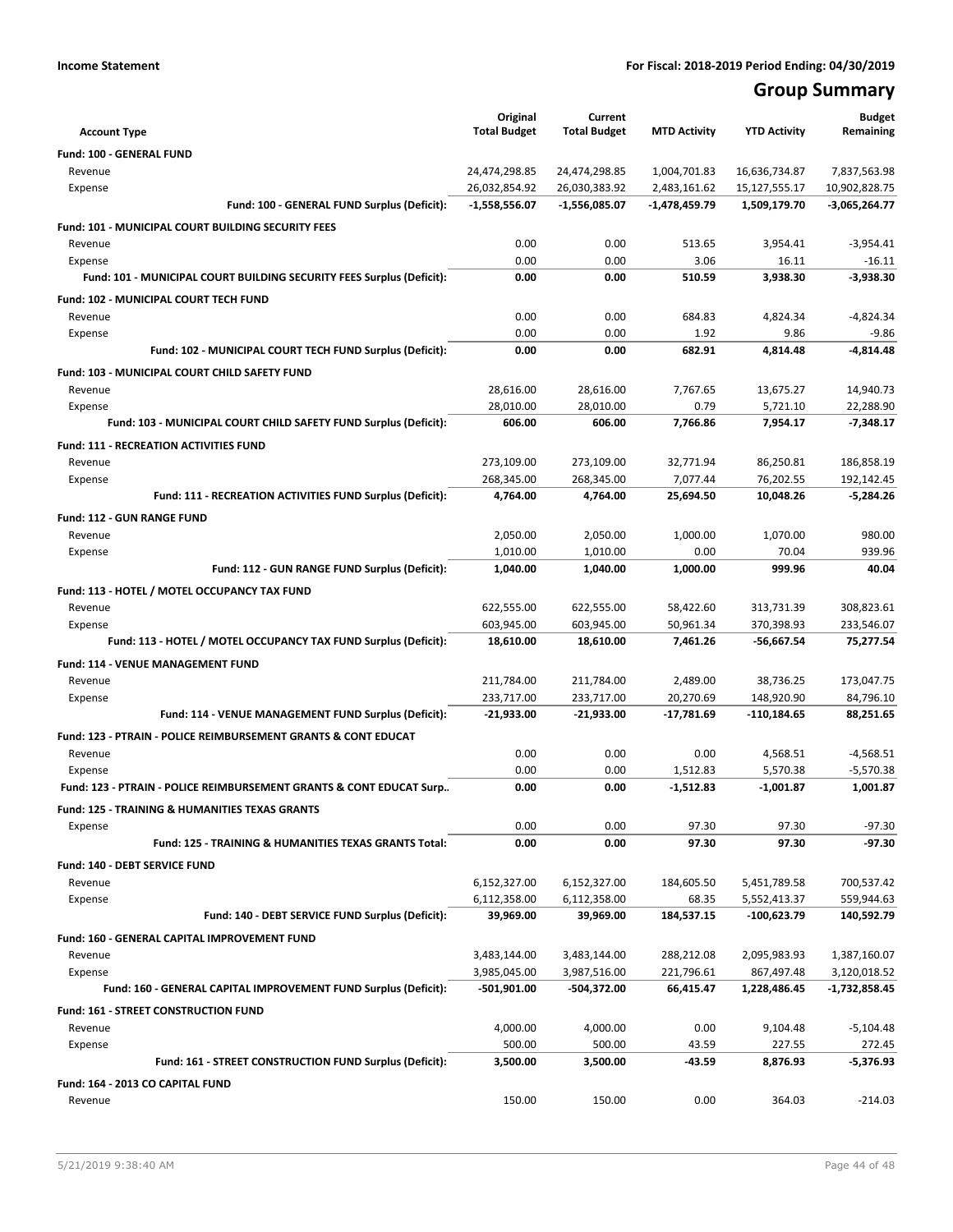## **Group Summary**

| <b>Account Type</b>                                                       | Original<br><b>Total Budget</b> | Current<br><b>Total Budget</b> | <b>MTD Activity</b>      | <b>YTD Activity</b>         | <b>Budget</b><br>Remaining   |
|---------------------------------------------------------------------------|---------------------------------|--------------------------------|--------------------------|-----------------------------|------------------------------|
|                                                                           |                                 |                                |                          |                             |                              |
| <b>Fund: 100 - GENERAL FUND</b><br>Revenue                                | 24,474,298.85                   | 24,474,298.85                  | 1,004,701.83             | 16,636,734.87               | 7,837,563.98                 |
| Expense                                                                   | 26,032,854.92                   | 26,030,383.92                  | 2,483,161.62             | 15,127,555.17               | 10,902,828.75                |
| Fund: 100 - GENERAL FUND Surplus (Deficit):                               | $-1,558,556.07$                 | $-1,556,085.07$                | -1,478,459.79            | 1,509,179.70                | $-3,065,264.77$              |
| <b>Fund: 101 - MUNICIPAL COURT BUILDING SECURITY FEES</b>                 |                                 |                                |                          |                             |                              |
| Revenue                                                                   | 0.00                            | 0.00                           | 513.65                   | 3,954.41                    | $-3,954.41$                  |
| Expense                                                                   | 0.00                            | 0.00                           | 3.06                     | 16.11                       | $-16.11$                     |
| Fund: 101 - MUNICIPAL COURT BUILDING SECURITY FEES Surplus (Deficit):     | 0.00                            | 0.00                           | 510.59                   | 3,938.30                    | $-3,938.30$                  |
| <b>Fund: 102 - MUNICIPAL COURT TECH FUND</b>                              |                                 |                                |                          |                             |                              |
| Revenue                                                                   | 0.00                            | 0.00                           | 684.83                   | 4,824.34                    | $-4.824.34$                  |
| Expense                                                                   | 0.00                            | 0.00                           | 1.92                     | 9.86                        | $-9.86$                      |
| Fund: 102 - MUNICIPAL COURT TECH FUND Surplus (Deficit):                  | 0.00                            | 0.00                           | 682.91                   | 4,814.48                    | $-4,814.48$                  |
| Fund: 103 - MUNICIPAL COURT CHILD SAFETY FUND                             |                                 |                                |                          |                             |                              |
| Revenue                                                                   | 28,616.00                       | 28,616.00                      | 7,767.65                 | 13,675.27                   | 14,940.73                    |
| Expense                                                                   | 28,010.00                       | 28,010.00                      | 0.79                     | 5,721.10                    | 22,288.90                    |
| Fund: 103 - MUNICIPAL COURT CHILD SAFETY FUND Surplus (Deficit):          | 606.00                          | 606.00                         | 7,766.86                 | 7,954.17                    | $-7,348.17$                  |
| <b>Fund: 111 - RECREATION ACTIVITIES FUND</b>                             |                                 |                                |                          |                             |                              |
| Revenue                                                                   | 273,109.00                      | 273,109.00                     | 32,771.94                | 86,250.81                   | 186,858.19                   |
| Expense                                                                   | 268,345.00                      | 268,345.00                     | 7,077.44                 | 76,202.55                   | 192,142.45                   |
| Fund: 111 - RECREATION ACTIVITIES FUND Surplus (Deficit):                 | 4,764.00                        | 4,764.00                       | 25,694.50                | 10,048.26                   | $-5,284.26$                  |
| <b>Fund: 112 - GUN RANGE FUND</b>                                         |                                 |                                |                          |                             |                              |
| Revenue                                                                   | 2,050.00                        | 2,050.00                       | 1,000.00                 | 1,070.00                    | 980.00                       |
| Expense                                                                   | 1,010.00                        | 1,010.00                       | 0.00                     | 70.04                       | 939.96                       |
| Fund: 112 - GUN RANGE FUND Surplus (Deficit):                             | 1,040.00                        | 1,040.00                       | 1,000.00                 | 999.96                      | 40.04                        |
| Fund: 113 - HOTEL / MOTEL OCCUPANCY TAX FUND                              |                                 |                                |                          |                             |                              |
| Revenue                                                                   | 622,555.00                      | 622,555.00                     | 58,422.60                | 313,731.39                  | 308,823.61                   |
| Expense                                                                   | 603,945.00                      | 603,945.00                     | 50,961.34                | 370,398.93                  | 233,546.07                   |
| Fund: 113 - HOTEL / MOTEL OCCUPANCY TAX FUND Surplus (Deficit):           | 18,610.00                       | 18,610.00                      | 7,461.26                 | -56,667.54                  | 75,277.54                    |
| Fund: 114 - VENUE MANAGEMENT FUND                                         |                                 |                                |                          |                             |                              |
| Revenue                                                                   | 211,784.00                      | 211,784.00                     | 2,489.00                 | 38,736.25                   | 173,047.75                   |
| Expense                                                                   | 233,717.00                      | 233,717.00                     | 20,270.69                | 148,920.90                  | 84,796.10                    |
| Fund: 114 - VENUE MANAGEMENT FUND Surplus (Deficit):                      | $-21,933.00$                    | -21,933.00                     | -17,781.69               | -110,184.65                 | 88,251.65                    |
| <b>Fund: 123 - PTRAIN - POLICE REIMBURSEMENT GRANTS &amp; CONT EDUCAT</b> |                                 |                                |                          |                             |                              |
| Revenue                                                                   | 0.00                            | 0.00                           | 0.00                     | 4,568.51                    | $-4,568.51$                  |
| Expense                                                                   | 0.00                            | 0.00                           | 1,512.83                 | 5,570.38                    | $-5,570.38$                  |
| Fund: 123 - PTRAIN - POLICE REIMBURSEMENT GRANTS & CONT EDUCAT Surp       | 0.00                            | 0.00                           | $-1,512.83$              | $-1,001.87$                 | 1,001.87                     |
| <b>Fund: 125 - TRAINING &amp; HUMANITIES TEXAS GRANTS</b>                 |                                 |                                |                          |                             |                              |
| Expense                                                                   | 0.00                            | 0.00                           | 97.30                    | 97.30                       | $-97.30$                     |
| Fund: 125 - TRAINING & HUMANITIES TEXAS GRANTS Total:                     | 0.00                            | 0.00                           | 97.30                    | 97.30                       | $-97.30$                     |
| Fund: 140 - DEBT SERVICE FUND                                             |                                 |                                |                          |                             |                              |
| Revenue                                                                   | 6,152,327.00                    | 6,152,327.00                   | 184,605.50               | 5,451,789.58                | 700,537.42                   |
| Expense<br>Fund: 140 - DEBT SERVICE FUND Surplus (Deficit):               | 6,112,358.00<br>39,969.00       | 6,112,358.00<br>39,969.00      | 68.35<br>184,537.15      | 5,552,413.37<br>-100,623.79 | 559,944.63<br>140,592.79     |
|                                                                           |                                 |                                |                          |                             |                              |
| Fund: 160 - GENERAL CAPITAL IMPROVEMENT FUND                              |                                 |                                |                          |                             |                              |
| Revenue<br>Expense                                                        | 3,483,144.00<br>3,985,045.00    | 3,483,144.00<br>3,987,516.00   | 288,212.08<br>221,796.61 | 2,095,983.93<br>867,497.48  | 1,387,160.07<br>3,120,018.52 |
| Fund: 160 - GENERAL CAPITAL IMPROVEMENT FUND Surplus (Deficit):           | -501,901.00                     | -504,372.00                    | 66,415.47                | 1,228,486.45                | -1,732,858.45                |
|                                                                           |                                 |                                |                          |                             |                              |
| Fund: 161 - STREET CONSTRUCTION FUND<br>Revenue                           | 4,000.00                        | 4,000.00                       | 0.00                     | 9,104.48                    | $-5,104.48$                  |
| Expense                                                                   | 500.00                          | 500.00                         | 43.59                    | 227.55                      | 272.45                       |
| Fund: 161 - STREET CONSTRUCTION FUND Surplus (Deficit):                   | 3,500.00                        | 3,500.00                       | -43.59                   | 8,876.93                    | -5,376.93                    |
| Fund: 164 - 2013 CO CAPITAL FUND                                          |                                 |                                |                          |                             |                              |
| Revenue                                                                   | 150.00                          | 150.00                         | 0.00                     | 364.03                      | $-214.03$                    |
|                                                                           |                                 |                                |                          |                             |                              |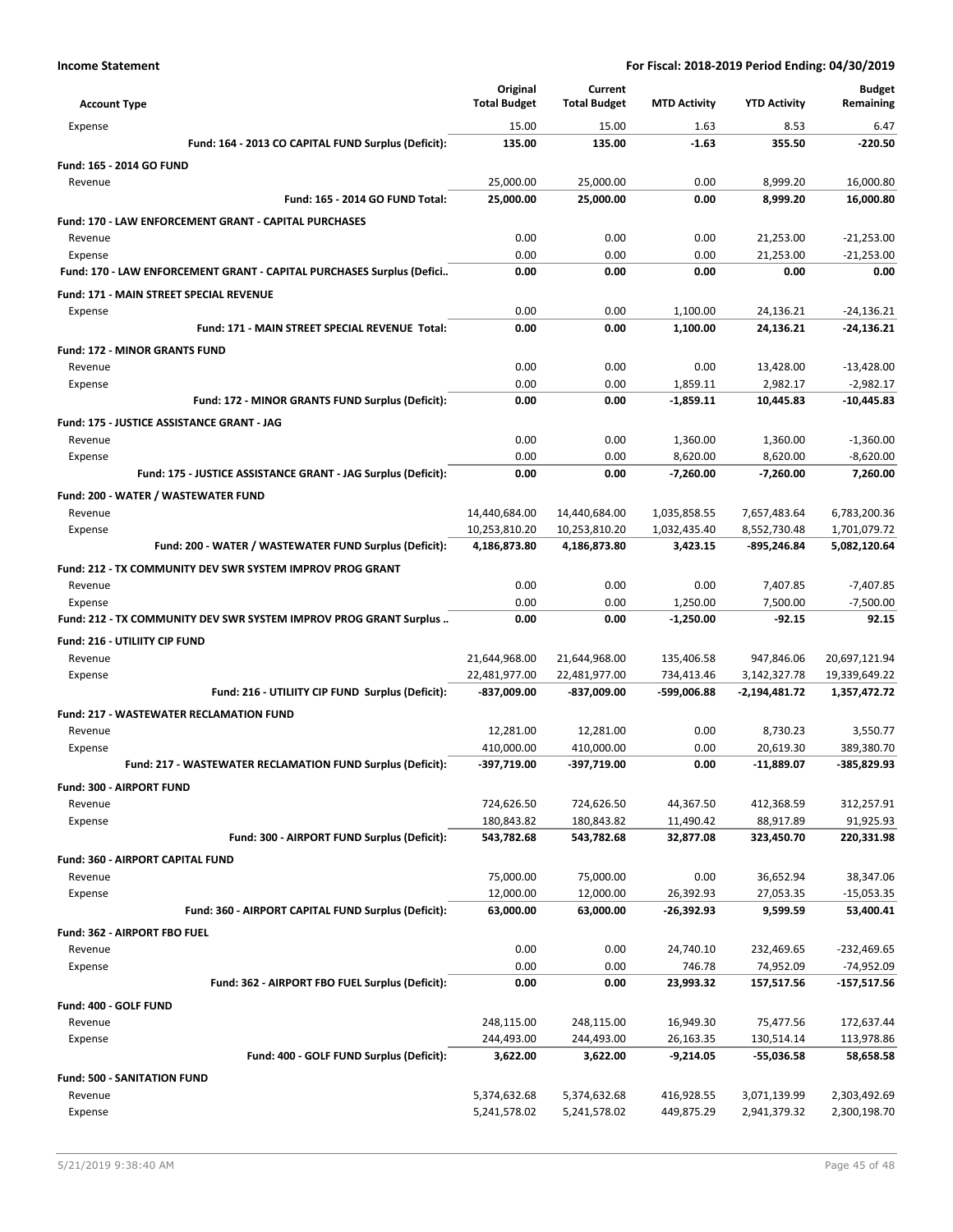|                                                                              | Original                       | Current                        |                          |                             | <b>Budget</b>                  |
|------------------------------------------------------------------------------|--------------------------------|--------------------------------|--------------------------|-----------------------------|--------------------------------|
| <b>Account Type</b>                                                          | <b>Total Budget</b>            | <b>Total Budget</b>            | <b>MTD Activity</b>      | <b>YTD Activity</b>         | Remaining                      |
| Expense                                                                      | 15.00                          | 15.00                          | 1.63                     | 8.53                        | 6.47                           |
| Fund: 164 - 2013 CO CAPITAL FUND Surplus (Deficit):                          | 135.00                         | 135.00                         | $-1.63$                  | 355.50                      | $-220.50$                      |
| Fund: 165 - 2014 GO FUND                                                     |                                |                                |                          |                             |                                |
| Revenue                                                                      | 25,000.00                      | 25,000.00                      | 0.00                     | 8,999.20                    | 16.000.80                      |
| Fund: 165 - 2014 GO FUND Total:                                              | 25,000.00                      | 25,000.00                      | 0.00                     | 8,999.20                    | 16,000.80                      |
| Fund: 170 - LAW ENFORCEMENT GRANT - CAPITAL PURCHASES                        |                                |                                |                          |                             |                                |
| Revenue                                                                      | 0.00                           | 0.00                           | 0.00                     | 21,253.00                   | $-21,253.00$                   |
| Expense                                                                      | 0.00                           | 0.00                           | 0.00                     | 21,253.00                   | $-21,253.00$                   |
| Fund: 170 - LAW ENFORCEMENT GRANT - CAPITAL PURCHASES Surplus (Defici        | 0.00                           | 0.00                           | 0.00                     | 0.00                        | 0.00                           |
| <b>Fund: 171 - MAIN STREET SPECIAL REVENUE</b>                               |                                |                                |                          |                             |                                |
| Expense                                                                      | 0.00                           | 0.00                           | 1,100.00                 | 24,136.21                   | $-24,136.21$                   |
| Fund: 171 - MAIN STREET SPECIAL REVENUE Total:                               | 0.00                           | 0.00                           | 1,100.00                 | 24,136.21                   | $-24,136.21$                   |
| <b>Fund: 172 - MINOR GRANTS FUND</b>                                         |                                |                                |                          |                             |                                |
| Revenue                                                                      | 0.00                           | 0.00                           | 0.00                     | 13,428.00                   | $-13,428.00$                   |
| Expense                                                                      | 0.00                           | 0.00                           | 1.859.11                 | 2,982.17                    | $-2,982.17$                    |
| Fund: 172 - MINOR GRANTS FUND Surplus (Deficit):                             | 0.00                           | 0.00                           | $-1,859.11$              | 10,445.83                   | $-10,445.83$                   |
| <b>Fund: 175 - JUSTICE ASSISTANCE GRANT - JAG</b>                            |                                |                                |                          |                             |                                |
| Revenue                                                                      | 0.00                           | 0.00                           | 1,360.00                 | 1,360.00                    | $-1,360.00$                    |
| Expense                                                                      | 0.00                           | 0.00                           | 8,620.00                 | 8,620.00                    | $-8,620.00$                    |
| Fund: 175 - JUSTICE ASSISTANCE GRANT - JAG Surplus (Deficit):                | 0.00                           | 0.00                           | $-7,260.00$              | $-7,260.00$                 | 7,260.00                       |
| Fund: 200 - WATER / WASTEWATER FUND                                          |                                |                                |                          |                             |                                |
| Revenue                                                                      | 14,440,684.00                  | 14,440,684.00                  | 1,035,858.55             | 7,657,483.64                | 6,783,200.36                   |
| Expense<br>Fund: 200 - WATER / WASTEWATER FUND Surplus (Deficit):            | 10,253,810.20<br>4,186,873.80  | 10,253,810.20<br>4,186,873.80  | 1,032,435.40<br>3,423.15 | 8,552,730.48<br>-895,246.84 | 1,701,079.72<br>5,082,120.64   |
|                                                                              |                                |                                |                          |                             |                                |
| Fund: 212 - TX COMMUNITY DEV SWR SYSTEM IMPROV PROG GRANT                    |                                |                                |                          |                             |                                |
| Revenue                                                                      | 0.00<br>0.00                   | 0.00<br>0.00                   | 0.00                     | 7,407.85                    | $-7,407.85$                    |
| Expense<br>Fund: 212 - TX COMMUNITY DEV SWR SYSTEM IMPROV PROG GRANT Surplus | 0.00                           | 0.00                           | 1,250.00<br>$-1,250.00$  | 7,500.00<br>$-92.15$        | $-7,500.00$<br>92.15           |
|                                                                              |                                |                                |                          |                             |                                |
| Fund: 216 - UTILIITY CIP FUND                                                |                                |                                |                          |                             |                                |
| Revenue<br>Expense                                                           | 21,644,968.00<br>22,481,977.00 | 21,644,968.00<br>22,481,977.00 | 135,406.58<br>734,413.46 | 947,846.06<br>3,142,327.78  | 20,697,121.94<br>19,339,649.22 |
| Fund: 216 - UTILIITY CIP FUND Surplus (Deficit):                             | -837,009.00                    | -837,009.00                    | -599,006.88              | $-2,194,481.72$             | 1,357,472.72                   |
|                                                                              |                                |                                |                          |                             |                                |
| <b>Fund: 217 - WASTEWATER RECLAMATION FUND</b>                               |                                |                                | 0.00                     |                             |                                |
| Revenue<br>Expense                                                           | 12,281.00<br>410,000.00        | 12,281.00<br>410,000.00        | 0.00                     | 8,730.23<br>20,619.30       | 3,550.77<br>389,380.70         |
| Fund: 217 - WASTEWATER RECLAMATION FUND Surplus (Deficit):                   | -397,719.00                    | -397,719.00                    | 0.00                     | $-11,889.07$                | -385,829.93                    |
| Fund: 300 - AIRPORT FUND                                                     |                                |                                |                          |                             |                                |
| Revenue                                                                      | 724,626.50                     | 724,626.50                     | 44,367.50                | 412,368.59                  | 312,257.91                     |
| Expense                                                                      | 180,843.82                     | 180,843.82                     | 11,490.42                | 88,917.89                   | 91,925.93                      |
| Fund: 300 - AIRPORT FUND Surplus (Deficit):                                  | 543,782.68                     | 543,782.68                     | 32,877.08                | 323,450.70                  | 220,331.98                     |
| Fund: 360 - AIRPORT CAPITAL FUND                                             |                                |                                |                          |                             |                                |
| Revenue                                                                      | 75,000.00                      | 75,000.00                      | 0.00                     | 36,652.94                   | 38,347.06                      |
| Expense                                                                      | 12,000.00                      | 12,000.00                      | 26,392.93                | 27,053.35                   | $-15,053.35$                   |
| Fund: 360 - AIRPORT CAPITAL FUND Surplus (Deficit):                          | 63,000.00                      | 63,000.00                      | -26,392.93               | 9,599.59                    | 53,400.41                      |
| Fund: 362 - AIRPORT FBO FUEL                                                 |                                |                                |                          |                             |                                |
| Revenue                                                                      | 0.00                           | 0.00                           | 24,740.10                | 232,469.65                  | -232,469.65                    |
| Expense                                                                      | 0.00                           | 0.00                           | 746.78                   | 74,952.09                   | -74,952.09                     |
| Fund: 362 - AIRPORT FBO FUEL Surplus (Deficit):                              | 0.00                           | 0.00                           | 23,993.32                | 157,517.56                  | $-157,517.56$                  |
| Fund: 400 - GOLF FUND                                                        |                                |                                |                          |                             |                                |
| Revenue                                                                      | 248,115.00                     | 248,115.00                     | 16,949.30                | 75,477.56                   | 172,637.44                     |
| Expense                                                                      | 244,493.00                     | 244,493.00                     | 26,163.35                | 130,514.14                  | 113,978.86                     |
| Fund: 400 - GOLF FUND Surplus (Deficit):                                     | 3,622.00                       | 3,622.00                       | $-9,214.05$              | -55,036.58                  | 58,658.58                      |
| <b>Fund: 500 - SANITATION FUND</b>                                           |                                |                                |                          |                             |                                |
| Revenue                                                                      | 5,374,632.68                   | 5,374,632.68                   | 416,928.55               | 3,071,139.99                | 2,303,492.69                   |
| Expense                                                                      | 5,241,578.02                   | 5,241,578.02                   | 449,875.29               | 2,941,379.32                | 2,300,198.70                   |
|                                                                              |                                |                                |                          |                             |                                |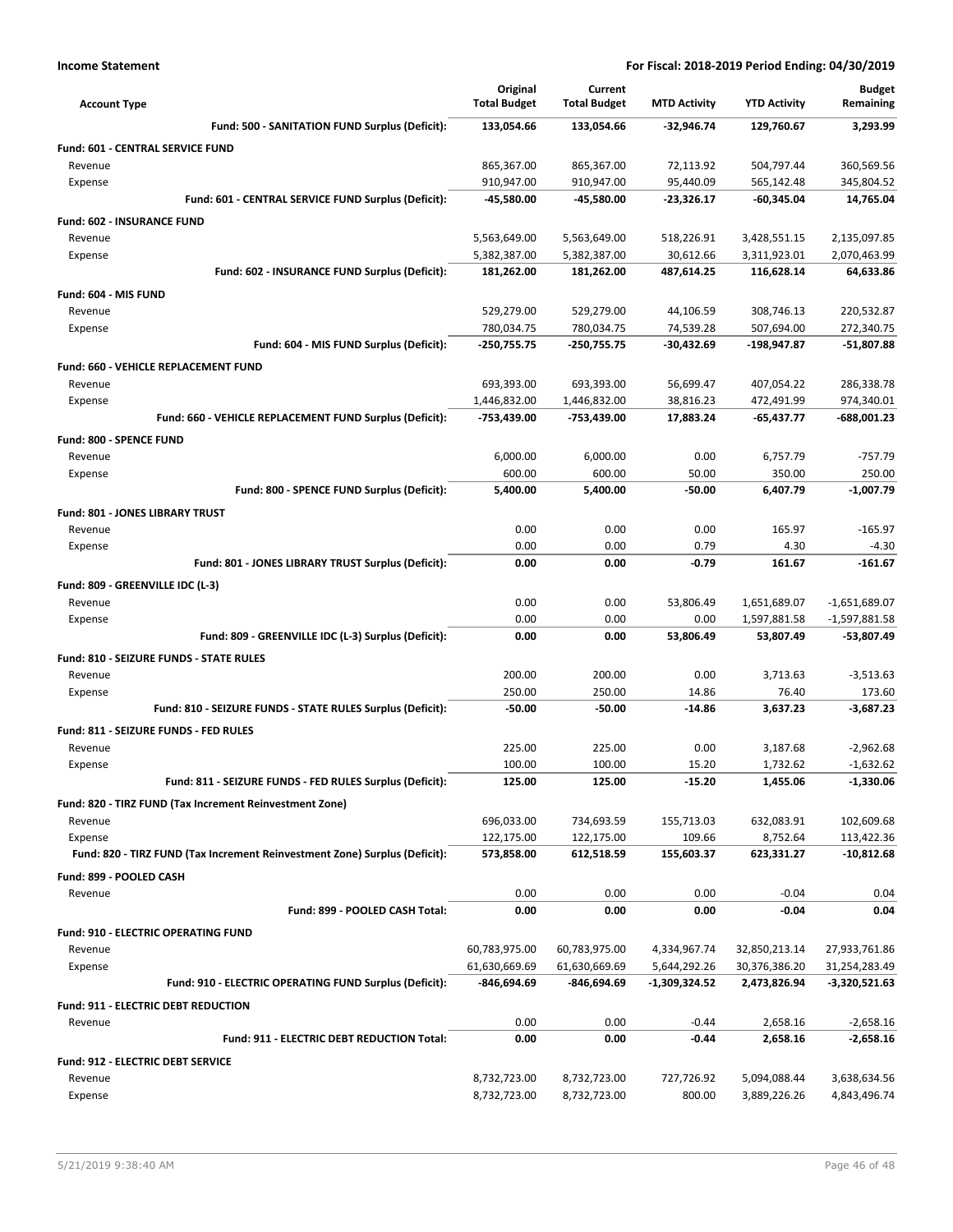| <b>Account Type</b>                                                        | Original<br><b>Total Budget</b> | Current<br><b>Total Budget</b> | <b>MTD Activity</b>    | <b>YTD Activity</b>        | <b>Budget</b><br>Remaining  |
|----------------------------------------------------------------------------|---------------------------------|--------------------------------|------------------------|----------------------------|-----------------------------|
| Fund: 500 - SANITATION FUND Surplus (Deficit):                             | 133,054.66                      | 133,054.66                     | -32,946.74             | 129,760.67                 | 3,293.99                    |
| Fund: 601 - CENTRAL SERVICE FUND                                           |                                 |                                |                        |                            |                             |
| Revenue                                                                    | 865,367.00                      | 865,367.00                     | 72,113.92              | 504,797.44                 | 360,569.56                  |
| Expense                                                                    | 910,947.00                      | 910,947.00                     | 95,440.09              | 565,142.48                 | 345,804.52                  |
| Fund: 601 - CENTRAL SERVICE FUND Surplus (Deficit):                        | -45,580.00                      | -45,580.00                     | -23,326.17             | $-60,345.04$               | 14,765.04                   |
| Fund: 602 - INSURANCE FUND                                                 |                                 |                                |                        |                            |                             |
| Revenue                                                                    | 5,563,649.00                    | 5,563,649.00                   | 518,226.91             | 3,428,551.15               | 2,135,097.85                |
| Expense                                                                    | 5,382,387.00                    | 5,382,387.00                   | 30,612.66              | 3,311,923.01               | 2,070,463.99                |
| Fund: 602 - INSURANCE FUND Surplus (Deficit):                              | 181,262.00                      | 181,262.00                     | 487,614.25             | 116,628.14                 | 64,633.86                   |
| Fund: 604 - MIS FUND                                                       |                                 |                                |                        |                            |                             |
| Revenue                                                                    | 529,279.00                      | 529,279.00                     | 44,106.59              | 308,746.13                 | 220,532.87                  |
| Expense                                                                    | 780,034.75                      | 780,034.75                     | 74,539.28              | 507,694.00                 | 272,340.75                  |
| Fund: 604 - MIS FUND Surplus (Deficit):                                    | -250,755.75                     | $-250,755.75$                  | $-30,432.69$           | -198,947.87                | $-51,807.88$                |
| <b>Fund: 660 - VEHICLE REPLACEMENT FUND</b>                                |                                 |                                |                        |                            |                             |
| Revenue                                                                    | 693,393.00                      | 693,393.00                     | 56,699.47              | 407,054.22                 | 286,338.78                  |
| Expense<br>Fund: 660 - VEHICLE REPLACEMENT FUND Surplus (Deficit):         | 1,446,832.00<br>-753,439.00     | 1,446,832.00<br>-753,439.00    | 38,816.23<br>17,883.24 | 472,491.99<br>$-65,437.77$ | 974,340.01<br>$-688,001.23$ |
|                                                                            |                                 |                                |                        |                            |                             |
| Fund: 800 - SPENCE FUND                                                    |                                 |                                |                        |                            |                             |
| Revenue<br>Expense                                                         | 6,000.00<br>600.00              | 6,000.00<br>600.00             | 0.00<br>50.00          | 6,757.79<br>350.00         | $-757.79$<br>250.00         |
| Fund: 800 - SPENCE FUND Surplus (Deficit):                                 | 5,400.00                        | 5,400.00                       | $-50.00$               | 6,407.79                   | $-1,007.79$                 |
|                                                                            |                                 |                                |                        |                            |                             |
| Fund: 801 - JONES LIBRARY TRUST<br>Revenue                                 | 0.00                            | 0.00                           | 0.00                   | 165.97                     | $-165.97$                   |
| Expense                                                                    | 0.00                            | 0.00                           | 0.79                   | 4.30                       | $-4.30$                     |
| Fund: 801 - JONES LIBRARY TRUST Surplus (Deficit):                         | 0.00                            | 0.00                           | -0.79                  | 161.67                     | $-161.67$                   |
| Fund: 809 - GREENVILLE IDC (L-3)                                           |                                 |                                |                        |                            |                             |
| Revenue                                                                    | 0.00                            | 0.00                           | 53,806.49              | 1,651,689.07               | $-1,651,689.07$             |
| Expense                                                                    | 0.00                            | 0.00                           | 0.00                   | 1,597,881.58               | $-1,597,881.58$             |
| Fund: 809 - GREENVILLE IDC (L-3) Surplus (Deficit):                        | 0.00                            | 0.00                           | 53,806.49              | 53,807.49                  | -53,807.49                  |
| Fund: 810 - SEIZURE FUNDS - STATE RULES                                    |                                 |                                |                        |                            |                             |
| Revenue                                                                    | 200.00                          | 200.00                         | 0.00                   | 3,713.63                   | $-3,513.63$                 |
| Expense                                                                    | 250.00                          | 250.00                         | 14.86                  | 76.40                      | 173.60                      |
| Fund: 810 - SEIZURE FUNDS - STATE RULES Surplus (Deficit):                 | $-50.00$                        | $-50.00$                       | $-14.86$               | 3,637.23                   | $-3.687.23$                 |
| Fund: 811 - SEIZURE FUNDS - FED RULES                                      |                                 |                                |                        |                            |                             |
| Revenue                                                                    | 225.00                          | 225.00                         | 0.00                   | 3,187.68                   | $-2,962.68$                 |
| Expense                                                                    | 100.00                          | 100.00                         | 15.20                  | 1.732.62                   | $-1,632.62$                 |
| Fund: 811 - SEIZURE FUNDS - FED RULES Surplus (Deficit):                   | 125.00                          | 125.00                         | -15.20                 | 1,455.06                   | $-1,330.06$                 |
| Fund: 820 - TIRZ FUND (Tax Increment Reinvestment Zone)                    |                                 |                                |                        |                            |                             |
| Revenue                                                                    | 696,033.00                      | 734,693.59                     | 155,713.03             | 632,083.91                 | 102,609.68                  |
| Expense                                                                    | 122,175.00                      | 122,175.00                     | 109.66                 | 8,752.64                   | 113,422.36                  |
| Fund: 820 - TIRZ FUND (Tax Increment Reinvestment Zone) Surplus (Deficit): | 573,858.00                      | 612,518.59                     | 155,603.37             | 623,331.27                 | $-10,812.68$                |
| Fund: 899 - POOLED CASH                                                    |                                 |                                |                        |                            |                             |
| Revenue                                                                    | 0.00                            | 0.00                           | 0.00                   | $-0.04$                    | 0.04                        |
| Fund: 899 - POOLED CASH Total:                                             | 0.00                            | 0.00                           | 0.00                   | $-0.04$                    | 0.04                        |
| Fund: 910 - ELECTRIC OPERATING FUND                                        |                                 |                                |                        |                            |                             |
| Revenue                                                                    | 60,783,975.00                   | 60,783,975.00                  | 4,334,967.74           | 32,850,213.14              | 27,933,761.86               |
| Expense                                                                    | 61,630,669.69                   | 61,630,669.69                  | 5,644,292.26           | 30,376,386.20              | 31,254,283.49               |
| Fund: 910 - ELECTRIC OPERATING FUND Surplus (Deficit):                     | -846,694.69                     | -846,694.69                    | -1,309,324.52          | 2,473,826.94               | -3,320,521.63               |
| Fund: 911 - ELECTRIC DEBT REDUCTION                                        |                                 |                                |                        |                            |                             |
| Revenue                                                                    | 0.00                            | 0.00                           | $-0.44$                | 2,658.16                   | $-2,658.16$                 |
| Fund: 911 - ELECTRIC DEBT REDUCTION Total:                                 | 0.00                            | 0.00                           | -0.44                  | 2,658.16                   | $-2,658.16$                 |
| Fund: 912 - ELECTRIC DEBT SERVICE                                          |                                 |                                |                        |                            |                             |
| Revenue                                                                    | 8,732,723.00                    | 8,732,723.00                   | 727,726.92             | 5,094,088.44               | 3,638,634.56                |
| Expense                                                                    | 8,732,723.00                    | 8,732,723.00                   | 800.00                 | 3,889,226.26               | 4,843,496.74                |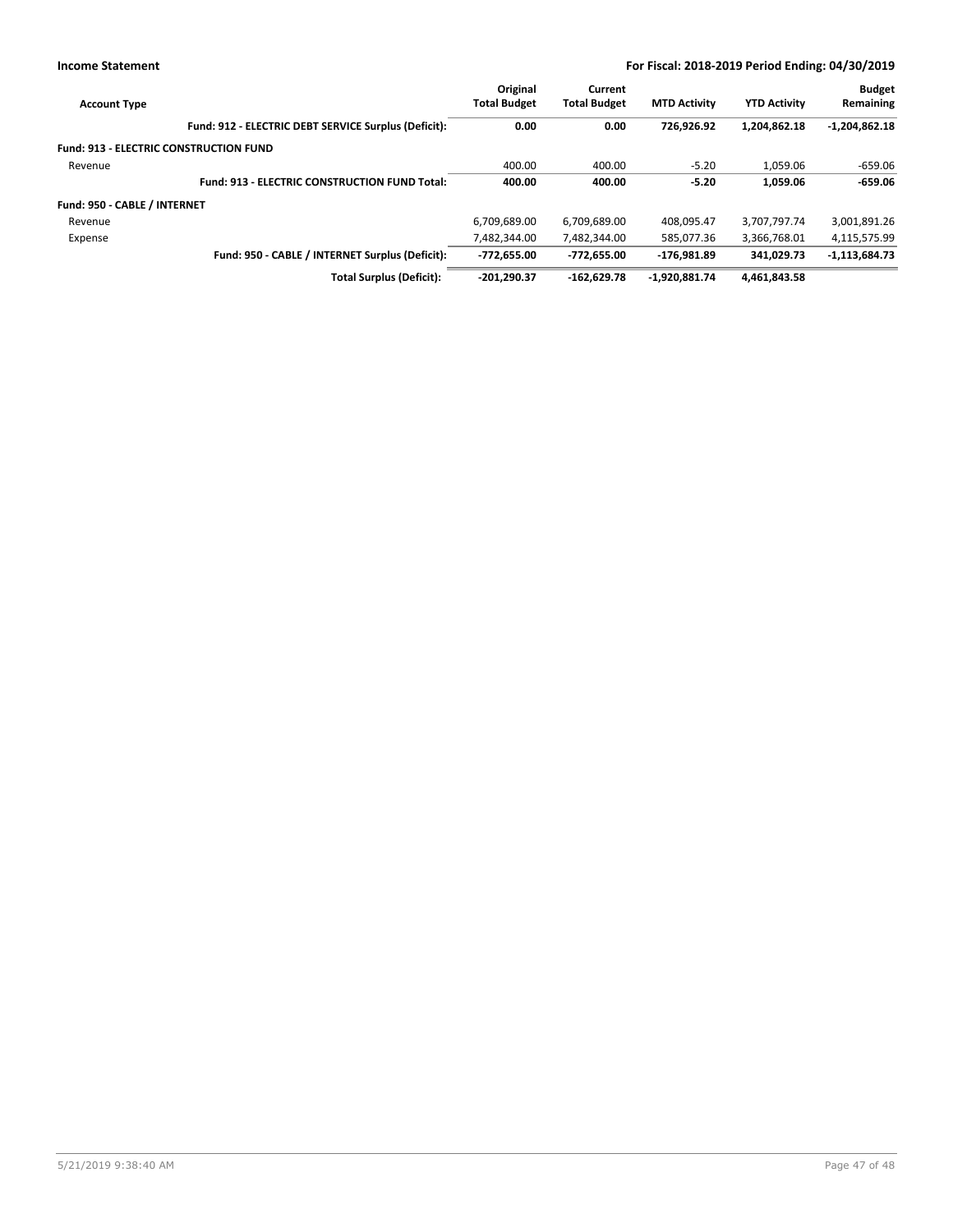| <b>Account Type</b>          |                                                      | Original<br><b>Total Budget</b> | Current<br><b>Total Budget</b> | <b>MTD Activity</b> | <b>YTD Activity</b> | <b>Budget</b><br>Remaining |
|------------------------------|------------------------------------------------------|---------------------------------|--------------------------------|---------------------|---------------------|----------------------------|
|                              | Fund: 912 - ELECTRIC DEBT SERVICE Surplus (Deficit): | 0.00                            | 0.00                           | 726.926.92          | 1.204.862.18        | $-1,204,862.18$            |
|                              | <b>Fund: 913 - ELECTRIC CONSTRUCTION FUND</b>        |                                 |                                |                     |                     |                            |
| Revenue                      |                                                      | 400.00                          | 400.00                         | $-5.20$             | 1.059.06            | $-659.06$                  |
|                              | <b>Fund: 913 - ELECTRIC CONSTRUCTION FUND Total:</b> | 400.00                          | 400.00                         | $-5.20$             | 1.059.06            | $-659.06$                  |
| Fund: 950 - CABLE / INTERNET |                                                      |                                 |                                |                     |                     |                            |
| Revenue                      |                                                      | 6,709,689.00                    | 6,709,689.00                   | 408.095.47          | 3,707,797.74        | 3,001,891.26               |
| Expense                      |                                                      | 7.482.344.00                    | 7,482,344.00                   | 585.077.36          | 3,366,768.01        | 4,115,575.99               |
|                              | Fund: 950 - CABLE / INTERNET Surplus (Deficit):      | $-772.655.00$                   | -772.655.00                    | $-176.981.89$       | 341.029.73          | $-1,113,684.73$            |
|                              | <b>Total Surplus (Deficit):</b>                      | $-201.290.37$                   | $-162.629.78$                  | $-1.920.881.74$     | 4.461.843.58        |                            |